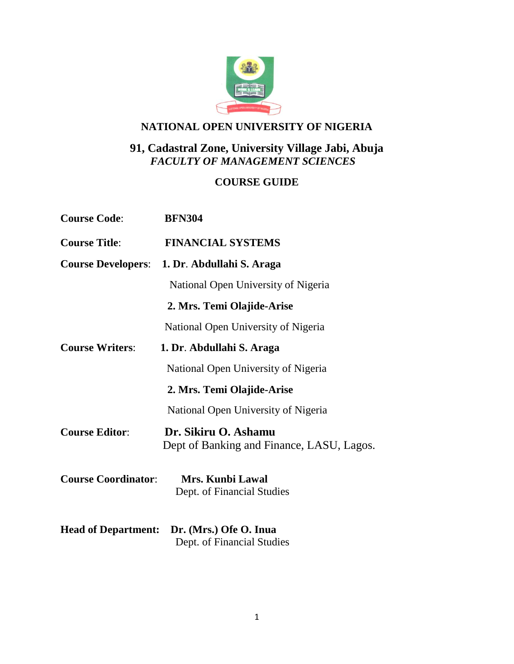

# **NATIONAL OPEN UNIVERSITY OF NIGERIA**

# **91, Cadastral Zone, University Village Jabi, Abuja** *FACULTY OF MANAGEMENT SCIENCES*

# **COURSE GUIDE**

| <b>Course Code:</b>        | <b>BFN304</b>                                                     |
|----------------------------|-------------------------------------------------------------------|
| <b>Course Title:</b>       | <b>FINANCIAL SYSTEMS</b>                                          |
| <b>Course Developers:</b>  | 1. Dr. Abdullahi S. Araga                                         |
|                            | National Open University of Nigeria                               |
|                            | 2. Mrs. Temi Olajide-Arise                                        |
|                            | National Open University of Nigeria                               |
| <b>Course Writers:</b>     | 1. Dr. Abdullahi S. Araga                                         |
|                            | National Open University of Nigeria                               |
|                            | 2. Mrs. Temi Olajide-Arise                                        |
|                            | National Open University of Nigeria                               |
| <b>Course Editor:</b>      | Dr. Sikiru O. Ashamu<br>Dept of Banking and Finance, LASU, Lagos. |
| <b>Course Coordinator:</b> | Mrs. Kunbi Lawal<br>Dept. of Financial Studies                    |
| <b>Head of Department:</b> | Dr. (Mrs.) Ofe O. Inua<br>Dept. of Financial Studies              |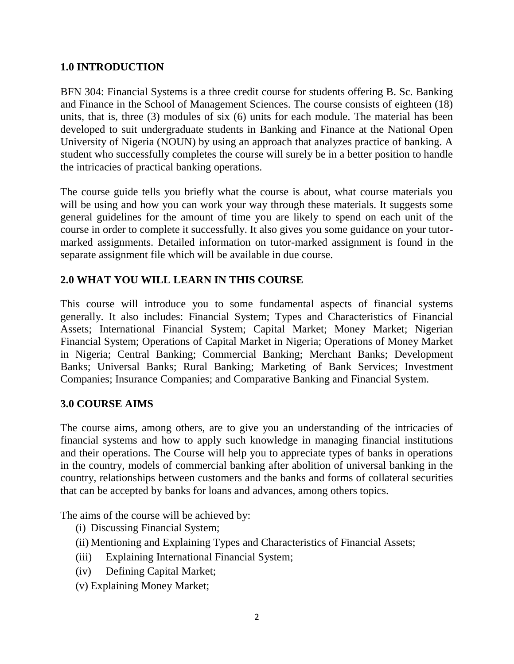### **1.0 INTRODUCTION**

BFN 304: Financial Systems is a three credit course for students offering B. Sc. Banking and Finance in the School of Management Sciences. The course consists of eighteen (18) units, that is, three (3) modules of six (6) units for each module. The material has been developed to suit undergraduate students in Banking and Finance at the National Open University of Nigeria (NOUN) by using an approach that analyzes practice of banking. A student who successfully completes the course will surely be in a better position to handle the intricacies of practical banking operations.

The course guide tells you briefly what the course is about, what course materials you will be using and how you can work your way through these materials. It suggests some general guidelines for the amount of time you are likely to spend on each unit of the course in order to complete it successfully. It also gives you some guidance on your tutormarked assignments. Detailed information on tutor-marked assignment is found in the separate assignment file which will be available in due course.

# **2.0 WHAT YOU WILL LEARN IN THIS COURSE**

This course will introduce you to some fundamental aspects of financial systems generally. It also includes: Financial System; Types and Characteristics of Financial Assets; International Financial System; Capital Market; Money Market; Nigerian Financial System; Operations of Capital Market in Nigeria; Operations of Money Market in Nigeria; Central Banking; Commercial Banking; Merchant Banks; Development Banks; Universal Banks; Rural Banking; Marketing of Bank Services; Investment Companies; Insurance Companies; and Comparative Banking and Financial System.

### **3.0 COURSE AIMS**

The course aims, among others, are to give you an understanding of the intricacies of financial systems and how to apply such knowledge in managing financial institutions and their operations. The Course will help you to appreciate types of banks in operations in the country, models of commercial banking after abolition of universal banking in the country, relationships between customers and the banks and forms of collateral securities that can be accepted by banks for loans and advances, among others topics.

The aims of the course will be achieved by:

- (i) Discussing Financial System;
- (ii) Mentioning and Explaining Types and Characteristics of Financial Assets;
- (iii) Explaining International Financial System;
- (iv) Defining Capital Market;
- (v) Explaining Money Market;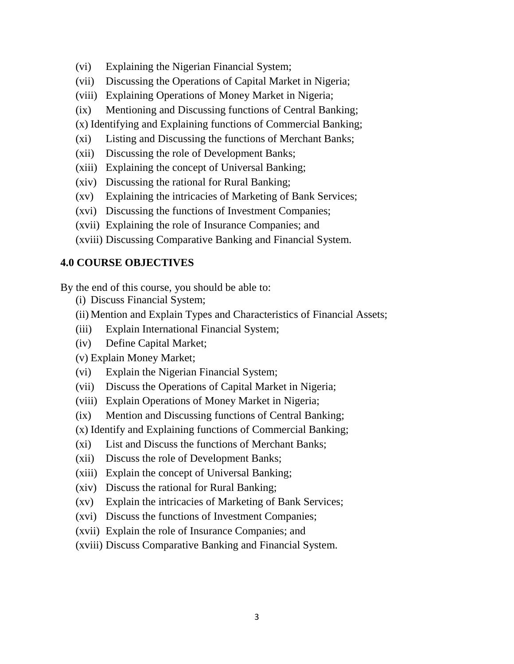- (vi) Explaining the Nigerian Financial System;
- (vii) Discussing the Operations of Capital Market in Nigeria;
- (viii) Explaining Operations of Money Market in Nigeria;
- (ix) Mentioning and Discussing functions of Central Banking;
- (x) Identifying and Explaining functions of Commercial Banking;
- (xi) Listing and Discussing the functions of Merchant Banks;
- (xii) Discussing the role of Development Banks;
- (xiii) Explaining the concept of Universal Banking;
- (xiv) Discussing the rational for Rural Banking;
- (xv) Explaining the intricacies of Marketing of Bank Services;
- (xvi) Discussing the functions of Investment Companies;
- (xvii) Explaining the role of Insurance Companies; and
- (xviii) Discussing Comparative Banking and Financial System.

### **4.0 COURSE OBJECTIVES**

By the end of this course, you should be able to:

- (i) Discuss Financial System;
- (ii) Mention and Explain Types and Characteristics of Financial Assets;
- (iii) Explain International Financial System;
- (iv) Define Capital Market;

(v) Explain Money Market;

- (vi) Explain the Nigerian Financial System;
- (vii) Discuss the Operations of Capital Market in Nigeria;
- (viii) Explain Operations of Money Market in Nigeria;
- (ix) Mention and Discussing functions of Central Banking;
- (x) Identify and Explaining functions of Commercial Banking;
- (xi) List and Discuss the functions of Merchant Banks;
- (xii) Discuss the role of Development Banks;
- (xiii) Explain the concept of Universal Banking;
- (xiv) Discuss the rational for Rural Banking;
- (xv) Explain the intricacies of Marketing of Bank Services;
- (xvi) Discuss the functions of Investment Companies;
- (xvii) Explain the role of Insurance Companies; and
- (xviii) Discuss Comparative Banking and Financial System.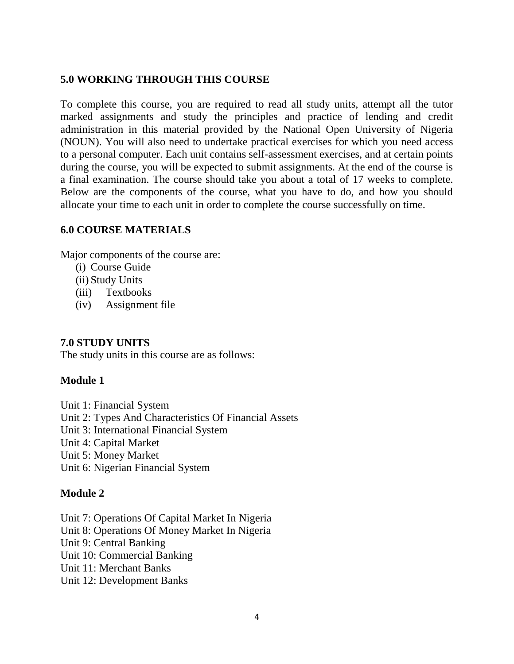### **5.0 WORKING THROUGH THIS COURSE**

To complete this course, you are required to read all study units, attempt all the tutor marked assignments and study the principles and practice of lending and credit administration in this material provided by the National Open University of Nigeria (NOUN). You will also need to undertake practical exercises for which you need access to a personal computer. Each unit contains self-assessment exercises, and at certain points during the course, you will be expected to submit assignments. At the end of the course is a final examination. The course should take you about a total of 17 weeks to complete. Below are the components of the course, what you have to do, and how you should allocate your time to each unit in order to complete the course successfully on time.

#### **6.0 COURSE MATERIALS**

Major components of the course are:

- (i) Course Guide
- (ii) Study Units
- (iii) Textbooks
- (iv) Assignment file

### **7.0 STUDY UNITS**

The study units in this course are as follows:

### **Module 1**

Unit 1: Financial System Unit 2: Types And Characteristics Of Financial Assets Unit 3: International Financial System Unit 4: Capital Market Unit 5: Money Market Unit 6: Nigerian Financial System

### **Module 2**

Unit 7: Operations Of Capital Market In Nigeria Unit 8: Operations Of Money Market In Nigeria Unit 9: Central Banking Unit 10: Commercial Banking Unit 11: Merchant Banks Unit 12: Development Banks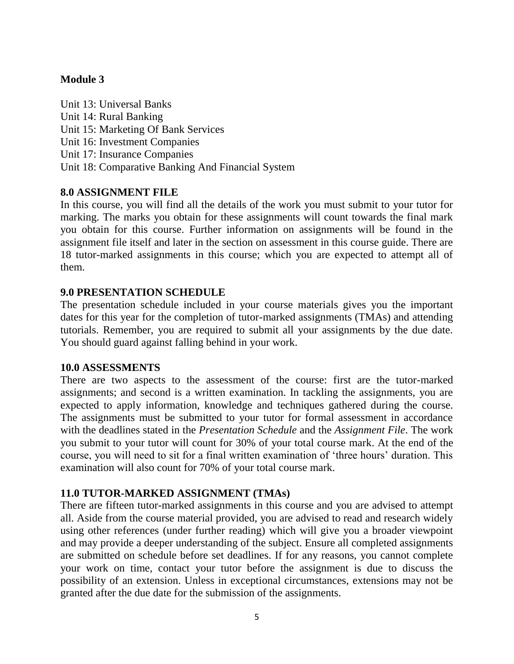### **Module 3**

Unit 13: Universal Banks Unit 14: Rural Banking Unit 15: Marketing Of Bank Services Unit 16: Investment Companies Unit 17: Insurance Companies Unit 18: Comparative Banking And Financial System

#### **8.0 ASSIGNMENT FILE**

In this course, you will find all the details of the work you must submit to your tutor for marking. The marks you obtain for these assignments will count towards the final mark you obtain for this course. Further information on assignments will be found in the assignment file itself and later in the section on assessment in this course guide. There are 18 tutor-marked assignments in this course; which you are expected to attempt all of them.

#### **9.0 PRESENTATION SCHEDULE**

The presentation schedule included in your course materials gives you the important dates for this year for the completion of tutor-marked assignments (TMAs) and attending tutorials. Remember, you are required to submit all your assignments by the due date. You should guard against falling behind in your work.

#### **10.0 ASSESSMENTS**

There are two aspects to the assessment of the course: first are the tutor-marked assignments; and second is a written examination. In tackling the assignments, you are expected to apply information, knowledge and techniques gathered during the course. The assignments must be submitted to your tutor for formal assessment in accordance with the deadlines stated in the *Presentation Schedule* and the *Assignment File*. The work you submit to your tutor will count for 30% of your total course mark. At the end of the course, you will need to sit for a final written examination of 'three hours' duration. This examination will also count for 70% of your total course mark.

### **11.0 TUTOR-MARKED ASSIGNMENT (TMAs)**

There are fifteen tutor-marked assignments in this course and you are advised to attempt all. Aside from the course material provided, you are advised to read and research widely using other references (under further reading) which will give you a broader viewpoint and may provide a deeper understanding of the subject. Ensure all completed assignments are submitted on schedule before set deadlines. If for any reasons, you cannot complete your work on time, contact your tutor before the assignment is due to discuss the possibility of an extension. Unless in exceptional circumstances, extensions may not be granted after the due date for the submission of the assignments.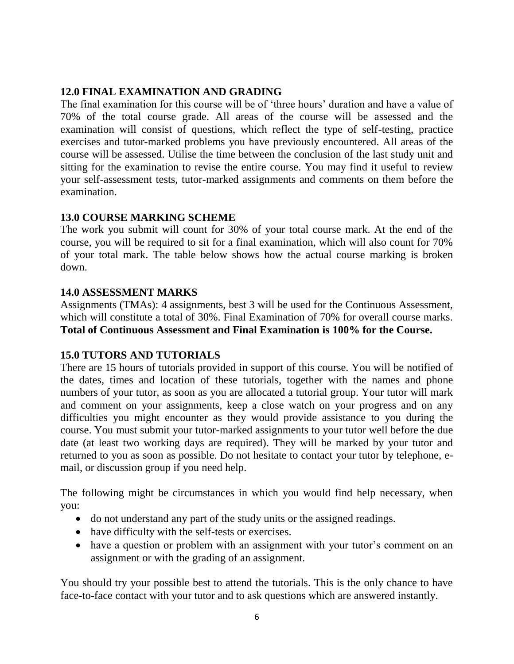### **12.0 FINAL EXAMINATION AND GRADING**

The final examination for this course will be of 'three hours' duration and have a value of 70% of the total course grade. All areas of the course will be assessed and the examination will consist of questions, which reflect the type of self-testing, practice exercises and tutor-marked problems you have previously encountered. All areas of the course will be assessed. Utilise the time between the conclusion of the last study unit and sitting for the examination to revise the entire course. You may find it useful to review your self-assessment tests, tutor-marked assignments and comments on them before the examination.

### **13.0 COURSE MARKING SCHEME**

The work you submit will count for 30% of your total course mark. At the end of the course, you will be required to sit for a final examination, which will also count for 70% of your total mark. The table below shows how the actual course marking is broken down.

### **14.0 ASSESSMENT MARKS**

Assignments (TMAs): 4 assignments, best 3 will be used for the Continuous Assessment, which will constitute a total of 30%. Final Examination of 70% for overall course marks. **Total of Continuous Assessment and Final Examination is 100% for the Course.**

### **15.0 TUTORS AND TUTORIALS**

There are 15 hours of tutorials provided in support of this course. You will be notified of the dates, times and location of these tutorials, together with the names and phone numbers of your tutor, as soon as you are allocated a tutorial group. Your tutor will mark and comment on your assignments, keep a close watch on your progress and on any difficulties you might encounter as they would provide assistance to you during the course. You must submit your tutor-marked assignments to your tutor well before the due date (at least two working days are required). They will be marked by your tutor and returned to you as soon as possible. Do not hesitate to contact your tutor by telephone, email, or discussion group if you need help.

The following might be circumstances in which you would find help necessary, when you:

- do not understand any part of the study units or the assigned readings.
- have difficulty with the self-tests or exercises.
- have a question or problem with an assignment with your tutor's comment on an assignment or with the grading of an assignment.

You should try your possible best to attend the tutorials. This is the only chance to have face-to-face contact with your tutor and to ask questions which are answered instantly.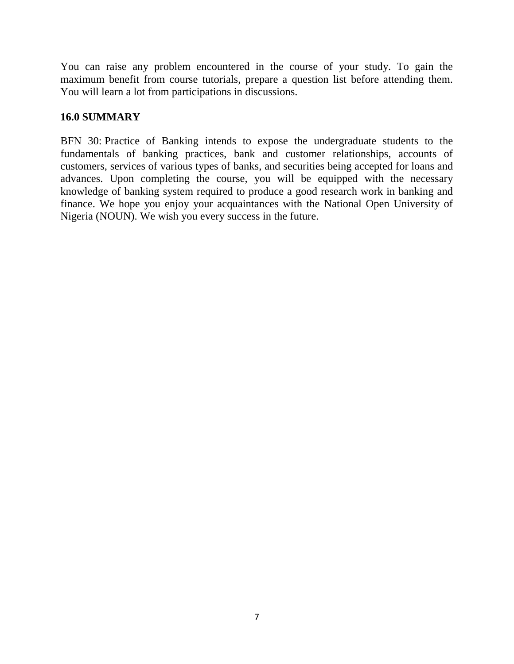You can raise any problem encountered in the course of your study. To gain the maximum benefit from course tutorials, prepare a question list before attending them. You will learn a lot from participations in discussions.

### **16.0 SUMMARY**

BFN 30: Practice of Banking intends to expose the undergraduate students to the fundamentals of banking practices, bank and customer relationships, accounts of customers, services of various types of banks, and securities being accepted for loans and advances. Upon completing the course, you will be equipped with the necessary knowledge of banking system required to produce a good research work in banking and finance. We hope you enjoy your acquaintances with the National Open University of Nigeria (NOUN). We wish you every success in the future.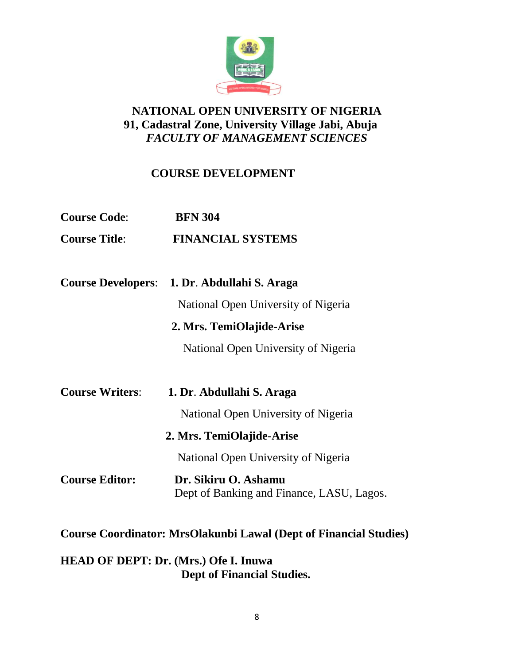

# **NATIONAL OPEN UNIVERSITY OF NIGERIA 91, Cadastral Zone, University Village Jabi, Abuja** *FACULTY OF MANAGEMENT SCIENCES*

# **COURSE DEVELOPMENT**

| <b>Course Code:</b>       | <b>BFN 304</b>                                                           |
|---------------------------|--------------------------------------------------------------------------|
| <b>Course Title:</b>      | <b>FINANCIAL SYSTEMS</b>                                                 |
|                           |                                                                          |
| <b>Course Developers:</b> | 1. Dr. Abdullahi S. Araga                                                |
|                           | National Open University of Nigeria                                      |
|                           | 2. Mrs. TemiOlajide-Arise                                                |
|                           | National Open University of Nigeria                                      |
|                           |                                                                          |
| <b>Course Writers:</b>    | 1. Dr. Abdullahi S. Araga                                                |
|                           | National Open University of Nigeria                                      |
|                           | 2. Mrs. TemiOlajide-Arise                                                |
|                           | National Open University of Nigeria                                      |
| <b>Course Editor:</b>     | Dr. Sikiru O. Ashamu<br>Dept of Banking and Finance, LASU, Lagos.        |
|                           | <b>Course Coordinator: MrsOlakunbi Lawal (Dept of Financial Studies)</b> |

# **HEAD OF DEPT: Dr. (Mrs.) Ofe I. Inuwa Dept of Financial Studies.**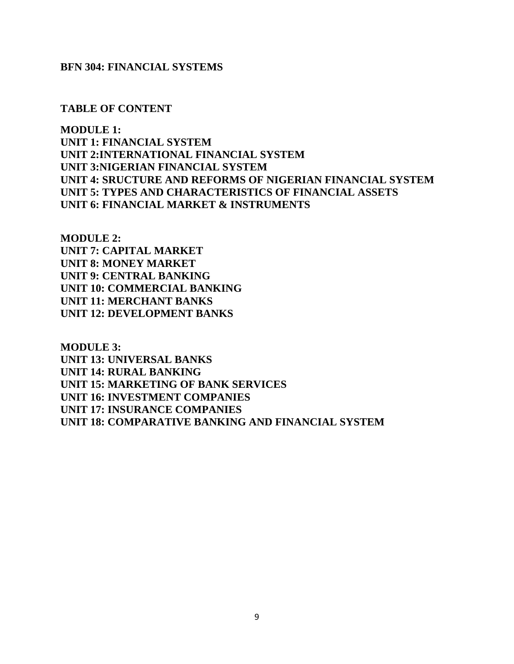#### **BFN 304: FINANCIAL SYSTEMS**

**TABLE OF CONTENT**

**MODULE 1: UNIT 1: FINANCIAL SYSTEM UNIT 2:INTERNATIONAL FINANCIAL SYSTEM UNIT 3:NIGERIAN FINANCIAL SYSTEM UNIT 4: SRUCTURE AND REFORMS OF NIGERIAN FINANCIAL SYSTEM UNIT 5: TYPES AND CHARACTERISTICS OF FINANCIAL ASSETS UNIT 6: FINANCIAL MARKET & INSTRUMENTS**

**MODULE 2: UNIT 7: CAPITAL MARKET UNIT 8: MONEY MARKET UNIT 9: CENTRAL BANKING UNIT 10: COMMERCIAL BANKING UNIT 11: MERCHANT BANKS UNIT 12: DEVELOPMENT BANKS**

**MODULE 3: UNIT 13: UNIVERSAL BANKS UNIT 14: RURAL BANKING UNIT 15: MARKETING OF BANK SERVICES UNIT 16: INVESTMENT COMPANIES UNIT 17: INSURANCE COMPANIES UNIT 18: COMPARATIVE BANKING AND FINANCIAL SYSTEM**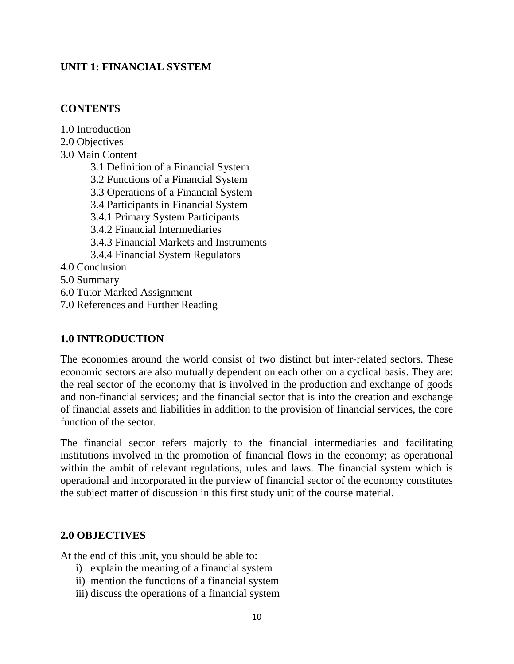### **UNIT 1: FINANCIAL SYSTEM**

### **CONTENTS**

1.0 Introduction 2.0 Objectives 3.0 Main Content 3.1 Definition of a Financial System 3.2 Functions of a Financial System 3.3 Operations of a Financial System 3.4 Participants in Financial System 3.4.1 Primary System Participants 3.4.2 Financial Intermediaries 3.4.3 Financial Markets and Instruments 3.4.4 Financial System Regulators 4.0 Conclusion 5.0 Summary 6.0 Tutor Marked Assignment 7.0 References and Further Reading

#### **1.0 INTRODUCTION**

The economies around the world consist of two distinct but inter-related sectors. These economic sectors are also mutually dependent on each other on a cyclical basis. They are: the real sector of the economy that is involved in the production and exchange of goods and non-financial services; and the financial sector that is into the creation and exchange of financial assets and liabilities in addition to the provision of financial services, the core function of the sector.

The financial sector refers majorly to the financial intermediaries and facilitating institutions involved in the promotion of financial flows in the economy; as operational within the ambit of relevant regulations, rules and laws. The financial system which is operational and incorporated in the purview of financial sector of the economy constitutes the subject matter of discussion in this first study unit of the course material.

#### **2.0 OBJECTIVES**

At the end of this unit, you should be able to:

- i) explain the meaning of a financial system
- ii) mention the functions of a financial system
- iii) discuss the operations of a financial system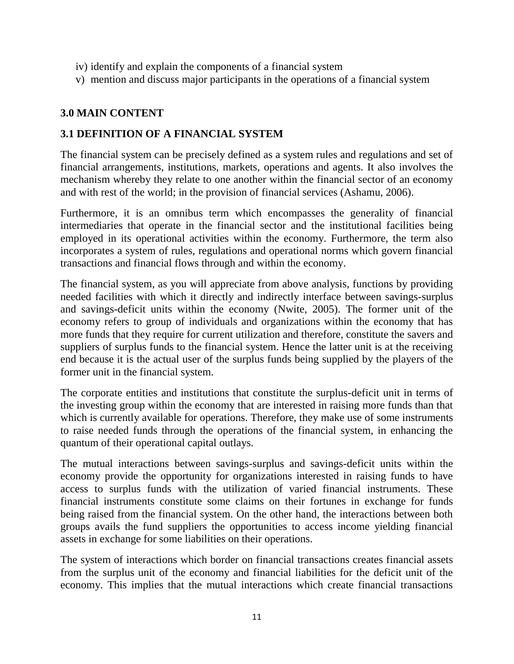- iv) identify and explain the components of a financial system
- v) mention and discuss major participants in the operations of a financial system

### **3.0 MAIN CONTENT**

### **3.1 DEFINITION OF A FINANCIAL SYSTEM**

The financial system can be precisely defined as a system rules and regulations and set of financial arrangements, institutions, markets, operations and agents. It also involves the mechanism whereby they relate to one another within the financial sector of an economy and with rest of the world; in the provision of financial services (Ashamu, 2006).

Furthermore, it is an omnibus term which encompasses the generality of financial intermediaries that operate in the financial sector and the institutional facilities being employed in its operational activities within the economy. Furthermore, the term also incorporates a system of rules, regulations and operational norms which govern financial transactions and financial flows through and within the economy.

The financial system, as you will appreciate from above analysis, functions by providing needed facilities with which it directly and indirectly interface between savings-surplus and savings-deficit units within the economy (Nwite, 2005). The former unit of the economy refers to group of individuals and organizations within the economy that has more funds that they require for current utilization and therefore, constitute the savers and suppliers of surplus funds to the financial system. Hence the latter unit is at the receiving end because it is the actual user of the surplus funds being supplied by the players of the former unit in the financial system.

The corporate entities and institutions that constitute the surplus-deficit unit in terms of the investing group within the economy that are interested in raising more funds than that which is currently available for operations. Therefore, they make use of some instruments to raise needed funds through the operations of the financial system, in enhancing the quantum of their operational capital outlays.

The mutual interactions between savings-surplus and savings-deficit units within the economy provide the opportunity for organizations interested in raising funds to have access to surplus funds with the utilization of varied financial instruments. These financial instruments constitute some claims on their fortunes in exchange for funds being raised from the financial system. On the other hand, the interactions between both groups avails the fund suppliers the opportunities to access income yielding financial assets in exchange for some liabilities on their operations.

The system of interactions which border on financial transactions creates financial assets from the surplus unit of the economy and financial liabilities for the deficit unit of the economy. This implies that the mutual interactions which create financial transactions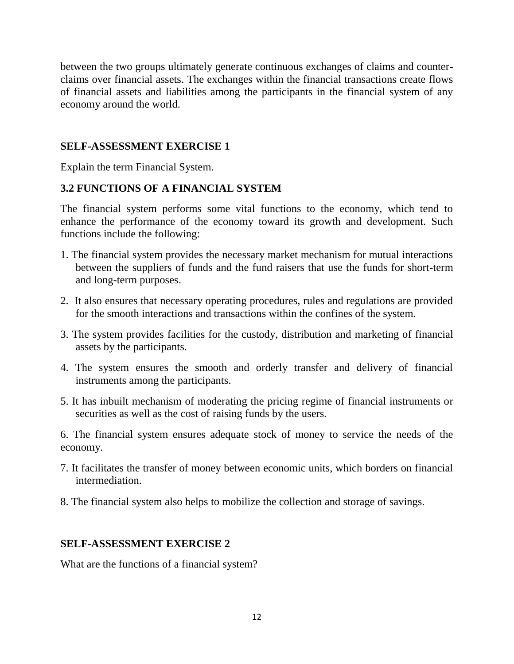between the two groups ultimately generate continuous exchanges of claims and counterclaims over financial assets. The exchanges within the financial transactions create flows of financial assets and liabilities among the participants in the financial system of any economy around the world.

### **SELF-ASSESSMENT EXERCISE 1**

Explain the term Financial System.

# **3.2 FUNCTIONS OF A FINANCIAL SYSTEM**

The financial system performs some vital functions to the economy, which tend to enhance the performance of the economy toward its growth and development. Such functions include the following:

- 1. The financial system provides the necessary market mechanism for mutual interactions between the suppliers of funds and the fund raisers that use the funds for short-term and long-term purposes.
- 2. It also ensures that necessary operating procedures, rules and regulations are provided for the smooth interactions and transactions within the confines of the system.
- 3. The system provides facilities for the custody, distribution and marketing of financial assets by the participants.
- 4. The system ensures the smooth and orderly transfer and delivery of financial instruments among the participants.
- 5. It has inbuilt mechanism of moderating the pricing regime of financial instruments or securities as well as the cost of raising funds by the users.

6. The financial system ensures adequate stock of money to service the needs of the economy.

- 7. It facilitates the transfer of money between economic units, which borders on financial intermediation.
- 8. The financial system also helps to mobilize the collection and storage of savings.

### **SELF-ASSESSMENT EXERCISE 2**

What are the functions of a financial system?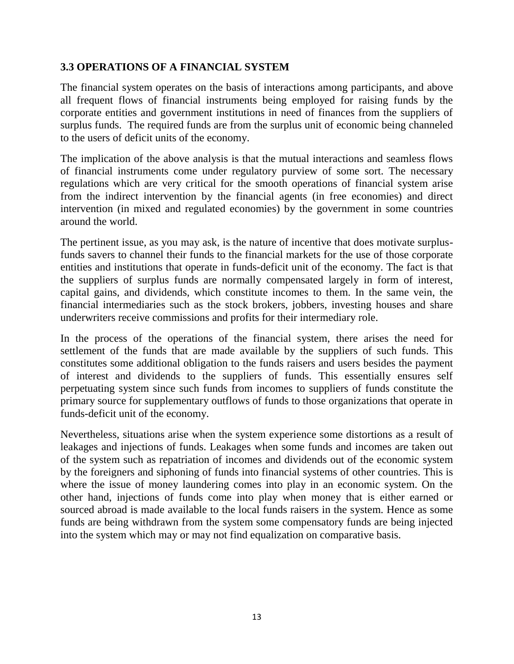### **3.3 OPERATIONS OF A FINANCIAL SYSTEM**

The financial system operates on the basis of interactions among participants, and above all frequent flows of financial instruments being employed for raising funds by the corporate entities and government institutions in need of finances from the suppliers of surplus funds. The required funds are from the surplus unit of economic being channeled to the users of deficit units of the economy.

The implication of the above analysis is that the mutual interactions and seamless flows of financial instruments come under regulatory purview of some sort. The necessary regulations which are very critical for the smooth operations of financial system arise from the indirect intervention by the financial agents (in free economies) and direct intervention (in mixed and regulated economies) by the government in some countries around the world.

The pertinent issue, as you may ask, is the nature of incentive that does motivate surplusfunds savers to channel their funds to the financial markets for the use of those corporate entities and institutions that operate in funds-deficit unit of the economy. The fact is that the suppliers of surplus funds are normally compensated largely in form of interest, capital gains, and dividends, which constitute incomes to them. In the same vein, the financial intermediaries such as the stock brokers, jobbers, investing houses and share underwriters receive commissions and profits for their intermediary role.

In the process of the operations of the financial system, there arises the need for settlement of the funds that are made available by the suppliers of such funds. This constitutes some additional obligation to the funds raisers and users besides the payment of interest and dividends to the suppliers of funds. This essentially ensures self perpetuating system since such funds from incomes to suppliers of funds constitute the primary source for supplementary outflows of funds to those organizations that operate in funds-deficit unit of the economy.

Nevertheless, situations arise when the system experience some distortions as a result of leakages and injections of funds. Leakages when some funds and incomes are taken out of the system such as repatriation of incomes and dividends out of the economic system by the foreigners and siphoning of funds into financial systems of other countries. This is where the issue of money laundering comes into play in an economic system. On the other hand, injections of funds come into play when money that is either earned or sourced abroad is made available to the local funds raisers in the system. Hence as some funds are being withdrawn from the system some compensatory funds are being injected into the system which may or may not find equalization on comparative basis.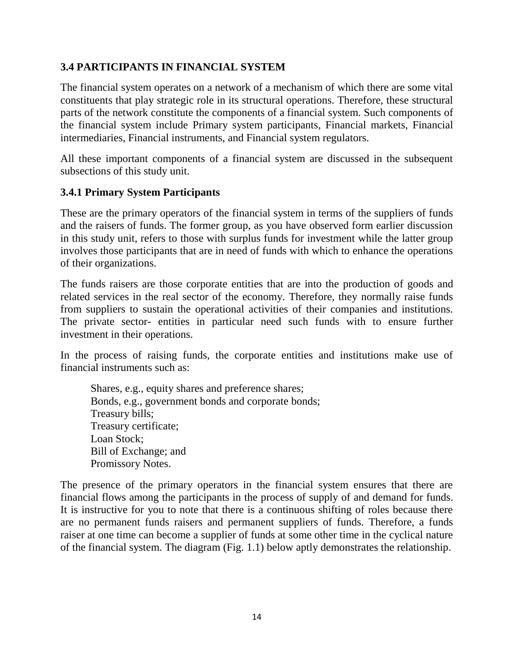### **3.4 PARTICIPANTS IN FINANCIAL SYSTEM**

The financial system operates on a network of a mechanism of which there are some vital constituents that play strategic role in its structural operations. Therefore, these structural parts of the network constitute the components of a financial system. Such components of the financial system include Primary system participants, Financial markets, Financial intermediaries, Financial instruments, and Financial system regulators.

All these important components of a financial system are discussed in the subsequent subsections of this study unit.

### **3.4.1 Primary System Participants**

These are the primary operators of the financial system in terms of the suppliers of funds and the raisers of funds. The former group, as you have observed form earlier discussion in this study unit, refers to those with surplus funds for investment while the latter group involves those participants that are in need of funds with which to enhance the operations of their organizations.

The funds raisers are those corporate entities that are into the production of goods and related services in the real sector of the economy. Therefore, they normally raise funds from suppliers to sustain the operational activities of their companies and institutions. The private sector- entities in particular need such funds with to ensure further investment in their operations.

In the process of raising funds, the corporate entities and institutions make use of financial instruments such as:

Shares, e.g., equity shares and preference shares; Bonds, e.g., government bonds and corporate bonds; Treasury bills; Treasury certificate; Loan Stock; Bill of Exchange; and Promissory Notes.

The presence of the primary operators in the financial system ensures that there are financial flows among the participants in the process of supply of and demand for funds. It is instructive for you to note that there is a continuous shifting of roles because there are no permanent funds raisers and permanent suppliers of funds. Therefore, a funds raiser at one time can become a supplier of funds at some other time in the cyclical nature of the financial system. The diagram (Fig. 1.1) below aptly demonstrates the relationship.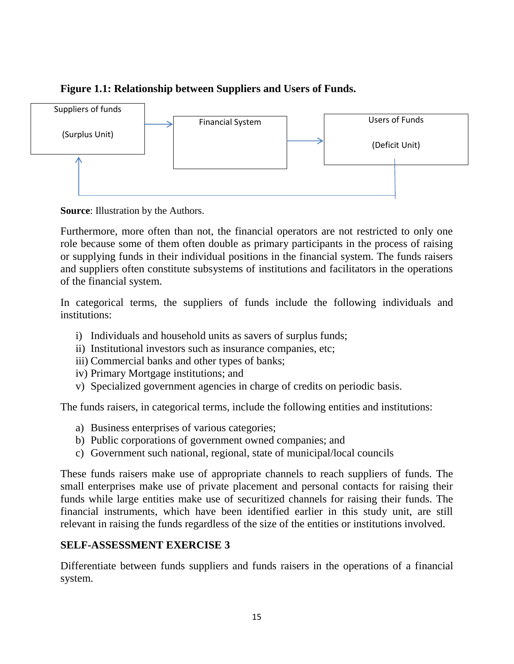# **Figure 1.1: Relationship between Suppliers and Users of Funds.**



**Source**: Illustration by the Authors.

Furthermore, more often than not, the financial operators are not restricted to only one role because some of them often double as primary participants in the process of raising or supplying funds in their individual positions in the financial system. The funds raisers and suppliers often constitute subsystems of institutions and facilitators in the operations of the financial system.

In categorical terms, the suppliers of funds include the following individuals and institutions:

- i) Individuals and household units as savers of surplus funds;
- ii) Institutional investors such as insurance companies, etc;
- iii) Commercial banks and other types of banks;
- iv) Primary Mortgage institutions; and
- v) Specialized government agencies in charge of credits on periodic basis.

The funds raisers, in categorical terms, include the following entities and institutions:

- a) Business enterprises of various categories;
- b) Public corporations of government owned companies; and
- c) Government such national, regional, state of municipal/local councils

These funds raisers make use of appropriate channels to reach suppliers of funds. The small enterprises make use of private placement and personal contacts for raising their funds while large entities make use of securitized channels for raising their funds. The financial instruments, which have been identified earlier in this study unit, are still relevant in raising the funds regardless of the size of the entities or institutions involved.

# **SELF-ASSESSMENT EXERCISE 3**

Differentiate between funds suppliers and funds raisers in the operations of a financial system.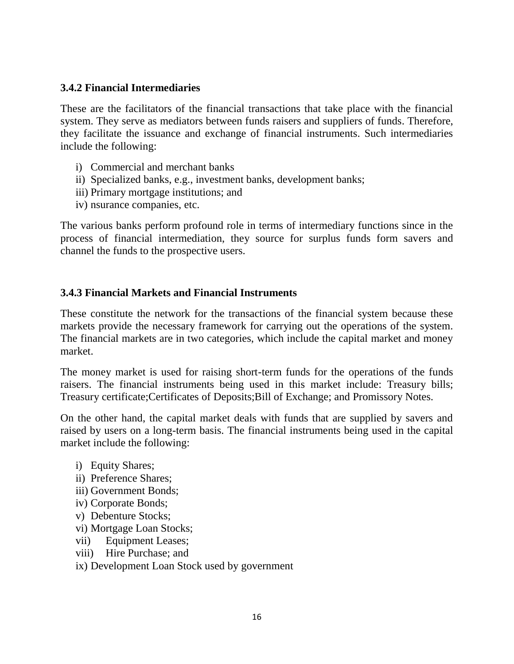#### **3.4.2 Financial Intermediaries**

These are the facilitators of the financial transactions that take place with the financial system. They serve as mediators between funds raisers and suppliers of funds. Therefore, they facilitate the issuance and exchange of financial instruments. Such intermediaries include the following:

- i) Commercial and merchant banks
- ii) Specialized banks, e.g., investment banks, development banks;
- iii) Primary mortgage institutions; and
- iv) nsurance companies, etc.

The various banks perform profound role in terms of intermediary functions since in the process of financial intermediation, they source for surplus funds form savers and channel the funds to the prospective users.

#### **3.4.3 Financial Markets and Financial Instruments**

These constitute the network for the transactions of the financial system because these markets provide the necessary framework for carrying out the operations of the system. The financial markets are in two categories, which include the capital market and money market.

The money market is used for raising short-term funds for the operations of the funds raisers. The financial instruments being used in this market include: Treasury bills; Treasury certificate;Certificates of Deposits;Bill of Exchange; and Promissory Notes.

On the other hand, the capital market deals with funds that are supplied by savers and raised by users on a long-term basis. The financial instruments being used in the capital market include the following:

- i) Equity Shares;
- ii) Preference Shares;
- iii) Government Bonds;
- iv) Corporate Bonds;
- v) Debenture Stocks;
- vi) Mortgage Loan Stocks;
- vii) Equipment Leases;
- viii) Hire Purchase; and

ix) Development Loan Stock used by government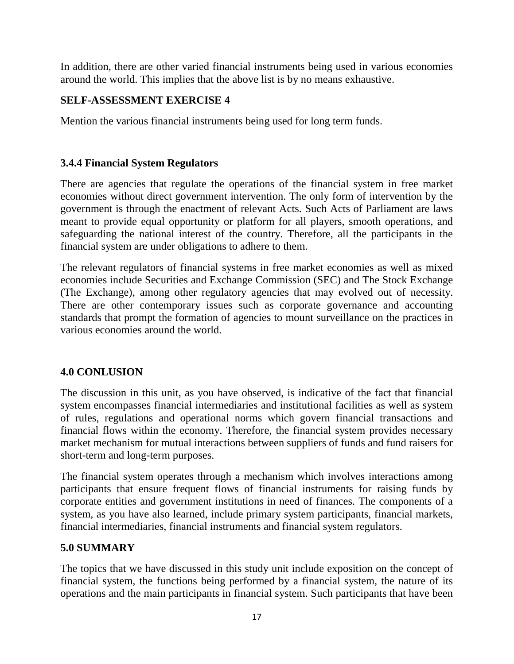In addition, there are other varied financial instruments being used in various economies around the world. This implies that the above list is by no means exhaustive.

# **SELF-ASSESSMENT EXERCISE 4**

Mention the various financial instruments being used for long term funds.

### **3.4.4 Financial System Regulators**

There are agencies that regulate the operations of the financial system in free market economies without direct government intervention. The only form of intervention by the government is through the enactment of relevant Acts. Such Acts of Parliament are laws meant to provide equal opportunity or platform for all players, smooth operations, and safeguarding the national interest of the country. Therefore, all the participants in the financial system are under obligations to adhere to them.

The relevant regulators of financial systems in free market economies as well as mixed economies include Securities and Exchange Commission (SEC) and The Stock Exchange (The Exchange), among other regulatory agencies that may evolved out of necessity. There are other contemporary issues such as corporate governance and accounting standards that prompt the formation of agencies to mount surveillance on the practices in various economies around the world.

# **4.0 CONLUSION**

The discussion in this unit, as you have observed, is indicative of the fact that financial system encompasses financial intermediaries and institutional facilities as well as system of rules, regulations and operational norms which govern financial transactions and financial flows within the economy. Therefore, the financial system provides necessary market mechanism for mutual interactions between suppliers of funds and fund raisers for short-term and long-term purposes.

The financial system operates through a mechanism which involves interactions among participants that ensure frequent flows of financial instruments for raising funds by corporate entities and government institutions in need of finances. The components of a system, as you have also learned, include primary system participants, financial markets, financial intermediaries, financial instruments and financial system regulators.

### **5.0 SUMMARY**

The topics that we have discussed in this study unit include exposition on the concept of financial system, the functions being performed by a financial system, the nature of its operations and the main participants in financial system. Such participants that have been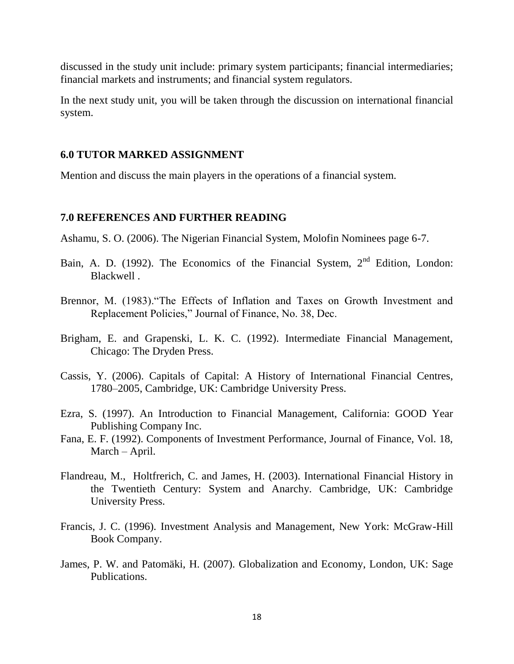discussed in the study unit include: primary system participants; financial intermediaries; financial markets and instruments; and financial system regulators.

In the next study unit, you will be taken through the discussion on international financial system.

#### **6.0 TUTOR MARKED ASSIGNMENT**

Mention and discuss the main players in the operations of a financial system.

#### **7.0 REFERENCES AND FURTHER READING**

Ashamu, S. O. (2006). The Nigerian Financial System, Molofin Nominees page 6-7.

- Bain, A. D. (1992). The Economics of the Financial System,  $2<sup>nd</sup>$  Edition, London: Blackwell .
- Brennor, M. (1983)."The Effects of Inflation and Taxes on Growth Investment and Replacement Policies," Journal of Finance, No. 38, Dec.
- Brigham, E. and Grapenski, L. K. C. (1992). Intermediate Financial Management, Chicago: The Dryden Press.
- Cassis, Y. (2006). [Capitals of Capital: A History of International Financial Centres,](https://books.google.com/books?id=geEzo9s9QbUC&lpg=PA10&pg=PA347#v=onepage&q&f=false)  [1780–2005,](https://books.google.com/books?id=geEzo9s9QbUC&lpg=PA10&pg=PA347#v=onepage&q&f=false) Cambridge, UK: Cambridge University Press.
- Ezra, S. (1997). An Introduction to Financial Management, California: GOOD Year Publishing Company Inc.
- Fana, E. F. (1992). Components of Investment Performance, Journal of Finance, Vol. 18, March – April.
- Flandreau, M., Holtfrerich, C. and James, H. (2003). International Financial History in the Twentieth Century: System and Anarchy. Cambridge, UK: Cambridge University Press.
- Francis, J. C. (1996). Investment Analysis and Management, New York: McGraw-Hill Book Company.
- [James, P. W.](https://en.wikipedia.org/wiki/Paul_James_(academic)) and Patomäki, H. (2007). [Globalization and Economy,](http://www.academia.edu/4211923/Globalization_and_Economy_Vol._2_Global_Finance_and_the_New_Global_Economy_editor_with_Heikki_Patomaki_Sage_Publications_London_2007) London, UK: Sage Publications.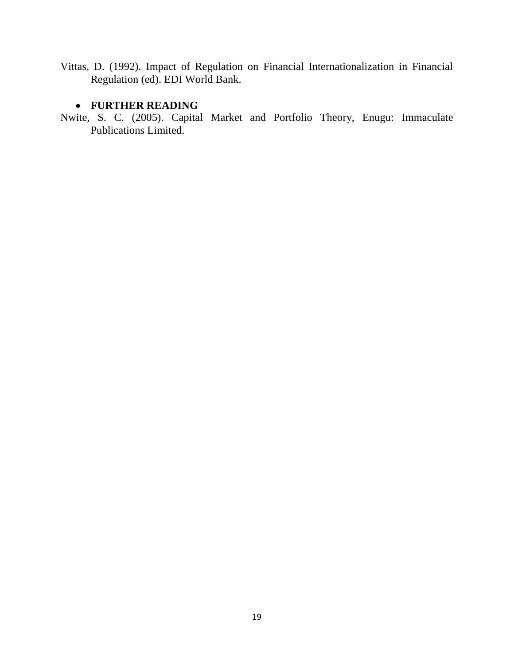Vittas, D. (1992). Impact of Regulation on Financial Internationalization in Financial Regulation (ed). EDI World Bank.

### **FURTHER READING**

Nwite, S. C. (2005). Capital Market and Portfolio Theory, Enugu: Immaculate Publications Limited.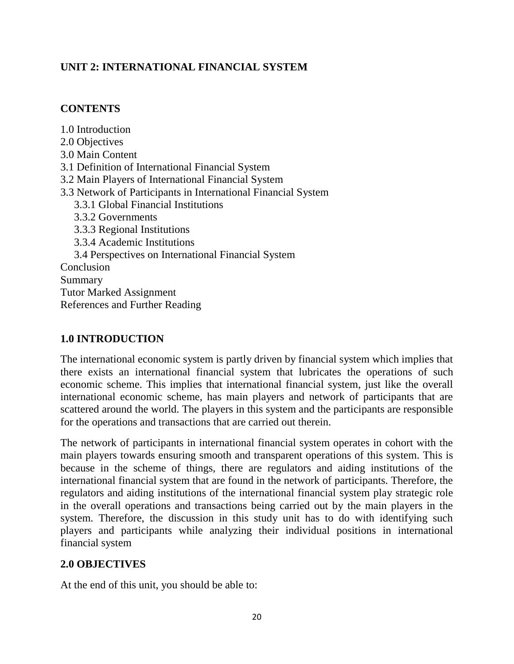# **UNIT 2: INTERNATIONAL FINANCIAL SYSTEM**

### **CONTENTS**

1.0 Introduction 2.0 Objectives 3.0 Main Content 3.1 Definition of International Financial System 3.2 Main Players of International Financial System 3.3 Network of Participants in International Financial System 3.3.1 Global Financial Institutions 3.3.2 Governments 3.3.3 Regional Institutions 3.3.4 Academic Institutions 3.4 Perspectives on International Financial System Conclusion Summary Tutor Marked Assignment References and Further Reading

### **1.0 INTRODUCTION**

The international economic system is partly driven by financial system which implies that there exists an international financial system that lubricates the operations of such economic scheme. This implies that international financial system, just like the overall international economic scheme, has main players and network of participants that are scattered around the world. The players in this system and the participants are responsible for the operations and transactions that are carried out therein.

The network of participants in international financial system operates in cohort with the main players towards ensuring smooth and transparent operations of this system. This is because in the scheme of things, there are regulators and aiding institutions of the international financial system that are found in the network of participants. Therefore, the regulators and aiding institutions of the international financial system play strategic role in the overall operations and transactions being carried out by the main players in the system. Therefore, the discussion in this study unit has to do with identifying such players and participants while analyzing their individual positions in international financial system

### **2.0 OBJECTIVES**

At the end of this unit, you should be able to: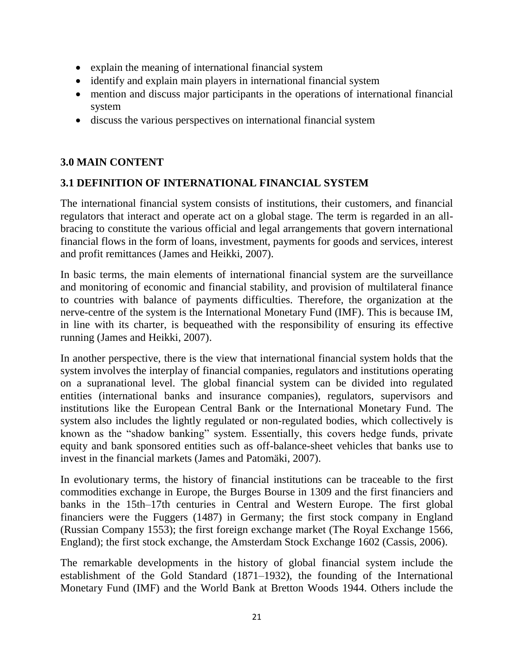- explain the meaning of international financial system
- identify and explain main players in international financial system
- mention and discuss major participants in the operations of international financial system
- discuss the various perspectives on international financial system

### **3.0 MAIN CONTENT**

# **3.1 DEFINITION OF INTERNATIONAL FINANCIAL SYSTEM**

The international financial system consists of institutions, their customers, and financial regulators that interact and operate act on a global stage. The term is regarded in an allbracing to constitute the various official and legal arrangements that govern international financial flows in the form of loans, investment, payments for goods and services, interest and profit remittances (James and Heikki, 2007).

In basic terms, the main elements of international financial system are the surveillance and monitoring of economic and financial stability, and provision of multilateral finance to countries with balance of payments difficulties. Therefore, the organization at the nerve-centre of the system is the International Monetary Fund (IMF). This is because IM, in line with its charter, is bequeathed with the responsibility of ensuring its effective running (James and Heikki, 2007).

In another perspective, there is the view that international financial system holds that the system involves the interplay of financial companies, regulators and institutions operating on a supranational level. The global financial system can be divided into regulated entities (international banks and insurance companies), regulators, supervisors and institutions like the European Central Bank or the International Monetary Fund. The system also includes the lightly regulated or non-regulated bodies, which collectively is known as the "shadow banking" system. Essentially, this covers hedge funds, private equity and bank sponsored entities such as off-balance-sheet vehicles that banks use to invest in the financial markets (James and Patomäki, 2007).

In evolutionary terms, the history of financial institutions can be traceable to the first commodities exchange in Europe, the Burges Bourse in 1309 and the first financiers and banks in the 15th–17th centuries in Central and Western Europe. The first global financiers were the Fuggers (1487) in Germany; the first stock company in England (Russian Company 1553); the first foreign exchange market (The Royal Exchange 1566, England); the first stock exchange, the Amsterdam Stock Exchange 1602 (Cassis, 2006).

The remarkable developments in the history of global financial system include the establishment of the Gold Standard (1871–1932), the founding of the International Monetary Fund (IMF) and the World Bank at Bretton Woods 1944. Others include the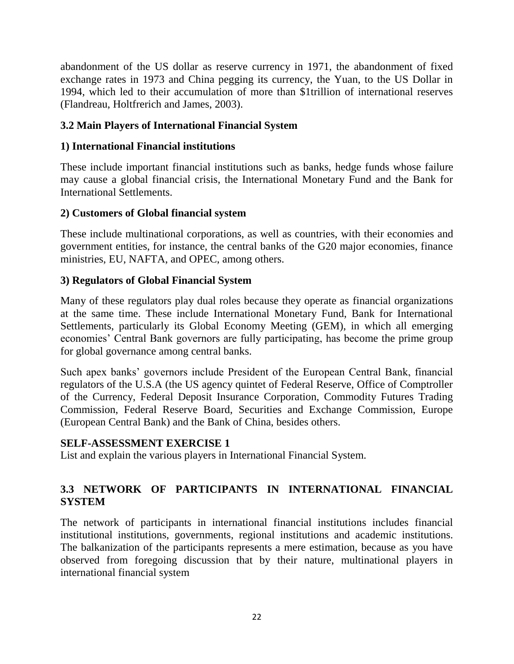abandonment of the US dollar as reserve currency in 1971, the abandonment of fixed exchange rates in 1973 and China pegging its currency, the Yuan, to the US Dollar in 1994, which led to their accumulation of more than \$1trillion of international reserves (Flandreau, Holtfrerich and James, 2003).

### **3.2 Main Players of International Financial System**

### **1) International Financial institutions**

These include important financial institutions such as banks, hedge funds whose failure may cause a global financial crisis, the International Monetary Fund and the Bank for International Settlements.

### **2) Customers of Global financial system**

These include multinational corporations, as well as countries, with their economies and government entities, for instance, the central banks of the G20 major economies, finance ministries, EU, NAFTA, and OPEC, among others.

### **3) Regulators of Global Financial System**

Many of these regulators play dual roles because they operate as financial organizations at the same time. These include International Monetary Fund, Bank for International Settlements, particularly its Global Economy Meeting (GEM), in which all emerging economies' Central Bank governors are fully participating, has become the prime group for global governance among central banks.

Such apex banks' governors include President of the European Central Bank, financial regulators of the U.S.A (the US agency quintet of Federal Reserve, Office of Comptroller of the Currency, Federal Deposit Insurance Corporation, Commodity Futures Trading Commission, Federal Reserve Board, Securities and Exchange Commission, Europe (European Central Bank) and the Bank of China, besides others.

### **SELF-ASSESSMENT EXERCISE 1**

List and explain the various players in International Financial System.

# **3.3 NETWORK OF PARTICIPANTS IN INTERNATIONAL FINANCIAL SYSTEM**

The network of participants in international financial institutions includes financial institutional institutions, governments, regional institutions and academic institutions. The balkanization of the participants represents a mere estimation, because as you have observed from foregoing discussion that by their nature, multinational players in international financial system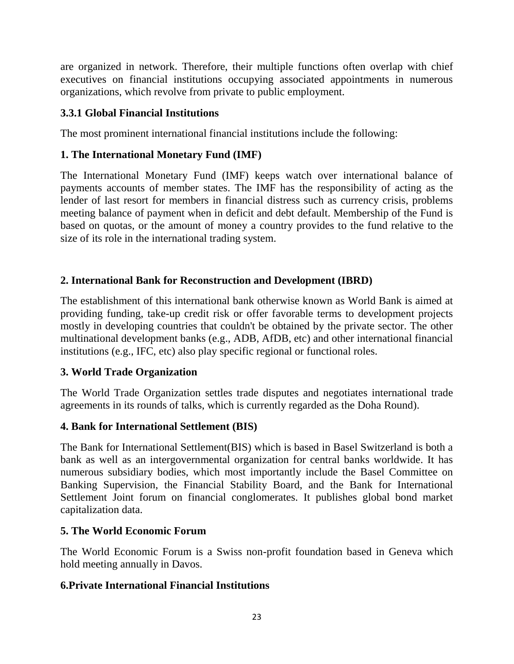are organized in network. Therefore, their multiple functions often overlap with chief executives on financial institutions occupying associated appointments in numerous organizations, which revolve from private to public employment.

### **3.3.1 Global Financial Institutions**

The most prominent international financial institutions include the following:

### **1. The International Monetary Fund (IMF)**

The International Monetary Fund (IMF) keeps watch over international balance of payments accounts of member states. The IMF has the responsibility of acting as the lender of last resort for members in financial distress such as currency crisis, problems meeting balance of payment when in deficit and debt default. Membership of the Fund is based on quotas, or the amount of money a country provides to the fund relative to the size of its role in the international trading system.

### **2. International Bank for Reconstruction and Development (IBRD)**

The establishment of this international bank otherwise known as World Bank is aimed at providing funding, take-up credit risk or offer favorable terms to development projects mostly in developing countries that couldn't be obtained by the private sector. The other multinational development banks (e.g., ADB, AfDB, etc) and other international financial institutions (e.g., IFC, etc) also play specific regional or functional roles.

### **3. World Trade Organization**

The World Trade Organization settles trade disputes and negotiates international trade agreements in its rounds of talks, which is currently regarded as the Doha Round).

# **4. Bank for International Settlement (BIS)**

The Bank for International Settlement(BIS) which is based in Basel Switzerland is both a bank as well as an intergovernmental organization for central banks worldwide. It has numerous subsidiary bodies, which most importantly include the Basel Committee on Banking Supervision, the Financial Stability Board, and the Bank for International Settlement Joint forum on financial conglomerates. It publishes global bond market capitalization data.

### **5. The World Economic Forum**

The World Economic Forum is a Swiss non-profit foundation based in Geneva which hold meeting annually in Davos.

### **6.Private International Financial Institutions**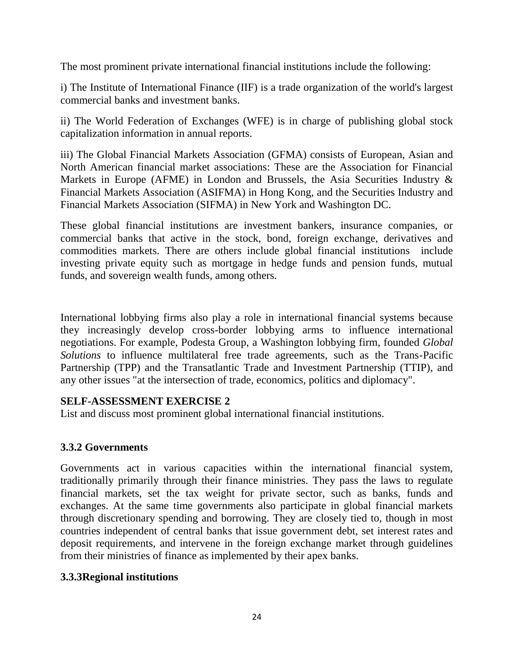The most prominent private international financial institutions include the following:

i) The Institute of International Finance (IIF) is a trade organization of the world's largest commercial banks and investment banks.

ii) The World Federation of Exchanges (WFE) is in charge of publishing global stock capitalization information in annual reports.

iii) The Global Financial Markets Association (GFMA) consists of European, Asian and North American financial market associations: These are the Association for Financial Markets in Europe (AFME) in London and Brussels, the Asia Securities Industry & Financial Markets Association (ASIFMA) in Hong Kong, and the Securities Industry and Financial Markets Association (SIFMA) in New York and Washington DC.

These global financial institutions are investment bankers, insurance companies, or commercial banks that active in the stock, bond, foreign exchange, derivatives and commodities markets. There are others include global financial institutions include investing private equity such as mortgage in hedge funds and pension funds, mutual funds, and sovereign wealth funds, among others.

International lobbying firms also play a role in international financial systems because they increasingly develop cross-border lobbying arms to influence international negotiations. For example, Podesta Group, a Washington lobbying firm, founded *Global Solutions* to influence multilateral free trade agreements, such as the Trans-Pacific Partnership (TPP) and the Transatlantic Trade and Investment Partnership (TTIP), and any other issues "at the intersection of trade, economics, politics and diplomacy".

### **SELF-ASSESSMENT EXERCISE 2**

List and discuss most prominent global international financial institutions.

# **3.3.2 Governments**

Governments act in various capacities within the international financial system, traditionally primarily through their finance ministries. They pass the laws to regulate financial markets, set the tax weight for private sector, such as banks, funds and exchanges. At the same time governments also participate in global financial markets through discretionary spending and borrowing. They are closely tied to, though in most countries independent of central banks that issue government debt, set interest rates and deposit requirements, and intervene in the foreign exchange market through guidelines from their ministries of finance as implemented by their apex banks.

# **3.3.3Regional institutions**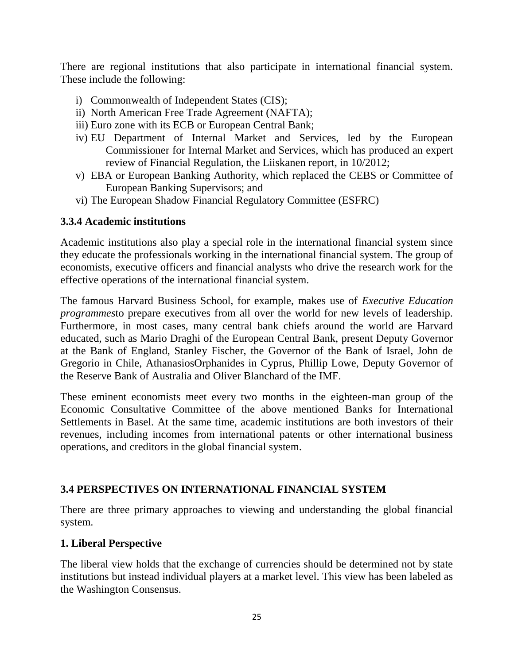There are regional institutions that also participate in international financial system. These include the following:

- i) Commonwealth of Independent States (CIS);
- ii) North American Free Trade Agreement (NAFTA);
- iii) Euro zone with its ECB or European Central Bank;
- iv) EU Department of Internal Market and Services, led by the European Commissioner for Internal Market and Services, which has produced an expert review of Financial Regulation, the Liiskanen report, in 10/2012;
- v) EBA or European Banking Authority, which replaced the CEBS or Committee of European Banking Supervisors; and
- vi) The European Shadow Financial Regulatory Committee (ESFRC)

### **3.3.4 Academic institutions**

Academic institutions also play a special role in the international financial system since they educate the professionals working in the international financial system. The group of economists, executive officers and financial analysts who drive the research work for the effective operations of the international financial system.

The famous Harvard Business School, for example, makes use of *Executive Education programmes*to prepare executives from all over the world for new levels of leadership. Furthermore, in most cases, many central bank chiefs around the world are Harvard educated, such as Mario Draghi of the European Central Bank, present Deputy Governor at the Bank of England, Stanley Fischer, the Governor of the Bank of Israel, John de Gregorio in Chile, AthanasiosOrphanides in Cyprus, Phillip Lowe, Deputy Governor of the Reserve Bank of Australia and Oliver Blanchard of the IMF.

These eminent economists meet every two months in the eighteen-man group of the Economic Consultative Committee of the above mentioned Banks for International Settlements in Basel. At the same time, academic institutions are both investors of their revenues, including incomes from international patents or other international business operations, and creditors in the global financial system.

# **3.4 PERSPECTIVES ON INTERNATIONAL FINANCIAL SYSTEM**

There are three primary approaches to viewing and understanding the global financial system.

# **1. Liberal Perspective**

The liberal view holds that the exchange of currencies should be determined not by state institutions but instead individual players at a market level. This view has been labeled as the Washington Consensus.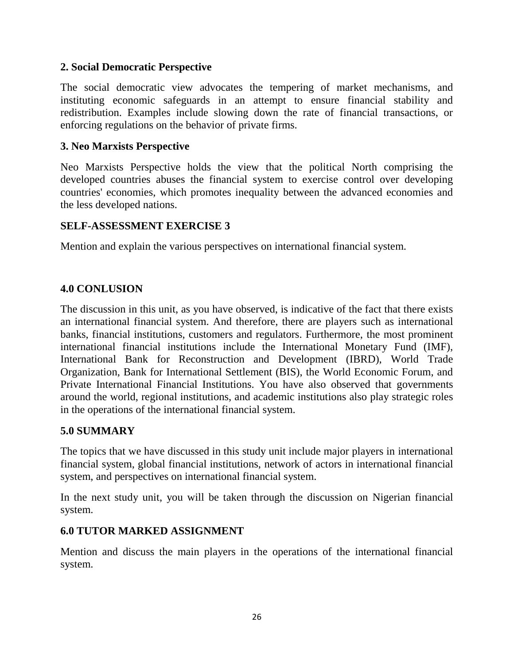#### **2. Social Democratic Perspective**

The social democratic view advocates the tempering of market mechanisms, and instituting economic safeguards in an attempt to ensure financial stability and redistribution. Examples include slowing down the rate of financial transactions, or enforcing regulations on the behavior of private firms.

### **3. Neo Marxists Perspective**

Neo Marxists Perspective holds the view that the political North comprising the developed countries abuses the financial system to exercise control over developing countries' economies, which promotes inequality between the advanced economies and the less developed nations.

#### **SELF-ASSESSMENT EXERCISE 3**

Mention and explain the various perspectives on international financial system.

### **4.0 CONLUSION**

The discussion in this unit, as you have observed, is indicative of the fact that there exists an international financial system. And therefore, there are players such as international banks, financial institutions, customers and regulators. Furthermore, the most prominent international financial institutions include the International Monetary Fund (IMF), International Bank for Reconstruction and Development (IBRD), World Trade Organization, Bank for International Settlement (BIS), the World Economic Forum, and Private International Financial Institutions. You have also observed that governments around the world, regional institutions, and academic institutions also play strategic roles in the operations of the international financial system.

### **5.0 SUMMARY**

The topics that we have discussed in this study unit include major players in international financial system, global financial institutions, network of actors in international financial system, and perspectives on international financial system.

In the next study unit, you will be taken through the discussion on Nigerian financial system.

### **6.0 TUTOR MARKED ASSIGNMENT**

Mention and discuss the main players in the operations of the international financial system.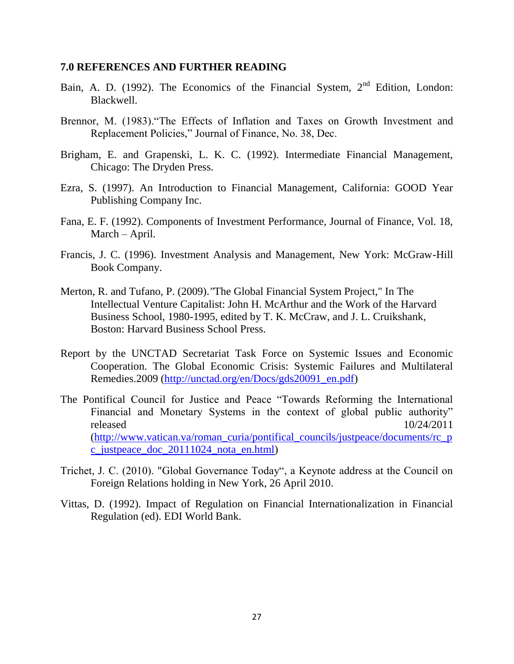#### **7.0 REFERENCES AND FURTHER READING**

- Bain, A. D. (1992). The Economics of the Financial System,  $2<sup>nd</sup>$  Edition, London: Blackwell.
- Brennor, M. (1983)."The Effects of Inflation and Taxes on Growth Investment and Replacement Policies," Journal of Finance, No. 38, Dec.
- Brigham, E. and Grapenski, L. K. C. (1992). Intermediate Financial Management, Chicago: The Dryden Press.
- Ezra, S. (1997). An Introduction to Financial Management, California: GOOD Year Publishing Company Inc.
- Fana, E. F. (1992). Components of Investment Performance, Journal of Finance, Vol. 18, March – April.
- Francis, J. C. (1996). Investment Analysis and Management, New York: McGraw-Hill Book Company.
- Merton, R. and Tufano, P. (2009).*"*The Global Financial System Project," In The Intellectual Venture Capitalist: John H. McArthur and the Work of the Harvard Business School, 1980-1995, edited by T. K. McCraw, and J. L. Cruikshank, Boston: Harvard Business School Press.
- Report by the UNCTAD Secretariat Task Force on Systemic Issues and Economic Cooperation. The Global Economic Crisis: Systemic Failures and Multilateral Remedies.2009 [\(http://unctad.org/en/Docs/gds20091\\_en.pdf\)](http://unctad.org/en/Docs/gds20091_en.pdf)
- The Pontifical Council for Justice and Peace "Towards Reforming the International Financial and Monetary Systems in the context of global public authority" released 10/24/2011 [\(http://www.vatican.va/roman\\_curia/pontifical\\_councils/justpeace/documents/rc\\_p](http://www.vatican.va/roman_curia/pontifical_councils/justpeace/documents/rc_pc_justpeace_doc_20111024_nota_en.html) [c\\_justpeace\\_doc\\_20111024\\_nota\\_en.html\)](http://www.vatican.va/roman_curia/pontifical_councils/justpeace/documents/rc_pc_justpeace_doc_20111024_nota_en.html)
- Trichet, J. C. (2010). "Global Governance Today", a Keynote address at the Council on Foreign Relations holding in New York, 26 April 2010.
- Vittas, D. (1992). Impact of Regulation on Financial Internationalization in Financial Regulation (ed). EDI World Bank.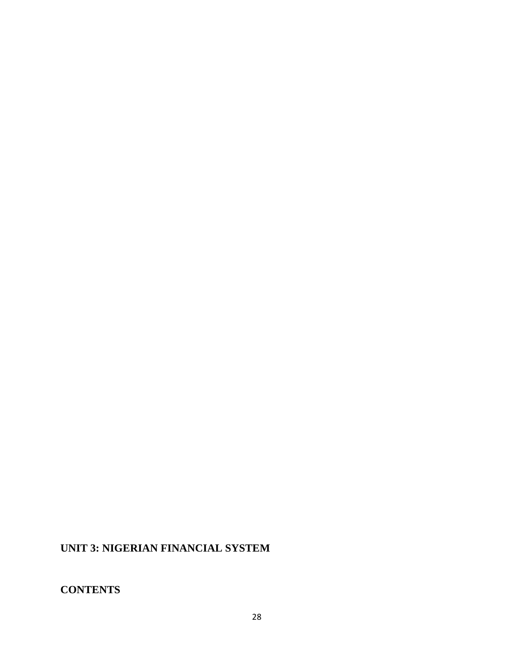# **UNIT 3: NIGERIAN FINANCIAL SYSTEM**

# **CONTENTS**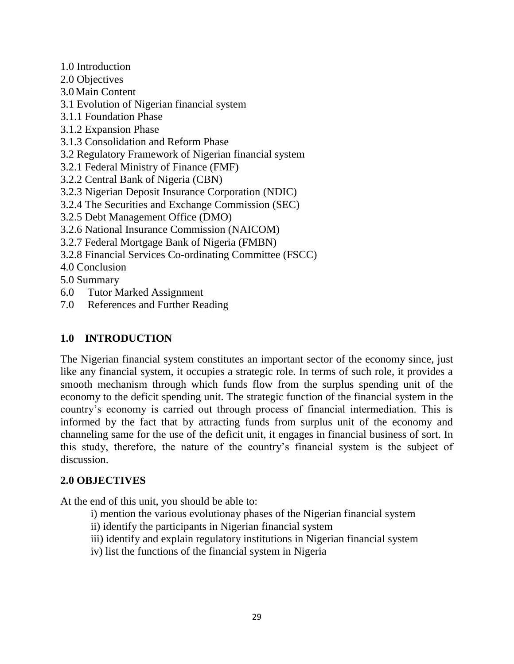- 1.0 Introduction
- 2.0 Objectives
- 3.0Main Content
- 3.1 Evolution of Nigerian financial system
- 3.1.1 Foundation Phase
- 3.1.2 Expansion Phase
- 3.1.3 Consolidation and Reform Phase
- 3.2 Regulatory Framework of Nigerian financial system
- 3.2.1 Federal Ministry of Finance (FMF)
- 3.2.2 Central Bank of Nigeria (CBN)
- 3.2.3 Nigerian Deposit Insurance Corporation (NDIC)
- 3.2.4 The Securities and Exchange Commission (SEC)
- 3.2.5 Debt Management Office (DMO)
- 3.2.6 National Insurance Commission (NAICOM)
- 3.2.7 Federal Mortgage Bank of Nigeria (FMBN)
- 3.2.8 Financial Services Co-ordinating Committee (FSCC)
- 4.0 Conclusion
- 5.0 Summary
- 6.0 Tutor Marked Assignment
- 7.0 References and Further Reading

# **1.0 INTRODUCTION**

The Nigerian financial system constitutes an important sector of the economy since, just like any financial system, it occupies a strategic role. In terms of such role, it provides a smooth mechanism through which funds flow from the surplus spending unit of the economy to the deficit spending unit. The strategic function of the financial system in the country's economy is carried out through process of financial intermediation. This is informed by the fact that by attracting funds from surplus unit of the economy and channeling same for the use of the deficit unit, it engages in financial business of sort. In this study, therefore, the nature of the country's financial system is the subject of discussion.

# **2.0 OBJECTIVES**

At the end of this unit, you should be able to:

- i) mention the various evolutionay phases of the Nigerian financial system
- ii) identify the participants in Nigerian financial system
- iii) identify and explain regulatory institutions in Nigerian financial system
- iv) list the functions of the financial system in Nigeria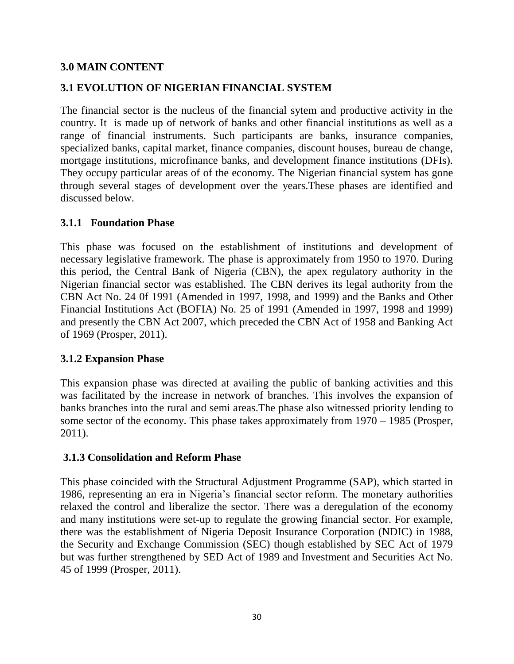### **3.0 MAIN CONTENT**

### **3.1 EVOLUTION OF NIGERIAN FINANCIAL SYSTEM**

The financial sector is the nucleus of the financial sytem and productive activity in the country. It is made up of network of banks and other financial institutions as well as a range of financial instruments. Such participants are banks, insurance companies, specialized banks, capital market, finance companies, discount houses, bureau de change, mortgage institutions, microfinance banks, and development finance institutions (DFIs). They occupy particular areas of of the economy. The Nigerian financial system has gone through several stages of development over the years.These phases are identified and discussed below.

#### **3.1.1 Foundation Phase**

This phase was focused on the establishment of institutions and development of necessary legislative framework. The phase is approximately from 1950 to 1970. During this period, the Central Bank of Nigeria (CBN), the apex regulatory authority in the Nigerian financial sector was established. The CBN derives its legal authority from the CBN Act No. 24 0f 1991 (Amended in 1997, 1998, and 1999) and the Banks and Other Financial Institutions Act (BOFIA) No. 25 of 1991 (Amended in 1997, 1998 and 1999) and presently the CBN Act 2007, which preceded the CBN Act of 1958 and Banking Act of 1969 (Prosper, 2011).

#### **3.1.2 Expansion Phase**

This expansion phase was directed at availing the public of banking activities and this was facilitated by the increase in network of branches. This involves the expansion of banks branches into the rural and semi areas.The phase also witnessed priority lending to some sector of the economy. This phase takes approximately from 1970 – 1985 (Prosper, 2011).

### **3.1.3 Consolidation and Reform Phase**

This phase coincided with the Structural Adjustment Programme (SAP), which started in 1986, representing an era in Nigeria's financial sector reform. The monetary authorities relaxed the control and liberalize the sector. There was a deregulation of the economy and many institutions were set-up to regulate the growing financial sector. For example, there was the establishment of Nigeria Deposit Insurance Corporation (NDIC) in 1988, the Security and Exchange Commission (SEC) though established by SEC Act of 1979 but was further strengthened by SED Act of 1989 and Investment and Securities Act No. 45 of 1999 (Prosper, 2011).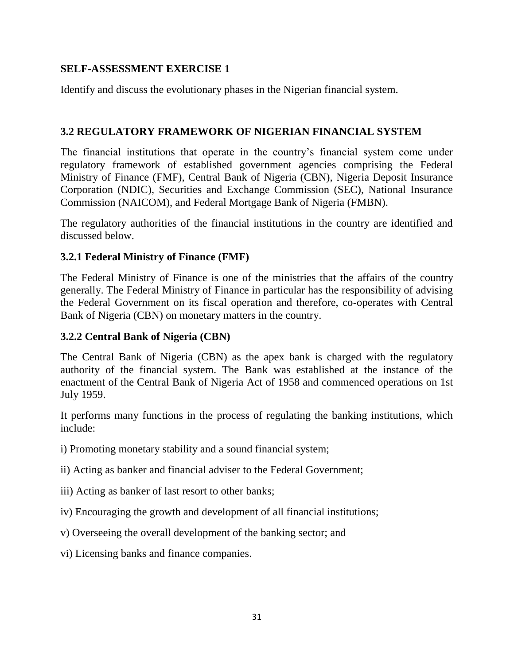### **SELF-ASSESSMENT EXERCISE 1**

Identify and discuss the evolutionary phases in the Nigerian financial system.

### **3.2 REGULATORY FRAMEWORK OF NIGERIAN FINANCIAL SYSTEM**

The financial institutions that operate in the country's financial system come under regulatory framework of established government agencies comprising the Federal Ministry of Finance (FMF), Central Bank of Nigeria (CBN), Nigeria Deposit Insurance Corporation (NDIC), Securities and Exchange Commission (SEC), National Insurance Commission (NAICOM), and Federal Mortgage Bank of Nigeria (FMBN).

The regulatory authorities of the financial institutions in the country are identified and discussed below.

### **3.2.1 Federal Ministry of Finance (FMF)**

The Federal Ministry of Finance is one of the ministries that the affairs of the country generally. The Federal Ministry of Finance in particular has the responsibility of advising the Federal Government on its fiscal operation and therefore, co-operates with Central Bank of Nigeria (CBN) on monetary matters in the country.

### **3.2.2 Central Bank of Nigeria (CBN)**

The Central Bank of Nigeria (CBN) as the apex bank is charged with the regulatory authority of the financial system. The Bank was established at the instance of the enactment of the Central Bank of Nigeria Act of 1958 and commenced operations on 1st July 1959.

It performs many functions in the process of regulating the banking institutions, which include:

- i) Promoting monetary stability and a sound financial system;
- ii) Acting as banker and financial adviser to the Federal Government;
- iii) Acting as banker of last resort to other banks;
- iv) Encouraging the growth and development of all financial institutions;
- v) Overseeing the overall development of the banking sector; and
- vi) Licensing banks and finance companies.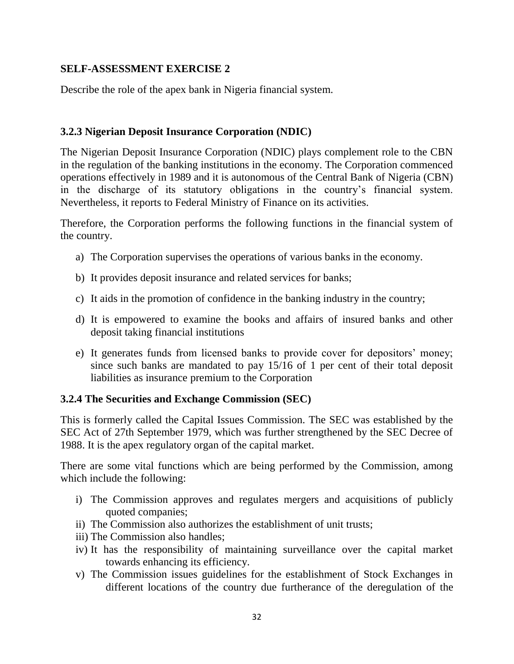### **SELF-ASSESSMENT EXERCISE 2**

Describe the role of the apex bank in Nigeria financial system.

### **3.2.3 Nigerian Deposit Insurance Corporation (NDIC)**

The Nigerian Deposit Insurance Corporation (NDIC) plays complement role to the CBN in the regulation of the banking institutions in the economy. The Corporation commenced operations effectively in 1989 and it is autonomous of the Central Bank of Nigeria (CBN) in the discharge of its statutory obligations in the country's financial system. Nevertheless, it reports to Federal Ministry of Finance on its activities.

Therefore, the Corporation performs the following functions in the financial system of the country.

- a) The Corporation supervises the operations of various banks in the economy.
- b) It provides deposit insurance and related services for banks;
- c) It aids in the promotion of confidence in the banking industry in the country;
- d) It is empowered to examine the books and affairs of insured banks and other deposit taking financial institutions
- e) It generates funds from licensed banks to provide cover for depositors' money; since such banks are mandated to pay 15/16 of 1 per cent of their total deposit liabilities as insurance premium to the Corporation

# **3.2.4 The Securities and Exchange Commission (SEC)**

This is formerly called the Capital Issues Commission. The SEC was established by the SEC Act of 27th September 1979, which was further strengthened by the SEC Decree of 1988. It is the apex regulatory organ of the capital market.

There are some vital functions which are being performed by the Commission, among which include the following:

- i) The Commission approves and regulates mergers and acquisitions of publicly quoted companies;
- ii) The Commission also authorizes the establishment of unit trusts;
- iii) The Commission also handles;
- iv) It has the responsibility of maintaining surveillance over the capital market towards enhancing its efficiency.
- v) The Commission issues guidelines for the establishment of Stock Exchanges in different locations of the country due furtherance of the deregulation of the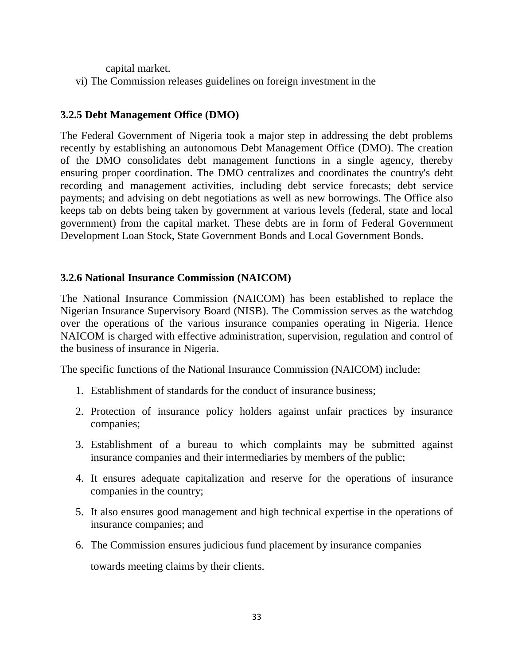capital market.

vi) The Commission releases guidelines on foreign investment in the

# **3.2.5 Debt Management Office (DMO)**

The Federal Government of Nigeria took a major step in addressing the debt problems recently by establishing an autonomous Debt Management Office (DMO). The creation of the DMO consolidates debt management functions in a single agency, thereby ensuring proper coordination. The DMO centralizes and coordinates the country's debt recording and management activities, including debt service forecasts; debt service payments; and advising on debt negotiations as well as new borrowings. The Office also keeps tab on debts being taken by government at various levels (federal, state and local government) from the capital market. These debts are in form of Federal Government Development Loan Stock, State Government Bonds and Local Government Bonds.

### **3.2.6 National Insurance Commission (NAICOM)**

The National Insurance Commission (NAICOM) has been established to replace the Nigerian Insurance Supervisory Board (NISB). The Commission serves as the watchdog over the operations of the various insurance companies operating in Nigeria. Hence NAICOM is charged with effective administration, supervision, regulation and control of the business of insurance in Nigeria.

The specific functions of the National Insurance Commission (NAICOM) include:

- 1. Establishment of standards for the conduct of insurance business;
- 2. Protection of insurance policy holders against unfair practices by insurance companies;
- 3. Establishment of a bureau to which complaints may be submitted against insurance companies and their intermediaries by members of the public;
- 4. It ensures adequate capitalization and reserve for the operations of insurance companies in the country;
- 5. It also ensures good management and high technical expertise in the operations of insurance companies; and
- 6. The Commission ensures judicious fund placement by insurance companies

towards meeting claims by their clients.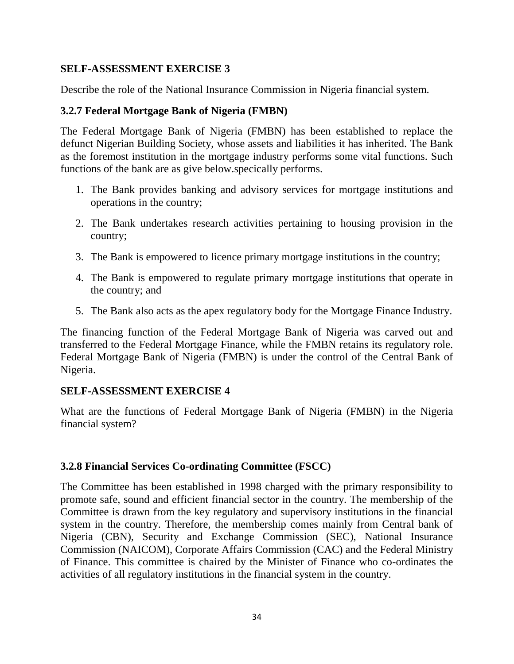#### **SELF-ASSESSMENT EXERCISE 3**

Describe the role of the National Insurance Commission in Nigeria financial system.

#### **3.2.7 Federal Mortgage Bank of Nigeria (FMBN)**

The Federal Mortgage Bank of Nigeria (FMBN) has been established to replace the defunct Nigerian Building Society, whose assets and liabilities it has inherited. The Bank as the foremost institution in the mortgage industry performs some vital functions. Such functions of the bank are as give below.specically performs.

- 1. The Bank provides banking and advisory services for mortgage institutions and operations in the country;
- 2. The Bank undertakes research activities pertaining to housing provision in the country;
- 3. The Bank is empowered to licence primary mortgage institutions in the country;
- 4. The Bank is empowered to regulate primary mortgage institutions that operate in the country; and
- 5. The Bank also acts as the apex regulatory body for the Mortgage Finance Industry.

The financing function of the Federal Mortgage Bank of Nigeria was carved out and transferred to the Federal Mortgage Finance, while the FMBN retains its regulatory role. Federal Mortgage Bank of Nigeria (FMBN) is under the control of the Central Bank of Nigeria.

#### **SELF-ASSESSMENT EXERCISE 4**

What are the functions of Federal Mortgage Bank of Nigeria (FMBN) in the Nigeria financial system?

### **3.2.8 Financial Services Co-ordinating Committee (FSCC)**

The Committee has been established in 1998 charged with the primary responsibility to promote safe, sound and efficient financial sector in the country. The membership of the Committee is drawn from the key regulatory and supervisory institutions in the financial system in the country. Therefore, the membership comes mainly from Central bank of Nigeria (CBN), Security and Exchange Commission (SEC), National Insurance Commission (NAICOM), Corporate Affairs Commission (CAC) and the Federal Ministry of Finance. This committee is chaired by the Minister of Finance who co-ordinates the activities of all regulatory institutions in the financial system in the country.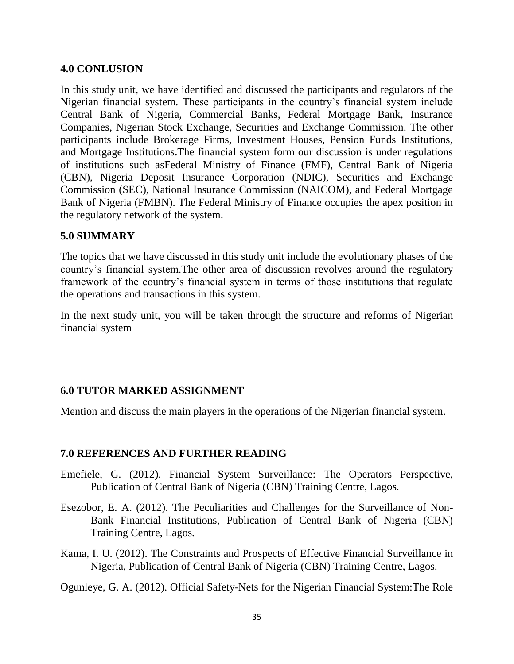#### **4.0 CONLUSION**

In this study unit, we have identified and discussed the participants and regulators of the Nigerian financial system. These participants in the country's financial system include Central Bank of Nigeria, Commercial Banks, Federal Mortgage Bank, Insurance Companies, Nigerian Stock Exchange, Securities and Exchange Commission. The other participants include Brokerage Firms, Investment Houses, Pension Funds Institutions, and Mortgage Institutions.The financial system form our discussion is under regulations of institutions such asFederal Ministry of Finance (FMF), Central Bank of Nigeria (CBN), Nigeria Deposit Insurance Corporation (NDIC), Securities and Exchange Commission (SEC), National Insurance Commission (NAICOM), and Federal Mortgage Bank of Nigeria (FMBN). The Federal Ministry of Finance occupies the apex position in the regulatory network of the system.

#### **5.0 SUMMARY**

The topics that we have discussed in this study unit include the evolutionary phases of the country's financial system.The other area of discussion revolves around the regulatory framework of the country's financial system in terms of those institutions that regulate the operations and transactions in this system.

In the next study unit, you will be taken through the structure and reforms of Nigerian financial system

### **6.0 TUTOR MARKED ASSIGNMENT**

Mention and discuss the main players in the operations of the Nigerian financial system.

#### **7.0 REFERENCES AND FURTHER READING**

- Emefiele, G. (2012). Financial System Surveillance: The Operators Perspective, Publication of Central Bank of Nigeria (CBN) Training Centre, Lagos*.*
- Esezobor, E. A. (2012). The Peculiarities and Challenges for the Surveillance of Non-Bank Financial Institutions, Publication of Central Bank of Nigeria (CBN) Training Centre, Lagos*.*
- Kama, I. U. (2012). The Constraints and Prospects of Effective Financial Surveillance in Nigeria, Publication of Central Bank of Nigeria (CBN) Training Centre, Lagos*.*

Ogunleye, G. A. (2012). Official Safety-Nets for the Nigerian Financial System:The Role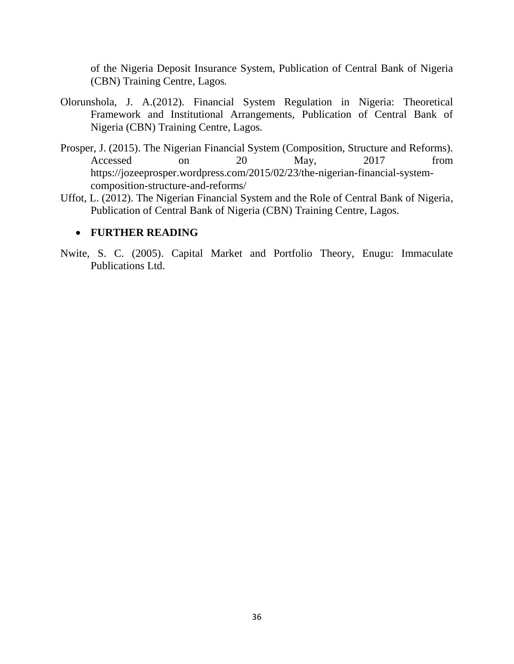of the Nigeria Deposit Insurance System, Publication of Central Bank of Nigeria (CBN) Training Centre, Lagos*.*

- Olorunshola, J. A.(2012). Financial System Regulation in Nigeria: Theoretical Framework and Institutional Arrangements, Publication of Central Bank of Nigeria (CBN) Training Centre, Lagos*.*
- Prosper, J. (2015). The Nigerian Financial System (Composition, Structure and Reforms). Accessed on 20 May, 2017 from https://jozeeprosper.wordpress.com/2015/02/23/the-nigerian-financial-systemcomposition-structure-and-reforms/
- Uffot, L. (2012). The Nigerian Financial System and the Role of Central Bank of Nigeria*,*  Publication of Central Bank of Nigeria (CBN) Training Centre, Lagos*.*

#### **FURTHER READING**

Nwite, S. C. (2005). Capital Market and Portfolio Theory, Enugu: Immaculate Publications Ltd.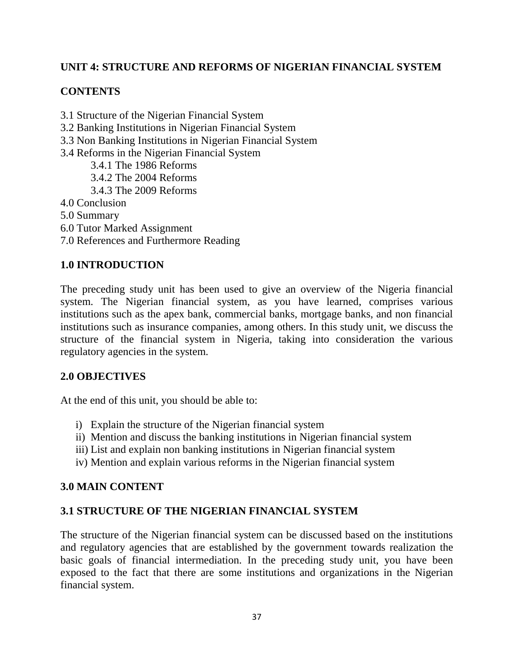# **UNIT 4: STRUCTURE AND REFORMS OF NIGERIAN FINANCIAL SYSTEM**

## **CONTENTS**

- 3.1 Structure of the Nigerian Financial System
- 3.2 Banking Institutions in Nigerian Financial System
- 3.3 Non Banking Institutions in Nigerian Financial System
- 3.4 Reforms in the Nigerian Financial System
	- 3.4.1 The 1986 Reforms
	- 3.4.2 The 2004 Reforms
	- 3.4.3 The 2009 Reforms
- 4.0 Conclusion
- 5.0 Summary
- 6.0 Tutor Marked Assignment
- 7.0 References and Furthermore Reading

# **1.0 INTRODUCTION**

The preceding study unit has been used to give an overview of the Nigeria financial system. The Nigerian financial system, as you have learned, comprises various institutions such as the apex bank, commercial banks, mortgage banks, and non financial institutions such as insurance companies, among others. In this study unit, we discuss the structure of the financial system in Nigeria, taking into consideration the various regulatory agencies in the system.

## **2.0 OBJECTIVES**

At the end of this unit, you should be able to:

- i) Explain the structure of the Nigerian financial system
- ii) Mention and discuss the banking institutions in Nigerian financial system
- iii) List and explain non banking institutions in Nigerian financial system
- iv) Mention and explain various reforms in the Nigerian financial system

## **3.0 MAIN CONTENT**

## **3.1 STRUCTURE OF THE NIGERIAN FINANCIAL SYSTEM**

The structure of the Nigerian financial system can be discussed based on the institutions and regulatory agencies that are established by the government towards realization the basic goals of financial intermediation. In the preceding study unit, you have been exposed to the fact that there are some institutions and organizations in the Nigerian financial system.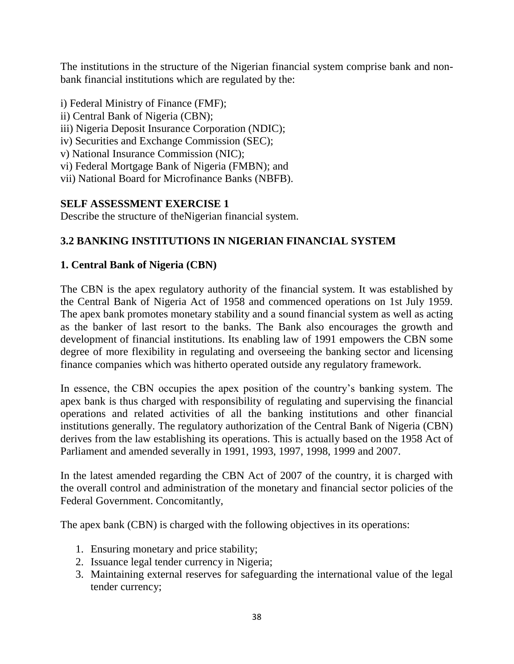The institutions in the structure of the Nigerian financial system comprise bank and nonbank financial institutions which are regulated by the:

- i) Federal Ministry of Finance (FMF);
- ii) Central Bank of Nigeria (CBN);
- iii) Nigeria Deposit Insurance Corporation (NDIC);
- iv) Securities and Exchange Commission (SEC);
- v) National Insurance Commission (NIC);
- vi) Federal Mortgage Bank of Nigeria (FMBN); and
- vii) National Board for Microfinance Banks (NBFB).

# **SELF ASSESSMENT EXERCISE 1**

Describe the structure of theNigerian financial system.

# **3.2 BANKING INSTITUTIONS IN NIGERIAN FINANCIAL SYSTEM**

# **1. Central Bank of Nigeria (CBN)**

The CBN is the apex regulatory authority of the financial system. It was established by the Central Bank of Nigeria Act of 1958 and commenced operations on 1st July 1959. The apex bank promotes monetary stability and a sound financial system as well as acting as the banker of last resort to the banks. The Bank also encourages the growth and development of financial institutions. Its enabling law of 1991 empowers the CBN some degree of more flexibility in regulating and overseeing the banking sector and licensing finance companies which was hitherto operated outside any regulatory framework.

In essence, the CBN occupies the apex position of the country's banking system. The apex bank is thus charged with responsibility of regulating and supervising the financial operations and related activities of all the banking institutions and other financial institutions generally. The regulatory authorization of the Central Bank of Nigeria (CBN) derives from the law establishing its operations. This is actually based on the 1958 Act of Parliament and amended severally in 1991, 1993, 1997, 1998, 1999 and 2007.

In the latest amended regarding the CBN Act of 2007 of the country, it is charged with the overall control and administration of the monetary and financial sector policies of the Federal Government. Concomitantly,

The apex bank (CBN) is charged with the following objectives in its operations:

- 1. Ensuring monetary and price stability;
- 2. Issuance legal tender currency in Nigeria;
- 3. Maintaining external reserves for safeguarding the international value of the legal tender currency;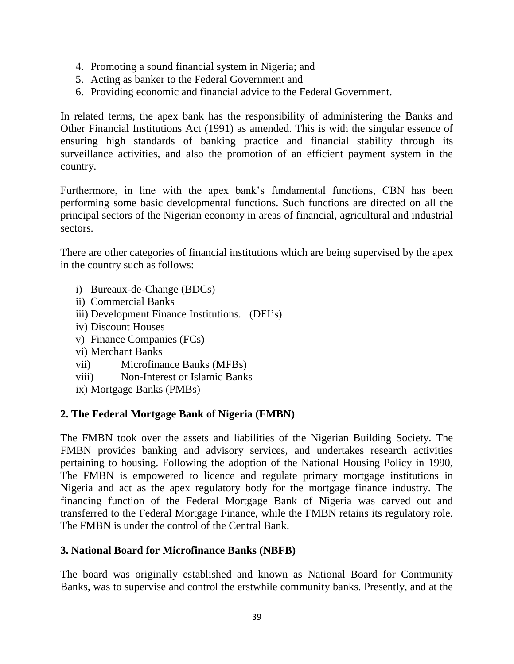- 4. Promoting a sound financial system in Nigeria; and
- 5. Acting as banker to the Federal Government and
- 6. Providing economic and financial advice to the Federal Government.

In related terms, the apex bank has the responsibility of administering the Banks and Other Financial Institutions Act (1991) as amended. This is with the singular essence of ensuring high standards of banking practice and financial stability through its surveillance activities, and also the promotion of an efficient payment system in the country.

Furthermore, in line with the apex bank's fundamental functions, CBN has been performing some basic developmental functions. Such functions are directed on all the principal sectors of the Nigerian economy in areas of financial, agricultural and industrial sectors.

There are other categories of financial institutions which are being supervised by the apex in the country such as follows:

- i) Bureaux-de-Change (BDCs)
- ii) Commercial Banks
- iii) Development Finance Institutions. (DFI's)
- iv) Discount Houses
- v) Finance Companies (FCs)
- vi) Merchant Banks
- vii) Microfinance Banks (MFBs)
- viii) Non-Interest or Islamic Banks
- ix) Mortgage Banks (PMBs)

#### **2. The Federal Mortgage Bank of Nigeria (FMBN)**

The FMBN took over the assets and liabilities of the Nigerian Building Society. The FMBN provides banking and advisory services, and undertakes research activities pertaining to housing. Following the adoption of the National Housing Policy in 1990, The FMBN is empowered to licence and regulate primary mortgage institutions in Nigeria and act as the apex regulatory body for the mortgage finance industry. The financing function of the Federal Mortgage Bank of Nigeria was carved out and transferred to the Federal Mortgage Finance, while the FMBN retains its regulatory role. The FMBN is under the control of the Central Bank.

## **3. National Board for Microfinance Banks (NBFB)**

The board was originally established and known as National Board for Community Banks, was to supervise and control the erstwhile community banks. Presently, and at the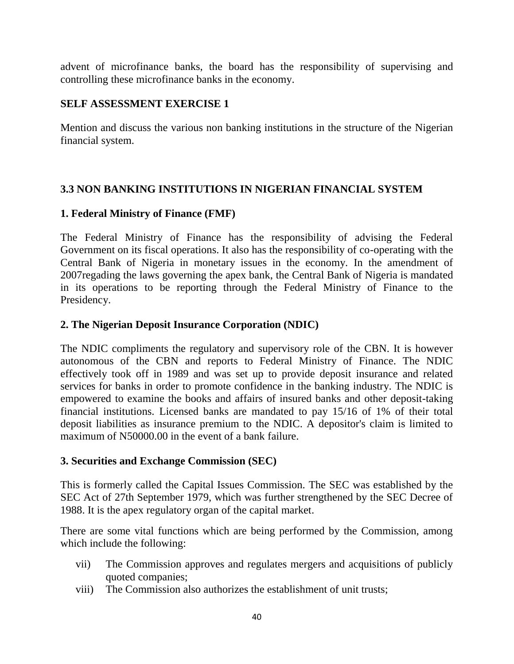advent of microfinance banks, the board has the responsibility of supervising and controlling these microfinance banks in the economy.

## **SELF ASSESSMENT EXERCISE 1**

Mention and discuss the various non banking institutions in the structure of the Nigerian financial system.

# **3.3 NON BANKING INSTITUTIONS IN NIGERIAN FINANCIAL SYSTEM**

## **1. Federal Ministry of Finance (FMF)**

The Federal Ministry of Finance has the responsibility of advising the Federal Government on its fiscal operations. It also has the responsibility of co-operating with the Central Bank of Nigeria in monetary issues in the economy. In the amendment of 2007regading the laws governing the apex bank, the Central Bank of Nigeria is mandated in its operations to be reporting through the Federal Ministry of Finance to the Presidency.

## **2. The Nigerian Deposit Insurance Corporation (NDIC)**

The NDIC compliments the regulatory and supervisory role of the CBN. It is however autonomous of the CBN and reports to Federal Ministry of Finance. The NDIC effectively took off in 1989 and was set up to provide deposit insurance and related services for banks in order to promote confidence in the banking industry. The NDIC is empowered to examine the books and affairs of insured banks and other deposit-taking financial institutions. Licensed banks are mandated to pay 15/16 of 1% of their total deposit liabilities as insurance premium to the NDIC. A depositor's claim is limited to maximum of N50000.00 in the event of a bank failure.

## **3. Securities and Exchange Commission (SEC)**

This is formerly called the Capital Issues Commission. The SEC was established by the SEC Act of 27th September 1979, which was further strengthened by the SEC Decree of 1988. It is the apex regulatory organ of the capital market.

There are some vital functions which are being performed by the Commission, among which include the following:

- vii) The Commission approves and regulates mergers and acquisitions of publicly quoted companies;
- viii) The Commission also authorizes the establishment of unit trusts;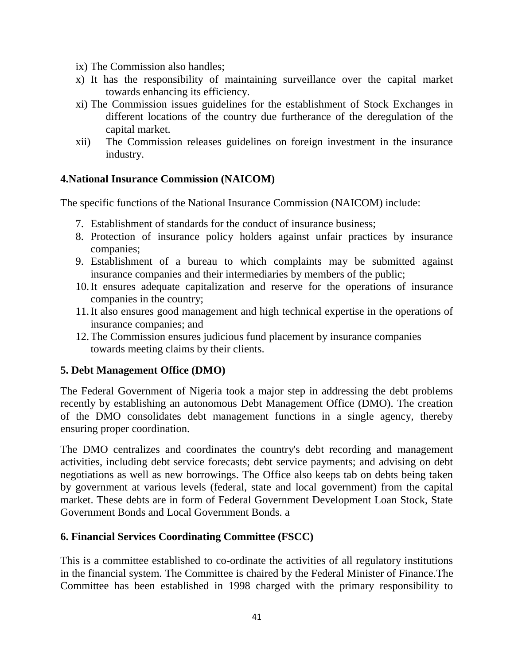- ix) The Commission also handles;
- x) It has the responsibility of maintaining surveillance over the capital market towards enhancing its efficiency.
- xi) The Commission issues guidelines for the establishment of Stock Exchanges in different locations of the country due furtherance of the deregulation of the capital market.
- xii) The Commission releases guidelines on foreign investment in the insurance industry.

## **4.National Insurance Commission (NAICOM)**

The specific functions of the National Insurance Commission (NAICOM) include:

- 7. Establishment of standards for the conduct of insurance business;
- 8. Protection of insurance policy holders against unfair practices by insurance companies;
- 9. Establishment of a bureau to which complaints may be submitted against insurance companies and their intermediaries by members of the public;
- 10.It ensures adequate capitalization and reserve for the operations of insurance companies in the country;
- 11.It also ensures good management and high technical expertise in the operations of insurance companies; and
- 12.The Commission ensures judicious fund placement by insurance companies towards meeting claims by their clients.

## **5. Debt Management Office (DMO)**

The Federal Government of Nigeria took a major step in addressing the debt problems recently by establishing an autonomous Debt Management Office (DMO). The creation of the DMO consolidates debt management functions in a single agency, thereby ensuring proper coordination.

The DMO centralizes and coordinates the country's debt recording and management activities, including debt service forecasts; debt service payments; and advising on debt negotiations as well as new borrowings. The Office also keeps tab on debts being taken by government at various levels (federal, state and local government) from the capital market. These debts are in form of Federal Government Development Loan Stock, State Government Bonds and Local Government Bonds. a

## **6. Financial Services Coordinating Committee (FSCC)**

This is a committee established to co-ordinate the activities of all regulatory institutions in the financial system. The Committee is chaired by the Federal Minister of Finance.The Committee has been established in 1998 charged with the primary responsibility to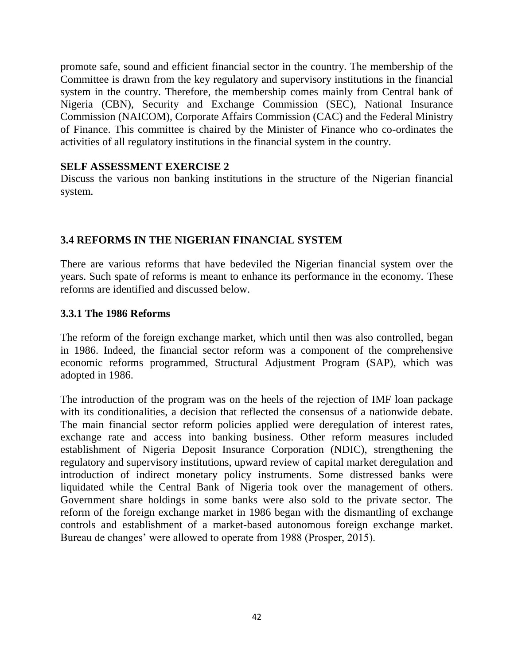promote safe, sound and efficient financial sector in the country. The membership of the Committee is drawn from the key regulatory and supervisory institutions in the financial system in the country. Therefore, the membership comes mainly from Central bank of Nigeria (CBN), Security and Exchange Commission (SEC), National Insurance Commission (NAICOM), Corporate Affairs Commission (CAC) and the Federal Ministry of Finance. This committee is chaired by the Minister of Finance who co-ordinates the activities of all regulatory institutions in the financial system in the country.

#### **SELF ASSESSMENT EXERCISE 2**

Discuss the various non banking institutions in the structure of the Nigerian financial system.

# **3.4 REFORMS IN THE NIGERIAN FINANCIAL SYSTEM**

There are various reforms that have bedeviled the Nigerian financial system over the years. Such spate of reforms is meant to enhance its performance in the economy. These reforms are identified and discussed below.

#### **3.3.1 The 1986 Reforms**

The reform of the foreign exchange market, which until then was also controlled, began in 1986. Indeed, the financial sector reform was a component of the comprehensive economic reforms programmed, Structural Adjustment Program (SAP), which was adopted in 1986.

The introduction of the program was on the heels of the rejection of IMF loan package with its conditionalities, a decision that reflected the consensus of a nationwide debate. The main financial sector reform policies applied were deregulation of interest rates, exchange rate and access into banking business. Other reform measures included establishment of Nigeria Deposit Insurance Corporation (NDIC), strengthening the regulatory and supervisory institutions, upward review of capital market deregulation and introduction of indirect monetary policy instruments. Some distressed banks were liquidated while the Central Bank of Nigeria took over the management of others. Government share holdings in some banks were also sold to the private sector. The reform of the foreign exchange market in 1986 began with the dismantling of exchange controls and establishment of a market-based autonomous foreign exchange market. Bureau de changes' were allowed to operate from 1988 (Prosper, 2015).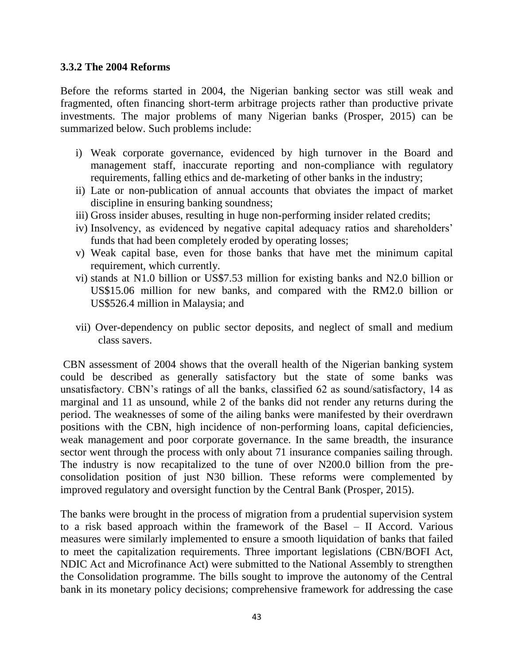#### **3.3.2 The 2004 Reforms**

Before the reforms started in 2004, the Nigerian banking sector was still weak and fragmented, often financing short-term arbitrage projects rather than productive private investments. The major problems of many Nigerian banks (Prosper, 2015) can be summarized below. Such problems include:

- i) Weak corporate governance, evidenced by high turnover in the Board and management staff, inaccurate reporting and non-compliance with regulatory requirements, falling ethics and de-marketing of other banks in the industry;
- ii) Late or non-publication of annual accounts that obviates the impact of market discipline in ensuring banking soundness;
- iii) Gross insider abuses, resulting in huge non-performing insider related credits;
- iv) Insolvency, as evidenced by negative capital adequacy ratios and shareholders' funds that had been completely eroded by operating losses;
- v) Weak capital base, even for those banks that have met the minimum capital requirement, which currently.
- vi) stands at N1.0 billion or US\$7.53 million for existing banks and N2.0 billion or US\$15.06 million for new banks, and compared with the RM2.0 billion or US\$526.4 million in Malaysia; and
- vii) Over-dependency on public sector deposits, and neglect of small and medium class savers.

CBN assessment of 2004 shows that the overall health of the Nigerian banking system could be described as generally satisfactory but the state of some banks was unsatisfactory. CBN's ratings of all the banks, classified 62 as sound/satisfactory, 14 as marginal and 11 as unsound, while 2 of the banks did not render any returns during the period. The weaknesses of some of the ailing banks were manifested by their overdrawn positions with the CBN, high incidence of non-performing loans, capital deficiencies, weak management and poor corporate governance. In the same breadth, the insurance sector went through the process with only about 71 insurance companies sailing through. The industry is now recapitalized to the tune of over N200.0 billion from the preconsolidation position of just N30 billion. These reforms were complemented by improved regulatory and oversight function by the Central Bank (Prosper, 2015).

The banks were brought in the process of migration from a prudential supervision system to a risk based approach within the framework of the Basel – II Accord. Various measures were similarly implemented to ensure a smooth liquidation of banks that failed to meet the capitalization requirements. Three important legislations (CBN/BOFI Act, NDIC Act and Microfinance Act) were submitted to the National Assembly to strengthen the Consolidation programme. The bills sought to improve the autonomy of the Central bank in its monetary policy decisions; comprehensive framework for addressing the case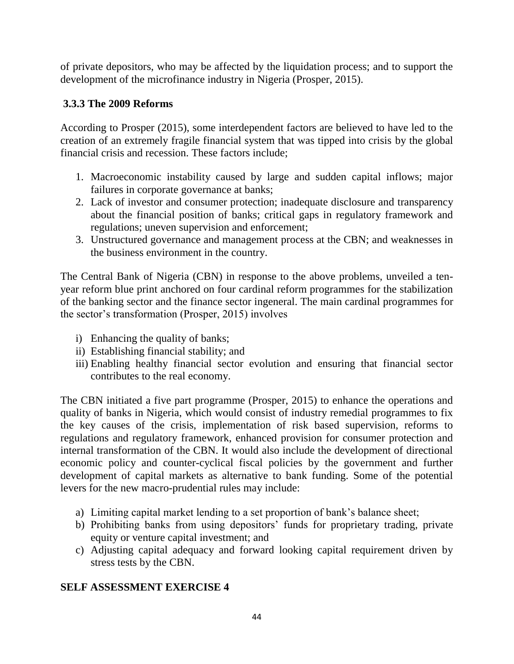of private depositors, who may be affected by the liquidation process; and to support the development of the microfinance industry in Nigeria (Prosper, 2015).

# **3.3.3 The 2009 Reforms**

According to Prosper (2015), some interdependent factors are believed to have led to the creation of an extremely fragile financial system that was tipped into crisis by the global financial crisis and recession. These factors include;

- 1. Macroeconomic instability caused by large and sudden capital inflows; major failures in corporate governance at banks;
- 2. Lack of investor and consumer protection; inadequate disclosure and transparency about the financial position of banks; critical gaps in regulatory framework and regulations; uneven supervision and enforcement;
- 3. Unstructured governance and management process at the CBN; and weaknesses in the business environment in the country.

The Central Bank of Nigeria (CBN) in response to the above problems, unveiled a tenyear reform blue print anchored on four cardinal reform programmes for the stabilization of the banking sector and the finance sector ingeneral. The main cardinal programmes for the sector's transformation (Prosper, 2015) involves

- i) Enhancing the quality of banks;
- ii) Establishing financial stability; and
- iii) Enabling healthy financial sector evolution and ensuring that financial sector contributes to the real economy.

The CBN initiated a five part programme (Prosper, 2015) to enhance the operations and quality of banks in Nigeria, which would consist of industry remedial programmes to fix the key causes of the crisis, implementation of risk based supervision, reforms to regulations and regulatory framework, enhanced provision for consumer protection and internal transformation of the CBN. It would also include the development of directional economic policy and counter-cyclical fiscal policies by the government and further development of capital markets as alternative to bank funding. Some of the potential levers for the new macro-prudential rules may include:

- a) Limiting capital market lending to a set proportion of bank's balance sheet;
- b) Prohibiting banks from using depositors' funds for proprietary trading, private equity or venture capital investment; and
- c) Adjusting capital adequacy and forward looking capital requirement driven by stress tests by the CBN.

## **SELF ASSESSMENT EXERCISE 4**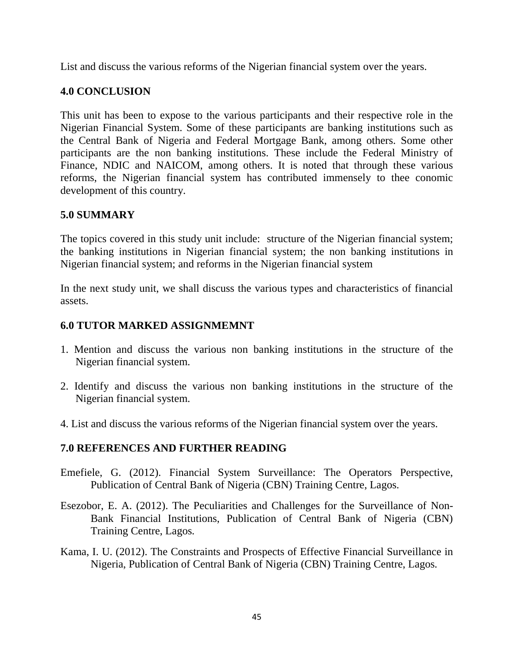List and discuss the various reforms of the Nigerian financial system over the years.

# **4.0 CONCLUSION**

This unit has been to expose to the various participants and their respective role in the Nigerian Financial System. Some of these participants are banking institutions such as the Central Bank of Nigeria and Federal Mortgage Bank, among others. Some other participants are the non banking institutions. These include the Federal Ministry of Finance, NDIC and NAICOM, among others. It is noted that through these various reforms, the Nigerian financial system has contributed immensely to thee conomic development of this country.

## **5.0 SUMMARY**

The topics covered in this study unit include: structure of the Nigerian financial system; the banking institutions in Nigerian financial system; the non banking institutions in Nigerian financial system; and reforms in the Nigerian financial system

In the next study unit, we shall discuss the various types and characteristics of financial assets.

## **6.0 TUTOR MARKED ASSIGNMEMNT**

- 1. Mention and discuss the various non banking institutions in the structure of the Nigerian financial system.
- 2. Identify and discuss the various non banking institutions in the structure of the Nigerian financial system.
- 4. List and discuss the various reforms of the Nigerian financial system over the years.

#### **7.0 REFERENCES AND FURTHER READING**

- Emefiele, G. (2012). Financial System Surveillance: The Operators Perspective, Publication of Central Bank of Nigeria (CBN) Training Centre, Lagos*.*
- Esezobor, E. A. (2012). The Peculiarities and Challenges for the Surveillance of Non-Bank Financial Institutions, Publication of Central Bank of Nigeria (CBN) Training Centre, Lagos*.*
- Kama, I. U. (2012). The Constraints and Prospects of Effective Financial Surveillance in Nigeria, Publication of Central Bank of Nigeria (CBN) Training Centre, Lagos*.*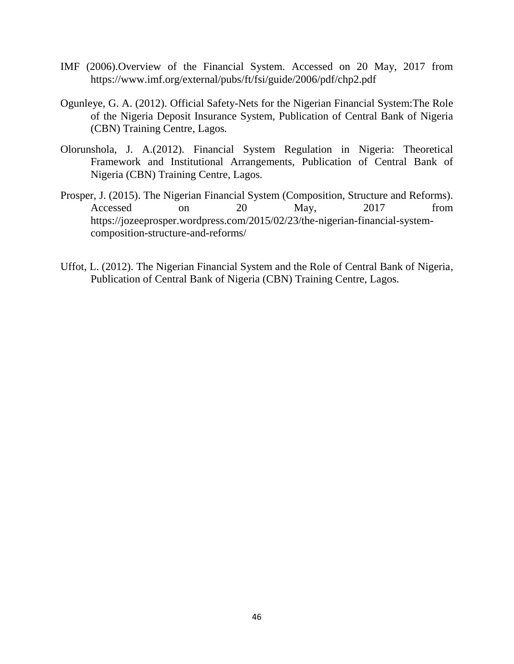- IMF (2006).Overview of the Financial System. Accessed on 20 May, 2017 from https://www.imf.org/external/pubs/ft/fsi/guide/2006/pdf/chp2.pdf
- Ogunleye, G. A. (2012). Official Safety-Nets for the Nigerian Financial System:The Role of the Nigeria Deposit Insurance System, Publication of Central Bank of Nigeria (CBN) Training Centre, Lagos*.*
- Olorunshola, J. A.(2012). Financial System Regulation in Nigeria: Theoretical Framework and Institutional Arrangements, Publication of Central Bank of Nigeria (CBN) Training Centre, Lagos*.*
- Prosper, J. (2015). The Nigerian Financial System (Composition, Structure and Reforms). Accessed on 20 May, 2017 from https://jozeeprosper.wordpress.com/2015/02/23/the-nigerian-financial-systemcomposition-structure-and-reforms/
- Uffot, L. (2012). The Nigerian Financial System and the Role of Central Bank of Nigeria*,*  Publication of Central Bank of Nigeria (CBN) Training Centre, Lagos*.*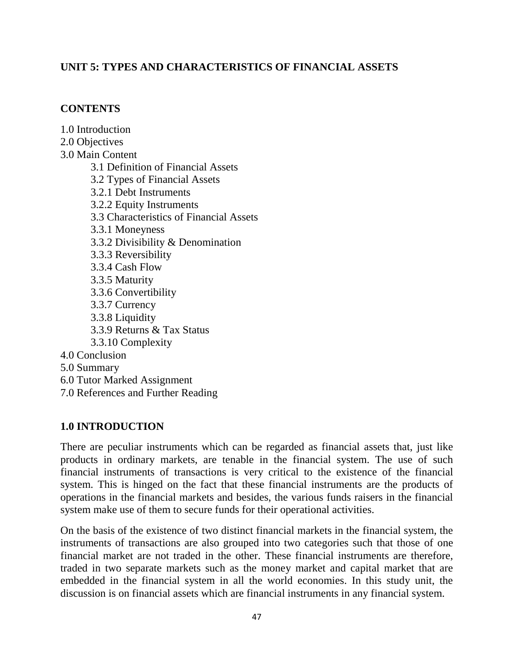## **UNIT 5: TYPES AND CHARACTERISTICS OF FINANCIAL ASSETS**

#### **CONTENTS**

1.0 Introduction 2.0 Objectives 3.0 Main Content 3.1 Definition of Financial Assets 3.2 Types of Financial Assets 3.2.1 Debt Instruments 3.2.2 Equity Instruments 3.3 Characteristics of Financial Assets 3.3.1 Moneyness 3.3.2 Divisibility & Denomination 3.3.3 Reversibility 3.3.4 Cash Flow 3.3.5 Maturity 3.3.6 Convertibility 3.3.7 Currency 3.3.8 Liquidity 3.3.9 Returns & Tax Status 3.3.10 Complexity 4.0 Conclusion 5.0 Summary 6.0 Tutor Marked Assignment 7.0 References and Further Reading

#### **1.0 INTRODUCTION**

There are peculiar instruments which can be regarded as financial assets that, just like products in ordinary markets, are tenable in the financial system. The use of such financial instruments of transactions is very critical to the existence of the financial system. This is hinged on the fact that these financial instruments are the products of operations in the financial markets and besides, the various funds raisers in the financial system make use of them to secure funds for their operational activities.

On the basis of the existence of two distinct financial markets in the financial system, the instruments of transactions are also grouped into two categories such that those of one financial market are not traded in the other. These financial instruments are therefore, traded in two separate markets such as the money market and capital market that are embedded in the financial system in all the world economies. In this study unit, the discussion is on financial assets which are financial instruments in any financial system.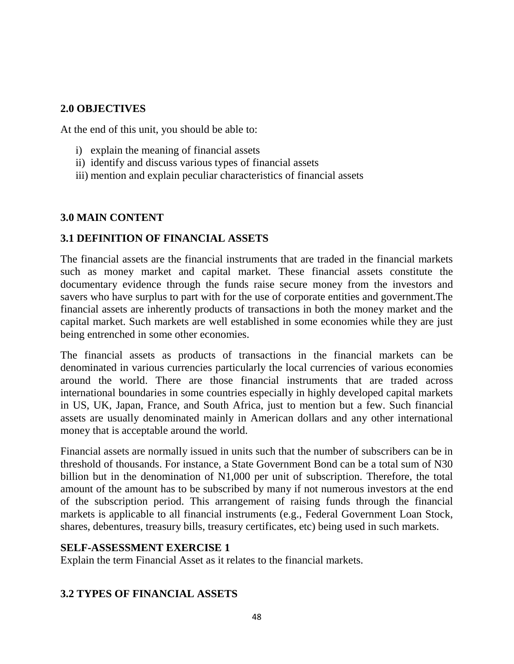#### **2.0 OBJECTIVES**

At the end of this unit, you should be able to:

- i) explain the meaning of financial assets
- ii) identify and discuss various types of financial assets
- iii) mention and explain peculiar characteristics of financial assets

#### **3.0 MAIN CONTENT**

## **3.1 DEFINITION OF FINANCIAL ASSETS**

The financial assets are the financial instruments that are traded in the financial markets such as money market and capital market. These financial assets constitute the documentary evidence through the funds raise secure money from the investors and savers who have surplus to part with for the use of corporate entities and government.The financial assets are inherently products of transactions in both the money market and the capital market. Such markets are well established in some economies while they are just being entrenched in some other economies.

The financial assets as products of transactions in the financial markets can be denominated in various currencies particularly the local currencies of various economies around the world. There are those financial instruments that are traded across international boundaries in some countries especially in highly developed capital markets in US, UK, Japan, France, and South Africa, just to mention but a few. Such financial assets are usually denominated mainly in American dollars and any other international money that is acceptable around the world.

Financial assets are normally issued in units such that the number of subscribers can be in threshold of thousands. For instance, a State Government Bond can be a total sum of N30 billion but in the denomination of N1,000 per unit of subscription. Therefore, the total amount of the amount has to be subscribed by many if not numerous investors at the end of the subscription period. This arrangement of raising funds through the financial markets is applicable to all financial instruments (e.g., Federal Government Loan Stock, shares, debentures, treasury bills, treasury certificates, etc) being used in such markets.

#### **SELF-ASSESSMENT EXERCISE 1**

Explain the term Financial Asset as it relates to the financial markets.

## **3.2 TYPES OF FINANCIAL ASSETS**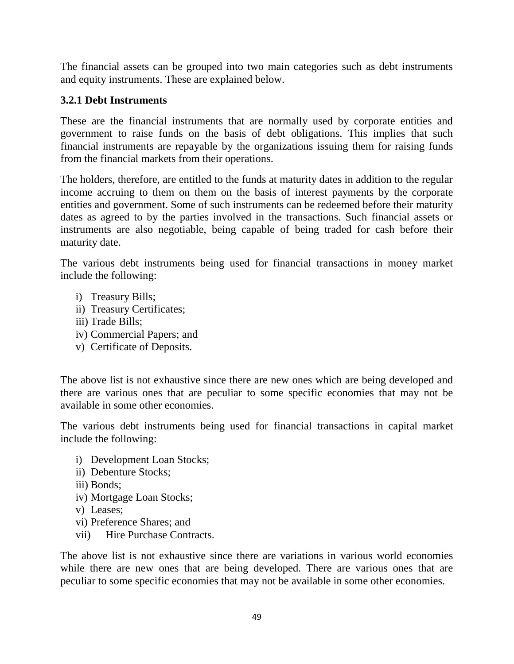The financial assets can be grouped into two main categories such as debt instruments and equity instruments. These are explained below.

# **3.2.1 Debt Instruments**

These are the financial instruments that are normally used by corporate entities and government to raise funds on the basis of debt obligations. This implies that such financial instruments are repayable by the organizations issuing them for raising funds from the financial markets from their operations.

The holders, therefore, are entitled to the funds at maturity dates in addition to the regular income accruing to them on them on the basis of interest payments by the corporate entities and government. Some of such instruments can be redeemed before their maturity dates as agreed to by the parties involved in the transactions. Such financial assets or instruments are also negotiable, being capable of being traded for cash before their maturity date.

The various debt instruments being used for financial transactions in money market include the following:

- i) Treasury Bills;
- ii) Treasury Certificates;
- iii) Trade Bills;
- iv) Commercial Papers; and
- v) Certificate of Deposits.

The above list is not exhaustive since there are new ones which are being developed and there are various ones that are peculiar to some specific economies that may not be available in some other economies.

The various debt instruments being used for financial transactions in capital market include the following:

- i) Development Loan Stocks;
- ii) Debenture Stocks;
- iii) Bonds;
- iv) Mortgage Loan Stocks;
- v) Leases;
- vi) Preference Shares; and
- vii) Hire Purchase Contracts.

The above list is not exhaustive since there are variations in various world economies while there are new ones that are being developed. There are various ones that are peculiar to some specific economies that may not be available in some other economies.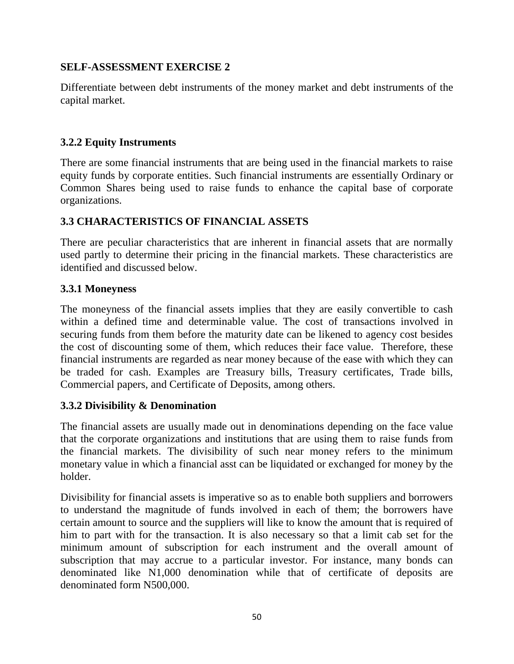## **SELF-ASSESSMENT EXERCISE 2**

Differentiate between debt instruments of the money market and debt instruments of the capital market.

# **3.2.2 Equity Instruments**

There are some financial instruments that are being used in the financial markets to raise equity funds by corporate entities. Such financial instruments are essentially Ordinary or Common Shares being used to raise funds to enhance the capital base of corporate organizations.

# **3.3 CHARACTERISTICS OF FINANCIAL ASSETS**

There are peculiar characteristics that are inherent in financial assets that are normally used partly to determine their pricing in the financial markets. These characteristics are identified and discussed below.

# **3.3.1 Moneyness**

The moneyness of the financial assets implies that they are easily convertible to cash within a defined time and determinable value. The cost of transactions involved in securing funds from them before the maturity date can be likened to agency cost besides the cost of discounting some of them, which reduces their face value. Therefore, these financial instruments are regarded as near money because of the ease with which they can be traded for cash. Examples are Treasury bills, Treasury certificates, Trade bills, Commercial papers, and Certificate of Deposits, among others.

# **3.3.2 Divisibility & Denomination**

The financial assets are usually made out in denominations depending on the face value that the corporate organizations and institutions that are using them to raise funds from the financial markets. The divisibility of such near money refers to the minimum monetary value in which a financial asst can be liquidated or exchanged for money by the holder.

Divisibility for financial assets is imperative so as to enable both suppliers and borrowers to understand the magnitude of funds involved in each of them; the borrowers have certain amount to source and the suppliers will like to know the amount that is required of him to part with for the transaction. It is also necessary so that a limit cab set for the minimum amount of subscription for each instrument and the overall amount of subscription that may accrue to a particular investor. For instance, many bonds can denominated like N1,000 denomination while that of certificate of deposits are denominated form N500,000.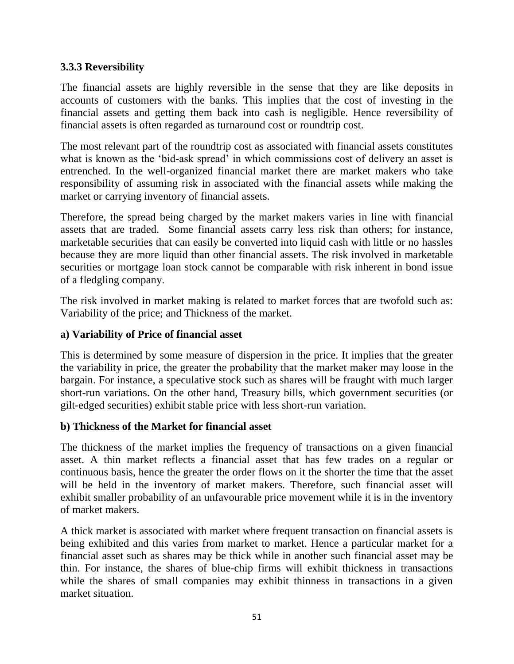# **3.3.3 Reversibility**

The financial assets are highly reversible in the sense that they are like deposits in accounts of customers with the banks. This implies that the cost of investing in the financial assets and getting them back into cash is negligible. Hence reversibility of financial assets is often regarded as turnaround cost or roundtrip cost.

The most relevant part of the roundtrip cost as associated with financial assets constitutes what is known as the 'bid-ask spread' in which commissions cost of delivery an asset is entrenched. In the well-organized financial market there are market makers who take responsibility of assuming risk in associated with the financial assets while making the market or carrying inventory of financial assets.

Therefore, the spread being charged by the market makers varies in line with financial assets that are traded. Some financial assets carry less risk than others; for instance, marketable securities that can easily be converted into liquid cash with little or no hassles because they are more liquid than other financial assets. The risk involved in marketable securities or mortgage loan stock cannot be comparable with risk inherent in bond issue of a fledgling company.

The risk involved in market making is related to market forces that are twofold such as: Variability of the price; and Thickness of the market.

#### **a) Variability of Price of financial asset**

This is determined by some measure of dispersion in the price. It implies that the greater the variability in price, the greater the probability that the market maker may loose in the bargain. For instance, a speculative stock such as shares will be fraught with much larger short-run variations. On the other hand, Treasury bills, which government securities (or gilt-edged securities) exhibit stable price with less short-run variation.

## **b) Thickness of the Market for financial asset**

The thickness of the market implies the frequency of transactions on a given financial asset. A thin market reflects a financial asset that has few trades on a regular or continuous basis, hence the greater the order flows on it the shorter the time that the asset will be held in the inventory of market makers. Therefore, such financial asset will exhibit smaller probability of an unfavourable price movement while it is in the inventory of market makers.

A thick market is associated with market where frequent transaction on financial assets is being exhibited and this varies from market to market. Hence a particular market for a financial asset such as shares may be thick while in another such financial asset may be thin. For instance, the shares of blue-chip firms will exhibit thickness in transactions while the shares of small companies may exhibit thinness in transactions in a given market situation.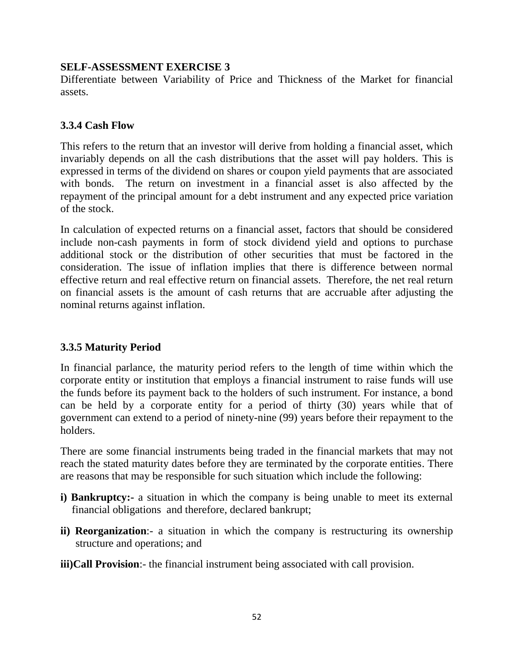## **SELF-ASSESSMENT EXERCISE 3**

Differentiate between Variability of Price and Thickness of the Market for financial assets.

# **3.3.4 Cash Flow**

This refers to the return that an investor will derive from holding a financial asset, which invariably depends on all the cash distributions that the asset will pay holders. This is expressed in terms of the dividend on shares or coupon yield payments that are associated with bonds. The return on investment in a financial asset is also affected by the repayment of the principal amount for a debt instrument and any expected price variation of the stock.

In calculation of expected returns on a financial asset, factors that should be considered include non-cash payments in form of stock dividend yield and options to purchase additional stock or the distribution of other securities that must be factored in the consideration. The issue of inflation implies that there is difference between normal effective return and real effective return on financial assets. Therefore, the net real return on financial assets is the amount of cash returns that are accruable after adjusting the nominal returns against inflation.

# **3.3.5 Maturity Period**

In financial parlance, the maturity period refers to the length of time within which the corporate entity or institution that employs a financial instrument to raise funds will use the funds before its payment back to the holders of such instrument. For instance, a bond can be held by a corporate entity for a period of thirty (30) years while that of government can extend to a period of ninety-nine (99) years before their repayment to the holders.

There are some financial instruments being traded in the financial markets that may not reach the stated maturity dates before they are terminated by the corporate entities. There are reasons that may be responsible for such situation which include the following:

- **i) Bankruptcy:** a situation in which the company is being unable to meet its external financial obligations and therefore, declared bankrupt;
- **ii) Reorganization**:- a situation in which the company is restructuring its ownership structure and operations; and

**iii)Call Provision**:- the financial instrument being associated with call provision.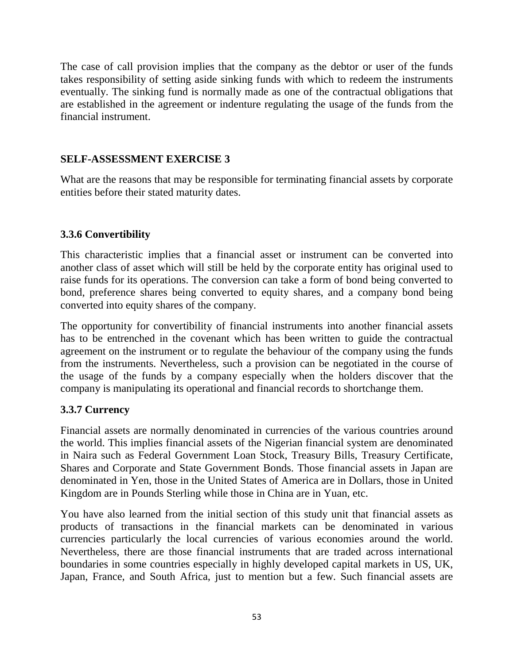The case of call provision implies that the company as the debtor or user of the funds takes responsibility of setting aside sinking funds with which to redeem the instruments eventually. The sinking fund is normally made as one of the contractual obligations that are established in the agreement or indenture regulating the usage of the funds from the financial instrument.

# **SELF-ASSESSMENT EXERCISE 3**

What are the reasons that may be responsible for terminating financial assets by corporate entities before their stated maturity dates.

# **3.3.6 Convertibility**

This characteristic implies that a financial asset or instrument can be converted into another class of asset which will still be held by the corporate entity has original used to raise funds for its operations. The conversion can take a form of bond being converted to bond, preference shares being converted to equity shares, and a company bond being converted into equity shares of the company.

The opportunity for convertibility of financial instruments into another financial assets has to be entrenched in the covenant which has been written to guide the contractual agreement on the instrument or to regulate the behaviour of the company using the funds from the instruments. Nevertheless, such a provision can be negotiated in the course of the usage of the funds by a company especially when the holders discover that the company is manipulating its operational and financial records to shortchange them.

# **3.3.7 Currency**

Financial assets are normally denominated in currencies of the various countries around the world. This implies financial assets of the Nigerian financial system are denominated in Naira such as Federal Government Loan Stock, Treasury Bills, Treasury Certificate, Shares and Corporate and State Government Bonds. Those financial assets in Japan are denominated in Yen, those in the United States of America are in Dollars, those in United Kingdom are in Pounds Sterling while those in China are in Yuan, etc.

You have also learned from the initial section of this study unit that financial assets as products of transactions in the financial markets can be denominated in various currencies particularly the local currencies of various economies around the world. Nevertheless, there are those financial instruments that are traded across international boundaries in some countries especially in highly developed capital markets in US, UK, Japan, France, and South Africa, just to mention but a few. Such financial assets are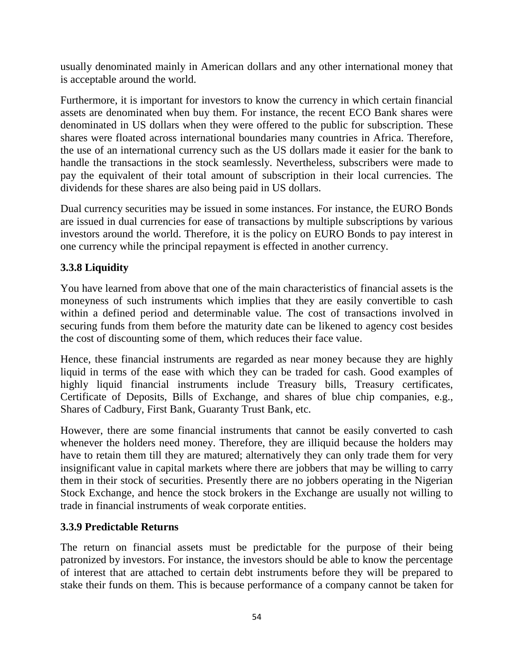usually denominated mainly in American dollars and any other international money that is acceptable around the world.

Furthermore, it is important for investors to know the currency in which certain financial assets are denominated when buy them. For instance, the recent ECO Bank shares were denominated in US dollars when they were offered to the public for subscription. These shares were floated across international boundaries many countries in Africa. Therefore, the use of an international currency such as the US dollars made it easier for the bank to handle the transactions in the stock seamlessly. Nevertheless, subscribers were made to pay the equivalent of their total amount of subscription in their local currencies. The dividends for these shares are also being paid in US dollars.

Dual currency securities may be issued in some instances. For instance, the EURO Bonds are issued in dual currencies for ease of transactions by multiple subscriptions by various investors around the world. Therefore, it is the policy on EURO Bonds to pay interest in one currency while the principal repayment is effected in another currency.

# **3.3.8 Liquidity**

You have learned from above that one of the main characteristics of financial assets is the moneyness of such instruments which implies that they are easily convertible to cash within a defined period and determinable value. The cost of transactions involved in securing funds from them before the maturity date can be likened to agency cost besides the cost of discounting some of them, which reduces their face value.

Hence, these financial instruments are regarded as near money because they are highly liquid in terms of the ease with which they can be traded for cash. Good examples of highly liquid financial instruments include Treasury bills, Treasury certificates, Certificate of Deposits, Bills of Exchange, and shares of blue chip companies, e.g., Shares of Cadbury, First Bank, Guaranty Trust Bank, etc.

However, there are some financial instruments that cannot be easily converted to cash whenever the holders need money. Therefore, they are illiquid because the holders may have to retain them till they are matured; alternatively they can only trade them for very insignificant value in capital markets where there are jobbers that may be willing to carry them in their stock of securities. Presently there are no jobbers operating in the Nigerian Stock Exchange, and hence the stock brokers in the Exchange are usually not willing to trade in financial instruments of weak corporate entities.

## **3.3.9 Predictable Returns**

The return on financial assets must be predictable for the purpose of their being patronized by investors. For instance, the investors should be able to know the percentage of interest that are attached to certain debt instruments before they will be prepared to stake their funds on them. This is because performance of a company cannot be taken for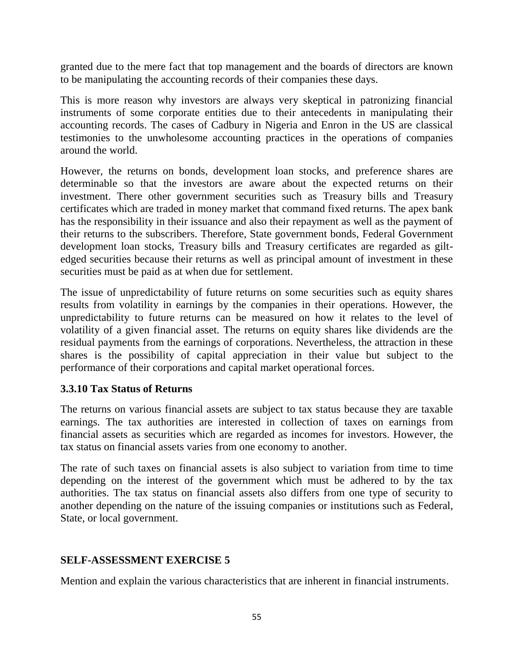granted due to the mere fact that top management and the boards of directors are known to be manipulating the accounting records of their companies these days.

This is more reason why investors are always very skeptical in patronizing financial instruments of some corporate entities due to their antecedents in manipulating their accounting records. The cases of Cadbury in Nigeria and Enron in the US are classical testimonies to the unwholesome accounting practices in the operations of companies around the world.

However, the returns on bonds, development loan stocks, and preference shares are determinable so that the investors are aware about the expected returns on their investment. There other government securities such as Treasury bills and Treasury certificates which are traded in money market that command fixed returns. The apex bank has the responsibility in their issuance and also their repayment as well as the payment of their returns to the subscribers. Therefore, State government bonds, Federal Government development loan stocks, Treasury bills and Treasury certificates are regarded as giltedged securities because their returns as well as principal amount of investment in these securities must be paid as at when due for settlement.

The issue of unpredictability of future returns on some securities such as equity shares results from volatility in earnings by the companies in their operations. However, the unpredictability to future returns can be measured on how it relates to the level of volatility of a given financial asset. The returns on equity shares like dividends are the residual payments from the earnings of corporations. Nevertheless, the attraction in these shares is the possibility of capital appreciation in their value but subject to the performance of their corporations and capital market operational forces.

## **3.3.10 Tax Status of Returns**

The returns on various financial assets are subject to tax status because they are taxable earnings. The tax authorities are interested in collection of taxes on earnings from financial assets as securities which are regarded as incomes for investors. However, the tax status on financial assets varies from one economy to another.

The rate of such taxes on financial assets is also subject to variation from time to time depending on the interest of the government which must be adhered to by the tax authorities. The tax status on financial assets also differs from one type of security to another depending on the nature of the issuing companies or institutions such as Federal, State, or local government.

## **SELF-ASSESSMENT EXERCISE 5**

Mention and explain the various characteristics that are inherent in financial instruments.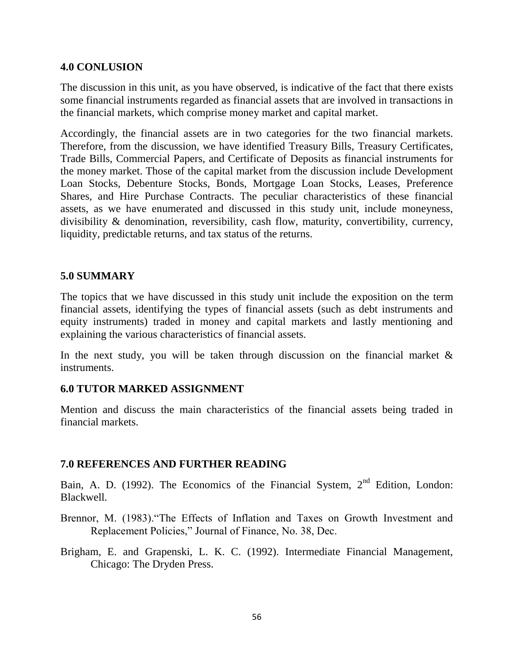#### **4.0 CONLUSION**

The discussion in this unit, as you have observed, is indicative of the fact that there exists some financial instruments regarded as financial assets that are involved in transactions in the financial markets, which comprise money market and capital market.

Accordingly, the financial assets are in two categories for the two financial markets. Therefore, from the discussion, we have identified Treasury Bills, Treasury Certificates, Trade Bills, Commercial Papers, and Certificate of Deposits as financial instruments for the money market. Those of the capital market from the discussion include Development Loan Stocks, Debenture Stocks, Bonds, Mortgage Loan Stocks, Leases, Preference Shares, and Hire Purchase Contracts. The peculiar characteristics of these financial assets, as we have enumerated and discussed in this study unit, include moneyness, divisibility & denomination, reversibility, cash flow, maturity, convertibility, currency, liquidity, predictable returns, and tax status of the returns.

#### **5.0 SUMMARY**

The topics that we have discussed in this study unit include the exposition on the term financial assets, identifying the types of financial assets (such as debt instruments and equity instruments) traded in money and capital markets and lastly mentioning and explaining the various characteristics of financial assets.

In the next study, you will be taken through discussion on the financial market  $\&$ instruments.

#### **6.0 TUTOR MARKED ASSIGNMENT**

Mention and discuss the main characteristics of the financial assets being traded in financial markets.

#### **7.0 REFERENCES AND FURTHER READING**

Bain, A. D. (1992). The Economics of the Financial System, 2<sup>nd</sup> Edition, London: Blackwell.

Brennor, M. (1983)."The Effects of Inflation and Taxes on Growth Investment and Replacement Policies," Journal of Finance, No. 38, Dec.

Brigham, E. and Grapenski, L. K. C. (1992). Intermediate Financial Management, Chicago: The Dryden Press.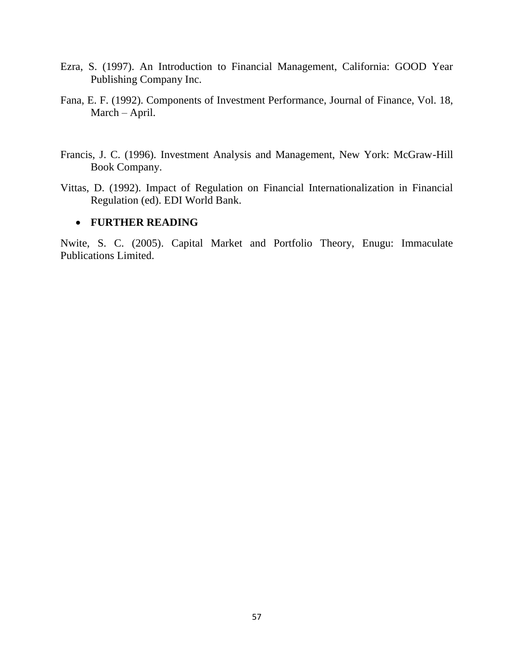- Ezra, S. (1997). An Introduction to Financial Management, California: GOOD Year Publishing Company Inc.
- Fana, E. F. (1992). Components of Investment Performance, Journal of Finance, Vol. 18, March – April.
- Francis, J. C. (1996). Investment Analysis and Management, New York: McGraw-Hill Book Company.
- Vittas, D. (1992). Impact of Regulation on Financial Internationalization in Financial Regulation (ed). EDI World Bank.

#### **FURTHER READING**

Nwite, S. C. (2005). Capital Market and Portfolio Theory, Enugu: Immaculate Publications Limited.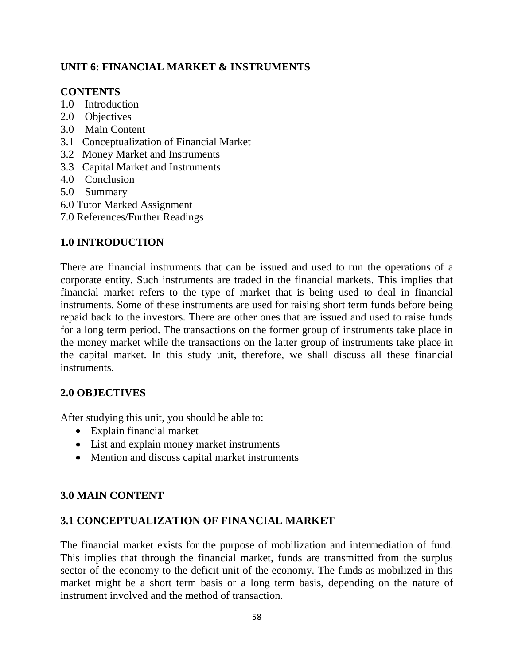# **UNIT 6: FINANCIAL MARKET & INSTRUMENTS**

#### **CONTENTS**

- 1.0 Introduction
- 2.0 Objectives
- 3.0 Main Content
- 3.1 Conceptualization of Financial Market
- 3.2 Money Market and Instruments
- 3.3 Capital Market and Instruments
- 4.0 Conclusion
- 5.0 Summary
- 6.0 Tutor Marked Assignment
- 7.0 References/Further Readings

## **1.0 INTRODUCTION**

There are financial instruments that can be issued and used to run the operations of a corporate entity. Such instruments are traded in the financial markets. This implies that financial market refers to the type of market that is being used to deal in financial instruments. Some of these instruments are used for raising short term funds before being repaid back to the investors. There are other ones that are issued and used to raise funds for a long term period. The transactions on the former group of instruments take place in the money market while the transactions on the latter group of instruments take place in the capital market. In this study unit, therefore, we shall discuss all these financial instruments.

## **2.0 OBJECTIVES**

After studying this unit, you should be able to:

- Explain financial market
- List and explain money market instruments
- Mention and discuss capital market instruments

## **3.0 MAIN CONTENT**

## **3.1 CONCEPTUALIZATION OF FINANCIAL MARKET**

The financial market exists for the purpose of mobilization and intermediation of fund. This implies that through the financial market, funds are transmitted from the surplus sector of the economy to the deficit unit of the economy. The funds as mobilized in this market might be a short term basis or a long term basis, depending on the nature of instrument involved and the method of transaction.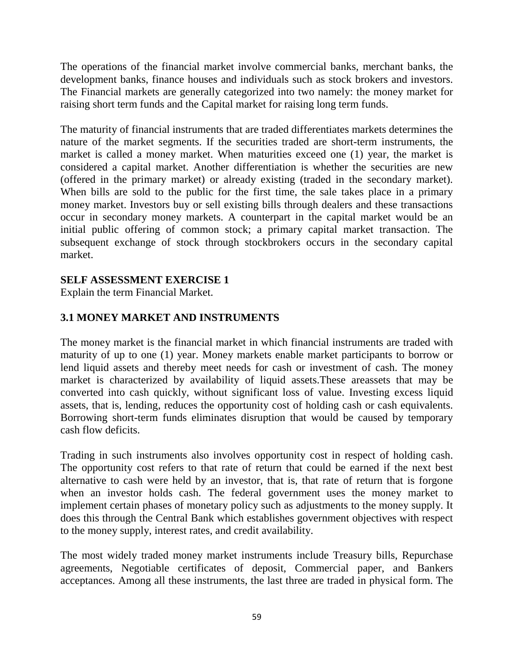The operations of the financial market involve commercial banks, merchant banks, the development banks, finance houses and individuals such as stock brokers and investors. The Financial markets are generally categorized into two namely: the money market for raising short term funds and the Capital market for raising long term funds.

The maturity of financial instruments that are traded differentiates markets determines the nature of the market segments. If the securities traded are short-term instruments, the market is called a money market. When maturities exceed one (1) year, the market is considered a capital market. Another differentiation is whether the securities are new (offered in the primary market) or already existing (traded in the secondary market). When bills are sold to the public for the first time, the sale takes place in a primary money market. Investors buy or sell existing bills through dealers and these transactions occur in secondary money markets. A counterpart in the capital market would be an initial public offering of common stock; a primary capital market transaction. The subsequent exchange of stock through stockbrokers occurs in the secondary capital market.

## **SELF ASSESSMENT EXERCISE 1**

Explain the term Financial Market.

# **3.1 MONEY MARKET AND INSTRUMENTS**

The money market is the financial market in which financial instruments are traded with maturity of up to one (1) year. Money markets enable market participants to borrow or lend liquid assets and thereby meet needs for cash or investment of cash. The money market is characterized by availability of liquid assets.These areassets that may be converted into cash quickly, without significant loss of value. Investing excess liquid assets, that is, lending, reduces the opportunity cost of holding cash or cash equivalents. Borrowing short-term funds eliminates disruption that would be caused by temporary cash flow deficits.

Trading in such instruments also involves opportunity cost in respect of holding cash. The opportunity cost refers to that rate of return that could be earned if the next best alternative to cash were held by an investor, that is, that rate of return that is forgone when an investor holds cash. The federal government uses the money market to implement certain phases of monetary policy such as adjustments to the money supply. It does this through the Central Bank which establishes government objectives with respect to the money supply, interest rates, and credit availability.

The most widely traded money market instruments include Treasury bills, Repurchase agreements, Negotiable certificates of deposit, Commercial paper, and Bankers acceptances. Among all these instruments, the last three are traded in physical form. The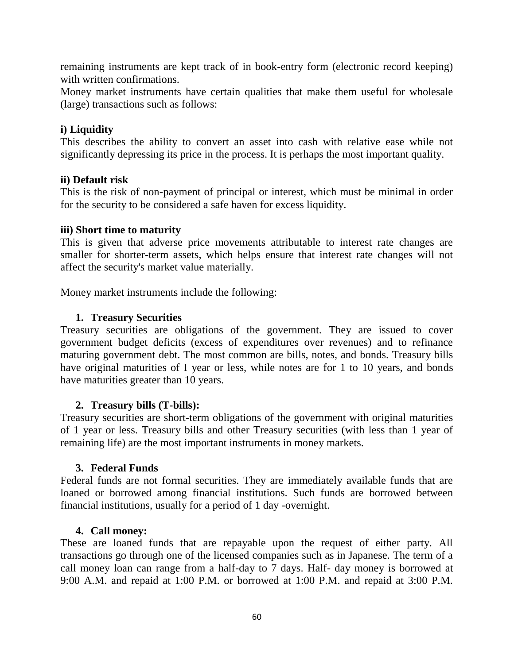remaining instruments are kept track of in book-entry form (electronic record keeping) with written confirmations.

Money market instruments have certain qualities that make them useful for wholesale (large) transactions such as follows:

#### **i) Liquidity**

This describes the ability to convert an asset into cash with relative ease while not significantly depressing its price in the process. It is perhaps the most important quality.

#### **ii) Default risk**

This is the risk of non-payment of principal or interest, which must be minimal in order for the security to be considered a safe haven for excess liquidity.

#### **iii) Short time to maturity**

This is given that adverse price movements attributable to interest rate changes are smaller for shorter-term assets, which helps ensure that interest rate changes will not affect the security's market value materially.

Money market instruments include the following:

#### **1. Treasury Securities**

Treasury securities are obligations of the government. They are issued to cover government budget deficits (excess of expenditures over revenues) and to refinance maturing government debt. The most common are bills, notes, and bonds. Treasury bills have original maturities of I year or less, while notes are for 1 to 10 years, and bonds have maturities greater than 10 years.

#### **2. Treasury bills (T-bills):**

Treasury securities are short-term obligations of the government with original maturities of 1 year or less. Treasury bills and other Treasury securities (with less than 1 year of remaining life) are the most important instruments in money markets.

#### **3. Federal Funds**

Federal funds are not formal securities. They are immediately available funds that are loaned or borrowed among financial institutions. Such funds are borrowed between financial institutions, usually for a period of 1 day -overnight.

#### **4. Call money:**

These are loaned funds that are repayable upon the request of either party. All transactions go through one of the licensed companies such as in Japanese. The term of a call money loan can range from a half-day to 7 days. Half- day money is borrowed at 9:00 A.M. and repaid at 1:00 P.M. or borrowed at 1:00 P.M. and repaid at 3:00 P.M.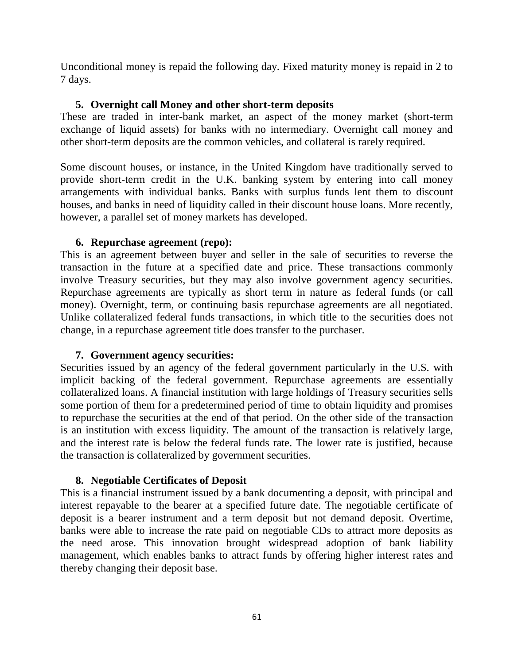Unconditional money is repaid the following day. Fixed maturity money is repaid in 2 to 7 days.

## **5. Overnight call Money and other short-term deposits**

These are traded in inter-bank market, an aspect of the money market (short-term exchange of liquid assets) for banks with no intermediary. Overnight call money and other short-term deposits are the common vehicles, and collateral is rarely required.

Some discount houses, or instance, in the United Kingdom have traditionally served to provide short-term credit in the U.K. banking system by entering into call money arrangements with individual banks. Banks with surplus funds lent them to discount houses, and banks in need of liquidity called in their discount house loans. More recently, however, a parallel set of money markets has developed.

#### **6. Repurchase agreement (repo):**

This is an agreement between buyer and seller in the sale of securities to reverse the transaction in the future at a specified date and price. These transactions commonly involve Treasury securities, but they may also involve government agency securities. Repurchase agreements are typically as short term in nature as federal funds (or call money). Overnight, term, or continuing basis repurchase agreements are all negotiated. Unlike collateralized federal funds transactions, in which title to the securities does not change, in a repurchase agreement title does transfer to the purchaser.

## **7. Government agency securities:**

Securities issued by an agency of the federal government particularly in the U.S. with implicit backing of the federal government. Repurchase agreements are essentially collateralized loans. A financial institution with large holdings of Treasury securities sells some portion of them for a predetermined period of time to obtain liquidity and promises to repurchase the securities at the end of that period. On the other side of the transaction is an institution with excess liquidity. The amount of the transaction is relatively large, and the interest rate is below the federal funds rate. The lower rate is justified, because the transaction is collateralized by government securities.

## **8. Negotiable Certificates of Deposit**

This is a financial instrument issued by a bank documenting a deposit, with principal and interest repayable to the bearer at a specified future date. The negotiable certificate of deposit is a bearer instrument and a term deposit but not demand deposit. Overtime, banks were able to increase the rate paid on negotiable CDs to attract more deposits as the need arose. This innovation brought widespread adoption of bank liability management, which enables banks to attract funds by offering higher interest rates and thereby changing their deposit base.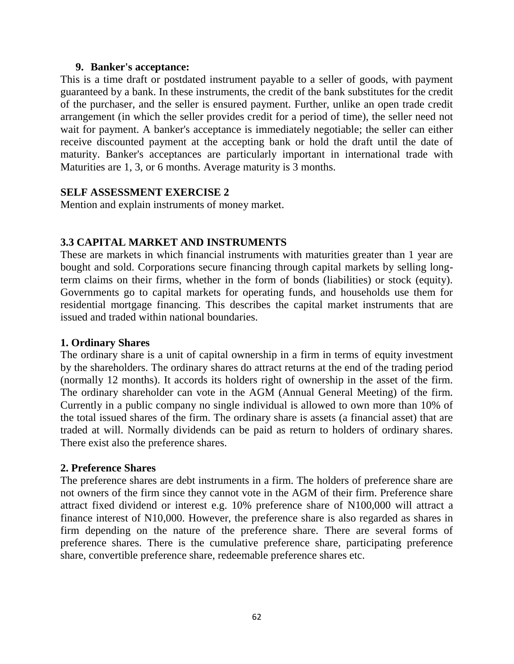#### **9. Banker's acceptance:**

This is a time draft or postdated instrument payable to a seller of goods, with payment guaranteed by a bank. In these instruments, the credit of the bank substitutes for the credit of the purchaser, and the seller is ensured payment. Further, unlike an open trade credit arrangement (in which the seller provides credit for a period of time), the seller need not wait for payment. A banker's acceptance is immediately negotiable; the seller can either receive discounted payment at the accepting bank or hold the draft until the date of maturity. Banker's acceptances are particularly important in international trade with Maturities are 1, 3, or 6 months. Average maturity is 3 months.

## **SELF ASSESSMENT EXERCISE 2**

Mention and explain instruments of money market.

# **3.3 CAPITAL MARKET AND INSTRUMENTS**

These are markets in which financial instruments with maturities greater than 1 year are bought and sold. Corporations secure financing through capital markets by selling longterm claims on their firms, whether in the form of bonds (liabilities) or stock (equity). Governments go to capital markets for operating funds, and households use them for residential mortgage financing. This describes the capital market instruments that are issued and traded within national boundaries.

## **1. Ordinary Shares**

The ordinary share is a unit of capital ownership in a firm in terms of equity investment by the shareholders. The ordinary shares do attract returns at the end of the trading period (normally 12 months). It accords its holders right of ownership in the asset of the firm. The ordinary shareholder can vote in the AGM (Annual General Meeting) of the firm. Currently in a public company no single individual is allowed to own more than 10% of the total issued shares of the firm. The ordinary share is assets (a financial asset) that are traded at will. Normally dividends can be paid as return to holders of ordinary shares. There exist also the preference shares.

# **2. Preference Shares**

The preference shares are debt instruments in a firm. The holders of preference share are not owners of the firm since they cannot vote in the AGM of their firm. Preference share attract fixed dividend or interest e.g. 10% preference share of N100,000 will attract a finance interest of N10,000. However, the preference share is also regarded as shares in firm depending on the nature of the preference share. There are several forms of preference shares. There is the cumulative preference share, participating preference share, convertible preference share, redeemable preference shares etc.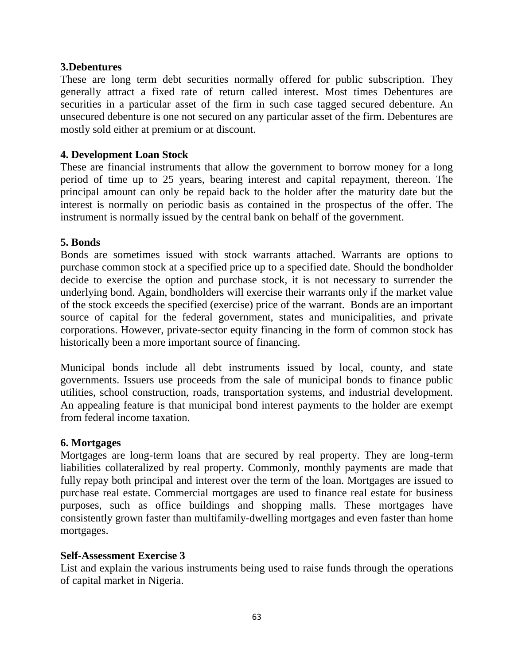#### **3.Debentures**

These are long term debt securities normally offered for public subscription. They generally attract a fixed rate of return called interest. Most times Debentures are securities in a particular asset of the firm in such case tagged secured debenture. An unsecured debenture is one not secured on any particular asset of the firm. Debentures are mostly sold either at premium or at discount.

#### **4. Development Loan Stock**

These are financial instruments that allow the government to borrow money for a long period of time up to 25 years, bearing interest and capital repayment, thereon. The principal amount can only be repaid back to the holder after the maturity date but the interest is normally on periodic basis as contained in the prospectus of the offer. The instrument is normally issued by the central bank on behalf of the government.

#### **5. Bonds**

Bonds are sometimes issued with stock warrants attached. Warrants are options to purchase common stock at a specified price up to a specified date. Should the bondholder decide to exercise the option and purchase stock, it is not necessary to surrender the underlying bond. Again, bondholders will exercise their warrants only if the market value of the stock exceeds the specified (exercise) price of the warrant. Bonds are an important source of capital for the federal government, states and municipalities, and private corporations. However, private-sector equity financing in the form of common stock has historically been a more important source of financing.

Municipal bonds include all debt instruments issued by local, county, and state governments. Issuers use proceeds from the sale of municipal bonds to finance public utilities, school construction, roads, transportation systems, and industrial development. An appealing feature is that municipal bond interest payments to the holder are exempt from federal income taxation.

#### **6. Mortgages**

Mortgages are long-term loans that are secured by real property. They are long-term liabilities collateralized by real property. Commonly, monthly payments are made that fully repay both principal and interest over the term of the loan. Mortgages are issued to purchase real estate. Commercial mortgages are used to finance real estate for business purposes, such as office buildings and shopping malls. These mortgages have consistently grown faster than multifamily-dwelling mortgages and even faster than home mortgages.

#### **Self-Assessment Exercise 3**

List and explain the various instruments being used to raise funds through the operations of capital market in Nigeria.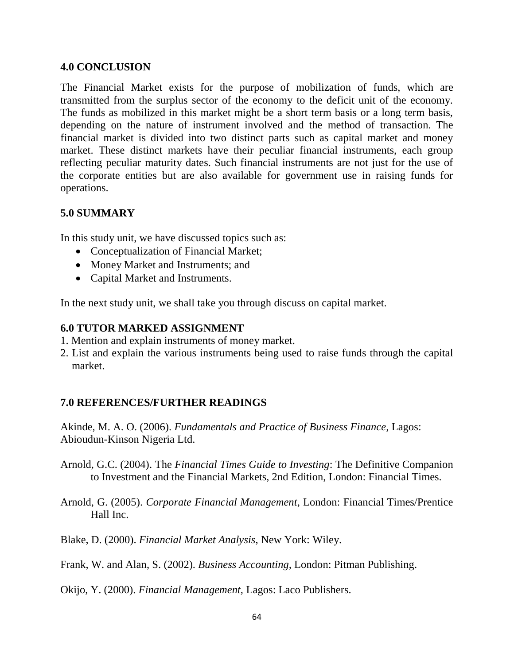#### **4.0 CONCLUSION**

The Financial Market exists for the purpose of mobilization of funds, which are transmitted from the surplus sector of the economy to the deficit unit of the economy. The funds as mobilized in this market might be a short term basis or a long term basis, depending on the nature of instrument involved and the method of transaction. The financial market is divided into two distinct parts such as capital market and money market. These distinct markets have their peculiar financial instruments, each group reflecting peculiar maturity dates. Such financial instruments are not just for the use of the corporate entities but are also available for government use in raising funds for operations.

## **5.0 SUMMARY**

In this study unit, we have discussed topics such as:

- Conceptualization of Financial Market;
- Money Market and Instruments; and
- Capital Market and Instruments.

In the next study unit, we shall take you through discuss on capital market.

## **6.0 TUTOR MARKED ASSIGNMENT**

- 1. Mention and explain instruments of money market.
- 2. List and explain the various instruments being used to raise funds through the capital market.

## **7.0 REFERENCES/FURTHER READINGS**

Akinde, M. A. O. (2006). *Fundamentals and Practice of Business Finance,* Lagos: Abioudun-Kinson Nigeria Ltd.

- Arnold, G.C. (2004). The *Financial Times Guide to Investing*: The Definitive Companion to Investment and the Financial Markets, 2nd Edition, London: Financial Times.
- Arnold, G. (2005). *Corporate Financial Management*, London: Financial Times/Prentice Hall Inc.
- Blake, D. (2000). *Financial Market Analysis*, New York: Wiley.
- Frank, W. and Alan, S. (2002). *Business Accounting,* London: Pitman Publishing.

Okijo, Y. (2000). *Financial Management,* Lagos: Laco Publishers.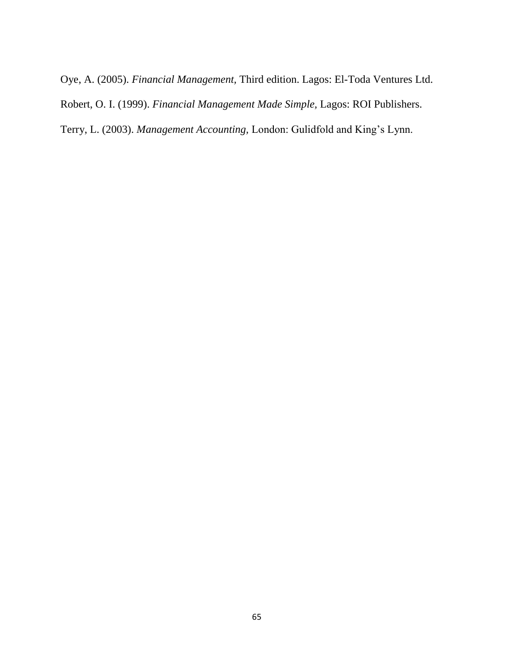Oye, A. (2005). *Financial Management,* Third edition. Lagos: El-Toda Ventures Ltd. Robert, O. I. (1999). *Financial Management Made Simple,* Lagos: ROI Publishers. Terry, L. (2003). *Management Accounting,* London: Gulidfold and King's Lynn.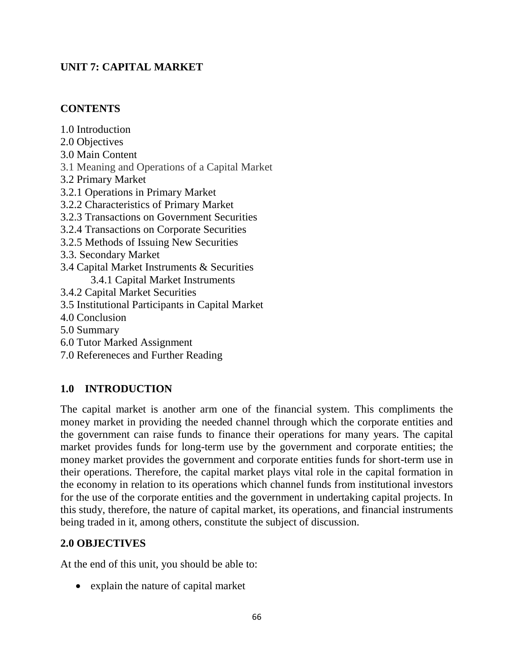# **UNIT 7: CAPITAL MARKET**

# **CONTENTS**

1.0 Introduction

- 2.0 Objectives
- 3.0 Main Content
- 3.1 Meaning and Operations of a Capital Market
- 3.2 Primary Market
- 3.2.1 Operations in Primary Market
- 3.2.2 Characteristics of Primary Market
- 3.2.3 Transactions on Government Securities
- 3.2.4 Transactions on Corporate Securities
- 3.2.5 Methods of Issuing New Securities
- 3.3. Secondary Market
- 3.4 Capital Market Instruments & Securities

3.4.1 Capital Market Instruments

- 3.4.2 Capital Market Securities
- 3.5 Institutional Participants in Capital Market
- 4.0 Conclusion
- 5.0 Summary
- 6.0 Tutor Marked Assignment
- 7.0 Refereneces and Further Reading

# **1.0 INTRODUCTION**

The capital market is another arm one of the financial system. This compliments the money market in providing the needed channel through which the corporate entities and the government can raise funds to finance their operations for many years. The capital market provides funds for long-term use by the government and corporate entities; the money market provides the government and corporate entities funds for short-term use in their operations. Therefore, the capital market plays vital role in the capital formation in the economy in relation to its operations which channel funds from institutional investors for the use of the corporate entities and the government in undertaking capital projects. In this study, therefore, the nature of capital market, its operations, and financial instruments being traded in it, among others, constitute the subject of discussion.

# **2.0 OBJECTIVES**

At the end of this unit, you should be able to:

• explain the nature of capital market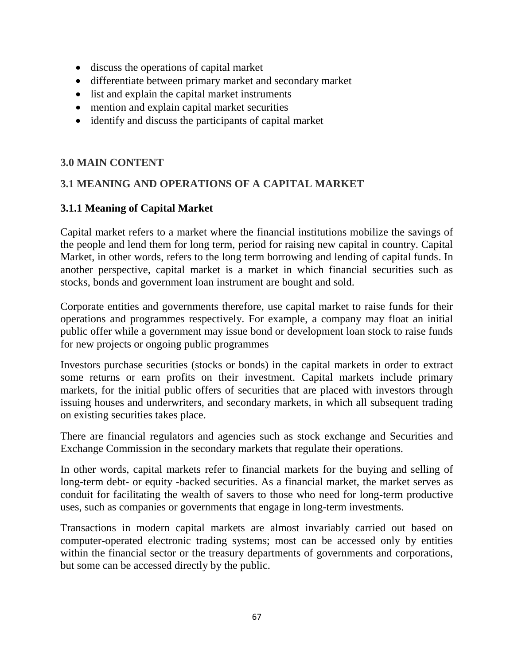- discuss the operations of capital market
- differentiate between primary market and secondary market
- list and explain the capital market instruments
- mention and explain capital market securities
- identify and discuss the participants of capital market

# **3.0 MAIN CONTENT**

# **3.1 MEANING AND OPERATIONS OF A CAPITAL MARKET**

# **3.1.1 Meaning of Capital Market**

Capital market refers to a market where the financial institutions mobilize the savings of the people and lend them for long term, period for raising new capital in country. Capital Market, in other words, refers to the long term borrowing and lending of capital funds. In another perspective, capital market is a market in which financial securities such as stocks, bonds and government loan instrument are bought and sold.

Corporate entities and governments therefore, use capital market to raise funds for their operations and programmes respectively. For example, a company may float an initial public offer while a government may issue bond or development loan stock to raise funds for new projects or ongoing public programmes

Investors purchase securities (stocks or bonds) in the capital markets in order to extract some returns or earn profits on their investment. Capital markets include primary markets, for the initial public offers of securities that are placed with investors through issuing houses and underwriters, and secondary markets, in which all subsequent trading on existing securities takes place.

There are financial regulators and agencies such as stock exchange and Securities and Exchange Commission in the secondary markets that regulate their operations.

In other words, capital markets refer to financial markets for the buying and selling of long-term debt- or equity -backed securities. As a financial market, the market serves as conduit for facilitating the wealth of savers to those who need for long-term productive uses, such as companies or governments that engage in long-term investments.

Transactions in modern capital markets are almost invariably carried out based on computer-operated electronic trading systems; most can be accessed only by entities within the financial sector or the treasury departments of governments and corporations, but some can be accessed directly by the public.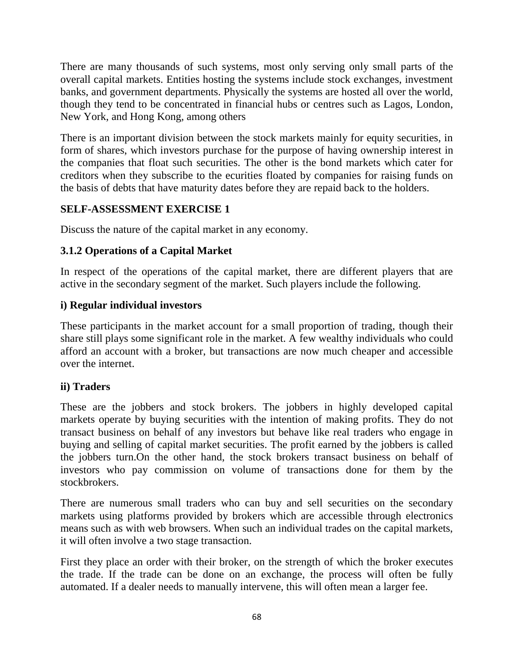There are many thousands of such systems, most only serving only small parts of the overall capital markets. Entities hosting the systems include stock exchanges, investment banks, and government departments. Physically the systems are hosted all over the world, though they tend to be concentrated in financial hubs or centres such as Lagos, London, New York, and Hong Kong, among others

There is an important division between the stock markets mainly for equity securities, in form of shares, which investors purchase for the purpose of having ownership interest in the companies that float such securities. The other is the bond markets which cater for creditors when they subscribe to the ecurities floated by companies for raising funds on the basis of debts that have maturity dates before they are repaid back to the holders.

# **SELF-ASSESSMENT EXERCISE 1**

Discuss the nature of the capital market in any economy.

# **3.1.2 Operations of a Capital Market**

In respect of the operations of the capital market, there are different players that are active in the secondary segment of the market. Such players include the following.

# **i) Regular individual investors**

These participants in the market account for a small proportion of trading, though their share still plays some significant role in the market. A few wealthy individuals who could afford an account with a broker, but transactions are now much cheaper and accessible over the internet.

# **ii) Traders**

These are the jobbers and stock brokers. The jobbers in highly developed capital markets operate by buying securities with the intention of making profits. They do not transact business on behalf of any investors but behave like real traders who engage in buying and selling of capital market securities. The profit earned by the jobbers is called the jobbers turn.On the other hand, the stock brokers transact business on behalf of investors who pay commission on volume of transactions done for them by the stockbrokers.

There are numerous small traders who can buy and sell securities on the secondary markets using platforms provided by brokers which are accessible through electronics means such as with web browsers. When such an individual trades on the capital markets, it will often involve a two stage transaction.

First they place an order with their broker, on the strength of which the broker executes the trade. If the trade can be done on an exchange, the process will often be fully automated. If a dealer needs to manually intervene, this will often mean a larger fee.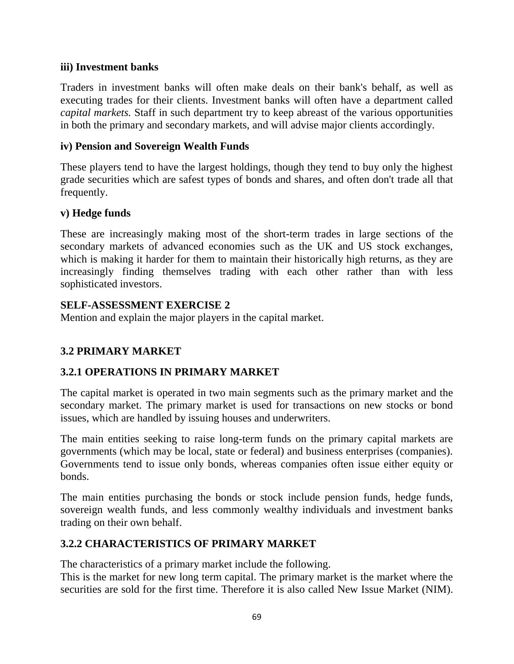## **iii) Investment banks**

Traders in investment banks will often make deals on their bank's behalf, as well as executing trades for their clients. Investment banks will often have a department called *capital markets.* Staff in such department try to keep abreast of the various opportunities in both the primary and secondary markets, and will advise major clients accordingly.

## **iv) Pension and Sovereign Wealth Funds**

These players tend to have the largest holdings, though they tend to buy only the highest grade securities which are safest types of bonds and shares, and often don't trade all that frequently.

## **v) Hedge funds**

These are increasingly making most of the short-term trades in large sections of the secondary markets of advanced economies such as the UK and US stock exchanges, which is making it harder for them to maintain their historically high returns, as they are increasingly finding themselves trading with each other rather than with less sophisticated investors.

# **SELF-ASSESSMENT EXERCISE 2**

Mention and explain the major players in the capital market.

# **3.2 PRIMARY MARKET**

# **3.2.1 OPERATIONS IN PRIMARY MARKET**

The capital market is operated in two main segments such as the primary market and the secondary market. The primary market is used for transactions on new stocks or bond issues, which are handled by issuing houses and underwriters.

The main entities seeking to raise long-term funds on the primary capital markets are governments (which may be local, state or federal) and business enterprises (companies). Governments tend to issue only bonds, whereas companies often issue either equity or bonds.

The main entities purchasing the bonds or stock include pension funds, hedge funds, sovereign wealth funds, and less commonly wealthy individuals and investment banks trading on their own behalf.

# **3.2.2 CHARACTERISTICS OF PRIMARY MARKET**

The characteristics of a primary market include the following.

This is the market for new long term capital. The primary market is the market where the securities are sold for the first time. Therefore it is also called New Issue Market (NIM).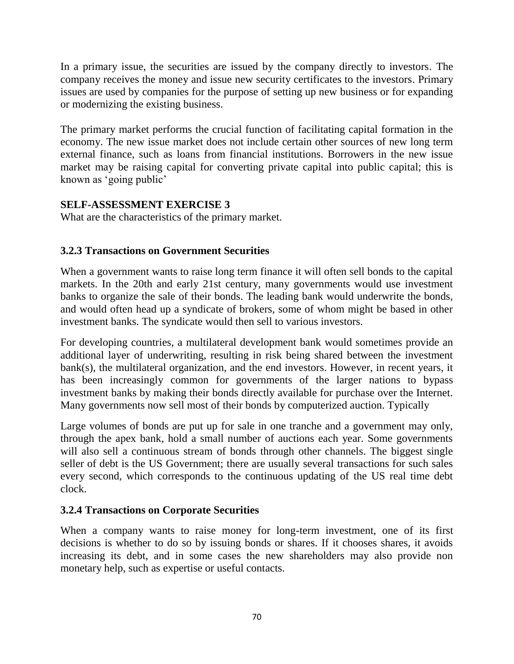In a primary issue, the securities are issued by the company directly to investors. The company receives the money and issue new security certificates to the investors. Primary issues are used by companies for the purpose of setting up new business or for expanding or modernizing the existing business.

The primary market performs the crucial function of facilitating capital formation in the economy. The new issue market does not include certain other sources of new long term external finance, such as loans from financial institutions. Borrowers in the new issue market may be raising capital for converting private capital into public capital; this is known as 'going public'

# **SELF-ASSESSMENT EXERCISE 3**

What are the characteristics of the primary market.

# **3.2.3 Transactions on Government Securities**

When a government wants to raise long term finance it will often sell bonds to the capital markets. In the 20th and early 21st century, many governments would use investment banks to organize the sale of their bonds. The leading bank would underwrite the bonds, and would often head up a syndicate of brokers, some of whom might be based in other investment banks. The syndicate would then sell to various investors.

For developing countries, a multilateral development bank would sometimes provide an additional layer of underwriting, resulting in risk being shared between the investment bank(s), the multilateral organization, and the end investors. However, in recent years, it has been increasingly common for governments of the larger nations to bypass investment banks by making their bonds directly available for purchase over the Internet. Many governments now sell most of their bonds by computerized auction. Typically

Large volumes of bonds are put up for sale in one tranche and a government may only, through the apex bank, hold a small number of auctions each year. Some governments will also sell a continuous stream of bonds through other channels. The biggest single seller of debt is the US Government; there are usually several transactions for such sales every second, which corresponds to the continuous updating of the US real time debt clock.

# **3.2.4 Transactions on Corporate Securities**

When a company wants to raise money for long-term investment, one of its first decisions is whether to do so by issuing bonds or shares. If it chooses shares, it avoids increasing its debt, and in some cases the new shareholders may also provide non monetary help, such as expertise or useful contacts.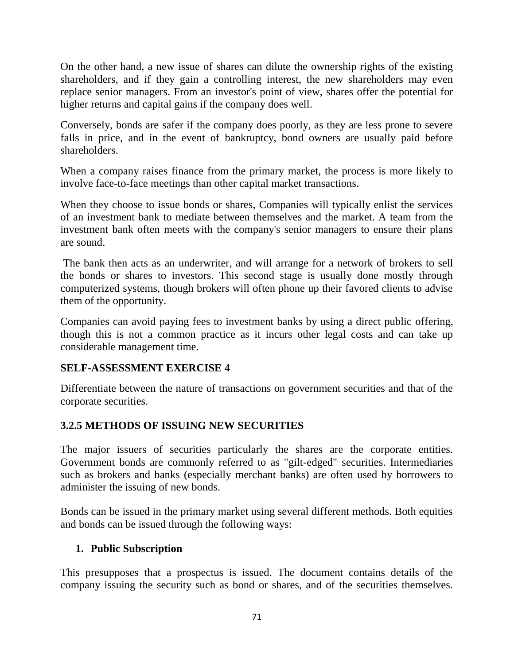On the other hand, a new issue of shares can dilute the ownership rights of the existing shareholders, and if they gain a controlling interest, the new shareholders may even replace senior managers. From an investor's point of view, shares offer the potential for higher returns and capital gains if the company does well.

Conversely, bonds are safer if the company does poorly, as they are less prone to severe falls in price, and in the event of bankruptcy, bond owners are usually paid before shareholders.

When a company raises finance from the primary market, the process is more likely to involve face-to-face meetings than other capital market transactions.

When they choose to issue bonds or shares, Companies will typically enlist the services of an investment bank to mediate between themselves and the market. A team from the investment bank often meets with the company's senior managers to ensure their plans are sound.

The bank then acts as an underwriter, and will arrange for a network of brokers to sell the bonds or shares to investors. This second stage is usually done mostly through computerized systems, though brokers will often phone up their favored clients to advise them of the opportunity.

Companies can avoid paying fees to investment banks by using a direct public offering, though this is not a common practice as it incurs other legal costs and can take up considerable management time.

## **SELF-ASSESSMENT EXERCISE 4**

Differentiate between the nature of transactions on government securities and that of the corporate securities.

# **3.2.5 METHODS OF ISSUING NEW SECURITIES**

The major issuers of securities particularly the shares are the corporate entities. Government bonds are commonly referred to as "gilt-edged" securities. Intermediaries such as brokers and banks (especially merchant banks) are often used by borrowers to administer the issuing of new bonds.

Bonds can be issued in the primary market using several different methods. Both equities and bonds can be issued through the following ways:

# **1. Public Subscription**

This presupposes that a prospectus is issued. The document contains details of the company issuing the security such as bond or shares, and of the securities themselves.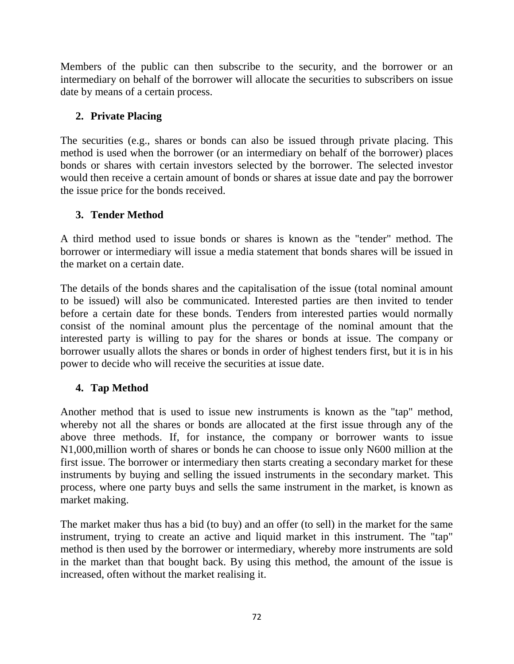Members of the public can then subscribe to the security, and the borrower or an intermediary on behalf of the borrower will allocate the securities to subscribers on issue date by means of a certain process.

# **2. Private Placing**

The securities (e.g., shares or bonds can also be issued through private placing. This method is used when the borrower (or an intermediary on behalf of the borrower) places bonds or shares with certain investors selected by the borrower. The selected investor would then receive a certain amount of bonds or shares at issue date and pay the borrower the issue price for the bonds received.

# **3. Tender Method**

A third method used to issue bonds or shares is known as the "tender" method. The borrower or intermediary will issue a media statement that bonds shares will be issued in the market on a certain date.

The details of the bonds shares and the capitalisation of the issue (total nominal amount to be issued) will also be communicated. Interested parties are then invited to tender before a certain date for these bonds. Tenders from interested parties would normally consist of the nominal amount plus the percentage of the nominal amount that the interested party is willing to pay for the shares or bonds at issue. The company or borrower usually allots the shares or bonds in order of highest tenders first, but it is in his power to decide who will receive the securities at issue date.

# **4. Tap Method**

Another method that is used to issue new instruments is known as the "tap" method, whereby not all the shares or bonds are allocated at the first issue through any of the above three methods. If, for instance, the company or borrower wants to issue N1,000,million worth of shares or bonds he can choose to issue only N600 million at the first issue. The borrower or intermediary then starts creating a secondary market for these instruments by buying and selling the issued instruments in the secondary market. This process, where one party buys and sells the same instrument in the market, is known as market making.

The market maker thus has a bid (to buy) and an offer (to sell) in the market for the same instrument, trying to create an active and liquid market in this instrument. The "tap" method is then used by the borrower or intermediary, whereby more instruments are sold in the market than that bought back. By using this method, the amount of the issue is increased, often without the market realising it.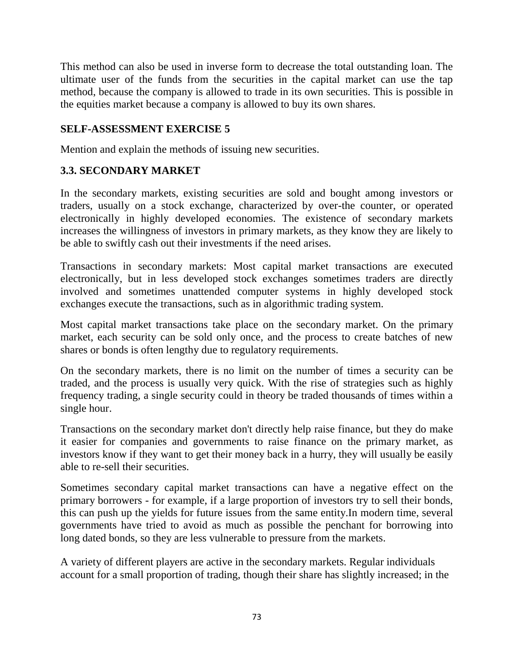This method can also be used in inverse form to decrease the total outstanding loan. The ultimate user of the funds from the securities in the capital market can use the tap method, because the company is allowed to trade in its own securities. This is possible in the equities market because a company is allowed to buy its own shares.

### **SELF-ASSESSMENT EXERCISE 5**

Mention and explain the methods of issuing new securities.

### **3.3. SECONDARY MARKET**

In the secondary markets, existing securities are sold and bought among investors or traders, usually on a stock exchange, characterized by over-the counter, or operated electronically in highly developed economies. The existence of secondary markets increases the willingness of investors in primary markets, as they know they are likely to be able to swiftly cash out their investments if the need arises.

Transactions in secondary markets: Most capital market transactions are executed electronically, but in less developed stock exchanges sometimes traders are directly involved and sometimes unattended computer systems in highly developed stock exchanges execute the transactions, such as in algorithmic trading system.

Most capital market transactions take place on the secondary market. On the primary market, each security can be sold only once, and the process to create batches of new shares or bonds is often lengthy due to regulatory requirements.

On the secondary markets, there is no limit on the number of times a security can be traded, and the process is usually very quick. With the rise of strategies such as highly frequency trading, a single security could in theory be traded thousands of times within a single hour.

Transactions on the secondary market don't directly help raise finance, but they do make it easier for companies and governments to raise finance on the primary market, as investors know if they want to get their money back in a hurry, they will usually be easily able to re-sell their securities.

Sometimes secondary capital market transactions can have a negative effect on the primary borrowers - for example, if a large proportion of investors try to sell their bonds, this can push up the yields for future issues from the same entity.In modern time, several governments have tried to avoid as much as possible the penchant for borrowing into long dated bonds, so they are less vulnerable to pressure from the markets.

A variety of different players are active in the secondary markets. Regular individuals account for a small proportion of trading, though their share has slightly increased; in the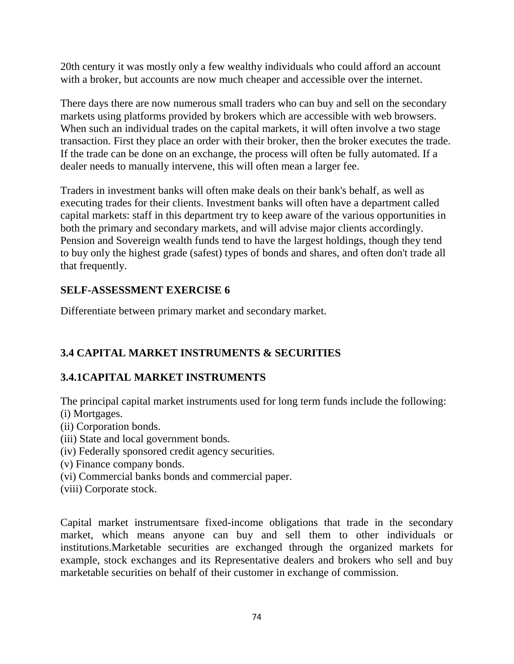20th century it was mostly only a few wealthy individuals who could afford an account with a broker, but accounts are now much cheaper and accessible over the internet.

There days there are now numerous small traders who can buy and sell on the secondary markets using platforms provided by brokers which are accessible with web browsers. When such an individual trades on the capital markets, it will often involve a two stage transaction. First they place an order with their broker, then the broker executes the trade. If the trade can be done on an exchange, the process will often be fully automated. If a dealer needs to manually intervene, this will often mean a larger fee.

Traders in investment banks will often make deals on their bank's behalf, as well as executing trades for their clients. Investment banks will often have a department called capital market*s*: staff in this department try to keep aware of the various opportunities in both the primary and secondary markets, and will advise major clients accordingly. Pension and Sovereign wealth funds tend to have the largest holdings, though they tend to buy only the highest grade (safest) types of bonds and shares, and often don't trade all that frequently.

### **SELF-ASSESSMENT EXERCISE 6**

Differentiate between primary market and secondary market.

# **3.4 CAPITAL MARKET INSTRUMENTS & SECURITIES**

# **3.4.1CAPITAL MARKET INSTRUMENTS**

The principal capital market instruments used for long term funds include the following: (i) Mortgages.

- (ii) Corporation bonds.
- (iii) State and local government bonds.
- (iv) Federally sponsored credit agency securities.
- (v) Finance company bonds.
- (vi) Commercial banks bonds and commercial paper.
- (viii) Corporate stock.

Capital market instrumentsare fixed-income obligations that trade in the secondary market, which means anyone can buy and sell them to other individuals or institutions.Marketable securities are exchanged through the organized markets for example, stock exchanges and its Representative dealers and brokers who sell and buy marketable securities on behalf of their customer in exchange of commission.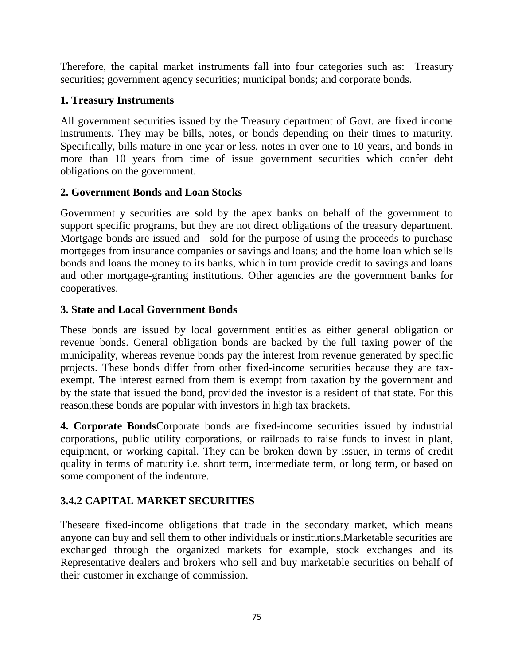Therefore, the capital market instruments fall into four categories such as: Treasury securities; government agency securities; municipal bonds; and corporate bonds.

## **1. Treasury Instruments**

All government securities issued by the Treasury department of Govt. are fixed income instruments. They may be bills, notes, or bonds depending on their times to maturity. Specifically, bills mature in one year or less, notes in over one to 10 years, and bonds in more than 10 years from time of issue government securities which confer debt obligations on the government.

## **2. Government Bonds and Loan Stocks**

Government y securities are sold by the apex banks on behalf of the government to support specific programs, but they are not direct obligations of the treasury department. Mortgage bonds are issued and sold for the purpose of using the proceeds to purchase mortgages from insurance companies or savings and loans; and the home loan which sells bonds and loans the money to its banks, which in turn provide credit to savings and loans and other mortgage-granting institutions. Other agencies are the government banks for cooperatives.

### **3. State and Local Government Bonds**

These bonds are issued by local government entities as either general obligation or revenue bonds. General obligation bonds are backed by the full taxing power of the municipality, whereas revenue bonds pay the interest from revenue generated by specific projects. These bonds differ from other fixed-income securities because they are taxexempt. The interest earned from them is exempt from taxation by the government and by the state that issued the bond, provided the investor is a resident of that state. For this reason,these bonds are popular with investors in high tax brackets.

**4. Corporate Bonds**Corporate bonds are fixed-income securities issued by industrial corporations, public utility corporations, or railroads to raise funds to invest in plant, equipment, or working capital. They can be broken down by issuer, in terms of credit quality in terms of maturity i.e. short term, intermediate term, or long term, or based on some component of the indenture.

## **3.4.2 CAPITAL MARKET SECURITIES**

Theseare fixed-income obligations that trade in the secondary market, which means anyone can buy and sell them to other individuals or institutions.Marketable securities are exchanged through the organized markets for example, stock exchanges and its Representative dealers and brokers who sell and buy marketable securities on behalf of their customer in exchange of commission.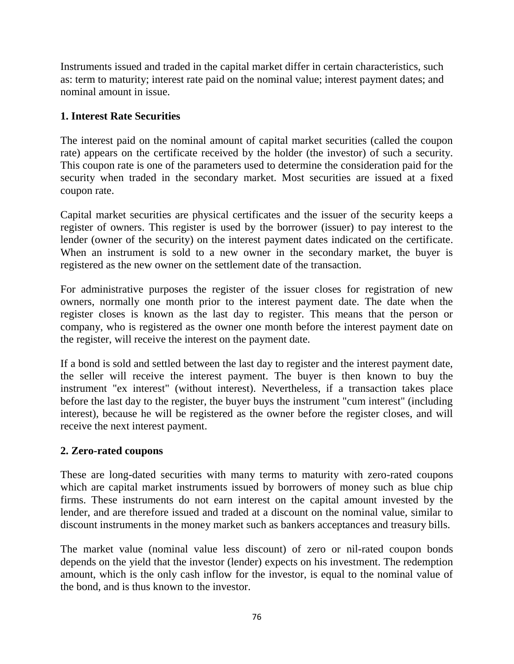Instruments issued and traded in the capital market differ in certain characteristics, such as: term to maturity; interest rate paid on the nominal value; interest payment dates; and nominal amount in issue.

### **1. Interest Rate Securities**

The interest paid on the nominal amount of capital market securities (called the coupon rate) appears on the certificate received by the holder (the investor) of such a security. This coupon rate is one of the parameters used to determine the consideration paid for the security when traded in the secondary market. Most securities are issued at a fixed coupon rate.

Capital market securities are physical certificates and the issuer of the security keeps a register of owners. This register is used by the borrower (issuer) to pay interest to the lender (owner of the security) on the interest payment dates indicated on the certificate. When an instrument is sold to a new owner in the secondary market, the buyer is registered as the new owner on the settlement date of the transaction.

For administrative purposes the register of the issuer closes for registration of new owners, normally one month prior to the interest payment date. The date when the register closes is known as the last day to register. This means that the person or company, who is registered as the owner one month before the interest payment date on the register, will receive the interest on the payment date.

If a bond is sold and settled between the last day to register and the interest payment date, the seller will receive the interest payment. The buyer is then known to buy the instrument "ex interest" (without interest). Nevertheless, if a transaction takes place before the last day to the register, the buyer buys the instrument "cum interest" (including interest), because he will be registered as the owner before the register closes, and will receive the next interest payment.

### **2. Zero-rated coupons**

These are long-dated securities with many terms to maturity with zero-rated coupons which are capital market instruments issued by borrowers of money such as blue chip firms. These instruments do not earn interest on the capital amount invested by the lender, and are therefore issued and traded at a discount on the nominal value, similar to discount instruments in the money market such as bankers acceptances and treasury bills.

The market value (nominal value less discount) of zero or nil-rated coupon bonds depends on the yield that the investor (lender) expects on his investment. The redemption amount, which is the only cash inflow for the investor, is equal to the nominal value of the bond, and is thus known to the investor.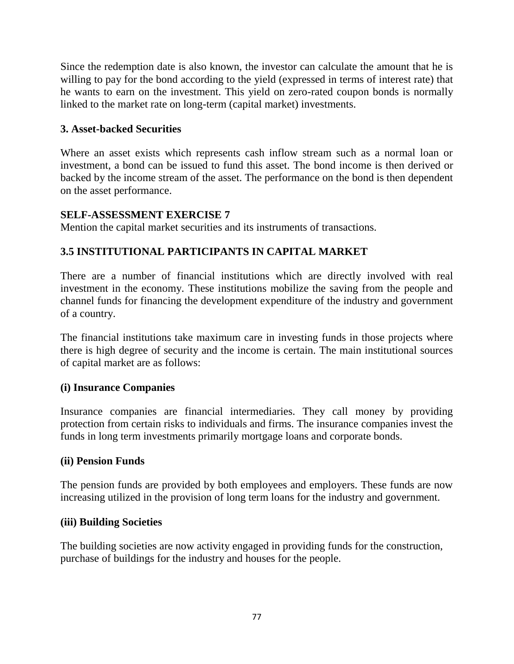Since the redemption date is also known, the investor can calculate the amount that he is willing to pay for the bond according to the yield (expressed in terms of interest rate) that he wants to earn on the investment. This yield on zero-rated coupon bonds is normally linked to the market rate on long-term (capital market) investments.

### **3. Asset-backed Securities**

Where an asset exists which represents cash inflow stream such as a normal loan or investment, a bond can be issued to fund this asset. The bond income is then derived or backed by the income stream of the asset. The performance on the bond is then dependent on the asset performance.

### **SELF-ASSESSMENT EXERCISE 7**

Mention the capital market securities and its instruments of transactions.

## **3.5 INSTITUTIONAL PARTICIPANTS IN CAPITAL MARKET**

There are a number of financial institutions which are directly involved with real investment in the economy. These institutions mobilize the saving from the people and channel funds for financing the development expenditure of the industry and government of a country.

The financial institutions take maximum care in investing funds in those projects where there is high degree of security and the income is certain. The main institutional sources of capital market are as follows:

### **(i) Insurance Companies**

Insurance companies are financial intermediaries. They call money by providing protection from certain risks to individuals and firms. The insurance companies invest the funds in long term investments primarily mortgage loans and corporate bonds.

### **(ii) Pension Funds**

The pension funds are provided by both employees and employers. These funds are now increasing utilized in the provision of long term loans for the industry and government.

### **(iii) Building Societies**

The building societies are now activity engaged in providing funds for the construction, purchase of buildings for the industry and houses for the people.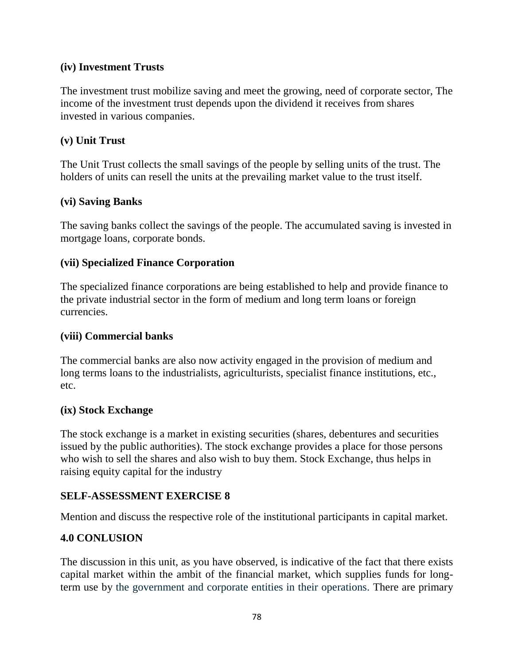### **(iv) Investment Trusts**

The investment trust mobilize saving and meet the growing, need of corporate sector, The income of the investment trust depends upon the dividend it receives from shares invested in various companies.

#### **(v) Unit Trust**

The Unit Trust collects the small savings of the people by selling units of the trust. The holders of units can resell the units at the prevailing market value to the trust itself.

### **(vi) Saving Banks**

The saving banks collect the savings of the people. The accumulated saving is invested in mortgage loans, corporate bonds.

### **(vii) Specialized Finance Corporation**

The specialized finance corporations are being established to help and provide finance to the private industrial sector in the form of medium and long term loans or foreign currencies.

#### **(viii) Commercial banks**

The commercial banks are also now activity engaged in the provision of medium and long terms loans to the industrialists, agriculturists, specialist finance institutions, etc., etc.

#### **(ix) Stock Exchange**

The stock exchange is a market in existing securities (shares, debentures and securities issued by the public authorities). The stock exchange provides a place for those persons who wish to sell the shares and also wish to buy them. Stock Exchange, thus helps in raising equity capital for the industry

### **SELF-ASSESSMENT EXERCISE 8**

Mention and discuss the respective role of the institutional participants in capital market.

### **4.0 CONLUSION**

The discussion in this unit, as you have observed, is indicative of the fact that there exists capital market within the ambit of the financial market, which supplies funds for longterm use by the government and corporate entities in their operations. There are primary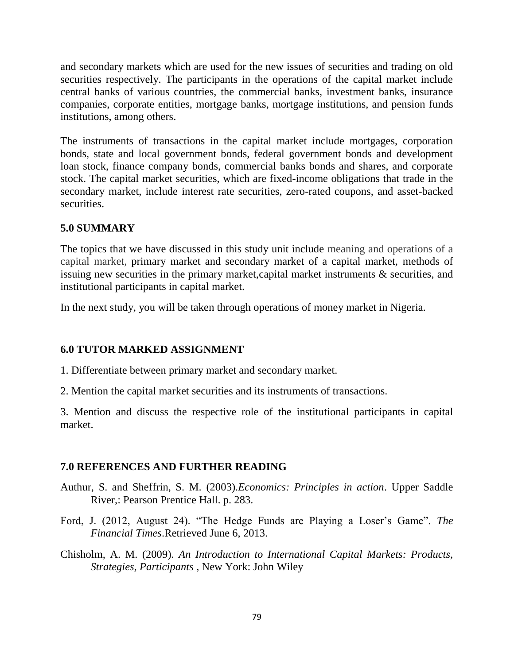and secondary markets which are used for the new issues of securities and trading on old securities respectively. The participants in the operations of the capital market include central banks of various countries, the commercial banks, investment banks, insurance companies, corporate entities, mortgage banks, mortgage institutions, and pension funds institutions, among others.

The instruments of transactions in the capital market include mortgages, corporation bonds, state and local government bonds, federal government bonds and development loan stock, finance company bonds, commercial banks bonds and shares, and corporate stock. The capital market securities, which are fixed-income obligations that trade in the secondary market, include interest rate securities, zero-rated coupons, and asset-backed securities.

#### **5.0 SUMMARY**

The topics that we have discussed in this study unit include meaning and operations of a capital market, primary market and secondary market of a capital market, methods of issuing new securities in the primary market,capital market instruments & securities, and institutional participants in capital market.

In the next study, you will be taken through operations of money market in Nigeria.

### **6.0 TUTOR MARKED ASSIGNMENT**

1. Differentiate between primary market and secondary market.

2. Mention the capital market securities and its instruments of transactions.

3. Mention and discuss the respective role of the institutional participants in capital market.

### **7.0 REFERENCES AND FURTHER READING**

- Authur, S. and Sheffrin, S. M. (2003).*Economics: Principles in action*. Upper Saddle River,: Pearson Prentice Hall. p. 283.
- Ford, J. (2012, August 24). "The Hedge Funds are Playing a Loser's Game". *The Financial Times*.Retrieved June 6, 2013.
- Chisholm, A. M. (2009). *An Introduction to International Capital Markets: Products, Strategies, Participants* , New York: John Wiley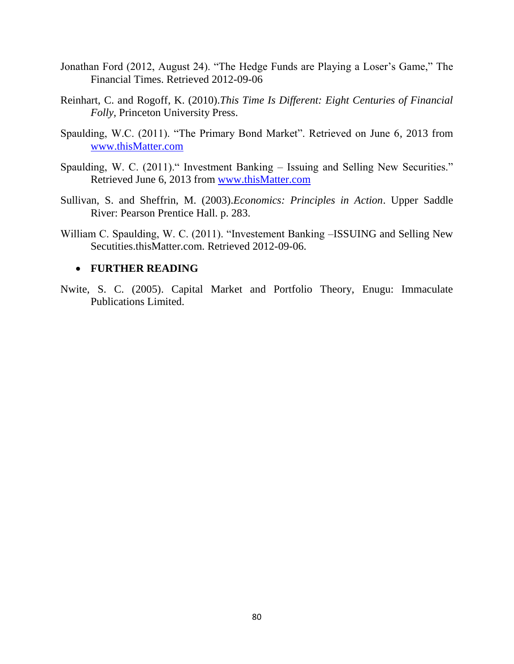- Jonathan Ford (2012, August 24). "The Hedge Funds are Playing a Loser's Game," The Financial Times. Retrieved 2012-09-06
- Reinhart, C. and Rogoff, K. (2010).*This Time Is Different: Eight Centuries of Financial Folly,* Princeton University Press.
- Spaulding, W.C. (2011). "The Primary Bond Market". Retrieved on June 6, 2013 from [www.thisMatter.com](http://www.thismatter.com/)
- Spaulding, W. C. (2011)." Investment Banking Issuing and Selling New Securities." Retrieved June 6, 2013 from [www.thisMatter.com](http://www.thismatter.com/)
- Sullivan, S. and Sheffrin, M. (2003).*Economics: Principles in Action*. Upper Saddle River: Pearson Prentice Hall. p. 283.
- William C. Spaulding, W. C. (2011). "Investement Banking –ISSUING and Selling New Secutities.thisMatter.com. Retrieved 2012-09-06.

#### **FURTHER READING**

Nwite, S. C. (2005). Capital Market and Portfolio Theory, Enugu: Immaculate Publications Limited.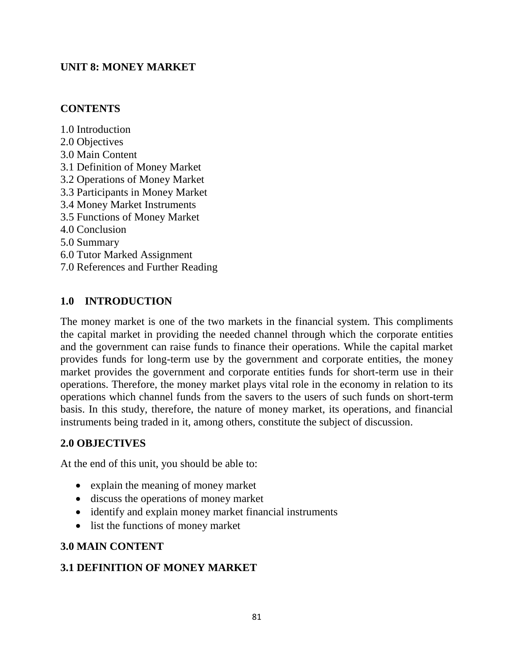### **UNIT 8: MONEY MARKET**

### **CONTENTS**

1.0 Introduction 2.0 Objectives 3.0 Main Content 3.1 Definition of Money Market 3.2 Operations of Money Market 3.3 Participants in Money Market 3.4 Money Market Instruments 3.5 Functions of Money Market 4.0 Conclusion 5.0 Summary 6.0 Tutor Marked Assignment 7.0 References and Further Reading

### **1.0 INTRODUCTION**

The money market is one of the two markets in the financial system. This compliments the capital market in providing the needed channel through which the corporate entities and the government can raise funds to finance their operations. While the capital market provides funds for long-term use by the government and corporate entities, the money market provides the government and corporate entities funds for short-term use in their operations. Therefore, the money market plays vital role in the economy in relation to its operations which channel funds from the savers to the users of such funds on short-term basis. In this study, therefore, the nature of money market, its operations, and financial instruments being traded in it, among others, constitute the subject of discussion.

### **2.0 OBJECTIVES**

At the end of this unit, you should be able to:

- explain the meaning of money market
- discuss the operations of money market
- identify and explain money market financial instruments
- list the functions of money market

### **3.0 MAIN CONTENT**

### **3.1 DEFINITION OF MONEY MARKET**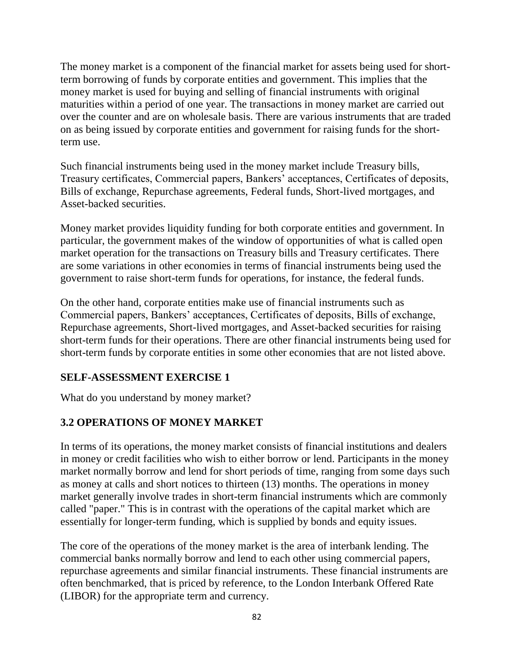The money market is a component of the financial market for assets being used for shortterm borrowing of funds by corporate entities and government. This implies that the money market is used for buying and selling of financial instruments with original maturities within a period of one year. The transactions in money market are carried out over the counter and are on wholesale basis. There are various instruments that are traded on as being issued by corporate entities and government for raising funds for the shortterm use.

Such financial instruments being used in the money market include Treasury bills, Treasury certificates, Commercial papers, Bankers' acceptances, Certificates of deposits, Bills of exchange, Repurchase agreements, Federal funds, Short-lived mortgages, and Asset-backed securities.

Money market provides liquidity funding for both corporate entities and government. In particular, the government makes of the window of opportunities of what is called open market operation for the transactions on Treasury bills and Treasury certificates. There are some variations in other economies in terms of financial instruments being used the government to raise short-term funds for operations, for instance, the federal funds.

On the other hand, corporate entities make use of financial instruments such as Commercial papers, Bankers' acceptances, Certificates of deposits, Bills of exchange, Repurchase agreements, Short-lived mortgages, and Asset-backed securities for raising short-term funds for their operations. There are other financial instruments being used for short-term funds by corporate entities in some other economies that are not listed above.

### **SELF-ASSESSMENT EXERCISE 1**

What do you understand by money market?

### **3.2 OPERATIONS OF MONEY MARKET**

In terms of its operations, the money market consists of financial institutions and dealers in money or credit facilities who wish to either borrow or lend. Participants in the money market normally borrow and lend for short periods of time, ranging from some days such as money at calls and short notices to thirteen (13) months. The operations in money market generally involve trades in short-term financial instruments which are commonly called "paper." This is in contrast with the operations of the capital market which are essentially for longer-term funding, which is supplied by bonds and equity issues.

The core of the operations of the money market is the area of interbank lending. The commercial banks normally borrow and lend to each other using commercial papers, repurchase agreements and similar financial instruments. These financial instruments are often benchmarked, that is priced by reference, to the London Interbank Offered Rate (LIBOR) for the appropriate term and currency.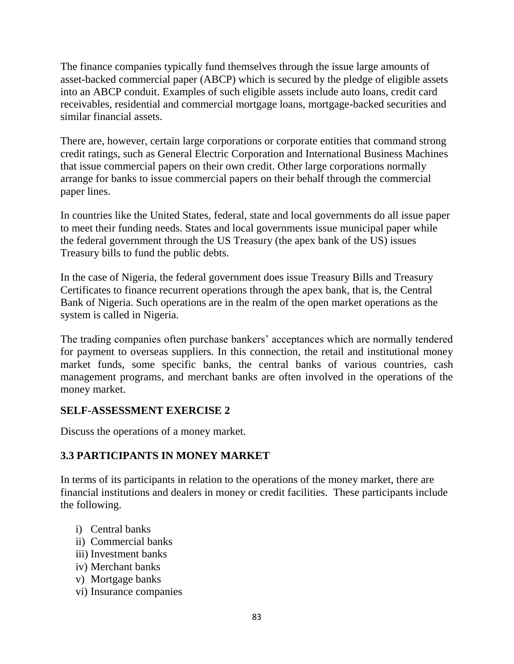The finance companies typically fund themselves through the issue large amounts of asset-backed commercial paper (ABCP) which is secured by the pledge of eligible assets into an ABCP conduit. Examples of such eligible assets include auto loans, credit card receivables, residential and commercial mortgage loans, mortgage-backed securities and similar financial assets.

There are, however, certain large corporations or corporate entities that command strong credit ratings, such as General Electric Corporation and International Business Machines that issue commercial papers on their own credit. Other large corporations normally arrange for banks to issue commercial papers on their behalf through the commercial paper lines.

In countries like the United States, federal, state and local governments do all issue paper to meet their funding needs. States and local governments issue municipal paper while the federal government through the US Treasury (the apex bank of the US) issues Treasury bills to fund the public debts.

In the case of Nigeria, the federal government does issue Treasury Bills and Treasury Certificates to finance recurrent operations through the apex bank, that is, the Central Bank of Nigeria. Such operations are in the realm of the open market operations as the system is called in Nigeria.

The trading companies often purchase bankers' acceptances which are normally tendered for payment to overseas suppliers. In this connection, the retail and institutional money market funds, some specific banks, the central banks of various countries, cash management programs, and merchant banks are often involved in the operations of the money market.

### **SELF-ASSESSMENT EXERCISE 2**

Discuss the operations of a money market.

## **3.3 PARTICIPANTS IN MONEY MARKET**

In terms of its participants in relation to the operations of the money market, there are financial institutions and dealers in money or credit facilities. These participants include the following.

- i) Central banks
- ii) Commercial banks
- iii) Investment banks
- iv) Merchant banks
- v) Mortgage banks
- vi) Insurance companies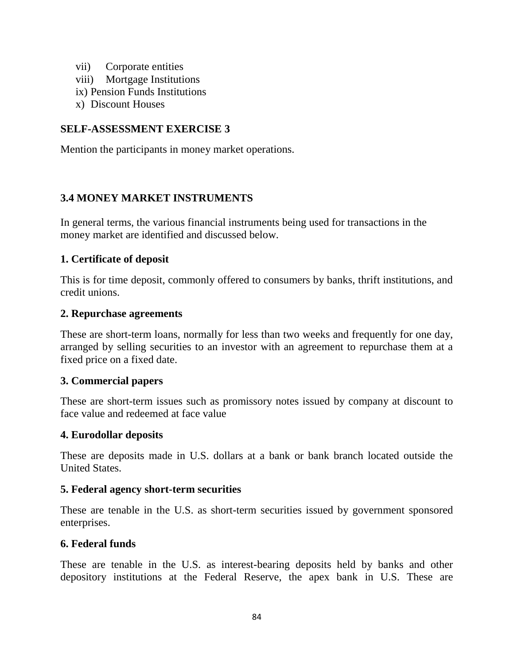- vii) Corporate entities
- viii) Mortgage Institutions
- ix) Pension Funds Institutions
- x) Discount Houses

### **SELF-ASSESSMENT EXERCISE 3**

Mention the participants in money market operations.

### **3.4 MONEY MARKET INSTRUMENTS**

In general terms, the various financial instruments being used for transactions in the money market are identified and discussed below.

#### **1. Certificate of deposit**

This is for time deposit, commonly offered to consumers by banks, thrift institutions, and credit unions.

#### **2. Repurchase agreements**

These are short-term loans, normally for less than two weeks and frequently for one day, arranged by selling securities to an investor with an agreement to repurchase them at a fixed price on a fixed date.

### **3. Commercial papers**

These are short-term issues such as promissory notes issued by company at discount to face value and redeemed at face value

#### **4. Eurodollar deposits**

These are deposits made in U.S. dollars at a bank or bank branch located outside the United States.

#### **5. Federal agency short-term securities**

These are tenable in the U.S. as short-term securities issued by government sponsored enterprises.

### **6. Federal funds**

These are tenable in the U.S. as interest-bearing deposits held by banks and other depository institutions at the Federal Reserve, the apex bank in U.S. These are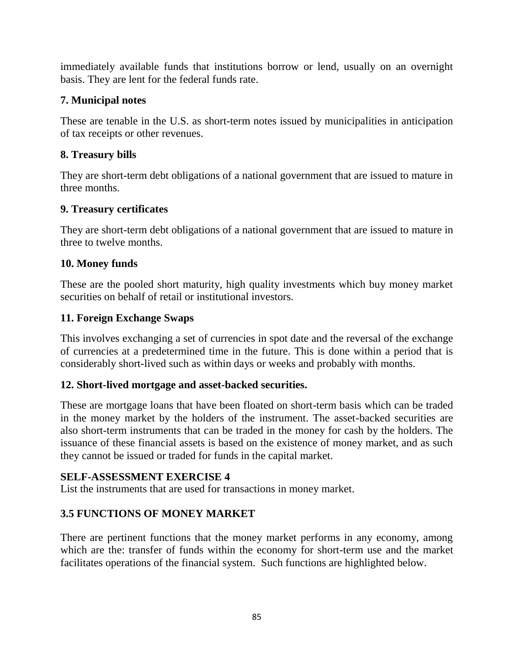immediately available funds that institutions borrow or lend, usually on an overnight basis. They are lent for the federal funds rate.

### **7. Municipal notes**

These are tenable in the U.S. as short-term notes issued by municipalities in anticipation of tax receipts or other revenues.

## **8. Treasury bills**

They are short-term debt obligations of a national government that are issued to mature in three months.

## **9. Treasury certificates**

They are short-term debt obligations of a national government that are issued to mature in three to twelve months.

### **10. Money funds**

These are the pooled short maturity, high quality investments which buy money market securities on behalf of retail or institutional investors.

### **11. Foreign Exchange Swaps**

This involves exchanging a set of currencies in spot date and the reversal of the exchange of currencies at a predetermined time in the future. This is done within a period that is considerably short-lived such as within days or weeks and probably with months.

### **12. Short-lived mortgage and asset-backed securities.**

These are mortgage loans that have been floated on short-term basis which can be traded in the money market by the holders of the instrument. The asset-backed securities are also short-term instruments that can be traded in the money for cash by the holders. The issuance of these financial assets is based on the existence of money market, and as such they cannot be issued or traded for funds in the capital market.

### **SELF-ASSESSMENT EXERCISE 4**

List the instruments that are used for transactions in money market.

### **3.5 FUNCTIONS OF MONEY MARKET**

There are pertinent functions that the money market performs in any economy, among which are the: transfer of funds within the economy for short-term use and the market facilitates operations of the financial system. Such functions are highlighted below.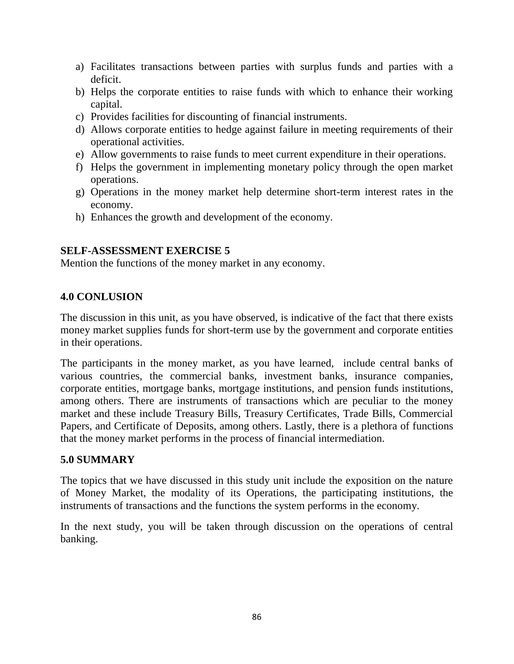- a) Facilitates transactions between parties with surplus funds and parties with a deficit.
- b) Helps the corporate entities to raise funds with which to enhance their working capital.
- c) Provides facilities for discounting of financial instruments.
- d) Allows corporate entities to hedge against failure in meeting requirements of their operational activities.
- e) Allow governments to raise funds to meet current expenditure in their operations.
- f) Helps the government in implementing monetary policy through the open market operations.
- g) Operations in the money market help determine short-term interest rates in the economy.
- h) Enhances the growth and development of the economy.

#### **SELF-ASSESSMENT EXERCISE 5**

Mention the functions of the money market in any economy.

#### **4.0 CONLUSION**

The discussion in this unit, as you have observed, is indicative of the fact that there exists money market supplies funds for short-term use by the government and corporate entities in their operations.

The participants in the money market, as you have learned, include central banks of various countries, the commercial banks, investment banks, insurance companies, corporate entities, mortgage banks, mortgage institutions, and pension funds institutions, among others. There are instruments of transactions which are peculiar to the money market and these include Treasury Bills, Treasury Certificates, Trade Bills, Commercial Papers, and Certificate of Deposits, among others. Lastly, there is a plethora of functions that the money market performs in the process of financial intermediation.

#### **5.0 SUMMARY**

The topics that we have discussed in this study unit include the exposition on the nature of Money Market, the modality of its Operations, the participating institutions, the instruments of transactions and the functions the system performs in the economy.

In the next study, you will be taken through discussion on the operations of central banking.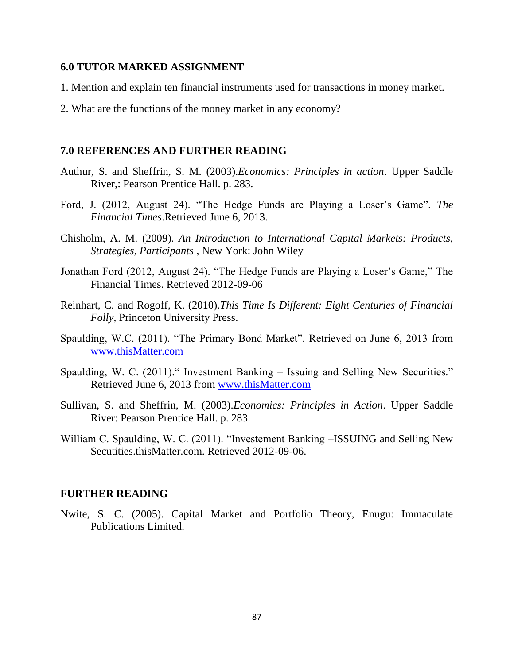#### **6.0 TUTOR MARKED ASSIGNMENT**

- 1. Mention and explain ten financial instruments used for transactions in money market.
- 2. What are the functions of the money market in any economy?

#### **7.0 REFERENCES AND FURTHER READING**

- Authur, S. and Sheffrin, S. M. (2003).*Economics: Principles in action*. Upper Saddle River,: Pearson Prentice Hall. p. 283.
- Ford, J. (2012, August 24). "The Hedge Funds are Playing a Loser's Game". *The Financial Times*.Retrieved June 6, 2013.
- Chisholm, A. M. (2009). *An Introduction to International Capital Markets: Products, Strategies, Participants* , New York: John Wiley
- Jonathan Ford (2012, August 24). "The Hedge Funds are Playing a Loser's Game," The Financial Times. Retrieved 2012-09-06
- Reinhart, C. and Rogoff, K. (2010).*This Time Is Different: Eight Centuries of Financial Folly,* Princeton University Press.
- Spaulding, W.C. (2011). "The Primary Bond Market". Retrieved on June 6, 2013 from [www.thisMatter.com](http://www.thismatter.com/)
- Spaulding, W. C. (2011)." Investment Banking Issuing and Selling New Securities." Retrieved June 6, 2013 from [www.thisMatter.com](http://www.thismatter.com/)
- Sullivan, S. and Sheffrin, M. (2003).*Economics: Principles in Action*. Upper Saddle River: Pearson Prentice Hall. p. 283.
- William C. Spaulding, W. C. (2011). "Investement Banking –ISSUING and Selling New Secutities.thisMatter.com. Retrieved 2012-09-06.

#### **FURTHER READING**

Nwite, S. C. (2005). Capital Market and Portfolio Theory, Enugu: Immaculate Publications Limited.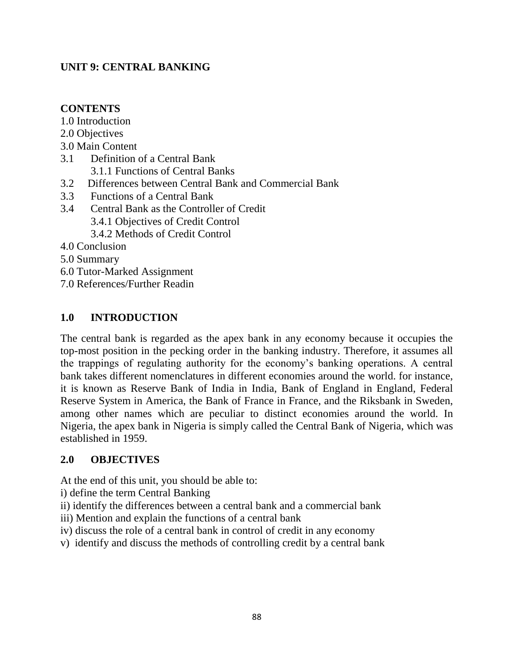### **UNIT 9: CENTRAL BANKING**

### **CONTENTS**

1.0 Introduction

- 2.0 Objectives
- 3.0 Main Content
- 3.1 Definition of a Central Bank
	- 3.1.1 Functions of Central Banks
- 3.2 Differences between Central Bank and Commercial Bank
- 3.3 Functions of a Central Bank
- 3.4 Central Bank as the Controller of Credit 3.4.1 Objectives of Credit Control

3.4.2 Methods of Credit Control

- 4.0 Conclusion
- 5.0 Summary
- 6.0 Tutor-Marked Assignment
- 7.0 References/Further Readin

### **1.0 INTRODUCTION**

The central bank is regarded as the apex bank in any economy because it occupies the top-most position in the pecking order in the banking industry. Therefore, it assumes all the trappings of regulating authority for the economy's banking operations. A central bank takes different nomenclatures in different economies around the world. for instance, it is known as Reserve Bank of India in India, Bank of England in England, Federal Reserve System in America, the Bank of France in France, and the Riksbank in Sweden, among other names which are peculiar to distinct economies around the world. In Nigeria, the apex bank in Nigeria is simply called the Central Bank of Nigeria, which was established in 1959.

### **2.0 OBJECTIVES**

At the end of this unit, you should be able to:

- i) define the term Central Banking
- ii) identify the differences between a central bank and a commercial bank
- iii) Mention and explain the functions of a central bank
- iv) discuss the role of a central bank in control of credit in any economy
- v) identify and discuss the methods of controlling credit by a central bank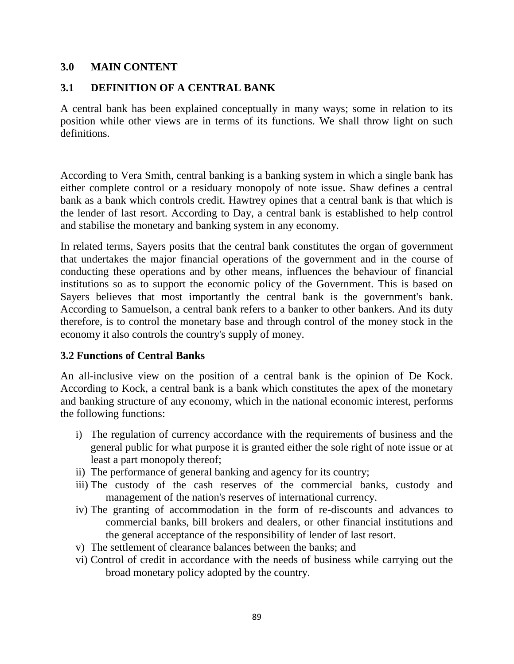#### **3.0 MAIN CONTENT**

### **3.1 DEFINITION OF A CENTRAL BANK**

A central bank has been explained conceptually in many ways; some in relation to its position while other views are in terms of its functions. We shall throw light on such definitions.

According to Vera Smith, central banking is a banking system in which a single bank has either complete control or a residuary monopoly of note issue. Shaw defines a central bank as a bank which controls credit. Hawtrey opines that a central bank is that which is the lender of last resort. According to Day, a central bank is established to help control and stabilise the monetary and banking system in any economy.

In related terms, Sayers posits that the central bank constitutes the organ of government that undertakes the major financial operations of the government and in the course of conducting these operations and by other means, influences the behaviour of financial institutions so as to support the economic policy of the Government. This is based on Sayers believes that most importantly the central bank is the government's bank. According to Samuelson, a central bank refers to a banker to other bankers. And its duty therefore, is to control the monetary base and through control of the money stock in the economy it also controls the country's supply of money.

#### **3.2 Functions of Central Banks**

An all-inclusive view on the position of a central bank is the opinion of De Kock. According to Kock, a central bank is a bank which constitutes the apex of the monetary and banking structure of any economy, which in the national economic interest, performs the following functions:

- i) The regulation of currency accordance with the requirements of business and the general public for what purpose it is granted either the sole right of note issue or at least a part monopoly thereof;
- ii) The performance of general banking and agency for its country;
- iii) The custody of the cash reserves of the commercial banks, custody and management of the nation's reserves of international currency.
- iv) The granting of accommodation in the form of re-discounts and advances to commercial banks, bill brokers and dealers, or other financial institutions and the general acceptance of the responsibility of lender of last resort.
- v) The settlement of clearance balances between the banks; and
- vi) Control of credit in accordance with the needs of business while carrying out the broad monetary policy adopted by the country.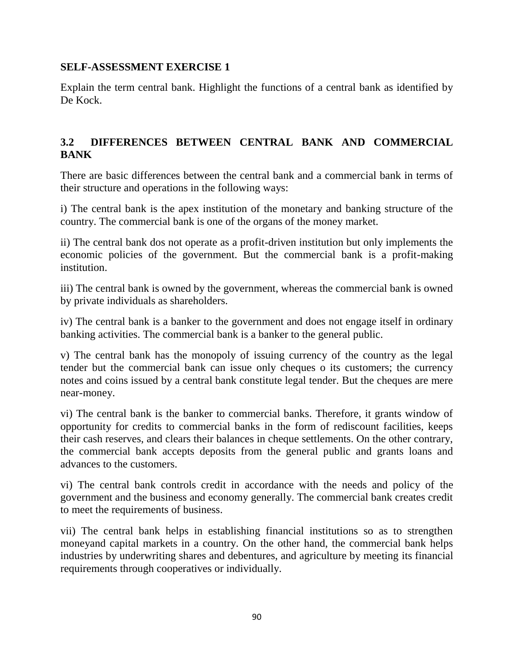### **SELF-ASSESSMENT EXERCISE 1**

Explain the term central bank. Highlight the functions of a central bank as identified by De Kock.

### **3.2 DIFFERENCES BETWEEN CENTRAL BANK AND COMMERCIAL BANK**

There are basic differences between the central bank and a commercial bank in terms of their structure and operations in the following ways:

i) The central bank is the apex institution of the monetary and banking structure of the country. The commercial bank is one of the organs of the money market.

ii) The central bank dos not operate as a profit-driven institution but only implements the economic policies of the government. But the commercial bank is a profit-making institution.

iii) The central bank is owned by the government, whereas the commercial bank is owned by private individuals as shareholders.

iv) The central bank is a banker to the government and does not engage itself in ordinary banking activities. The commercial bank is a banker to the general public.

v) The central bank has the monopoly of issuing currency of the country as the legal tender but the commercial bank can issue only cheques o its customers; the currency notes and coins issued by a central bank constitute legal tender. But the cheques are mere near-money.

vi) The central bank is the banker to commercial banks. Therefore, it grants window of opportunity for credits to commercial banks in the form of rediscount facilities, keeps their cash reserves, and clears their balances in cheque settlements. On the other contrary, the commercial bank accepts deposits from the general public and grants loans and advances to the customers.

vi) The central bank controls credit in accordance with the needs and policy of the government and the business and economy generally. The commercial bank creates credit to meet the requirements of business.

vii) The central bank helps in establishing financial institutions so as to strengthen moneyand capital markets in a country. On the other hand, the commercial bank helps industries by underwriting shares and debentures, and agriculture by meeting its financial requirements through cooperatives or individually.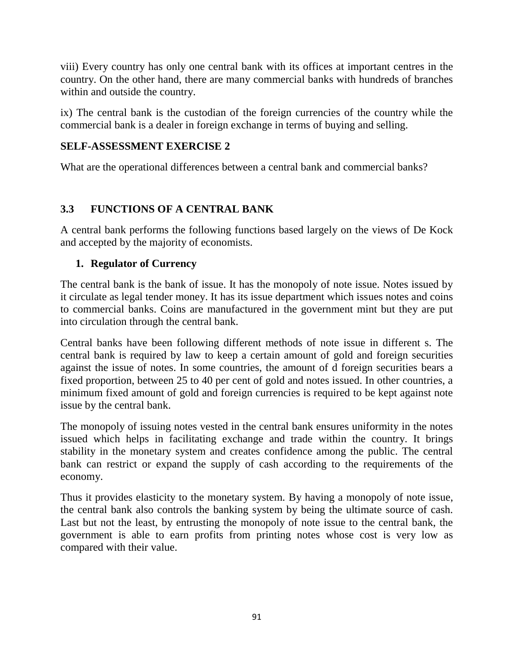viii) Every country has only one central bank with its offices at important centres in the country. On the other hand, there are many commercial banks with hundreds of branches within and outside the country.

ix) The central bank is the custodian of the foreign currencies of the country while the commercial bank is a dealer in foreign exchange in terms of buying and selling.

### **SELF-ASSESSMENT EXERCISE 2**

What are the operational differences between a central bank and commercial banks?

## **3.3 FUNCTIONS OF A CENTRAL BANK**

A central bank performs the following functions based largely on the views of De Kock and accepted by the majority of economists.

### **1. Regulator of Currency**

The central bank is the bank of issue. It has the monopoly of note issue. Notes issued by it circulate as legal tender money. It has its issue department which issues notes and coins to commercial banks. Coins are manufactured in the government mint but they are put into circulation through the central bank.

Central banks have been following different methods of note issue in different s. The central bank is required by law to keep a certain amount of gold and foreign securities against the issue of notes. In some countries, the amount of d foreign securities bears a fixed proportion, between 25 to 40 per cent of gold and notes issued. In other countries, a minimum fixed amount of gold and foreign currencies is required to be kept against note issue by the central bank.

The monopoly of issuing notes vested in the central bank ensures uniformity in the notes issued which helps in facilitating exchange and trade within the country. It brings stability in the monetary system and creates confidence among the public. The central bank can restrict or expand the supply of cash according to the requirements of the economy.

Thus it provides elasticity to the monetary system. By having a monopoly of note issue, the central bank also controls the banking system by being the ultimate source of cash. Last but not the least, by entrusting the monopoly of note issue to the central bank, the government is able to earn profits from printing notes whose cost is very low as compared with their value.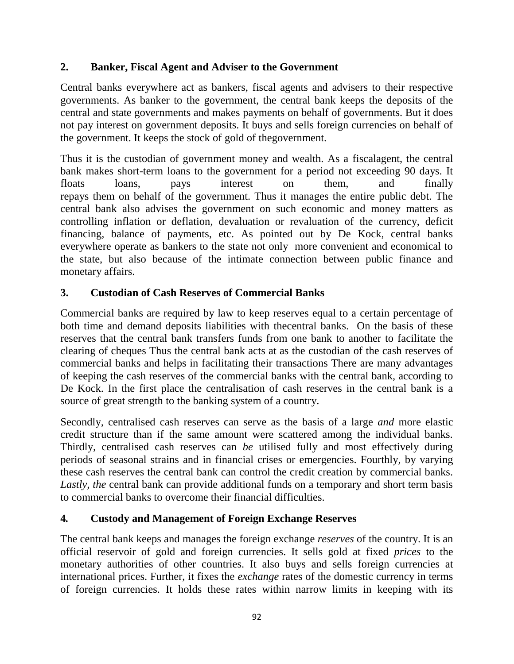### **2. Banker, Fiscal Agent and Adviser to the Government**

Central banks everywhere act as bankers, fiscal agents and advisers to their respective governments. As banker to the government, the central bank keeps the deposits of the central and state governments and makes payments on behalf of governments. But it does not pay interest on government deposits. It buys and sells foreign currencies on behalf of the government. It keeps the stock of gold of thegovernment.

Thus it is the custodian of government money and wealth. As a fiscalagent, the central bank makes short-term loans to the government for a period not exceeding 90 days. It floats loans, pays interest on them, and finally repays them on behalf of the government. Thus it manages the entire public debt. The central bank also advises the government on such economic and money matters as controlling inflation or deflation, devaluation or revaluation of the currency, deficit financing, balance of payments, etc. As pointed out by De Kock, central banks everywhere operate as bankers to the state not only more convenient and economical to the state, but also because of the intimate connection between public finance and monetary affairs.

### **3. Custodian of Cash Reserves of Commercial Banks**

Commercial banks are required by law to keep reserves equal to a certain percentage of both time and demand deposits liabilities with thecentral banks. On the basis of these reserves that the central bank transfers funds from one bank to another to facilitate the clearing of cheques Thus the central bank acts at as the custodian of the cash reserves of commercial banks and helps in facilitating their transactions There are many advantages of keeping the cash reserves of the commercial banks with the central bank, according to De Kock. In the first place the centralisation of cash reserves in the central bank is a source of great strength to the banking system of a country.

Secondly*,* centralised cash reserves can serve as the basis of a large *and* more elastic credit structure than if the same amount were scattered among the individual banks. Thirdly*,* centralised cash reserves can *be* utilised fully and most effectively during periods of seasonal strains and in financial crises or emergencies. Fourthly*,* by varying these cash reserves the central bank can control the credit creation by commercial banks. *Lastly, the* central bank can provide additional funds on a temporary and short term basis to commercial banks to overcome their financial difficulties.

### **4***.* **Custody and Management of Foreign Exchange Reserves**

The central bank keeps and manages the foreign exchange *reserves* of the country. It is an official reservoir of gold and foreign currencies. It sells gold at fixed *prices* to the monetary authorities of other countries. It also buys and sells foreign currencies at international prices. Further, it fixes the *exchange* rates of the domestic currency in terms of foreign currencies. It holds these rates within narrow limits in keeping with its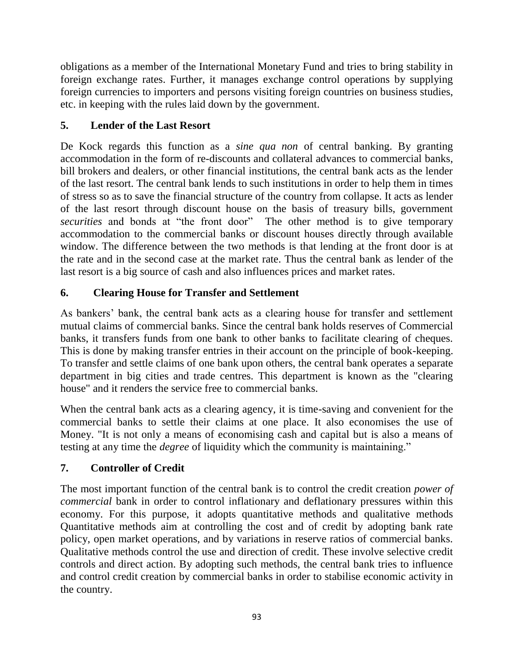obligations as a member of the International Monetary Fund and tries to bring stability in foreign exchange rates. Further, it manages exchange control operations by supplying foreign currencies to importers and persons visiting foreign countries on business studies, etc. in keeping with the rules laid down by the government.

## **5. Lender of the Last Resort**

De Kock regards this function as a *sine qua non* of central banking. By granting accommodation in the form of re-discounts and collateral advances to commercial banks, bill brokers and dealers, or other financial institutions, the central bank acts as the lender of the last resort. The central bank lends to such institutions in order to help them in times of stress so as to save the financial structure of the country from collapse. It acts as lender of the last resort through discount house on the basis of treasury bills, government *securities* and bonds at "the front door" The other method is to give temporary accommodation to the commercial banks or discount houses directly through available window. The difference between the two methods is that lending at the front door is at the rate and in the second case at the market rate. Thus the central bank as lender of the last resort is a big source of cash and also influences prices and market rates.

## **6. Clearing House for Transfer and Settlement**

As bankers' bank, the central bank acts as a clearing house for transfer and settlement mutual claims of commercial banks. Since the central bank holds reserves of Commercial banks, it transfers funds from one bank to other banks to facilitate clearing of cheques. This is done by making transfer entries in their account on the principle of book-keeping. To transfer and settle claims of one bank upon others, the central bank operates a separate department in big cities and trade centres. This department is known as the "clearing house" and it renders the service free to commercial banks.

When the central bank acts as a clearing agency, it is time-saving and convenient for the commercial banks to settle their claims at one place. It also economises the use of Money. "It is not only a means of economising cash and capital but is also a means of testing at any time the *degree* of liquidity which the community is maintaining."

## **7. Controller of Credit**

The most important function of the central bank is to control the credit creation *power of commercial* bank in order to control inflationary and deflationary pressures within this economy. For this purpose, it adopts quantitative methods and qualitative methods Quantitative methods aim at controlling the cost and of credit by adopting bank rate policy, open market operations, and by variations in reserve ratios of commercial banks. Qualitative methods control the use and direction of credit. These involve selective credit controls and direct action. By adopting such methods, the central bank tries to influence and control credit creation by commercial banks in order to stabilise economic activity in the country.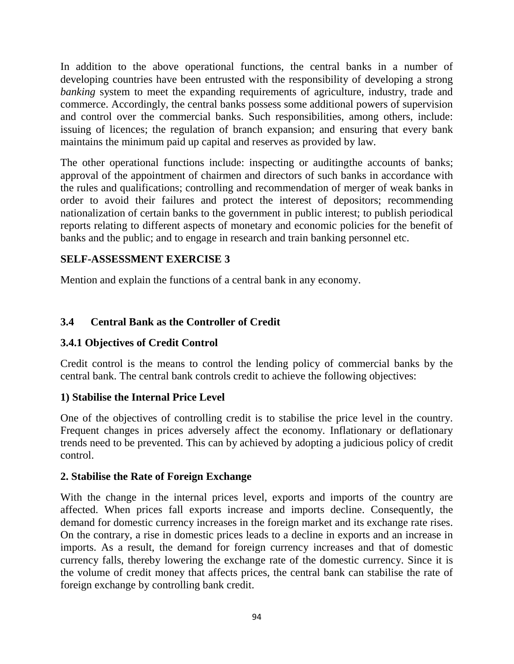In addition to the above operational functions, the central banks in a number of developing countries have been entrusted with the responsibility of developing a strong *banking* system to meet the expanding requirements of agriculture, industry, trade and commerce. Accordingly, the central banks possess some additional powers of supervision and control over the commercial banks. Such responsibilities, among others, include: issuing of licences; the regulation of branch expansion; and ensuring that every bank maintains the minimum paid up capital and reserves as provided by law.

The other operational functions include: inspecting or auditingthe accounts of banks; approval of the appointment of chairmen and directors of such banks in accordance with the rules and qualifications; controlling and recommendation of merger of weak banks in order to avoid their failures and protect the interest of depositors; recommending nationalization of certain banks to the government in public interest; to publish periodical reports relating to different aspects of monetary and economic policies for the benefit of banks and the public; and to engage in research and train banking personnel etc.

### **SELF-ASSESSMENT EXERCISE 3**

Mention and explain the functions of a central bank in any economy.

### **3.4 Central Bank as the Controller of Credit**

### **3.4.1 Objectives of Credit Control**

Credit control is the means to control the lending policy of commercial banks by the central bank. The central bank controls credit to achieve the following objectives:

### **1) Stabilise the Internal Price Level**

One of the objectives of controlling credit is to stabilise the price level in the country. Frequent changes in prices adversely affect the economy. Inflationary or deflationary trends need to be prevented. This can by achieved by adopting a judicious policy of credit control.

### **2. Stabilise the Rate of Foreign Exchange**

With the change in the internal prices level, exports and imports of the country are affected. When prices fall exports increase and imports decline. Consequently, the demand for domestic currency increases in the foreign market and its exchange rate rises. On the contrary, a rise in domestic prices leads to a decline in exports and an increase in imports. As a result, the demand for foreign currency increases and that of domestic currency falls, thereby lowering the exchange rate of the domestic currency. Since it is the volume of credit money that affects prices, the central bank can stabilise the rate of foreign exchange by controlling bank credit.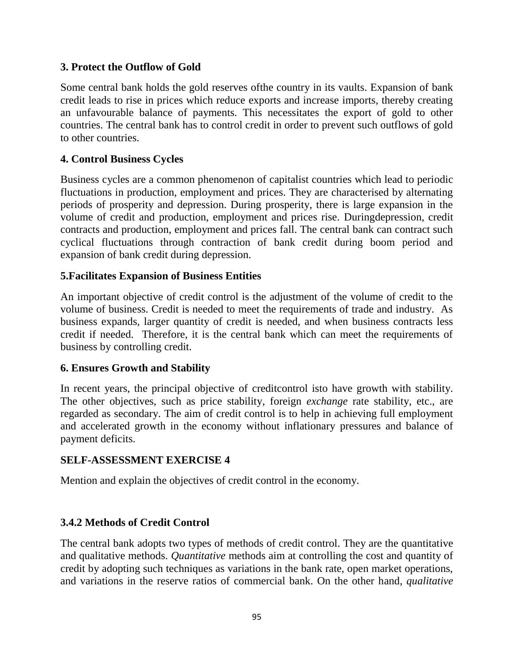### **3. Protect the Outflow of Gold**

Some central bank holds the gold reserves ofthe country in its vaults. Expansion of bank credit leads to rise in prices which reduce exports and increase imports, thereby creating an unfavourable balance of payments. This necessitates the export of gold to other countries. The central bank has to control credit in order to prevent such outflows of gold to other countries.

### **4. Control Business Cycles**

Business cycles are a common phenomenon of capitalist countries which lead to periodic fluctuations in production, employment and prices. They are characterised by alternating periods of prosperity and depression. During prosperity, there is large expansion in the volume of credit and production, employment and prices rise. Duringdepression, credit contracts and production, employment and prices fall. The central bank can contract such cyclical fluctuations through contraction of bank credit during boom period and expansion of bank credit during depression.

### **5.Facilitates Expansion of Business Entities**

An important objective of credit control is the adjustment of the volume of credit to the volume of business. Credit is needed to meet the requirements of trade and industry. As business expands, larger quantity of credit is needed, and when business contracts less credit if needed. Therefore, it is the central bank which can meet the requirements of business by controlling credit.

### **6. Ensures Growth and Stability**

In recent years, the principal objective of creditcontrol isto have growth with stability. The other objectives, such as price stability, foreign *exchange* rate stability, etc., are regarded as secondary. The aim of credit control is to help in achieving full employment and accelerated growth in the economy without inflationary pressures and balance of payment deficits.

### **SELF-ASSESSMENT EXERCISE 4**

Mention and explain the objectives of credit control in the economy.

### **3.4.2 Methods of Credit Control**

The central bank adopts two types of methods of credit control. They are the quantitative and qualitative methods. *Quantitative* methods aim at controlling the cost and quantity of credit by adopting such techniques as variations in the bank rate, open market operations, and variations in the reserve ratios of commercial bank. On the other hand, *qualitative*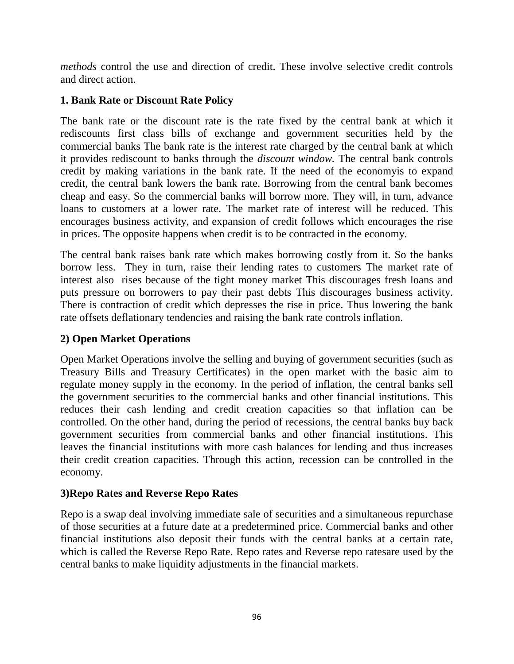*methods* control the use and direction of credit. These involve selective credit controls and direct action.

### **1. Bank Rate or Discount Rate Policy**

The bank rate or the discount rate is the rate fixed by the central bank at which it rediscounts first class bills of exchange and government securities held by the commercial banks The bank rate is the interest rate charged by the central bank at which it provides rediscount to banks through the *discount window.* The central bank controls credit by making variations in the bank rate. If the need of the economyis to expand credit, the central bank lowers the bank rate. Borrowing from the central bank becomes cheap and easy. So the commercial banks will borrow more. They will, in turn, advance loans to customers at a lower rate. The market rate of interest will be reduced. This encourages business activity, and expansion of credit follows which encourages the rise in prices. The opposite happens when credit is to be contracted in the economy.

The central bank raises bank rate which makes borrowing costly from it. So the banks borrow less. They in turn, raise their lending rates to customers The market rate of interest also rises because of the tight money market This discourages fresh loans and puts pressure on borrowers to pay their past debts This discourages business activity. There is contraction of credit which depresses the rise in price. Thus lowering the bank rate offsets deflationary tendencies and raising the bank rate controls inflation.

### **2) Open Market Operations**

Open Market Operations involve the selling and buying of government securities (such as Treasury Bills and Treasury Certificates) in the open market with the basic aim to regulate money supply in the economy. In the period of inflation, the central banks sell the government securities to the commercial banks and other financial institutions. This reduces their cash lending and credit creation capacities so that inflation can be controlled. On the other hand, during the period of recessions, the central banks buy back government securities from commercial banks and other financial institutions. This leaves the financial institutions with more cash balances for lending and thus increases their credit creation capacities. Through this action, recession can be controlled in the economy.

### **3)Repo Rates and Reverse Repo Rates**

Repo is a swap deal involving immediate sale of securities and a simultaneous repurchase of those securities at a future date at a predetermined price. Commercial banks and other financial institutions also deposit their funds with the central banks at a certain rate, which is called the Reverse Repo Rate. Repo rates and Reverse repo ratesare used by the central banks to make liquidity adjustments in the financial markets.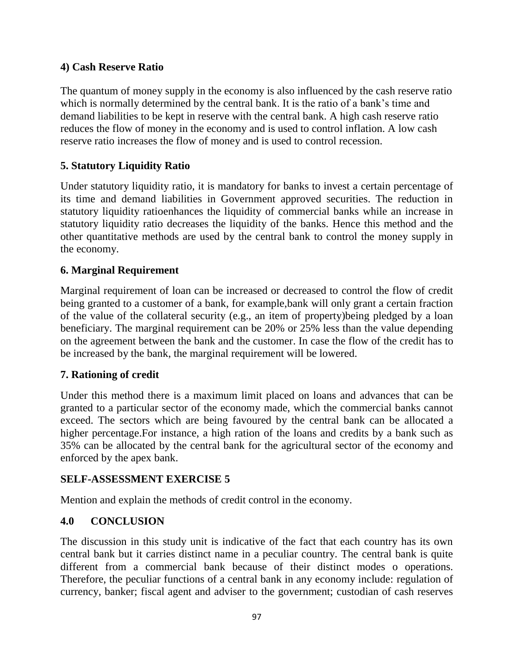### **4) Cash Reserve Ratio**

The quantum of money supply in the economy is also influenced by the cash reserve ratio which is normally determined by the central bank. It is the ratio of a bank's time and demand liabilities to be kept in reserve with the central bank. A high cash reserve ratio reduces the flow of money in the economy and is used to control inflation. A low cash reserve ratio increases the flow of money and is used to control recession.

### **5. Statutory Liquidity Ratio**

Under statutory liquidity ratio, it is mandatory for banks to invest a certain percentage of its time and demand liabilities in Government approved securities. The reduction in statutory liquidity ratioenhances the liquidity of commercial banks while an increase in statutory liquidity ratio decreases the liquidity of the banks. Hence this method and the other quantitative methods are used by the central bank to control the money supply in the economy.

### **6. Marginal Requirement**

Marginal requirement of loan can be increased or decreased to control the flow of credit being granted to a customer of a bank, for example,bank will only grant a certain fraction of the value of the collateral security (e.g., an item of property)being pledged by a loan beneficiary. The marginal requirement can be 20% or 25% less than the value depending on the agreement between the bank and the customer. In case the flow of the credit has to be increased by the bank, the marginal requirement will be lowered.

### **7. Rationing of credit**

Under this method there is a maximum limit placed on loans and advances that can be granted to a particular sector of the economy made, which the commercial banks cannot exceed. The sectors which are being favoured by the central bank can be allocated a higher percentage.For instance, a high ration of the loans and credits by a bank such as 35% can be allocated by the central bank for the agricultural sector of the economy and enforced by the apex bank.

### **SELF-ASSESSMENT EXERCISE 5**

Mention and explain the methods of credit control in the economy.

### **4.0 CONCLUSION**

The discussion in this study unit is indicative of the fact that each country has its own central bank but it carries distinct name in a peculiar country. The central bank is quite different from a commercial bank because of their distinct modes o operations. Therefore, the peculiar functions of a central bank in any economy include: regulation of currency, banker; fiscal agent and adviser to the government; custodian of cash reserves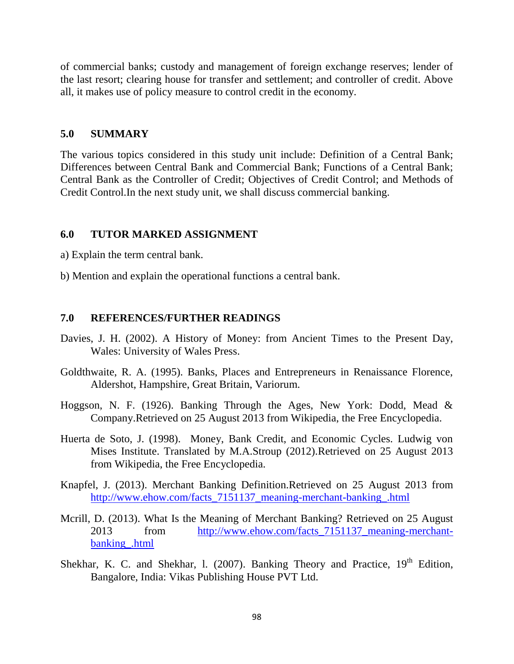of commercial banks; custody and management of foreign exchange reserves; lender of the last resort; clearing house for transfer and settlement; and controller of credit. Above all, it makes use of policy measure to control credit in the economy.

#### **5.0 SUMMARY**

The various topics considered in this study unit include: Definition of a Central Bank; Differences between Central Bank and Commercial Bank; Functions of a Central Bank; Central Bank as the Controller of Credit; Objectives of Credit Control; and Methods of Credit Control.In the next study unit, we shall discuss commercial banking.

### **6.0 TUTOR MARKED ASSIGNMENT**

- a) Explain the term central bank.
- b) Mention and explain the operational functions a central bank.

### **7.0 REFERENCES/FURTHER READINGS**

- Davies, J. H. (2002). A History of Money: from Ancient Times to the Present Day, Wales: University of Wales Press.
- Goldthwaite, R. A. (1995). Banks, Places and Entrepreneurs in Renaissance Florence, Aldershot, Hampshire, Great Britain, Variorum.
- Hoggson, N. F. (1926). Banking Through the Ages, New York: Dodd, Mead & Company.Retrieved on 25 August 2013 from Wikipedia, the Free Encyclopedia.
- Huerta de Soto, J. (1998). Money, Bank Credit, and Economic Cycles. Ludwig von Mises Institute. Translated by M.A.Stroup (2012).Retrieved on 25 August 2013 from Wikipedia, the Free Encyclopedia.
- Knapfel, J. (2013). Merchant Banking Definition.Retrieved on 25 August 2013 from [http://www.ehow.com/facts\\_7151137\\_meaning-merchant-banking\\_.html](http://www.ehow.com/facts_7151137_meaning-merchant-banking_.html)
- Mcrill, D. (2013). What Is the Meaning of Merchant Banking? Retrieved on 25 August 2013 from http://www.ehow.com/facts 7151137 meaning-merchant[banking\\_.html](http://www.ehow.com/facts_7151137_meaning-merchant-banking_.html)
- Shekhar, K. C. and Shekhar, 1. (2007). Banking Theory and Practice,  $19<sup>th</sup>$  Edition, Bangalore, India: Vikas Publishing House PVT Ltd.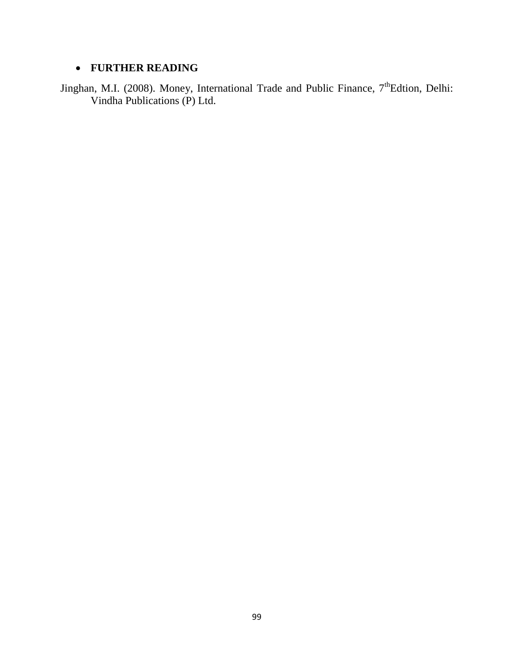# **FURTHER READING**

Jinghan, M.I. (2008). Money, International Trade and Public Finance, 7<sup>th</sup>Edtion, Delhi: Vindha Publications (P) Ltd.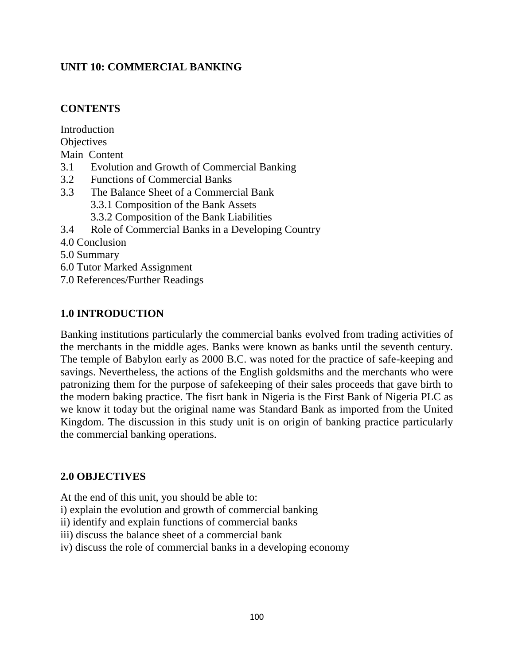### **UNIT 10: COMMERCIAL BANKING**

### **CONTENTS**

Introduction **Objectives** Main Content 3.1 Evolution and Growth of Commercial Banking 3.2 Functions of Commercial Banks 3.3 The Balance Sheet of a Commercial Bank 3.3.1 Composition of the Bank Assets 3.3.2 Composition of the Bank Liabilities 3.4 Role of Commercial Banks in a Developing Country 4.0 Conclusion 5.0 Summary 6.0 Tutor Marked Assignment

7.0 References/Further Readings

### **1.0 INTRODUCTION**

Banking institutions particularly the commercial banks evolved from trading activities of the merchants in the middle ages. Banks were known as banks until the seventh century. The temple of Babylon early as 2000 B.C. was noted for the practice of safe-keeping and savings. Nevertheless, the actions of the English goldsmiths and the merchants who were patronizing them for the purpose of safekeeping of their sales proceeds that gave birth to the modern baking practice. The fisrt bank in Nigeria is the First Bank of Nigeria PLC as we know it today but the original name was Standard Bank as imported from the United Kingdom. The discussion in this study unit is on origin of banking practice particularly the commercial banking operations.

### **2.0 OBJECTIVES**

At the end of this unit, you should be able to:

- i) explain the evolution and growth of commercial banking
- ii) identify and explain functions of commercial banks
- iii) discuss the balance sheet of a commercial bank
- iv) discuss the role of commercial banks in a developing economy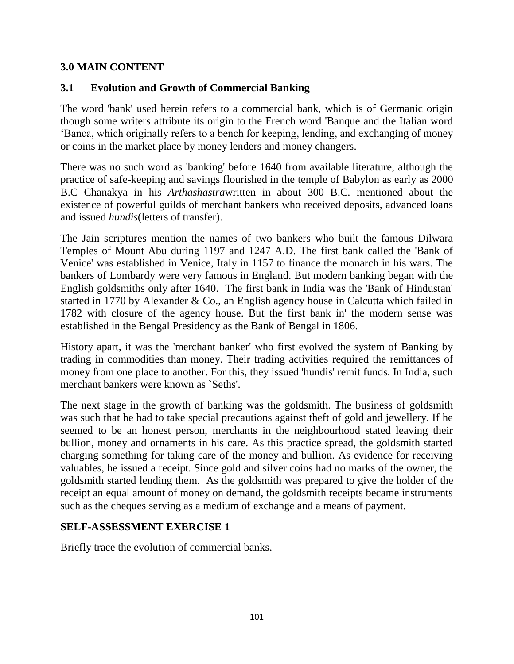### **3.0 MAIN CONTENT**

### **3.1 Evolution and Growth of Commercial Banking**

The word 'bank' used herein refers to a commercial bank, which is of Germanic origin though some writers attribute its origin to the French word 'Banque and the Italian word 'Banca, which originally refers to a bench for keeping, lending, and exchanging of money or coins in the market place by money lenders and money changers.

There was no such word as 'banking' before 1640 from available literature, although the practice of safe-keeping and savings flourished in the temple of Babylon as early as 2000 B.C Chanakya in his *Arthashastra*written in about 300 B.C. mentioned about the existence of powerful guilds of merchant bankers who received deposits, advanced loans and issued *hundis*(letters of transfer).

The Jain scriptures mention the names of two bankers who built the famous Dilwara Temples of Mount Abu during 1197 and 1247 A.D. The first bank called the 'Bank of Venice' was established in Venice, Italy in 1157 to finance the monarch in his wars. The bankers of Lombardy were very famous in England. But modern banking began with the English goldsmiths only after 1640. The first bank in India was the 'Bank of Hindustan' started in 1770 by Alexander & Co., an English agency house in Calcutta which failed in 1782 with closure of the agency house. But the first bank in' the modern sense was established in the Bengal Presidency as the Bank of Bengal in 1806.

History apart, it was the 'merchant banker' who first evolved the system of Banking by trading in commodities than money. Their trading activities required the remittances of money from one place to another. For this, they issued 'hundis' remit funds. In India, such merchant bankers were known as `Seths'.

The next stage in the growth of banking was the goldsmith. The business of goldsmith was such that he had to take special precautions against theft of gold and jewellery. If he seemed to be an honest person, merchants in the neighbourhood stated leaving their bullion, money and ornaments in his care. As this practice spread, the goldsmith started charging something for taking care of the money and bullion. As evidence for receiving valuables, he issued a receipt. Since gold and silver coins had no marks of the owner, the goldsmith started lending them. As the goldsmith was prepared to give the holder of the receipt an equal amount of money on demand, the goldsmith receipts became instruments such as the cheques serving as a medium of exchange and a means of payment.

### **SELF-ASSESSMENT EXERCISE 1**

Briefly trace the evolution of commercial banks.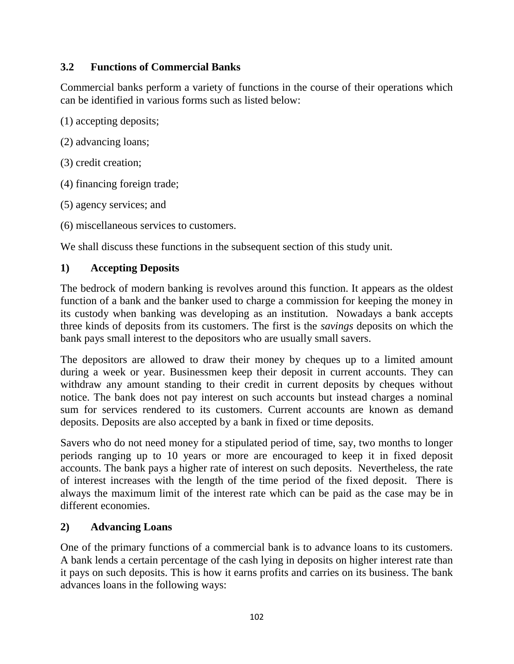### **3.2 Functions of Commercial Banks**

Commercial banks perform a variety of functions in the course of their operations which can be identified in various forms such as listed below:

(1) accepting deposits;

- (2) advancing loans;
- (3) credit creation;
- (4) financing foreign trade;
- (5) agency services; and
- (6) miscellaneous services to customers.

We shall discuss these functions in the subsequent section of this study unit.

### **1) Accepting Deposits**

The bedrock of modern banking is revolves around this function. It appears as the oldest function of a bank and the banker used to charge a commission for keeping the money in its custody when banking was developing as an institution. Nowadays a bank accepts three kinds of deposits from its customers. The first is the *savings* deposits on which the bank pays small interest to the depositors who are usually small savers.

The depositors are allowed to draw their money by cheques up to a limited amount during a week or year. Businessmen keep their deposit in current accounts. They can withdraw any amount standing to their credit in current deposits by cheques without notice. The bank does not pay interest on such accounts but instead charges a nominal sum for services rendered to its customers. Current accounts are known as demand deposits. Deposits are also accepted by a bank in fixed or time deposits.

Savers who do not need money for a stipulated period of time, say, two months to longer periods ranging up to 10 years or more are encouraged to keep it in fixed deposit accounts. The bank pays a higher rate of interest on such deposits. Nevertheless, the rate of interest increases with the length of the time period of the fixed deposit. There is always the maximum limit of the interest rate which can be paid as the case may be in different economies.

### **2) Advancing Loans**

One of the primary functions of a commercial bank is to advance loans to its customers. A bank lends a certain percentage of the cash lying in deposits on higher interest rate than it pays on such deposits. This is how it earns profits and carries on its business. The bank advances loans in the following ways: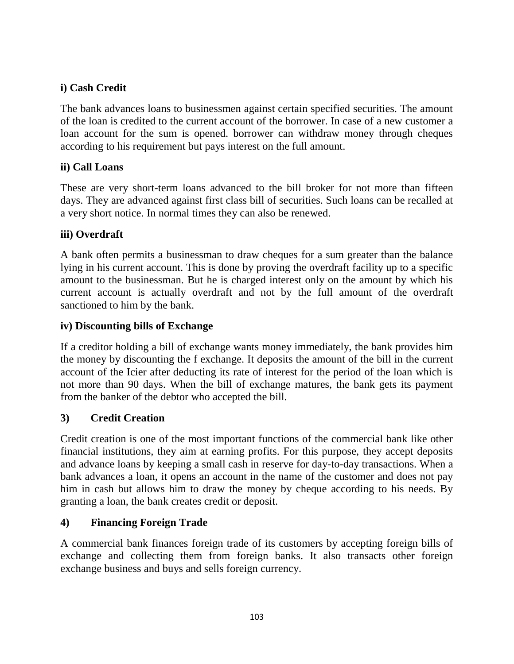## **i) Cash Credit**

The bank advances loans to businessmen against certain specified securities. The amount of the loan is credited to the current account of the borrower. In case of a new customer a loan account for the sum is opened. borrower can withdraw money through cheques according to his requirement but pays interest on the full amount.

### **ii) Call Loans**

These are very short-term loans advanced to the bill broker for not more than fifteen days. They are advanced against first class bill of securities. Such loans can be recalled at a very short notice. In normal times they can also be renewed.

### **iii) Overdraft**

A bank often permits a businessman to draw cheques for a sum greater than the balance lying in his current account. This is done by proving the overdraft facility up to a specific amount to the businessman. But he is charged interest only on the amount by which his current account is actually overdraft and not by the full amount of the overdraft sanctioned to him by the bank.

### **iv) Discounting bills of Exchange**

If a creditor holding a bill of exchange wants money immediately, the bank provides him the money by discounting the f exchange. It deposits the amount of the bill in the current account of the Icier after deducting its rate of interest for the period of the loan which is not more than 90 days. When the bill of exchange matures, the bank gets its payment from the banker of the debtor who accepted the bill.

### **3) Credit Creation**

Credit creation is one of the most important functions of the commercial bank like other financial institutions, they aim at earning profits. For this purpose, they accept deposits and advance loans by keeping a small cash in reserve for day-to-day transactions. When a bank advances a loan, it opens an account in the name of the customer and does not pay him in cash but allows him to draw the money by cheque according to his needs. By granting a loan, the bank creates credit or deposit.

### **4) Financing Foreign Trade**

A commercial bank finances foreign trade of its customers by accepting foreign bills of exchange and collecting them from foreign banks. It also transacts other foreign exchange business and buys and sells foreign currency.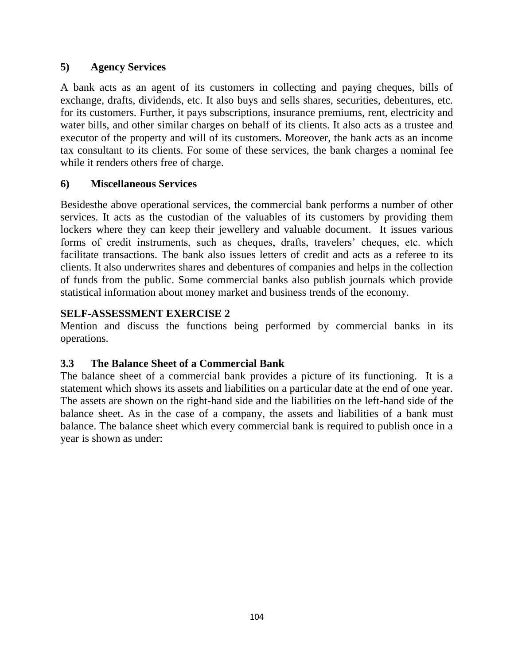### **5) Agency Services**

A bank acts as an agent of its customers in collecting and paying cheques, bills of exchange, drafts, dividends, etc. It also buys and sells shares, securities, debentures, etc. for its customers. Further, it pays subscriptions, insurance premiums, rent, electricity and water bills, and other similar charges on behalf of its clients. It also acts as a trustee and executor of the property and will of its customers. Moreover, the bank acts as an income tax consultant to its clients. For some of these services, the bank charges a nominal fee while it renders others free of charge.

### **6) Miscellaneous Services**

Besidesthe above operational services, the commercial bank performs a number of other services. It acts as the custodian of the valuables of its customers by providing them lockers where they can keep their jewellery and valuable document. It issues various forms of credit instruments, such as cheques, drafts, travelers' cheques, etc. which facilitate transactions. The bank also issues letters of credit and acts as a referee to its clients. It also underwrites shares and debentures of companies and helps in the collection of funds from the public. Some commercial banks also publish journals which provide statistical information about money market and business trends of the economy.

### **SELF-ASSESSMENT EXERCISE 2**

Mention and discuss the functions being performed by commercial banks in its operations.

### **3.3 The Balance Sheet of a Commercial Bank**

The balance sheet of a commercial bank provides a picture of its functioning. It is a statement which shows its assets and liabilities on a particular date at the end of one year. The assets are shown on the right-hand side and the liabilities on the left-hand side of the balance sheet. As in the case of a company, the assets and liabilities of a bank must balance. The balance sheet which every commercial bank is required to publish once in a year is shown as under: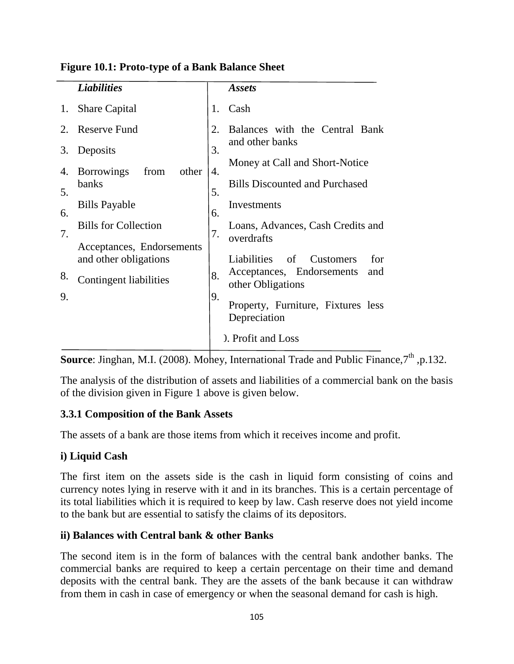|             | <b>Liabilities</b>                                 |    | <b>Assets</b>                                         |
|-------------|----------------------------------------------------|----|-------------------------------------------------------|
| 1.          | <b>Share Capital</b>                               | 1. | Cash                                                  |
| $2_{\cdot}$ | <b>Reserve Fund</b>                                | 2. | Balances with the Central Bank<br>and other banks     |
| 3.          | Deposits                                           | 3. | Money at Call and Short-Notice                        |
| 4.          | <b>Borrowings</b><br>from<br>other                 | 4. |                                                       |
| 5.          | banks                                              | 5. | <b>Bills Discounted and Purchased</b>                 |
| 6.          | <b>Bills Payable</b>                               | 6. | Investments                                           |
| 7.          | <b>Bills for Collection</b>                        | 7. | Loans, Advances, Cash Credits and<br>overdrafts       |
|             | Acceptances, Endorsements<br>and other obligations |    | Liabilities<br>- of<br><b>Customers</b><br>for        |
| 8.          | Contingent liabilities                             | 8. | Acceptances, Endorsements<br>and<br>other Obligations |
| 9.          |                                                    | 9. | Property, Furniture, Fixtures less<br>Depreciation    |
|             |                                                    |    | ). Profit and Loss                                    |

#### **Figure 10.1: Proto-type of a Bank Balance Sheet**

Source: Jinghan, M.I. (2008). Money, International Trade and Public Finance, 7<sup>th</sup>, p.132.

The analysis of the distribution of assets and liabilities of a commercial bank on the basis of the division given in Figure 1 above is given below.

### **3.3.1 Composition of the Bank Assets**

The assets of a bank are those items from which it receives income and profit.

### **i) Liquid Cash**

The first item on the assets side is the cash in liquid form consisting of coins and currency notes lying in reserve with it and in its branches. This is a certain percentage of its total liabilities which it is required to keep by law. Cash reserve does not yield income to the bank but are essential to satisfy the claims of its depositors.

### **ii) Balances with Central bank & other Banks**

The second item is in the form of balances with the central bank andother banks. The commercial banks are required to keep a certain percentage on their time and demand deposits with the central bank. They are the assets of the bank because it can withdraw from them in cash in case of emergency or when the seasonal demand for cash is high.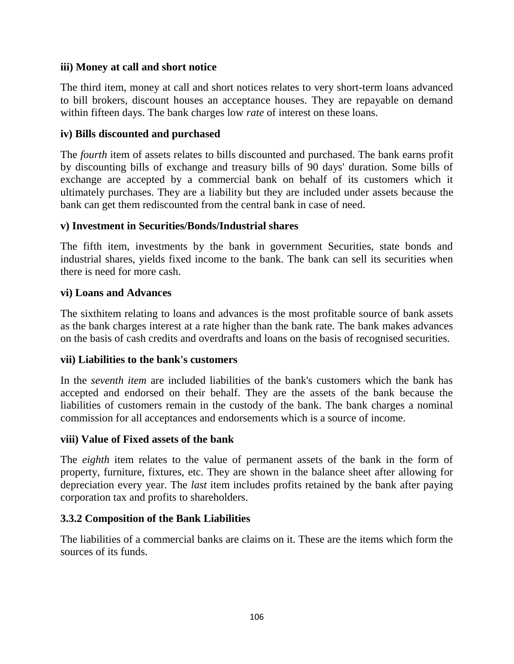### **iii) Money at call and short notice**

The third item, money at call and short notices relates to very short-term loans advanced to bill brokers, discount houses an acceptance houses. They are repayable on demand within fifteen days. The bank charges low *rate* of interest on these loans.

### **iv) Bills discounted and purchased**

The *fourth* item of assets relates to bills discounted and purchased. The bank earns profit by discounting bills of exchange and treasury bills of 90 days' duration. Some bills of exchange are accepted by a commercial bank on behalf of its customers which it ultimately purchases. They are a liability but they are included under assets because the bank can get them rediscounted from the central bank in case of need.

### **v) Investment in Securities/Bonds/Industrial shares**

The fifth item, investments by the bank in government Securities, state bonds and industrial shares, yields fixed income to the bank. The bank can sell its securities when there is need for more cash.

### **vi) Loans and Advances**

The sixthitem relating to loans and advances is the most profitable source of bank assets as the bank charges interest at a rate higher than the bank rate. The bank makes advances on the basis of cash credits and overdrafts and loans on the basis of recognised securities.

### **vii) Liabilities to the bank's customers**

In the *seventh item* are included liabilities of the bank's customers which the bank has accepted and endorsed on their behalf. They are the assets of the bank because the liabilities of customers remain in the custody of the bank. The bank charges a nominal commission for all acceptances and endorsements which is a source of income.

### **viii) Value of Fixed assets of the bank**

The *eighth* item relates to the value of permanent assets of the bank in the form of property, furniture, fixtures, etc. They are shown in the balance sheet after allowing for depreciation every year. The *last* item includes profits retained by the bank after paying corporation tax and profits to shareholders.

### **3.3.2 Composition of the Bank Liabilities**

The liabilities of a commercial banks are claims on it. These are the items which form the sources of its funds.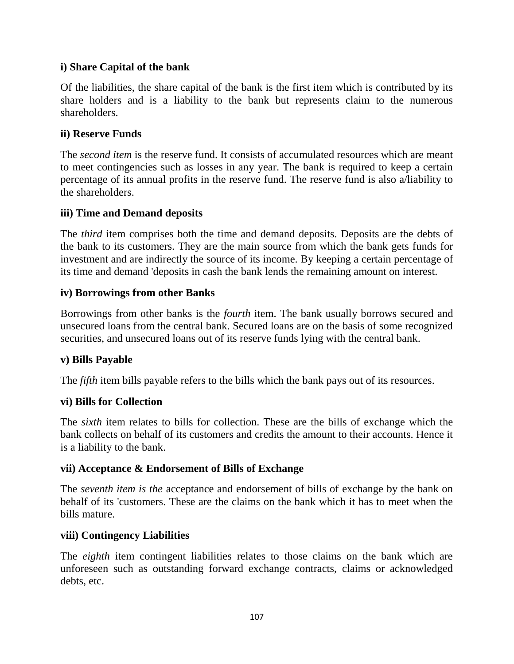### **i) Share Capital of the bank**

Of the liabilities, the share capital of the bank is the first item which is contributed by its share holders and is a liability to the bank but represents claim to the numerous shareholders.

### **ii) Reserve Funds**

The *second item* is the reserve fund. It consists of accumulated resources which are meant to meet contingencies such as losses in any year. The bank is required to keep a certain percentage of its annual profits in the reserve fund. The reserve fund is also a/liability to the shareholders.

### **iii) Time and Demand deposits**

The *third* item comprises both the time and demand deposits. Deposits are the debts of the bank to its customers. They are the main source from which the bank gets funds for investment and are indirectly the source of its income. By keeping a certain percentage of its time and demand 'deposits in cash the bank lends the remaining amount on interest.

### **iv) Borrowings from other Banks**

Borrowings from other banks is the *fourth* item. The bank usually borrows secured and unsecured loans from the central bank. Secured loans are on the basis of some recognized securities, and unsecured loans out of its reserve funds lying with the central bank.

### **v) Bills Payable**

The *fifth* item bills payable refers to the bills which the bank pays out of its resources.

### **vi) Bills for Collection**

The *sixth* item relates to bills for collection. These are the bills of exchange which the bank collects on behalf of its customers and credits the amount to their accounts. Hence it is a liability to the bank.

### **vii) Acceptance & Endorsement of Bills of Exchange**

The *seventh item is the* acceptance and endorsement of bills of exchange by the bank on behalf of its 'customers. These are the claims on the bank which it has to meet when the bills mature.

### **viii) Contingency Liabilities**

The *eighth* item contingent liabilities relates to those claims on the bank which are unforeseen such as outstanding forward exchange contracts, claims or acknowledged debts, etc.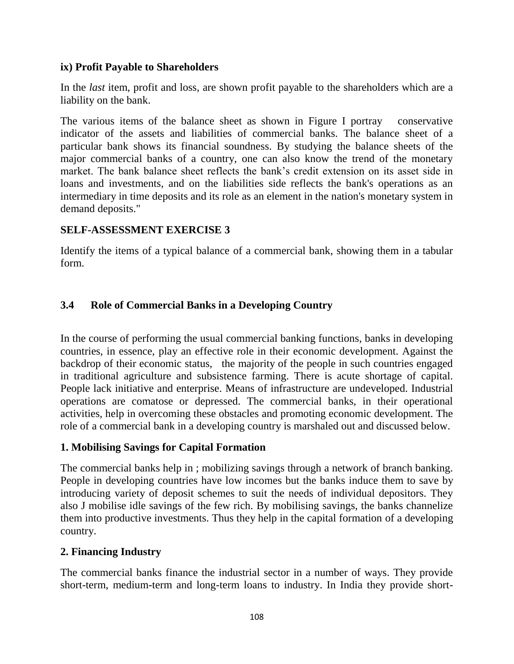### **ix) Profit Payable to Shareholders**

In the *last* item, profit and loss, are shown profit payable to the shareholders which are a liability on the bank.

The various items of the balance sheet as shown in Figure I portray conservative indicator of the assets and liabilities of commercial banks. The balance sheet of a particular bank shows its financial soundness. By studying the balance sheets of the major commercial banks of a country, one can also know the trend of the monetary market. The bank balance sheet reflects the bank's credit extension on its asset side in loans and investments, and on the liabilities side reflects the bank's operations as an intermediary in time deposits and its role as an element in the nation's monetary system in demand deposits."

### **SELF-ASSESSMENT EXERCISE 3**

Identify the items of a typical balance of a commercial bank, showing them in a tabular form.

### **3.4 Role of Commercial Banks in a Developing Country**

In the course of performing the usual commercial banking functions, banks in developing countries, in essence, play an effective role in their economic development. Against the backdrop of their economic status, the majority of the people in such countries engaged in traditional agriculture and subsistence farming. There is acute shortage of capital. People lack initiative and enterprise. Means of infrastructure are undeveloped. Industrial operations are comatose or depressed. The commercial banks, in their operational activities, help in overcoming these obstacles and promoting economic development. The role of a commercial bank in a developing country is marshaled out and discussed below.

### **1. Mobilising Savings for Capital Formation**

The commercial banks help in ; mobilizing savings through a network of branch banking. People in developing countries have low incomes but the banks induce them to save by introducing variety of deposit schemes to suit the needs of individual depositors. They also J mobilise idle savings of the few rich. By mobilising savings, the banks channelize them into productive investments. Thus they help in the capital formation of a developing country.

### **2. Financing Industry**

The commercial banks finance the industrial sector in a number of ways. They provide short-term, medium-term and long-term loans to industry. In India they provide short-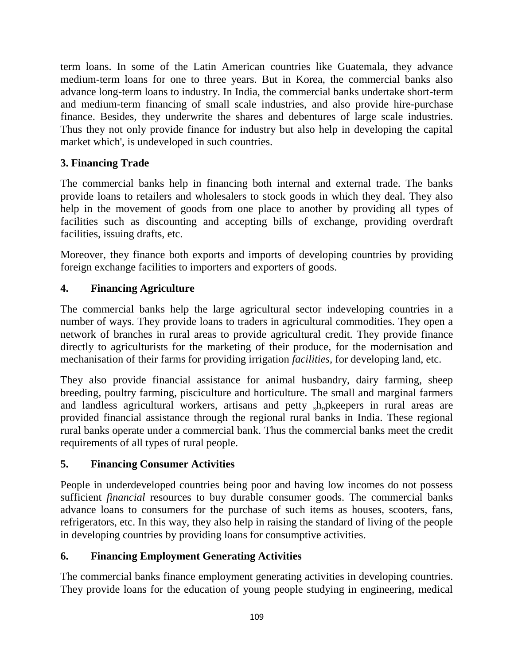term loans. In some of the Latin American countries like Guatemala, they advance medium-term loans for one to three years. But in Korea, the commercial banks also advance long-term loans to industry. In India, the commercial banks undertake short-term and medium-term financing of small scale industries, and also provide hire-purchase finance. Besides, they underwrite the shares and debentures of large scale industries. Thus they not only provide finance for industry but also help in developing the capital market which', is undeveloped in such countries.

# **3. Financing Trade**

The commercial banks help in financing both internal and external trade. The banks provide loans to retailers and wholesalers to stock goods in which they deal. They also help in the movement of goods from one place to another by providing all types of facilities such as discounting and accepting bills of exchange, providing overdraft facilities, issuing drafts, etc.

Moreover, they finance both exports and imports of developing countries by providing foreign exchange facilities to importers and exporters of goods.

# **4. Financing Agriculture**

The commercial banks help the large agricultural sector indeveloping countries in a number of ways. They provide loans to traders in agricultural commodities. They open a network of branches in rural areas to provide agricultural credit. They provide finance directly to agriculturists for the marketing of their produce, for the modernisation and mechanisation of their farms for providing irrigation *facilities,* for developing land, etc.

They also provide financial assistance for animal husbandry, dairy farming, sheep breeding, poultry farming, pisciculture and horticulture. The small and marginal farmers and landless agricultural workers, artisans and petty  $_{s}h_{0}$  p keepers in rural areas are provided financial assistance through the regional rural banks in India. These regional rural banks operate under a commercial bank. Thus the commercial banks meet the credit requirements of all types of rural people.

# **5. Financing Consumer Activities**

People in underdeveloped countries being poor and having low incomes do not possess sufficient *financial* resources to buy durable consumer goods. The commercial banks advance loans to consumers for the purchase of such items as houses, scooters, fans, refrigerators, etc. In this way, they also help in raising the standard of living of the people in developing countries by providing loans for consumptive activities.

# **6. Financing Employment Generating Activities**

The commercial banks finance employment generating activities in developing countries. They provide loans for the education of young people studying in engineering, medical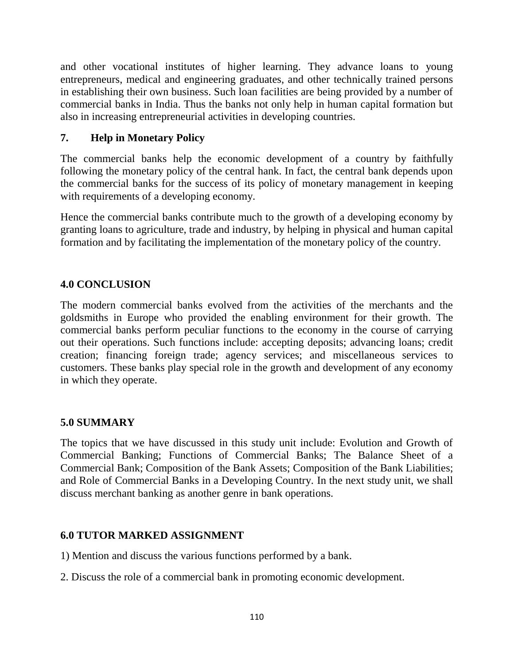and other vocational institutes of higher learning. They advance loans to young entrepreneurs, medical and engineering graduates, and other technically trained persons in establishing their own business. Such loan facilities are being provided by a number of commercial banks in India. Thus the banks not only help in human capital formation but also in increasing entrepreneurial activities in developing countries.

## **7. Help in Monetary Policy**

The commercial banks help the economic development of a country by faithfully following the monetary policy of the central hank. In fact, the central bank depends upon the commercial banks for the success of its policy of monetary management in keeping with requirements of a developing economy.

Hence the commercial banks contribute much to the growth of a developing economy by granting loans to agriculture, trade and industry, by helping in physical and human capital formation and by facilitating the implementation of the monetary policy of the country.

## **4.0 CONCLUSION**

The modern commercial banks evolved from the activities of the merchants and the goldsmiths in Europe who provided the enabling environment for their growth. The commercial banks perform peculiar functions to the economy in the course of carrying out their operations. Such functions include: accepting deposits; advancing loans; credit creation; financing foreign trade; agency services; and miscellaneous services to customers. These banks play special role in the growth and development of any economy in which they operate.

### **5.0 SUMMARY**

The topics that we have discussed in this study unit include: Evolution and Growth of Commercial Banking; Functions of Commercial Banks; The Balance Sheet of a Commercial Bank; Composition of the Bank Assets; Composition of the Bank Liabilities; and Role of Commercial Banks in a Developing Country. In the next study unit, we shall discuss merchant banking as another genre in bank operations.

### **6.0 TUTOR MARKED ASSIGNMENT**

- 1) Mention and discuss the various functions performed by a bank.
- 2. Discuss the role of a commercial bank in promoting economic development.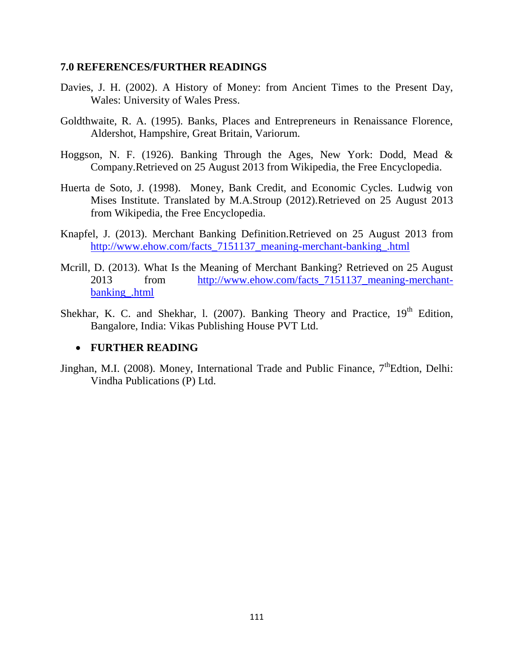#### **7.0 REFERENCES/FURTHER READINGS**

- Davies, J. H. (2002). A History of Money: from Ancient Times to the Present Day, Wales: University of Wales Press.
- Goldthwaite, R. A. (1995). Banks, Places and Entrepreneurs in Renaissance Florence, Aldershot, Hampshire, Great Britain, Variorum.
- Hoggson, N. F. (1926). Banking Through the Ages, New York: Dodd, Mead & Company.Retrieved on 25 August 2013 from Wikipedia, the Free Encyclopedia.
- Huerta de Soto, J. (1998). Money, Bank Credit, and Economic Cycles. Ludwig von Mises Institute. Translated by M.A.Stroup (2012).Retrieved on 25 August 2013 from Wikipedia, the Free Encyclopedia.
- Knapfel, J. (2013). Merchant Banking Definition.Retrieved on 25 August 2013 from [http://www.ehow.com/facts\\_7151137\\_meaning-merchant-banking\\_.html](http://www.ehow.com/facts_7151137_meaning-merchant-banking_.html)
- Mcrill, D. (2013). What Is the Meaning of Merchant Banking? Retrieved on 25 August 2013 from http://www.ehow.com/facts 7151137 meaning-merchant[banking\\_.html](http://www.ehow.com/facts_7151137_meaning-merchant-banking_.html)
- Shekhar, K. C. and Shekhar, 1. (2007). Banking Theory and Practice,  $19<sup>th</sup>$  Edition, Bangalore, India: Vikas Publishing House PVT Ltd.

#### **FURTHER READING**

Jinghan, M.I. (2008). Money, International Trade and Public Finance, 7<sup>th</sup>Edtion, Delhi: Vindha Publications (P) Ltd.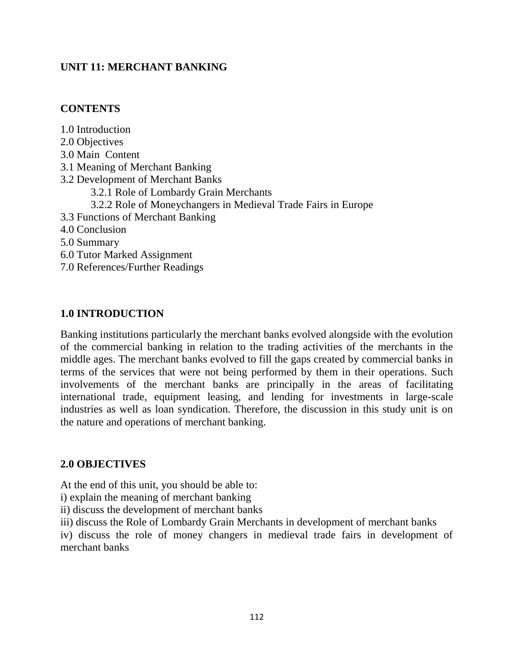## **UNIT 11: MERCHANT BANKING**

### **CONTENTS**

1.0 Introduction 2.0 Objectives 3.0 Main Content 3.1 Meaning of Merchant Banking 3.2 Development of Merchant Banks 3.2.1 Role of Lombardy Grain Merchants 3.2.2 Role of Moneychangers in Medieval Trade Fairs in Europe 3.3 Functions of Merchant Banking 4.0 Conclusion 5.0 Summary 6.0 Tutor Marked Assignment 7.0 References/Further Readings

## **1.0 INTRODUCTION**

Banking institutions particularly the merchant banks evolved alongside with the evolution of the commercial banking in relation to the trading activities of the merchants in the middle ages. The merchant banks evolved to fill the gaps created by commercial banks in terms of the services that were not being performed by them in their operations. Such involvements of the merchant banks are principally in the areas of facilitating international trade, equipment leasing, and lending for investments in large-scale industries as well as loan syndication. Therefore, the discussion in this study unit is on the nature and operations of merchant banking.

### **2.0 OBJECTIVES**

At the end of this unit, you should be able to:

i) explain the meaning of merchant banking

ii) discuss the development of merchant banks

iii) discuss the Role of Lombardy Grain Merchants in development of merchant banks

iv) discuss the role of money changers in medieval trade fairs in development of merchant banks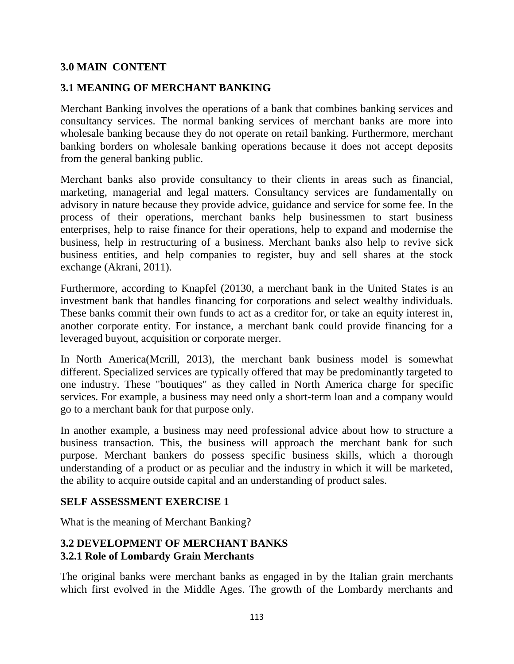### **3.0 MAIN CONTENT**

## **3.1 MEANING OF MERCHANT BANKING**

Merchant Banking involves the operations of a bank that combines banking services and consultancy services. The normal banking services of merchant banks are more into wholesale banking because they do not operate on retail banking. Furthermore, merchant banking borders on wholesale banking operations because it does not accept deposits from the general banking public.

Merchant banks also provide consultancy to their clients in areas such as financial, marketing, managerial and legal matters. Consultancy services are fundamentally on advisory in nature because they provide advice, guidance and service for some fee. In the process of their operations, merchant banks help businessmen to start business enterprises, help to raise finance for their operations, help to expand and modernise the business, help in restructuring of a business. Merchant banks also help to revive sick business entities, and help companies to register, buy and sell shares at the stock exchange (Akrani, 2011).

Furthermore, according to Knapfel (20130, a merchant bank in the United States is an investment bank that handles financing for corporations and select wealthy individuals. These banks commit their own funds to act as a creditor for, or take an equity interest in, another corporate entity. For instance, a merchant bank could provide financing for a leveraged buyout, acquisition or corporate merger.

In North America(Mcrill, 2013), the merchant bank business model is somewhat different. Specialized services are typically offered that may be predominantly targeted to one industry. These "boutiques" as they called in North America charge for specific services. For example, a business may need only a short-term loan and a company would go to a merchant bank for that purpose only.

In another example, a business may need professional advice about how to structure a business transaction. This, the business will approach the merchant bank for such purpose. Merchant bankers do possess specific business skills, which a thorough understanding of a product or as peculiar and the industry in which it will be marketed, the ability to acquire outside capital and an understanding of product sales.

### **SELF ASSESSMENT EXERCISE 1**

What is the meaning of Merchant Banking?

### **3.2 DEVELOPMENT OF MERCHANT BANKS 3.2.1 Role of Lombardy Grain Merchants**

The original banks were merchant banks as engaged in by the Italian grain merchants which first evolved in the Middle Ages. The growth of the Lombardy merchants and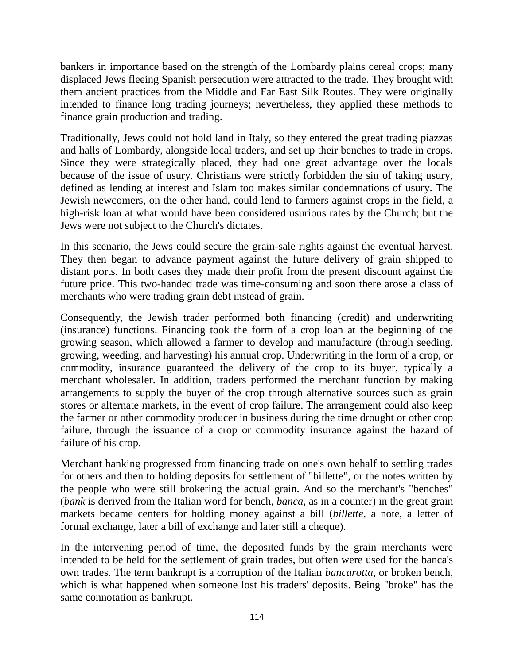bankers in importance based on the strength of the Lombardy plains cereal crops; many displaced Jews fleeing Spanish persecution were attracted to the trade. They brought with them ancient practices from the Middle and Far East Silk Routes. They were originally intended to finance long trading journeys; nevertheless, they applied these methods to finance grain production and trading.

Traditionally, Jews could not hold land in Italy, so they entered the great trading piazzas and halls of Lombardy, alongside local traders, and set up their benches to trade in crops. Since they were strategically placed, they had one great advantage over the locals because of the issue of usury. Christians were strictly forbidden the sin of taking usury, defined as lending at interest and Islam too makes similar condemnations of usury. The Jewish newcomers, on the other hand, could lend to farmers against crops in the field, a high-risk loan at what would have been considered usurious rates by the Church; but the Jews were not subject to the Church's dictates.

In this scenario, the Jews could secure the grain-sale rights against the eventual harvest. They then began to advance payment against the future delivery of grain shipped to distant ports. In both cases they made their profit from the present discount against the future price. This two-handed trade was time-consuming and soon there arose a class of merchants who were trading grain debt instead of grain.

Consequently, the Jewish trader performed both financing (credit) and underwriting (insurance) functions. Financing took the form of a crop loan at the beginning of the growing season, which allowed a farmer to develop and manufacture (through seeding, growing, weeding, and harvesting) his annual crop. Underwriting in the form of a crop, or commodity, insurance guaranteed the delivery of the crop to its buyer, typically a merchant wholesaler. In addition, traders performed the merchant function by making arrangements to supply the buyer of the crop through alternative sources such as grain stores or alternate markets, in the event of crop failure. The arrangement could also keep the farmer or other commodity producer in business during the time drought or other crop failure, through the issuance of a crop or commodity insurance against the hazard of failure of his crop.

Merchant banking progressed from financing trade on one's own behalf to settling trades for others and then to holding deposits for settlement of "billette", or the notes written by the people who were still brokering the actual grain. And so the merchant's "benches" (*bank* is derived from the Italian word for bench, *banca*, as in a counter) in the great grain markets became centers for holding money against a bill (*billette*, a note, a letter of formal exchange, later a bill of exchange and later still a cheque).

In the intervening period of time, the deposited funds by the grain merchants were intended to be held for the settlement of grain trades, but often were used for the banca's own trades. The term bankrupt is a corruption of the Italian *bancarotta*, or broken bench, which is what happened when someone lost his traders' deposits. Being "broke" has the same connotation as bankrupt.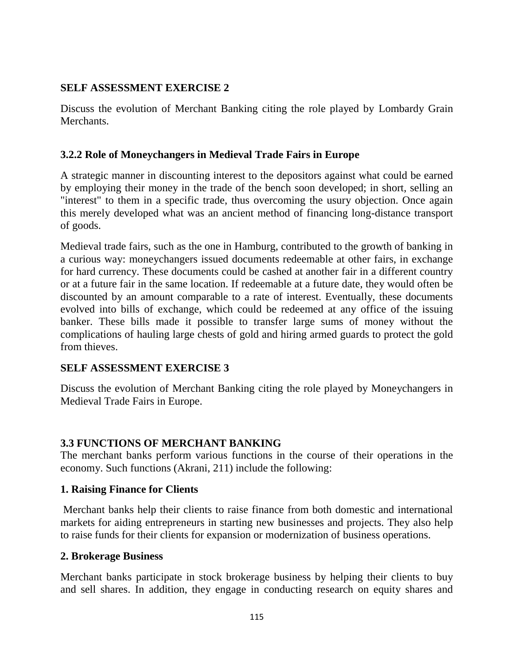### **SELF ASSESSMENT EXERCISE 2**

Discuss the evolution of Merchant Banking citing the role played by Lombardy Grain Merchants.

#### **3.2.2 Role of Moneychangers in Medieval Trade Fairs in Europe**

A strategic manner in discounting interest to the depositors against what could be earned by employing their money in the trade of the bench soon developed; in short, selling an "interest" to them in a specific trade, thus overcoming the usury objection. Once again this merely developed what was an ancient method of financing long-distance transport of goods.

Medieval trade fairs, such as the one in Hamburg, contributed to the growth of banking in a curious way: moneychangers issued documents redeemable at other fairs, in exchange for hard currency. These documents could be cashed at another fair in a different country or at a future fair in the same location. If redeemable at a future date, they would often be discounted by an amount comparable to a rate of interest. Eventually, these documents evolved into bills of exchange, which could be redeemed at any office of the issuing banker. These bills made it possible to transfer large sums of money without the complications of hauling large chests of gold and hiring armed guards to protect the gold from thieves.

### **SELF ASSESSMENT EXERCISE 3**

Discuss the evolution of Merchant Banking citing the role played by Moneychangers in Medieval Trade Fairs in Europe.

### **3.3 FUNCTIONS OF MERCHANT BANKING**

The merchant banks perform various functions in the course of their operations in the economy. Such functions (Akrani, 211) include the following:

#### **1. Raising Finance for Clients**

Merchant banks help their clients to raise finance from both domestic and international markets for aiding entrepreneurs in starting new businesses and projects. They also help to raise funds for their clients for expansion or modernization of business operations.

#### **2. Brokerage Business**

Merchant banks participate in stock brokerage business by helping their clients to buy and sell shares. In addition, they engage in conducting research on equity shares and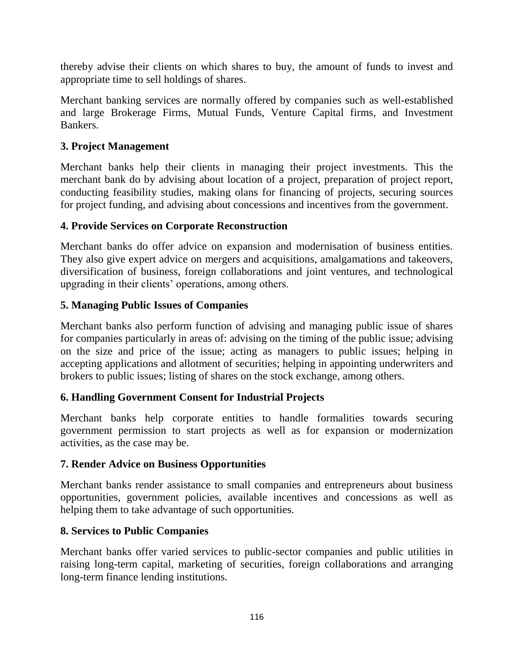thereby advise their clients on which shares to buy, the amount of funds to invest and appropriate time to sell holdings of shares.

Merchant banking services are normally offered by companies such as well-established and large Brokerage Firms, Mutual Funds, Venture Capital firms, and Investment Bankers.

# **3. Project Management**

Merchant banks help their clients in managing their project investments. This the merchant bank do by advising about location of a project, preparation of project report, conducting feasibility studies, making olans for financing of projects, securing sources for project funding, and advising about concessions and incentives from the government.

# **4. Provide Services on Corporate Reconstruction**

Merchant banks do offer advice on expansion and modernisation of business entities. They also give expert advice on mergers and acquisitions, amalgamations and takeovers, diversification of business, foreign collaborations and joint ventures, and technological upgrading in their clients' operations, among others.

# **5. Managing Public Issues of Companies**

Merchant banks also perform function of advising and managing public issue of shares for companies particularly in areas of: advising on the timing of the public issue; advising on the size and price of the issue; acting as managers to public issues; helping in accepting applications and allotment of securities; helping in appointing underwriters and brokers to public issues; listing of shares on the stock exchange, among others.

# **6. Handling Government Consent for Industrial Projects**

Merchant banks help corporate entities to handle formalities towards securing government permission to start projects as well as for expansion or modernization activities, as the case may be.

### **7. Render Advice on Business Opportunities**

Merchant banks render assistance to small companies and entrepreneurs about business opportunities, government policies, available incentives and concessions as well as helping them to take advantage of such opportunities.

### **8. Services to Public Companies**

Merchant banks offer varied services to public-sector companies and public utilities in raising long-term capital, marketing of securities, foreign collaborations and arranging long-term finance lending institutions.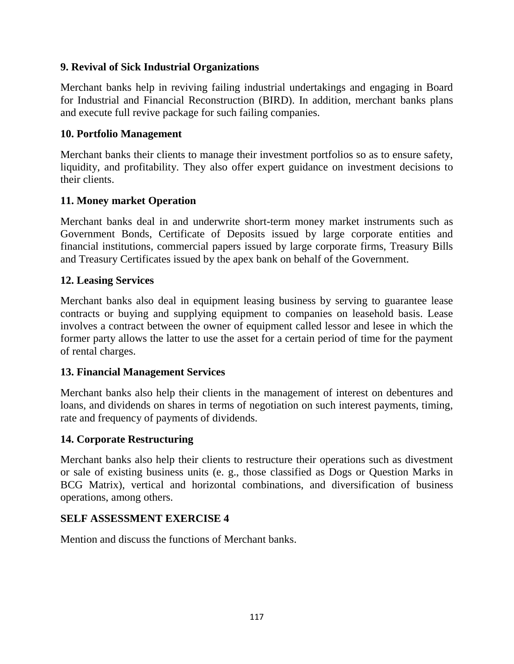## **9. Revival of Sick Industrial Organizations**

Merchant banks help in reviving failing industrial undertakings and engaging in Board for Industrial and Financial Reconstruction (BIRD). In addition, merchant banks plans and execute full revive package for such failing companies.

## **10. Portfolio Management**

Merchant banks their clients to manage their investment portfolios so as to ensure safety, liquidity, and profitability. They also offer expert guidance on investment decisions to their clients.

## **11. Money market Operation**

Merchant banks deal in and underwrite short-term money market instruments such as Government Bonds, Certificate of Deposits issued by large corporate entities and financial institutions, commercial papers issued by large corporate firms, Treasury Bills and Treasury Certificates issued by the apex bank on behalf of the Government.

## **12. Leasing Services**

Merchant banks also deal in equipment leasing business by serving to guarantee lease contracts or buying and supplying equipment to companies on leasehold basis. Lease involves a contract between the owner of equipment called lessor and lesee in which the former party allows the latter to use the asset for a certain period of time for the payment of rental charges.

# **13. Financial Management Services**

Merchant banks also help their clients in the management of interest on debentures and loans, and dividends on shares in terms of negotiation on such interest payments, timing, rate and frequency of payments of dividends.

# **14. Corporate Restructuring**

Merchant banks also help their clients to restructure their operations such as divestment or sale of existing business units (e. g., those classified as Dogs or Question Marks in BCG Matrix), vertical and horizontal combinations, and diversification of business operations, among others.

# **SELF ASSESSMENT EXERCISE 4**

Mention and discuss the functions of Merchant banks.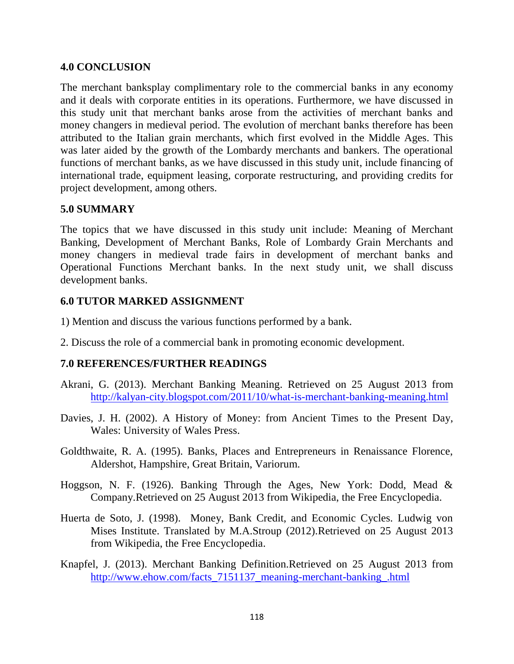#### **4.0 CONCLUSION**

The merchant banksplay complimentary role to the commercial banks in any economy and it deals with corporate entities in its operations. Furthermore, we have discussed in this study unit that merchant banks arose from the activities of merchant banks and money changers in medieval period. The evolution of merchant banks therefore has been attributed to the Italian grain merchants, which first evolved in the Middle Ages. This was later aided by the growth of the Lombardy merchants and bankers. The operational functions of merchant banks, as we have discussed in this study unit, include financing of international trade, equipment leasing, corporate restructuring, and providing credits for project development, among others.

### **5.0 SUMMARY**

The topics that we have discussed in this study unit include: Meaning of Merchant Banking, Development of Merchant Banks, Role of Lombardy Grain Merchants and money changers in medieval trade fairs in development of merchant banks and Operational Functions Merchant banks. In the next study unit, we shall discuss development banks.

#### **6.0 TUTOR MARKED ASSIGNMENT**

- 1) Mention and discuss the various functions performed by a bank.
- 2. Discuss the role of a commercial bank in promoting economic development.

### **7.0 REFERENCES/FURTHER READINGS**

- Akrani, G. (2013). Merchant Banking Meaning. Retrieved on 25 August 2013 from <http://kalyan-city.blogspot.com/2011/10/what-is-merchant-banking-meaning.html>
- Davies, J. H. (2002). A History of Money: from Ancient Times to the Present Day, Wales: University of Wales Press.
- Goldthwaite, R. A. (1995). Banks, Places and Entrepreneurs in Renaissance Florence, Aldershot, Hampshire, Great Britain, Variorum.
- Hoggson, N. F. (1926). Banking Through the Ages, New York: Dodd, Mead & Company.Retrieved on 25 August 2013 from Wikipedia, the Free Encyclopedia.
- Huerta de Soto, J. (1998). Money, Bank Credit, and Economic Cycles. Ludwig von Mises Institute. Translated by M.A.Stroup (2012).Retrieved on 25 August 2013 from Wikipedia, the Free Encyclopedia.
- Knapfel, J. (2013). Merchant Banking Definition.Retrieved on 25 August 2013 from http://www.ehow.com/facts 7151137 meaning-merchant-banking.html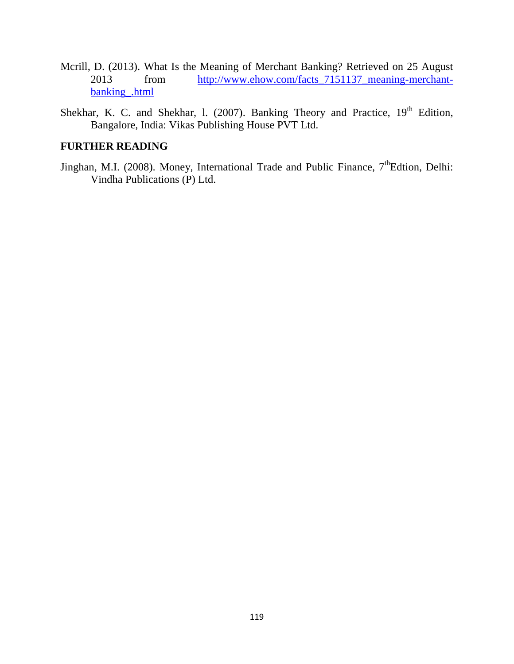- Mcrill, D. (2013). What Is the Meaning of Merchant Banking? Retrieved on 25 August 2013 from [http://www.ehow.com/facts\\_7151137\\_meaning-merchant](http://www.ehow.com/facts_7151137_meaning-merchant-banking_.html)[banking\\_.html](http://www.ehow.com/facts_7151137_meaning-merchant-banking_.html)
- Shekhar, K. C. and Shekhar, 1. (2007). Banking Theory and Practice,  $19<sup>th</sup>$  Edition, Bangalore, India: Vikas Publishing House PVT Ltd.

#### **FURTHER READING**

Jinghan, M.I. (2008). Money, International Trade and Public Finance,  $7<sup>th</sup>$ Edtion, Delhi: Vindha Publications (P) Ltd.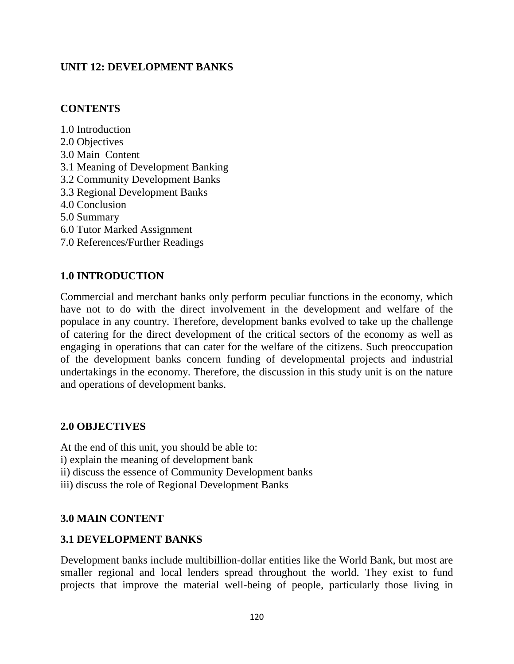## **UNIT 12: DEVELOPMENT BANKS**

### **CONTENTS**

1.0 Introduction 2.0 Objectives 3.0 Main Content 3.1 Meaning of Development Banking 3.2 Community Development Banks 3.3 Regional Development Banks 4.0 Conclusion 5.0 Summary 6.0 Tutor Marked Assignment 7.0 References/Further Readings

## **1.0 INTRODUCTION**

Commercial and merchant banks only perform peculiar functions in the economy, which have not to do with the direct involvement in the development and welfare of the populace in any country. Therefore, development banks evolved to take up the challenge of catering for the direct development of the critical sectors of the economy as well as engaging in operations that can cater for the welfare of the citizens. Such preoccupation of the development banks concern funding of developmental projects and industrial undertakings in the economy. Therefore, the discussion in this study unit is on the nature and operations of development banks.

### **2.0 OBJECTIVES**

At the end of this unit, you should be able to: i) explain the meaning of development bank ii) discuss the essence of Community Development banks iii) discuss the role of Regional Development Banks

### **3.0 MAIN CONTENT**

### **3.1 DEVELOPMENT BANKS**

Development banks include multibillion-dollar entities like the World Bank, but most are smaller regional and local lenders spread throughout the world. They exist to fund projects that improve the material well-being of people, particularly those living in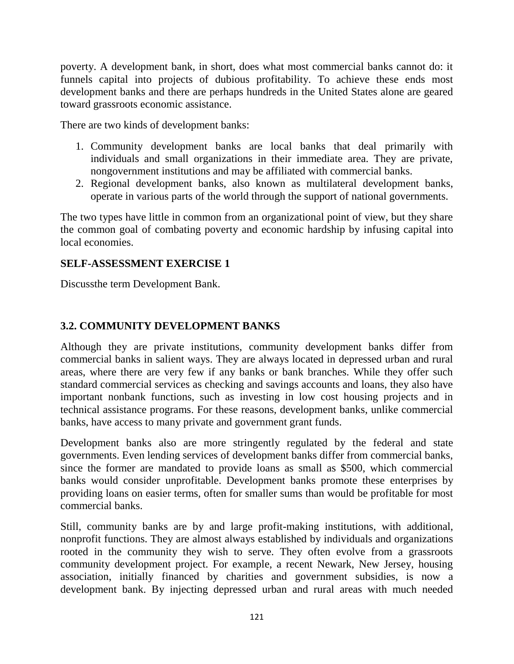poverty. A development bank, in short, does what most commercial banks cannot do: it funnels capital into projects of dubious profitability. To achieve these ends most development banks and there are perhaps hundreds in the United States alone are geared toward grassroots economic assistance.

There are two kinds of development banks:

- 1. Community development banks are local banks that deal primarily with individuals and small organizations in their immediate area. They are private, nongovernment institutions and may be affiliated with commercial banks.
- 2. Regional development banks, also known as multilateral development banks, operate in various parts of the world through the support of national governments.

The two types have little in common from an organizational point of view, but they share the common goal of combating poverty and economic hardship by infusing capital into local economies.

## **SELF-ASSESSMENT EXERCISE 1**

Discussthe term Development Bank.

# **3.2. COMMUNITY DEVELOPMENT BANKS**

Although they are private institutions, community development banks differ from commercial banks in salient ways. They are always located in depressed urban and rural areas, where there are very few if any banks or bank branches. While they offer such standard commercial services as checking and savings accounts and loans, they also have important nonbank functions, such as investing in low cost housing projects and in technical assistance programs. For these reasons, development banks, unlike commercial banks, have access to many private and government grant funds.

Development banks also are more stringently regulated by the federal and state governments. Even lending services of development banks differ from commercial banks, since the former are mandated to provide loans as small as \$500, which commercial banks would consider unprofitable. Development banks promote these enterprises by providing loans on easier terms, often for smaller sums than would be profitable for most commercial banks.

Still, community banks are by and large profit-making institutions, with additional, nonprofit functions. They are almost always established by individuals and organizations rooted in the community they wish to serve. They often evolve from a grassroots community development project. For example, a recent Newark, New Jersey, housing association, initially financed by charities and government subsidies, is now a development bank. By injecting depressed urban and rural areas with much needed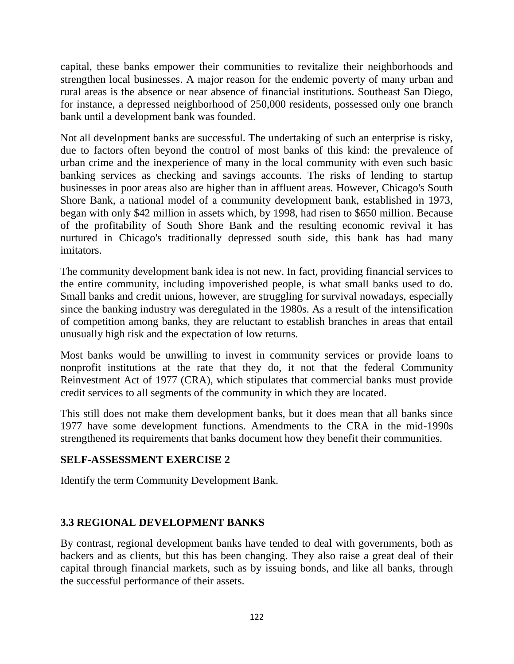capital, these banks empower their communities to revitalize their neighborhoods and strengthen local businesses. A major reason for the endemic poverty of many urban and rural areas is the absence or near absence of financial institutions. Southeast San Diego, for instance, a depressed neighborhood of 250,000 residents, possessed only one branch bank until a development bank was founded.

Not all development banks are successful. The undertaking of such an enterprise is risky, due to factors often beyond the control of most banks of this kind: the prevalence of urban crime and the inexperience of many in the local community with even such basic banking services as checking and savings accounts. The risks of lending to startup businesses in poor areas also are higher than in affluent areas. However, Chicago's South Shore Bank, a national model of a community development bank, established in 1973, began with only \$42 million in assets which, by 1998, had risen to \$650 million. Because of the profitability of South Shore Bank and the resulting economic revival it has nurtured in Chicago's traditionally depressed south side, this bank has had many imitators.

The community development bank idea is not new. In fact, providing financial services to the entire community, including impoverished people, is what small banks used to do. Small banks and credit unions, however, are struggling for survival nowadays, especially since the banking industry was deregulated in the 1980s. As a result of the intensification of competition among banks, they are reluctant to establish branches in areas that entail unusually high risk and the expectation of low returns.

Most banks would be unwilling to invest in community services or provide loans to nonprofit institutions at the rate that they do, it not that the federal Community Reinvestment Act of 1977 (CRA), which stipulates that commercial banks must provide credit services to all segments of the community in which they are located.

This still does not make them development banks, but it does mean that all banks since 1977 have some development functions. Amendments to the CRA in the mid-1990s strengthened its requirements that banks document how they benefit their communities.

### **SELF-ASSESSMENT EXERCISE 2**

Identify the term Community Development Bank.

# **3.3 REGIONAL DEVELOPMENT BANKS**

By contrast, regional development banks have tended to deal with governments, both as backers and as clients, but this has been changing. They also raise a great deal of their capital through financial markets, such as by issuing bonds, and like all banks, through the successful performance of their assets.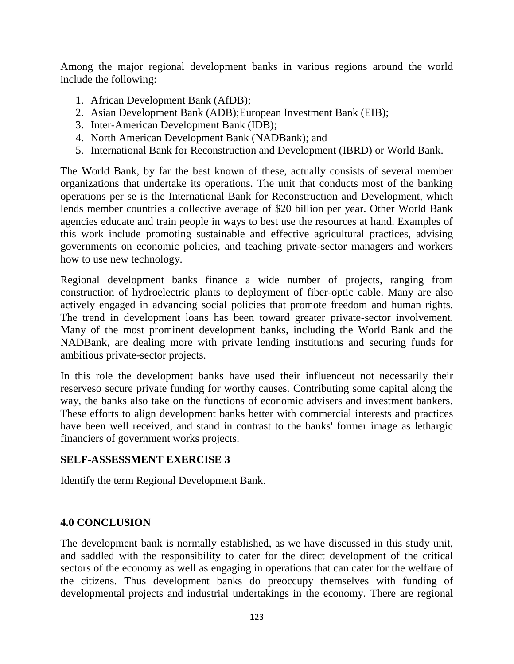Among the major regional development banks in various regions around the world include the following:

- 1. African Development Bank (AfDB);
- 2. Asian Development Bank (ADB);European Investment Bank (EIB);
- 3. Inter-American Development Bank (IDB);
- 4. North American Development Bank (NADBank); and
- 5. International Bank for Reconstruction and Development (IBRD) or World Bank.

The World Bank, by far the best known of these, actually consists of several member organizations that undertake its operations. The unit that conducts most of the banking operations per se is the International Bank for Reconstruction and Development, which lends member countries a collective average of \$20 billion per year. Other World Bank agencies educate and train people in ways to best use the resources at hand. Examples of this work include promoting sustainable and effective agricultural practices, advising governments on economic policies, and teaching private-sector managers and workers how to use new technology.

Regional development banks finance a wide number of projects, ranging from construction of hydroelectric plants to deployment of fiber-optic cable. Many are also actively engaged in advancing social policies that promote freedom and human rights. The trend in development loans has been toward greater private-sector involvement. Many of the most prominent development banks, including the World Bank and the NADBank, are dealing more with private lending institutions and securing funds for ambitious private-sector projects.

In this role the development banks have used their influenceut not necessarily their reserveso secure private funding for worthy causes. Contributing some capital along the way, the banks also take on the functions of economic advisers and investment bankers. These efforts to align development banks better with commercial interests and practices have been well received, and stand in contrast to the banks' former image as lethargic financiers of government works projects.

#### **SELF-ASSESSMENT EXERCISE 3**

Identify the term Regional Development Bank.

#### **4.0 CONCLUSION**

The development bank is normally established, as we have discussed in this study unit, and saddled with the responsibility to cater for the direct development of the critical sectors of the economy as well as engaging in operations that can cater for the welfare of the citizens. Thus development banks do preoccupy themselves with funding of developmental projects and industrial undertakings in the economy. There are regional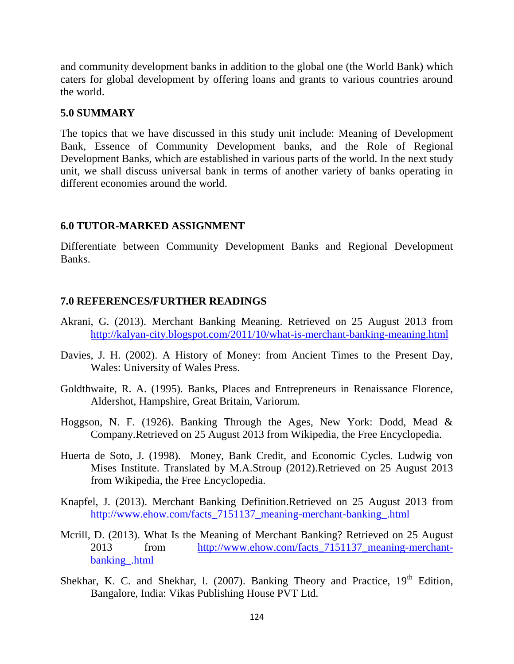and community development banks in addition to the global one (the World Bank) which caters for global development by offering loans and grants to various countries around the world.

#### **5.0 SUMMARY**

The topics that we have discussed in this study unit include: Meaning of Development Bank, Essence of Community Development banks, and the Role of Regional Development Banks, which are established in various parts of the world. In the next study unit, we shall discuss universal bank in terms of another variety of banks operating in different economies around the world.

#### **6.0 TUTOR-MARKED ASSIGNMENT**

Differentiate between Community Development Banks and Regional Development Banks.

#### **7.0 REFERENCES/FURTHER READINGS**

- Akrani, G. (2013). Merchant Banking Meaning. Retrieved on 25 August 2013 from <http://kalyan-city.blogspot.com/2011/10/what-is-merchant-banking-meaning.html>
- Davies, J. H. (2002). A History of Money: from Ancient Times to the Present Day, Wales: University of Wales Press.
- Goldthwaite, R. A. (1995). Banks, Places and Entrepreneurs in Renaissance Florence, Aldershot, Hampshire, Great Britain, Variorum.
- Hoggson, N. F. (1926). Banking Through the Ages, New York: Dodd, Mead & Company.Retrieved on 25 August 2013 from Wikipedia, the Free Encyclopedia.
- Huerta de Soto, J. (1998). Money, Bank Credit, and Economic Cycles. Ludwig von Mises Institute. Translated by M.A.Stroup (2012).Retrieved on 25 August 2013 from Wikipedia, the Free Encyclopedia.
- Knapfel, J. (2013). Merchant Banking Definition.Retrieved on 25 August 2013 from [http://www.ehow.com/facts\\_7151137\\_meaning-merchant-banking\\_.html](http://www.ehow.com/facts_7151137_meaning-merchant-banking_.html)
- Mcrill, D. (2013). What Is the Meaning of Merchant Banking? Retrieved on 25 August 2013 from [http://www.ehow.com/facts\\_7151137\\_meaning-merchant](http://www.ehow.com/facts_7151137_meaning-merchant-banking_.html)[banking\\_.html](http://www.ehow.com/facts_7151137_meaning-merchant-banking_.html)
- Shekhar, K. C. and Shekhar, 1. (2007). Banking Theory and Practice,  $19<sup>th</sup>$  Edition, Bangalore, India: Vikas Publishing House PVT Ltd.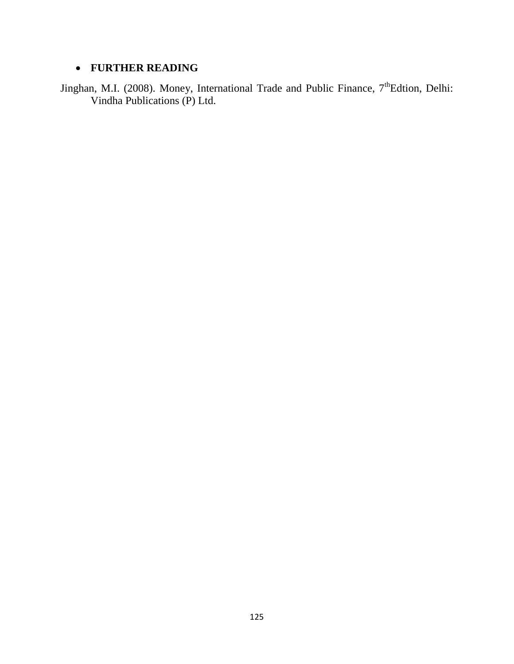## **FURTHER READING**

Jinghan, M.I. (2008). Money, International Trade and Public Finance, 7<sup>th</sup>Edtion, Delhi: Vindha Publications (P) Ltd.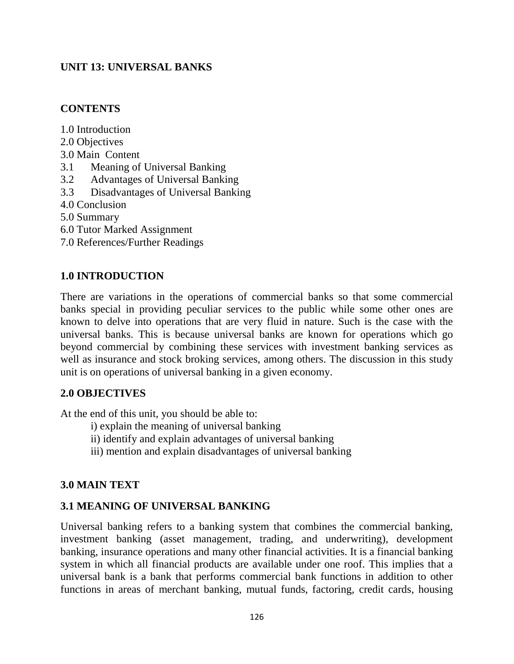# **UNIT 13: UNIVERSAL BANKS**

### **CONTENTS**

1.0 Introduction

- 2.0 Objectives
- 3.0 Main Content
- 3.1 Meaning of Universal Banking
- 3.2 Advantages of Universal Banking
- 3.3 Disadvantages of Universal Banking
- 4.0 Conclusion
- 5.0 Summary
- 6.0 Tutor Marked Assignment
- 7.0 References/Further Readings

### **1.0 INTRODUCTION**

There are variations in the operations of commercial banks so that some commercial banks special in providing peculiar services to the public while some other ones are known to delve into operations that are very fluid in nature. Such is the case with the universal banks. This is because universal banks are known for operations which go beyond commercial by combining these services with investment banking services as well as insurance and stock broking services, among others. The discussion in this study unit is on operations of universal banking in a given economy.

### **2.0 OBJECTIVES**

At the end of this unit, you should be able to:

- i) explain the meaning of universal banking
- ii) identify and explain advantages of universal banking
- iii) mention and explain disadvantages of universal banking

### **3.0 MAIN TEXT**

### **3.1 MEANING OF UNIVERSAL BANKING**

Universal banking refers to a banking system that combines the commercial banking, investment banking (asset management, trading, and underwriting), development banking, insurance operations and many other financial activities. It is a financial banking system in which all financial products are available under one roof. This implies that a universal bank is a bank that performs commercial bank functions in addition to other functions in areas of merchant banking, mutual funds, factoring, credit cards, housing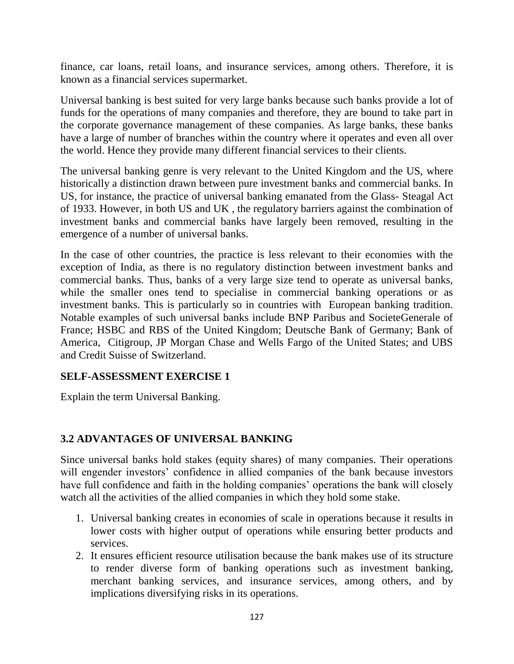finance, car loans, retail loans, and insurance services, among others. Therefore, it is known as a financial services supermarket.

Universal banking is best suited for very large banks because such banks provide a lot of funds for the operations of many companies and therefore, they are bound to take part in the corporate governance management of these companies. As large banks, these banks have a large of number of branches within the country where it operates and even all over the world. Hence they provide many different financial services to their clients.

The universal banking genre is very relevant to the United Kingdom and the US, where historically a distinction drawn between pure investment banks and commercial banks. In US, for instance, the practice of universal banking emanated from the Glass- Steagal Act of 1933. However, in both US and UK , the regulatory barriers against the combination of investment banks and commercial banks have largely been removed, resulting in the emergence of a number of universal banks.

In the case of other countries, the practice is less relevant to their economies with the exception of India, as there is no regulatory distinction between investment banks and commercial banks. Thus, banks of a very large size tend to operate as universal banks, while the smaller ones tend to specialise in commercial banking operations or as investment banks. This is particularly so in countries with European banking tradition. Notable examples of such universal banks include BNP Paribus and SocieteGenerale of France; HSBC and RBS of the United Kingdom; Deutsche Bank of Germany; Bank of America, Citigroup, JP Morgan Chase and Wells Fargo of the United States; and UBS and Credit Suisse of Switzerland.

### **SELF-ASSESSMENT EXERCISE 1**

Explain the term Universal Banking.

# **3.2 ADVANTAGES OF UNIVERSAL BANKING**

Since universal banks hold stakes (equity shares) of many companies. Their operations will engender investors' confidence in allied companies of the bank because investors have full confidence and faith in the holding companies' operations the bank will closely watch all the activities of the allied companies in which they hold some stake.

- 1. Universal banking creates in economies of scale in operations because it results in lower costs with higher output of operations while ensuring better products and services.
- 2. It ensures efficient resource utilisation because the bank makes use of its structure to render diverse form of banking operations such as investment banking, merchant banking services, and insurance services, among others, and by implications diversifying risks in its operations.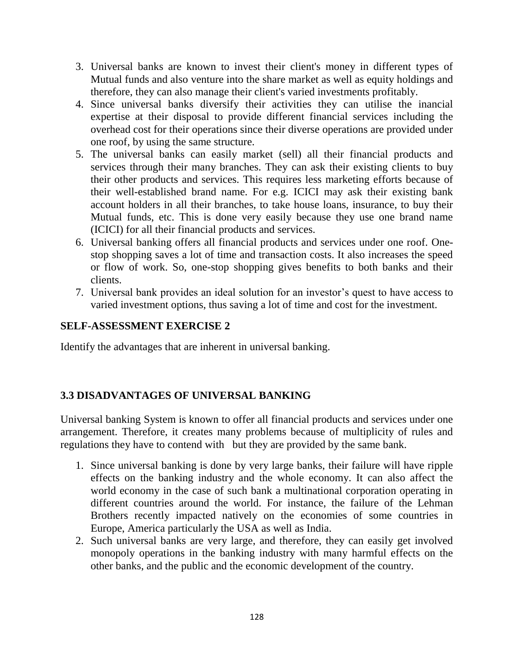- 3. Universal banks are known to invest their client's money in different types of Mutual funds and also venture into the share market as well as equity holdings and therefore, they can also manage their client's varied investments profitably.
- 4. Since universal banks diversify their activities they can utilise the inancial expertise at their disposal to provide different financial services including the overhead cost for their operations since their diverse operations are provided under one roof, by using the same structure.
- 5. The universal banks can easily market (sell) all their financial products and services through their many branches. They can ask their existing clients to buy their other products and services. This requires less marketing efforts because of their well-established brand name. For e.g. ICICI may ask their existing bank account holders in all their branches, to take house loans, insurance, to buy their Mutual funds, etc. This is done very easily because they use one brand name (ICICI) for all their financial products and services.
- 6. Universal banking offers all financial products and services under one roof. Onestop shopping saves a lot of time and transaction costs. It also increases the speed or flow of work. So, one-stop shopping gives benefits to both banks and their clients.
- 7. Universal bank provides an ideal solution for an investor's quest to have access to varied investment options, thus saving a lot of time and cost for the investment.

## **SELF-ASSESSMENT EXERCISE 2**

Identify the advantages that are inherent in universal banking.

# **3.3 DISADVANTAGES OF UNIVERSAL BANKING**

Universal banking System is known to offer all financial products and services under one arrangement. Therefore, it creates many problems because of multiplicity of rules and regulations they have to contend with but they are provided by the same bank.

- 1. Since universal banking is done by very large banks, their failure will have ripple effects on the banking industry and the whole economy. It can also affect the world economy in the case of such bank a multinational corporation operating in different countries around the world. For instance, the failure of the Lehman Brothers recently impacted natively on the economies of some countries in Europe, America particularly the USA as well as India.
- 2. Such universal banks are very large, and therefore, they can easily get involved monopoly operations in the banking industry with many harmful effects on the other banks, and the public and the economic development of the country.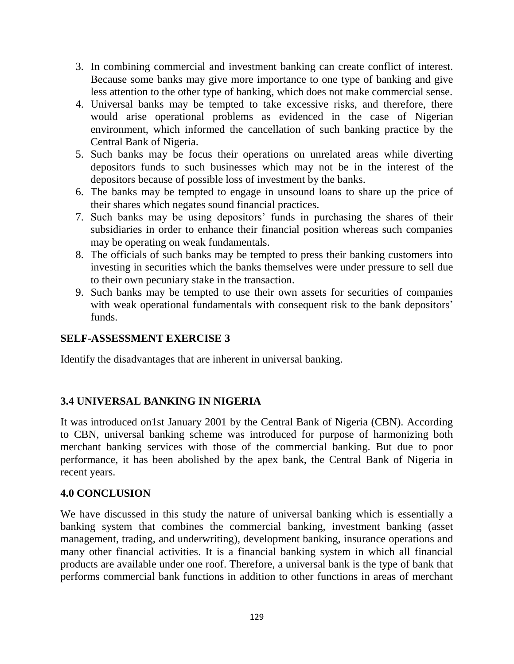- 3. In combining commercial and investment banking can create conflict of interest. Because some banks may give more importance to one type of banking and give less attention to the other type of banking, which does not make commercial sense.
- 4. Universal banks may be tempted to take excessive risks, and therefore, there would arise operational problems as evidenced in the case of Nigerian environment, which informed the cancellation of such banking practice by the Central Bank of Nigeria.
- 5. Such banks may be focus their operations on unrelated areas while diverting depositors funds to such businesses which may not be in the interest of the depositors because of possible loss of investment by the banks.
- 6. The banks may be tempted to engage in unsound loans to share up the price of their shares which negates sound financial practices.
- 7. Such banks may be using depositors' funds in purchasing the shares of their subsidiaries in order to enhance their financial position whereas such companies may be operating on weak fundamentals.
- 8. The officials of such banks may be tempted to press their banking customers into investing in securities which the banks themselves were under pressure to sell due to their own pecuniary stake in the transaction.
- 9. Such banks may be tempted to use their own assets for securities of companies with weak operational fundamentals with consequent risk to the bank depositors' funds.

### **SELF-ASSESSMENT EXERCISE 3**

Identify the disadvantages that are inherent in universal banking.

# **3.4 UNIVERSAL BANKING IN NIGERIA**

It was introduced on1st January 2001 by the Central Bank of Nigeria (CBN). According to CBN, universal banking scheme was introduced for purpose of harmonizing both merchant banking services with those of the commercial banking. But due to poor performance, it has been abolished by the apex bank, the Central Bank of Nigeria in recent years.

### **4.0 CONCLUSION**

We have discussed in this study the nature of universal banking which is essentially a banking system that combines the commercial banking, investment banking (asset management, trading, and underwriting), development banking, insurance operations and many other financial activities. It is a financial banking system in which all financial products are available under one roof. Therefore, a universal bank is the type of bank that performs commercial bank functions in addition to other functions in areas of merchant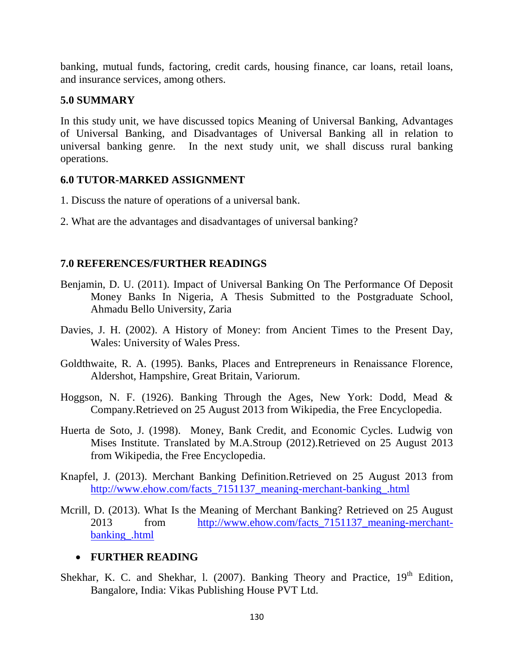banking, mutual funds, factoring, credit cards, housing finance, car loans, retail loans, and insurance services, among others.

### **5.0 SUMMARY**

In this study unit, we have discussed topics Meaning of Universal Banking, Advantages of Universal Banking, and Disadvantages of Universal Banking all in relation to universal banking genre. In the next study unit, we shall discuss rural banking operations.

## **6.0 TUTOR-MARKED ASSIGNMENT**

- 1. Discuss the nature of operations of a universal bank.
- 2. What are the advantages and disadvantages of universal banking?

## **7.0 REFERENCES/FURTHER READINGS**

- Benjamin, D. U. (2011). Impact of Universal Banking On The Performance Of Deposit Money Banks In Nigeria, A Thesis Submitted to the Postgraduate School, Ahmadu Bello University, Zaria
- Davies, J. H. (2002). A History of Money: from Ancient Times to the Present Day, Wales: University of Wales Press.
- Goldthwaite, R. A. (1995). Banks, Places and Entrepreneurs in Renaissance Florence, Aldershot, Hampshire, Great Britain, Variorum.
- Hoggson, N. F. (1926). Banking Through the Ages, New York: Dodd, Mead & Company.Retrieved on 25 August 2013 from Wikipedia, the Free Encyclopedia.
- Huerta de Soto, J. (1998). Money, Bank Credit, and Economic Cycles. Ludwig von Mises Institute. Translated by M.A.Stroup (2012).Retrieved on 25 August 2013 from Wikipedia, the Free Encyclopedia.
- Knapfel, J. (2013). Merchant Banking Definition.Retrieved on 25 August 2013 from http://www.ehow.com/facts 7151137 meaning-merchant-banking.html
- Mcrill, D. (2013). What Is the Meaning of Merchant Banking? Retrieved on 25 August 2013 from [http://www.ehow.com/facts\\_7151137\\_meaning-merchant](http://www.ehow.com/facts_7151137_meaning-merchant-banking_.html)[banking\\_.html](http://www.ehow.com/facts_7151137_meaning-merchant-banking_.html)

# **FURTHER READING**

Shekhar, K. C. and Shekhar, 1. (2007). Banking Theory and Practice,  $19<sup>th</sup>$  Edition, Bangalore, India: Vikas Publishing House PVT Ltd.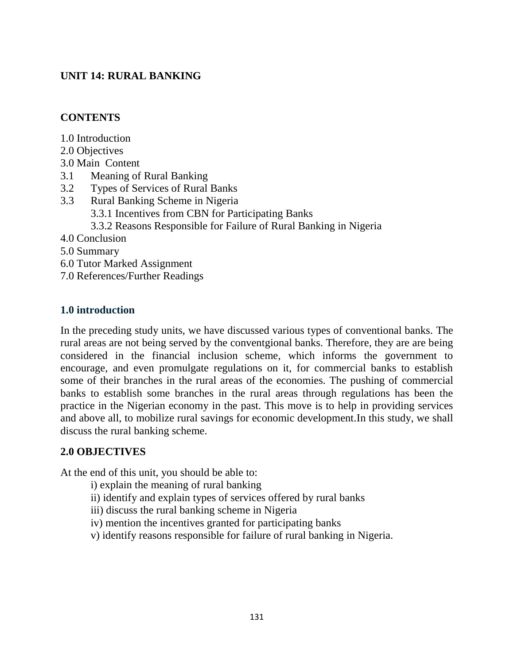# **UNIT 14: RURAL BANKING**

### **CONTENTS**

- 1.0 Introduction
- 2.0 Objectives
- 3.0 Main Content
- 3.1 Meaning of Rural Banking
- 3.2 Types of Services of Rural Banks
- 3.3 Rural Banking Scheme in Nigeria
	- 3.3.1 Incentives from CBN for Participating Banks
	- 3.3.2 Reasons Responsible for Failure of Rural Banking in Nigeria
- 4.0 Conclusion
- 5.0 Summary
- 6.0 Tutor Marked Assignment
- 7.0 References/Further Readings

## **1.0 introduction**

In the preceding study units, we have discussed various types of conventional banks. The rural areas are not being served by the conventgional banks. Therefore, they are are being considered in the financial inclusion scheme, which informs the government to encourage, and even promulgate regulations on it, for commercial banks to establish some of their branches in the rural areas of the economies. The pushing of commercial banks to establish some branches in the rural areas through regulations has been the practice in the Nigerian economy in the past. This move is to help in providing services and above all, to mobilize rural savings for economic development.In this study, we shall discuss the rural banking scheme.

# **2.0 OBJECTIVES**

At the end of this unit, you should be able to:

- i) explain the meaning of rural banking
- ii) identify and explain types of services offered by rural banks
- iii) discuss the rural banking scheme in Nigeria
- iv) mention the incentives granted for participating banks
- v) identify reasons responsible for failure of rural banking in Nigeria.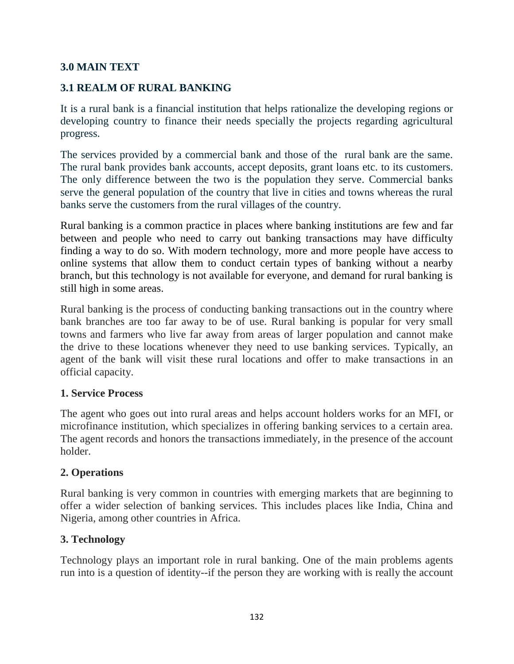## **3.0 MAIN TEXT**

## **3.1 REALM OF RURAL BANKING**

It is a rural bank is a financial institution that helps rationalize the developing regions or developing country to finance their needs specially the projects regarding agricultural progress.

The services provided by a commercial bank and those of the rural bank are the same. The rural bank provides bank accounts, accept deposits, grant loans etc. to its customers. The only difference between the two is the population they serve. Commercial banks serve the general population of the country that live in cities and towns whereas the rural banks serve the customers from the rural villages of the country.

Rural banking is a common practice in places where banking institutions are few and far between and people who need to carry out banking transactions may have difficulty finding a way to do so. With modern technology, more and more people have access to online systems that allow them to conduct certain types of banking without a nearby branch, but this technology is not available for everyone, and demand for rural banking is still high in some areas.

Rural banking is the process of conducting banking transactions out in the country where bank branches are too far away to be of use. Rural banking is popular for very small towns and farmers who live far away from areas of larger population and cannot make the drive to these locations whenever they need to use banking services. Typically, an agent of the bank will visit these rural locations and offer to make transactions in an official capacity.

### **1. Service Process**

The agent who goes out into rural areas and helps account holders works for an MFI, or microfinance institution, which specializes in offering banking services to a certain area. The agent records and honors the transactions immediately, in the presence of the account holder.

### **2. Operations**

Rural banking is very common in countries with emerging markets that are beginning to offer a wider selection of banking services. This includes places like India, China and Nigeria, among other countries in Africa.

### **3. Technology**

Technology plays an important role in rural banking. One of the main problems agents run into is a question of identity--if the person they are working with is really the account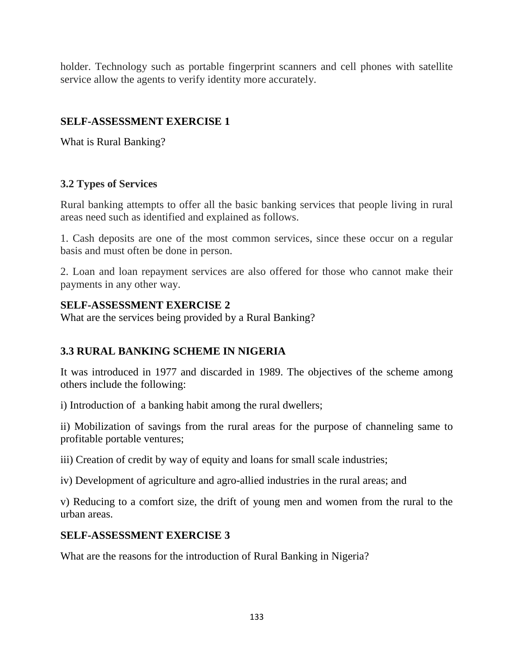holder. Technology such as portable fingerprint scanners and cell phones with satellite service allow the agents to verify identity more accurately.

# **SELF-ASSESSMENT EXERCISE 1**

What is Rural Banking?

# **3.2 Types of Services**

Rural banking attempts to offer all the basic banking services that people living in rural areas need such as identified and explained as follows.

1. Cash deposits are one of the most common services, since these occur on a regular basis and must often be done in person.

2. Loan and loan repayment services are also offered for those who cannot make their payments in any other way.

## **SELF-ASSESSMENT EXERCISE 2**

What are the services being provided by a Rural Banking?

# **3.3 RURAL BANKING SCHEME IN NIGERIA**

It was introduced in 1977 and discarded in 1989. The objectives of the scheme among others include the following:

i) Introduction of a banking habit among the rural dwellers;

ii) Mobilization of savings from the rural areas for the purpose of channeling same to profitable portable ventures;

iii) Creation of credit by way of equity and loans for small scale industries;

iv) Development of agriculture and agro-allied industries in the rural areas; and

v) Reducing to a comfort size, the drift of young men and women from the rural to the urban areas.

# **SELF-ASSESSMENT EXERCISE 3**

What are the reasons for the introduction of Rural Banking in Nigeria?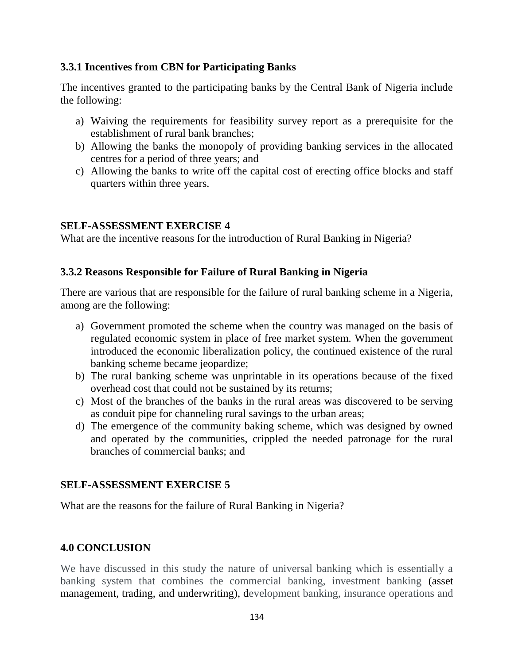### **3.3.1 Incentives from CBN for Participating Banks**

The incentives granted to the participating banks by the Central Bank of Nigeria include the following:

- a) Waiving the requirements for feasibility survey report as a prerequisite for the establishment of rural bank branches;
- b) Allowing the banks the monopoly of providing banking services in the allocated centres for a period of three years; and
- c) Allowing the banks to write off the capital cost of erecting office blocks and staff quarters within three years.

# **SELF-ASSESSMENT EXERCISE 4**

What are the incentive reasons for the introduction of Rural Banking in Nigeria?

# **3.3.2 Reasons Responsible for Failure of Rural Banking in Nigeria**

There are various that are responsible for the failure of rural banking scheme in a Nigeria, among are the following:

- a) Government promoted the scheme when the country was managed on the basis of regulated economic system in place of free market system. When the government introduced the economic liberalization policy, the continued existence of the rural banking scheme became jeopardize;
- b) The rural banking scheme was unprintable in its operations because of the fixed overhead cost that could not be sustained by its returns;
- c) Most of the branches of the banks in the rural areas was discovered to be serving as conduit pipe for channeling rural savings to the urban areas;
- d) The emergence of the community baking scheme, which was designed by owned and operated by the communities, crippled the needed patronage for the rural branches of commercial banks; and

# **SELF-ASSESSMENT EXERCISE 5**

What are the reasons for the failure of Rural Banking in Nigeria?

# **4.0 CONCLUSION**

We have discussed in this study the nature of universal banking which is essentially a banking system that combines the commercial banking, investment banking (asset management, trading, and underwriting), development banking, insurance operations and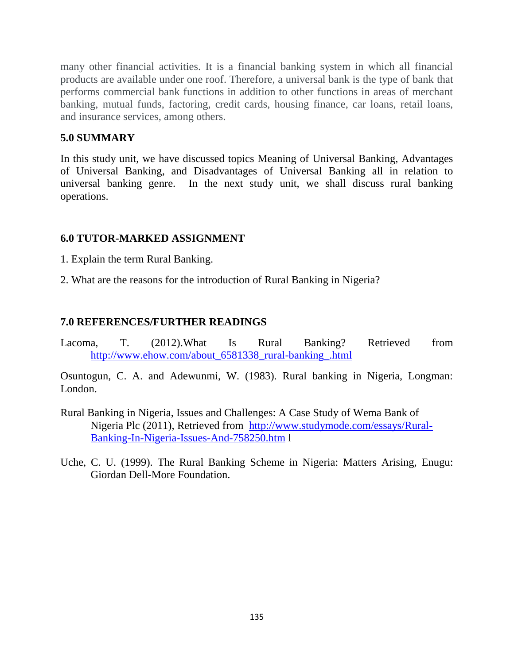many other financial activities. It is a financial banking system in which all financial products are available under one roof. Therefore, a universal bank is the type of bank that performs commercial bank functions in addition to other functions in areas of merchant banking, mutual funds, factoring, credit cards, housing finance, car loans, retail loans, and insurance services, among others.

### **5.0 SUMMARY**

In this study unit, we have discussed topics Meaning of Universal Banking, Advantages of Universal Banking, and Disadvantages of Universal Banking all in relation to universal banking genre. In the next study unit, we shall discuss rural banking operations.

#### **6.0 TUTOR-MARKED ASSIGNMENT**

- 1. Explain the term Rural Banking.
- 2. What are the reasons for the introduction of Rural Banking in Nigeria?

#### **7.0 REFERENCES/FURTHER READINGS**

Lacoma, T. (2012).What Is Rural Banking? Retrieved from [http://www.ehow.com/about\\_6581338\\_rural-banking\\_.html](http://www.ehow.com/about_6581338_rural-banking_.html)

Osuntogun, C. A. and Adewunmi, W. (1983). Rural banking in Nigeria, Longman: London.

- Rural Banking in Nigeria, Issues and Challenges: A Case Study of Wema Bank of Nigeria Plc (2011), Retrieved from [http://www.studymode.com/essays/Rural-](http://www.studymode.com/essays/Rural-Banking-In-Nigeria-Issues-And-758250.htm)[Banking-In-Nigeria-Issues-And-758250.htm](http://www.studymode.com/essays/Rural-Banking-In-Nigeria-Issues-And-758250.htm) l
- Uche, C. U. (1999). The Rural Banking Scheme in Nigeria: Matters Arising, Enugu: Giordan Dell-More Foundation.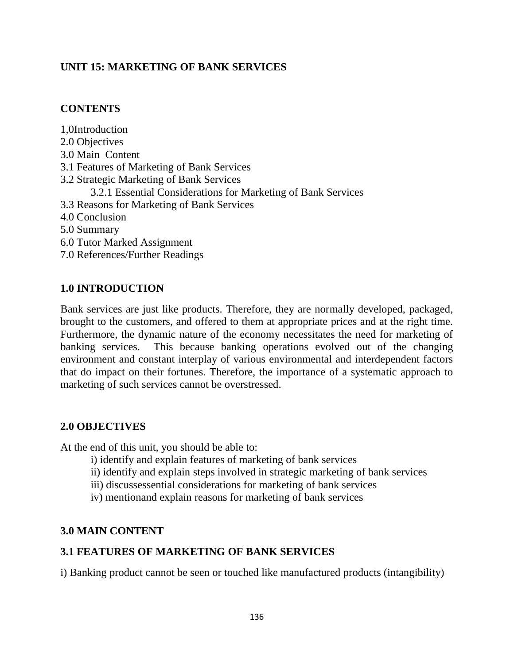## **UNIT 15: MARKETING OF BANK SERVICES**

### **CONTENTS**

1,0Introduction 2.0 Objectives 3.0 Main Content 3.1 Features of Marketing of Bank Services 3.2 Strategic Marketing of Bank Services 3.2.1 Essential Considerations for Marketing of Bank Services 3.3 Reasons for Marketing of Bank Services 4.0 Conclusion 5.0 Summary 6.0 Tutor Marked Assignment 7.0 References/Further Readings

### **1.0 INTRODUCTION**

Bank services are just like products. Therefore, they are normally developed, packaged, brought to the customers, and offered to them at appropriate prices and at the right time. Furthermore, the dynamic nature of the economy necessitates the need for marketing of banking services. This because banking operations evolved out of the changing environment and constant interplay of various environmental and interdependent factors that do impact on their fortunes. Therefore, the importance of a systematic approach to marketing of such services cannot be overstressed.

### **2.0 OBJECTIVES**

At the end of this unit, you should be able to:

- i) identify and explain features of marketing of bank services
- ii) identify and explain steps involved in strategic marketing of bank services
- iii) discussessential considerations for marketing of bank services
- iv) mentionand explain reasons for marketing of bank services

#### **3.0 MAIN CONTENT**

### **3.1 FEATURES OF MARKETING OF BANK SERVICES**

i) Banking product cannot be seen or touched like manufactured products (intangibility)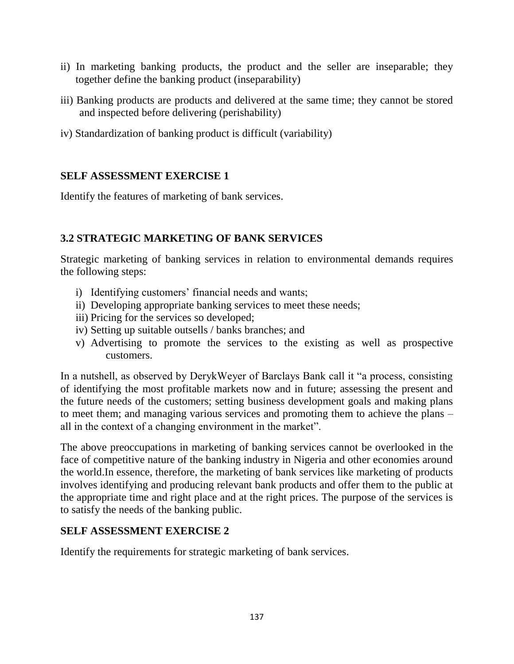- ii) In marketing banking products, the product and the seller are inseparable; they together define the banking product (inseparability)
- iii) Banking products are products and delivered at the same time; they cannot be stored and inspected before delivering (perishability)
- iv) Standardization of banking product is difficult (variability)

## **SELF ASSESSMENT EXERCISE 1**

Identify the features of marketing of bank services.

# **3.2 STRATEGIC MARKETING OF BANK SERVICES**

Strategic marketing of banking services in relation to environmental demands requires the following steps:

- i) Identifying customers' financial needs and wants;
- ii) Developing appropriate banking services to meet these needs;
- iii) Pricing for the services so developed;
- iv) Setting up suitable outsells / banks branches; and
- v) Advertising to promote the services to the existing as well as prospective customers.

In a nutshell, as observed by DerykWeyer of Barclays Bank call it "a process, consisting of identifying the most profitable markets now and in future; assessing the present and the future needs of the customers; setting business development goals and making plans to meet them; and managing various services and promoting them to achieve the plans – all in the context of a changing environment in the market".

The above preoccupations in marketing of banking services cannot be overlooked in the face of competitive nature of the banking industry in Nigeria and other economies around the world.In essence, therefore, the marketing of bank services like marketing of products involves identifying and producing relevant bank products and offer them to the public at the appropriate time and right place and at the right prices. The purpose of the services is to satisfy the needs of the banking public.

### **SELF ASSESSMENT EXERCISE 2**

Identify the requirements for strategic marketing of bank services.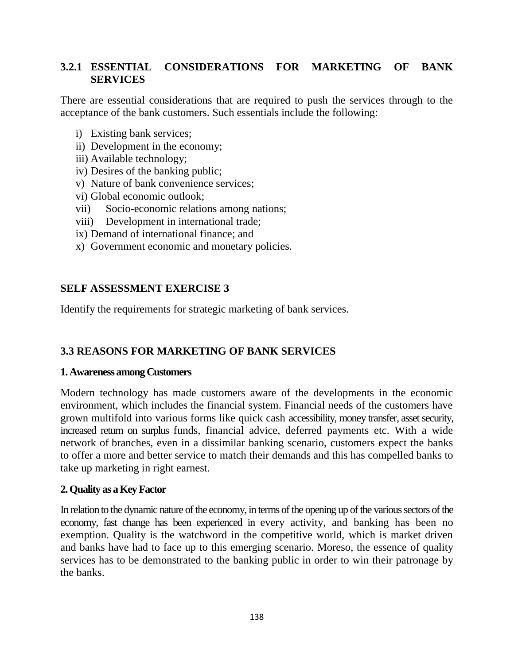## **3.2.1 ESSENTIAL CONSIDERATIONS FOR MARKETING OF BANK SERVICES**

There are essential considerations that are required to push the services through to the acceptance of the bank customers. Such essentials include the following:

- i) Existing bank services;
- ii) Development in the economy;
- iii) Available technology;
- iv) Desires of the banking public;
- v) Nature of bank convenience services;
- vi) Global economic outlook;
- vii) Socio-economic relations among nations;
- viii) Development in international trade;
- ix) Demand of international finance; and
- x) Government economic and monetary policies.

### **SELF ASSESSMENT EXERCISE 3**

Identify the requirements for strategic marketing of bank services.

### **3.3 REASONS FOR MARKETING OF BANK SERVICES**

#### **1. Awareness among Customers**

Modern technology has made customers aware of the developments in the economic environment, which includes the financial system. Financial needs of the customers have grown multifold into various forms like quick cash accessibility, money transfer, asset security, increased return on surplus funds, financial advice, deferred payments etc. With a wide network of branches, even in a dissimilar banking scenario, customers expect the banks to offer a more and better service to match their demands and this has compelled banks to take up marketing in right earnest.

### **2. Quality as a Key Factor**

In relation to the dynamic nature of the economy, in terms of the opening up of the various sectors of the economy, fast change has been experienced in every activity, and banking has been no exemption. Quality is the watchword in the competitive world, which is market driven and banks have had to face up to this emerging scenario. Moreso, the essence of quality services has to be demonstrated to the banking public in order to win their patronage by the banks.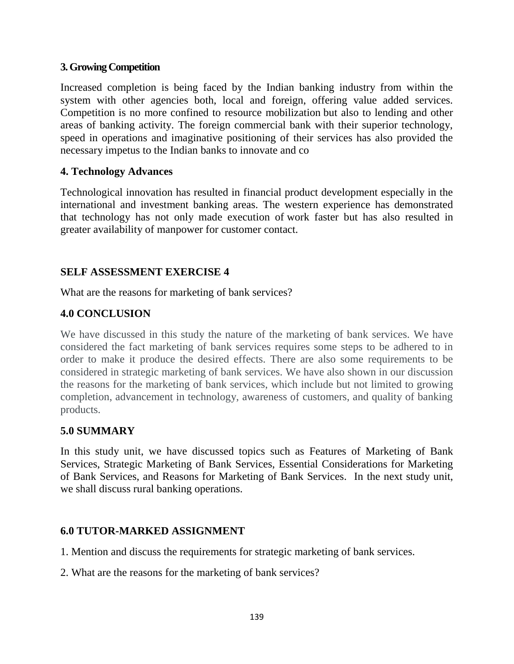#### **3. Growing Competition**

Increased completion is being faced by the Indian banking industry from within the system with other agencies both, local and foreign, offering value added services. Competition is no more confined to resource mobilization but also to lending and other areas of banking activity. The foreign commercial bank with their superior technology, speed in operations and imaginative positioning of their services has also provided the necessary impetus to the Indian banks to innovate and co

#### **4. Technology Advances**

Technological innovation has resulted in financial product development especially in the international and investment banking areas. The western experience has demonstrated that technology has not only made execution of work faster but has also resulted in greater availability of manpower for customer contact.

### **SELF ASSESSMENT EXERCISE 4**

What are the reasons for marketing of bank services?

### **4.0 CONCLUSION**

We have discussed in this study the nature of the marketing of bank services. We have considered the fact marketing of bank services requires some steps to be adhered to in order to make it produce the desired effects. There are also some requirements to be considered in strategic marketing of bank services. We have also shown in our discussion the reasons for the marketing of bank services, which include but not limited to growing completion, advancement in technology, awareness of customers, and quality of banking products.

### **5.0 SUMMARY**

In this study unit, we have discussed topics such as Features of Marketing of Bank Services, Strategic Marketing of Bank Services, Essential Considerations for Marketing of Bank Services, and Reasons for Marketing of Bank Services. In the next study unit, we shall discuss rural banking operations.

#### **6.0 TUTOR-MARKED ASSIGNMENT**

- 1. Mention and discuss the requirements for strategic marketing of bank services.
- 2. What are the reasons for the marketing of bank services?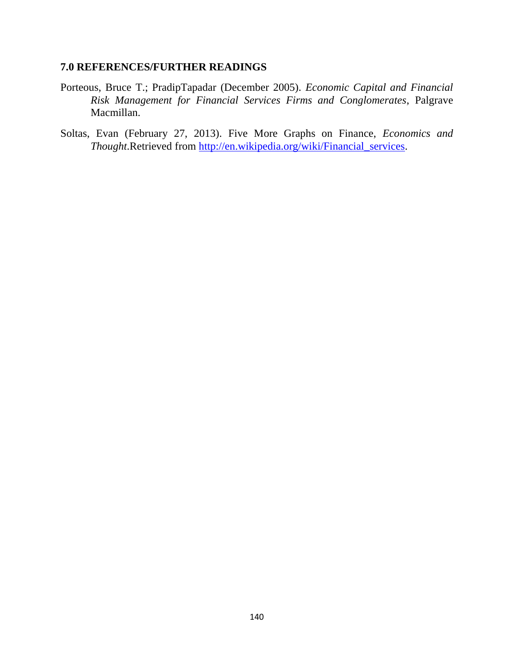#### **7.0 REFERENCES/FURTHER READINGS**

- Porteous, Bruce T.; PradipTapadar (December 2005). *Economic Capital and Financial Risk Management for Financial Services Firms and Conglomerates*, Palgrave Macmillan.
- Soltas, Evan (February 27, 2013). Five More Graphs on Finance, *Economics and Thought*.Retrieved from [http://en.wikipedia.org/wiki/Financial\\_services.](http://en.wikipedia.org/wiki/Financial_services)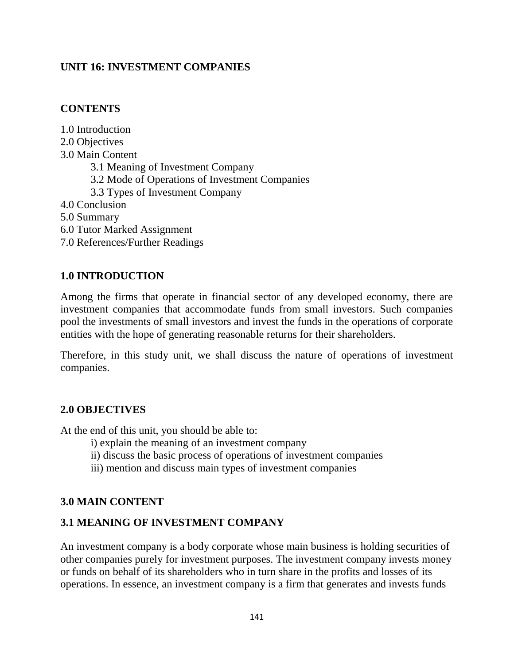# **UNIT 16: INVESTMENT COMPANIES**

### **CONTENTS**

1.0 Introduction 2.0 Objectives 3.0 Main Content 3.1 Meaning of Investment Company 3.2 Mode of Operations of Investment Companies 3.3 Types of Investment Company 4.0 Conclusion 5.0 Summary 6.0 Tutor Marked Assignment 7.0 References/Further Readings

### **1.0 INTRODUCTION**

Among the firms that operate in financial sector of any developed economy, there are investment companies that accommodate funds from small investors. Such companies pool the investments of small investors and invest the funds in the operations of corporate entities with the hope of generating reasonable returns for their shareholders.

Therefore, in this study unit, we shall discuss the nature of operations of investment companies.

### **2.0 OBJECTIVES**

At the end of this unit, you should be able to:

- i) explain the meaning of an investment company
- ii) discuss the basic process of operations of investment companies
- iii) mention and discuss main types of investment companies

# **3.0 MAIN CONTENT**

# **3.1 MEANING OF INVESTMENT COMPANY**

An investment company is a body corporate whose main business is holding securities of other companies purely for investment purposes. The investment company invests money or funds on behalf of its shareholders who in turn share in the profits and losses of its operations. In essence, an investment company is a firm that generates and invests funds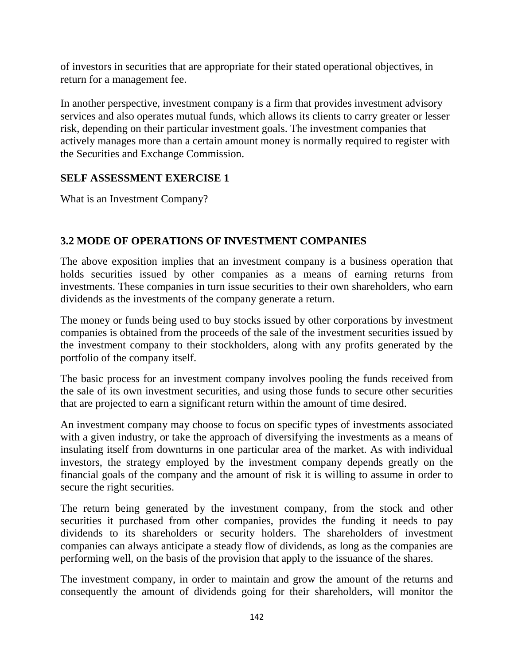of investors in securities that are appropriate for their stated operational objectives, in return for a management fee.

In another perspective, investment company is a firm that provides investment advisory services and also operates mutual funds, which allows its clients to carry greater or lesser risk, depending on their particular investment goals. The investment companies that actively manages more than a certain amount money is normally required to register with the Securities and Exchange Commission.

## **SELF ASSESSMENT EXERCISE 1**

What is an Investment Company?

# **3.2 MODE OF OPERATIONS OF INVESTMENT COMPANIES**

The above exposition implies that an investment company is a business operation that holds securities issued by other companies as a means of earning returns from investments. These companies in turn issue securities to their own shareholders, who earn dividends as the investments of the company generate a return.

The money or funds being used to buy stocks issued by other corporations by investment companies is obtained from the proceeds of the sale of the investment securities issued by the investment company to their stockholders, along with any profits generated by the portfolio of the company itself.

The basic process for an investment company involves pooling the funds received from the sale of its own investment securities, and using those funds to secure other securities that are projected to earn a significant return within the amount of time desired.

An investment company may choose to focus on specific types of investments associated with a given industry, or take the approach of diversifying the investments as a means of insulating itself from downturns in one particular area of the market. As with individual investors, the strategy employed by the investment company depends greatly on the financial goals of the company and the amount of risk it is willing to assume in order to secure the right securities.

The return being generated by the investment company, from the stock and other securities it purchased from other companies, provides the funding it needs to pay dividends to its shareholders or security holders. The shareholders of investment companies can always anticipate a steady flow of dividends, as long as the companies are performing well, on the basis of the provision that apply to the issuance of the shares.

The investment company, in order to maintain and grow the amount of the returns and consequently the amount of dividends going for their shareholders, will monitor the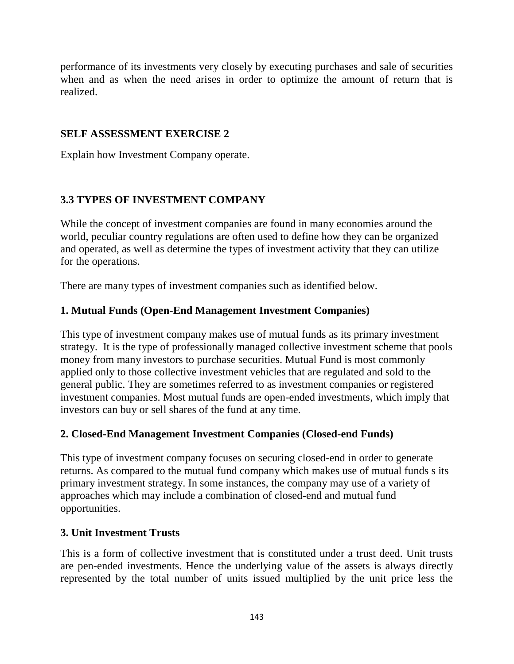performance of its investments very closely by executing purchases and sale of securities when and as when the need arises in order to optimize the amount of return that is realized.

#### **SELF ASSESSMENT EXERCISE 2**

Explain how Investment Company operate.

## **3.3 TYPES OF INVESTMENT COMPANY**

While the concept of investment companies are found in many economies around the world, peculiar country regulations are often used to define how they can be organized and operated, as well as determine the types of investment activity that they can utilize for the operations.

There are many types of investment companies such as identified below.

## **1. Mutual Funds (Open-End Management Investment Companies)**

This type of investment company makes use of mutual funds as its primary investment strategy. It is the type of professionally managed collective investment scheme that pools money from many investors to purchase securities. Mutual Fund is most commonly applied only to those collective investment vehicles that are regulated and sold to the general public. They are sometimes referred to as investment companies or registered investment companies. Most mutual funds are open-ended investments, which imply that investors can buy or sell shares of the fund at any time.

### **2. Closed-End Management Investment Companies (Closed-end Funds)**

This type of investment company focuses on securing closed-end in order to generate returns. As compared to the mutual fund company which makes use of mutual funds s its primary investment strategy. In some instances, the company may use of a variety of approaches which may include a combination of closed-end and mutual fund opportunities.

#### **3. Unit Investment Trusts**

This is a form of collective investment that is constituted under a trust deed. Unit trusts are pen-ended investments. Hence the underlying value of the assets is always directly represented by the total number of units issued multiplied by the unit price less the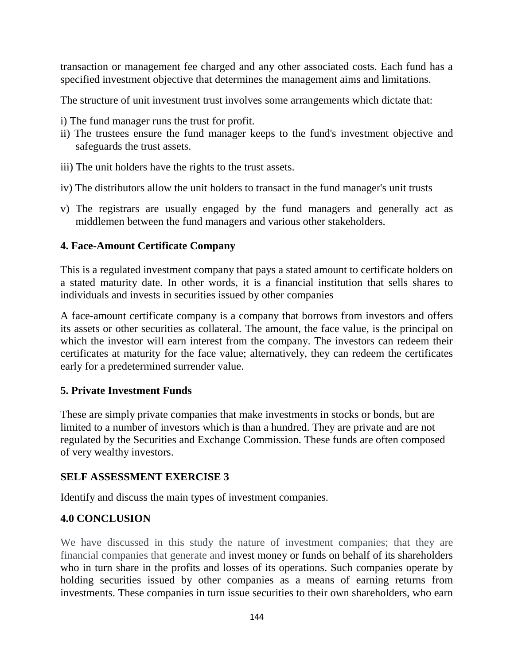transaction or management fee charged and any other associated costs. Each fund has a specified investment objective that determines the management aims and limitations.

The structure of unit investment trust involves some arrangements which dictate that:

- i) The fund manager runs the trust for profit.
- ii) The trustees ensure the fund manager keeps to the fund's investment objective and safeguards the trust assets.
- iii) The unit holders have the rights to the trust assets.
- iv) The distributors allow the unit holders to transact in the fund manager's unit trusts
- v) The registrars are usually engaged by the fund managers and generally act as middlemen between the fund managers and various other stakeholders.

### **4. Face-Amount Certificate Company**

This is a regulated investment company that pays a stated amount to certificate holders on a stated maturity date. In other words, it is a financial institution that sells shares to individuals and invests in securities issued by other companies

A face-amount certificate company is a company that borrows from investors and offers its assets or other securities as collateral. The amount, the face value, is the principal on which the investor will earn interest from the company. The investors can redeem their certificates at maturity for the face value; alternatively, they can redeem the certificates early for a predetermined surrender value.

### **5. Private Investment Funds**

These are simply private companies that make investments in stocks or bonds, but are limited to a number of investors which is than a hundred. They are private and are not regulated by the Securities and Exchange Commission. These funds are often composed of very wealthy investors.

### **SELF ASSESSMENT EXERCISE 3**

Identify and discuss the main types of investment companies.

### **4.0 CONCLUSION**

We have discussed in this study the nature of investment companies; that they are financial companies that generate and invest money or funds on behalf of its shareholders who in turn share in the profits and losses of its operations. Such companies operate by holding securities issued by other companies as a means of earning returns from investments. These companies in turn issue securities to their own shareholders, who earn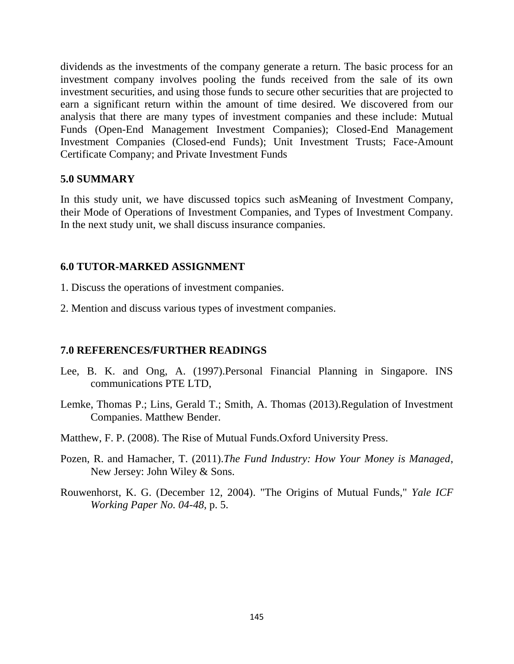dividends as the investments of the company generate a return. The basic process for an investment company involves pooling the funds received from the sale of its own investment securities, and using those funds to secure other securities that are projected to earn a significant return within the amount of time desired. We discovered from our analysis that there are many types of investment companies and these include: Mutual Funds (Open-End Management Investment Companies); Closed-End Management Investment Companies (Closed-end Funds); Unit Investment Trusts; Face-Amount Certificate Company; and Private Investment Funds

#### **5.0 SUMMARY**

In this study unit, we have discussed topics such asMeaning of Investment Company, their Mode of Operations of Investment Companies, and Types of Investment Company. In the next study unit, we shall discuss insurance companies.

#### **6.0 TUTOR-MARKED ASSIGNMENT**

- 1. Discuss the operations of investment companies.
- 2. Mention and discuss various types of investment companies.

#### **7.0 REFERENCES/FURTHER READINGS**

- Lee, B. K. and Ong, A. (1997).Personal Financial Planning in Singapore. INS communications PTE LTD,
- Lemke, Thomas P.; Lins, Gerald T.; Smith, A. Thomas (2013).Regulation of Investment Companies. Matthew Bender.
- Matthew, F. P. (2008). The Rise of Mutual Funds.Oxford University Press.
- Pozen, R. and Hamacher, T. (2011).*The Fund Industry: How Your Money is Managed*, New Jersey: John Wiley & Sons.
- Rouwenhorst, K. G. (December 12, 2004). "The Origins of Mutual Funds," *Yale ICF Working Paper No. 04-48*, p. 5.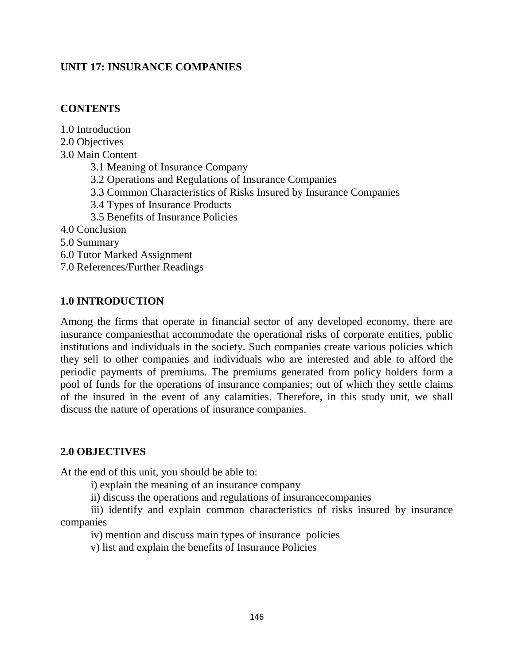## **UNIT 17: INSURANCE COMPANIES**

### **CONTENTS**

1.0 Introduction 2.0 Objectives 3.0 Main Content 3.1 Meaning of Insurance Company 3.2 Operations and Regulations of Insurance Companies 3.3 Common Characteristics of Risks Insured by Insurance Companies 3.4 Types of Insurance Products 3.5 Benefits of Insurance Policies 4.0 Conclusion 5.0 Summary 6.0 Tutor Marked Assignment 7.0 References/Further Readings

### **1.0 INTRODUCTION**

Among the firms that operate in financial sector of any developed economy, there are insurance companiesthat accommodate the operational risks of corporate entities, public institutions and individuals in the society. Such companies create various policies which they sell to other companies and individuals who are interested and able to afford the periodic payments of premiums. The premiums generated from policy holders form a pool of funds for the operations of insurance companies; out of which they settle claims of the insured in the event of any calamities. Therefore, in this study unit, we shall discuss the nature of operations of insurance companies.

### **2.0 OBJECTIVES**

At the end of this unit, you should be able to:

i) explain the meaning of an insurance company

ii) discuss the operations and regulations of insurancecompanies

iii) identify and explain common characteristics of risks insured by insurance companies

iv) mention and discuss main types of insurance policies

v) list and explain the benefits of Insurance Policies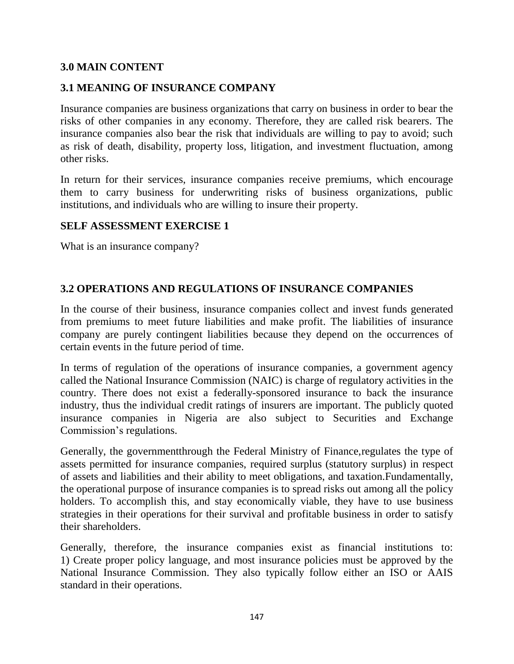### **3.0 MAIN CONTENT**

## **3.1 MEANING OF INSURANCE COMPANY**

Insurance companies are business organizations that carry on business in order to bear the risks of other companies in any economy. Therefore, they are called risk bearers. The insurance companies also bear the risk that individuals are willing to pay to avoid; such as risk of death, disability, property loss, litigation, and investment fluctuation, among other risks.

In return for their services, insurance companies receive premiums, which encourage them to carry business for underwriting risks of business organizations, public institutions, and individuals who are willing to insure their property.

#### **SELF ASSESSMENT EXERCISE 1**

What is an insurance company?

## **3.2 OPERATIONS AND REGULATIONS OF INSURANCE COMPANIES**

In the course of their business, insurance companies collect and invest funds generated from premiums to meet future liabilities and make profit. The liabilities of insurance company are purely contingent liabilities because they depend on the occurrences of certain events in the future period of time.

In terms of regulation of the operations of insurance companies, a government agency called the National Insurance Commission (NAIC) is charge of regulatory activities in the country. There does not exist a federally-sponsored insurance to back the insurance industry, thus the individual credit ratings of insurers are important. The publicly quoted insurance companies in Nigeria are also subject to Securities and Exchange Commission's regulations.

Generally, the governmentthrough the Federal Ministry of Finance,regulates the type of assets permitted for insurance companies, required surplus (statutory surplus) in respect of assets and liabilities and their ability to meet obligations, and taxation.Fundamentally, the operational purpose of insurance companies is to spread risks out among all the policy holders. To accomplish this, and stay economically viable, they have to use business strategies in their operations for their survival and profitable business in order to satisfy their shareholders.

Generally, therefore, the insurance companies exist as financial institutions to: 1) Create proper policy language, and most insurance policies must be approved by the National Insurance Commission. They also typically follow either an ISO or AAIS standard in their operations.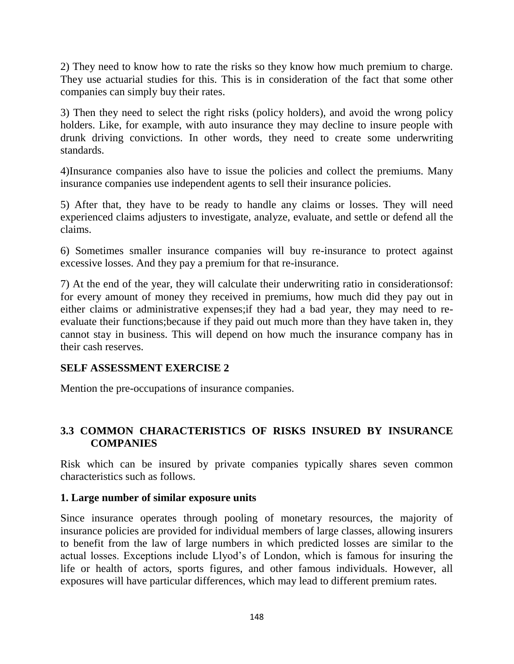2) They need to know how to rate the risks so they know how much premium to charge. They use actuarial studies for this. This is in consideration of the fact that some other companies can simply buy their rates.

3) Then they need to select the right risks (policy holders), and avoid the wrong policy holders. Like, for example, with auto insurance they may decline to insure people with drunk driving convictions. In other words, they need to create some underwriting standards.

4)Insurance companies also have to issue the policies and collect the premiums. Many insurance companies use independent agents to sell their insurance policies.

5) After that, they have to be ready to handle any claims or losses. They will need experienced claims adjusters to investigate, analyze, evaluate, and settle or defend all the claims.

6) Sometimes smaller insurance companies will buy re-insurance to protect against excessive losses. And they pay a premium for that re-insurance.

7) At the end of the year, they will calculate their underwriting ratio in considerationsof: for every amount of money they received in premiums, how much did they pay out in either claims or administrative expenses;if they had a bad year, they may need to reevaluate their functions;because if they paid out much more than they have taken in, they cannot stay in business. This will depend on how much the insurance company has in their cash reserves.

### **SELF ASSESSMENT EXERCISE 2**

Mention the pre-occupations of insurance companies.

## **3.3 COMMON CHARACTERISTICS OF RISKS INSURED BY INSURANCE COMPANIES**

Risk which can be insured by private companies typically shares seven common characteristics such as follows.

### **1. Large number of similar exposure units**

Since insurance operates through pooling of monetary resources, the majority of insurance policies are provided for individual members of large classes, allowing insurers to benefit from the law of large numbers in which predicted losses are similar to the actual losses. Exceptions include Llyod's of London, which is famous for insuring the life or health of actors, sports figures, and other famous individuals. However, all exposures will have particular differences, which may lead to different premium rates.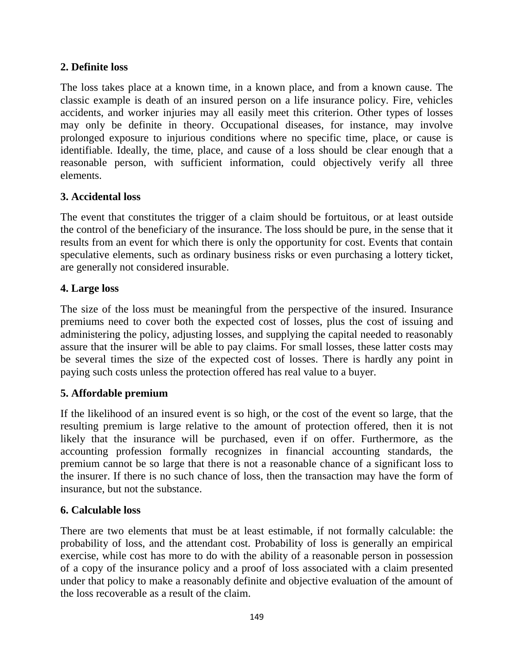## **2. Definite loss**

The loss takes place at a known time, in a known place, and from a known cause. The classic example is death of an insured person on a life insurance policy. Fire, vehicles accidents, and worker injuries may all easily meet this criterion. Other types of losses may only be definite in theory. Occupational diseases, for instance, may involve prolonged exposure to injurious conditions where no specific time, place, or cause is identifiable. Ideally, the time, place, and cause of a loss should be clear enough that a reasonable person, with sufficient information, could objectively verify all three elements.

## **3. Accidental loss**

The event that constitutes the trigger of a claim should be fortuitous, or at least outside the control of the beneficiary of the insurance. The loss should be pure, in the sense that it results from an event for which there is only the opportunity for cost. Events that contain speculative elements, such as ordinary business risks or even purchasing a lottery ticket, are generally not considered insurable.

## **4. Large loss**

The size of the loss must be meaningful from the perspective of the insured. Insurance premiums need to cover both the expected cost of losses, plus the cost of issuing and administering the policy, adjusting losses, and supplying the capital needed to reasonably assure that the insurer will be able to pay claims. For small losses, these latter costs may be several times the size of the expected cost of losses. There is hardly any point in paying such costs unless the protection offered has real value to a buyer.

# **5. Affordable premium**

If the likelihood of an insured event is so high, or the cost of the event so large, that the resulting premium is large relative to the amount of protection offered, then it is not likely that the insurance will be purchased, even if on offer. Furthermore, as the accounting profession formally recognizes in financial accounting standards, the premium cannot be so large that there is not a reasonable chance of a significant loss to the insurer. If there is no such chance of loss, then the transaction may have the form of insurance, but not the substance.

### **6. Calculable loss**

There are two elements that must be at least estimable, if not formally calculable: the probability of loss, and the attendant cost. Probability of loss is generally an empirical exercise, while cost has more to do with the ability of a reasonable person in possession of a copy of the insurance policy and a proof of loss associated with a claim presented under that policy to make a reasonably definite and objective evaluation of the amount of the loss recoverable as a result of the claim.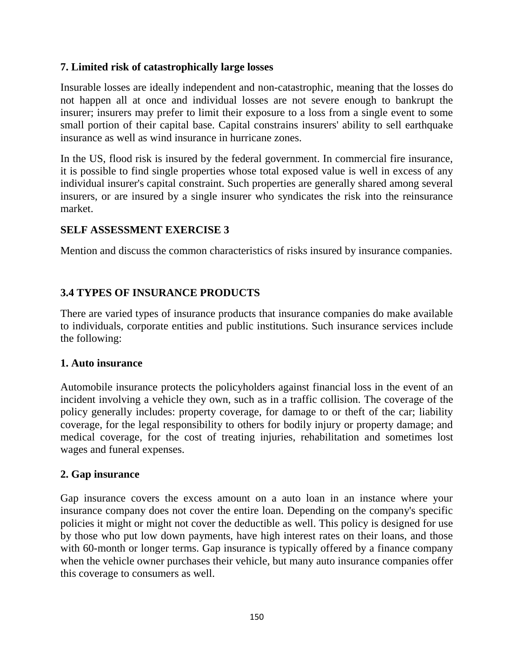## **7. Limited risk of catastrophically large losses**

Insurable losses are ideally independent and non-catastrophic, meaning that the losses do not happen all at once and individual losses are not severe enough to bankrupt the insurer; insurers may prefer to limit their exposure to a loss from a single event to some small portion of their capital base. Capital constrains insurers' ability to sell earthquake insurance as well as wind insurance in hurricane zones.

In the US, flood risk is insured by the federal government. In commercial fire insurance, it is possible to find single properties whose total exposed value is well in excess of any individual insurer's capital constraint. Such properties are generally shared among several insurers, or are insured by a single insurer who syndicates the risk into the reinsurance market.

# **SELF ASSESSMENT EXERCISE 3**

Mention and discuss the common characteristics of risks insured by insurance companies.

# **3.4 TYPES OF INSURANCE PRODUCTS**

There are varied types of insurance products that insurance companies do make available to individuals, corporate entities and public institutions. Such insurance services include the following:

### **1. Auto insurance**

Automobile insurance protects the policyholders against financial loss in the event of an incident involving a vehicle they own, such as in a traffic collision. The coverage of the policy generally includes: property coverage, for damage to or theft of the car; liability coverage, for the legal responsibility to others for bodily injury or property damage; and medical coverage, for the cost of treating injuries, rehabilitation and sometimes lost wages and funeral expenses.

### **2. Gap insurance**

Gap insurance covers the excess amount on a auto loan in an instance where your insurance company does not cover the entire loan. Depending on the company's specific policies it might or might not cover the deductible as well. This policy is designed for use by those who put low down payments, have high interest rates on their loans, and those with 60-month or longer terms. Gap insurance is typically offered by a finance company when the vehicle owner purchases their vehicle, but many auto insurance companies offer this coverage to consumers as well.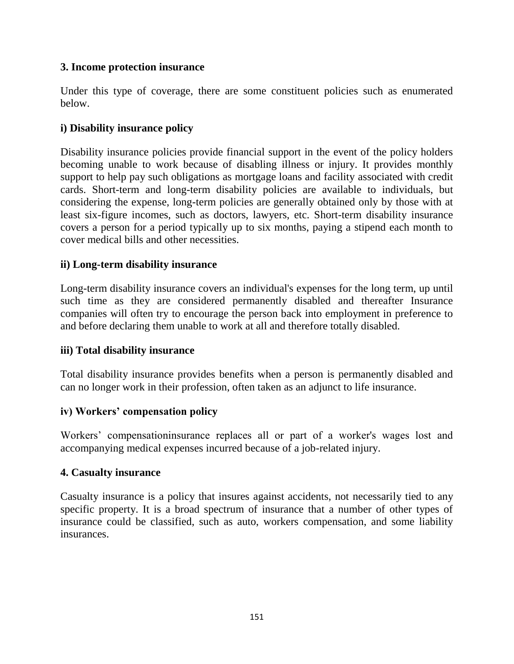## **3. Income protection insurance**

Under this type of coverage, there are some constituent policies such as enumerated below.

## **i) Disability insurance policy**

Disability insurance policies provide financial support in the event of the policy holders becoming unable to work because of disabling illness or injury. It provides monthly support to help pay such obligations as mortgage loans and facility associated with credit cards. Short-term and long-term disability policies are available to individuals, but considering the expense, long-term policies are generally obtained only by those with at least six-figure incomes, such as doctors, lawyers, etc. Short-term disability insurance covers a person for a period typically up to six months, paying a stipend each month to cover medical bills and other necessities.

## **ii) Long-term disability insurance**

Long-term disability insurance covers an individual's expenses for the long term, up until such time as they are considered permanently disabled and thereafter Insurance companies will often try to encourage the person back into employment in preference to and before declaring them unable to work at all and therefore totally disabled.

### **iii) Total disability insurance**

Total disability insurance provides benefits when a person is permanently disabled and can no longer work in their profession, often taken as an adjunct to life insurance.

# **iv) Workers' compensation policy**

Workers' compensationinsurance replaces all or part of a worker's wages lost and accompanying medical expenses incurred because of a job-related injury.

### **4. Casualty insurance**

Casualty insurance is a policy that insures against accidents, not necessarily tied to any specific property. It is a broad spectrum of insurance that a number of other types of insurance could be classified, such as auto, workers compensation, and some liability insurances.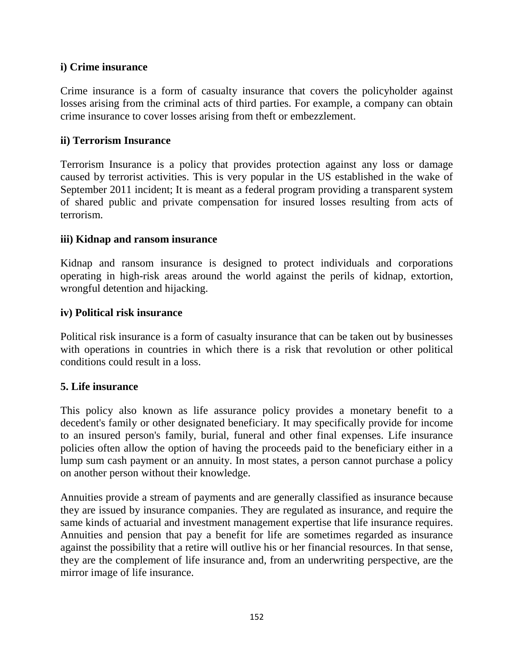### **i) Crime insurance**

Crime insurance is a form of casualty insurance that covers the policyholder against losses arising from the criminal acts of third parties. For example, a company can obtain crime insurance to cover losses arising from theft or embezzlement.

#### **ii) Terrorism Insurance**

Terrorism Insurance is a policy that provides protection against any loss or damage caused by terrorist activities. This is very popular in the US established in the wake of September 2011 incident; It is meant as a federal program providing a transparent system of shared public and private compensation for insured losses resulting from acts of terrorism.

#### **iii) Kidnap and ransom insurance**

Kidnap and ransom insurance is designed to protect individuals and corporations operating in high-risk areas around the world against the perils of kidnap, extortion, wrongful detention and hijacking.

#### **iv) Political risk insurance**

Political risk insurance is a form of casualty insurance that can be taken out by businesses with operations in countries in which there is a risk that revolution or other political conditions could result in a loss.

### **5. Life insurance**

This policy also known as life assurance policy provides a monetary benefit to a decedent's family or other designated beneficiary. It may specifically provide for income to an insured person's family, burial, funeral and other final expenses. Life insurance policies often allow the option of having the proceeds paid to the beneficiary either in a lump sum cash payment or an annuity. In most states, a person cannot purchase a policy on another person without their knowledge.

Annuities provide a stream of payments and are generally classified as insurance because they are issued by insurance companies. They are regulated as insurance, and require the same kinds of actuarial and investment management expertise that life insurance requires. Annuities and pension that pay a benefit for life are sometimes regarded as insurance against the possibility that a retire will outlive his or her financial resources. In that sense, they are the complement of life insurance and, from an underwriting perspective, are the mirror image of life insurance.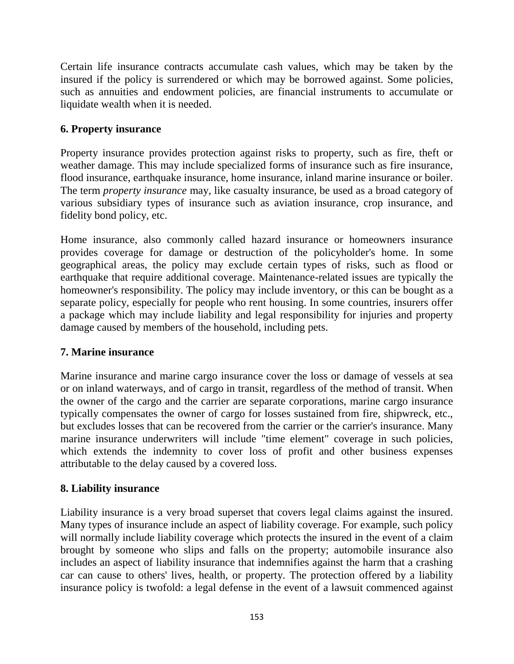Certain life insurance contracts accumulate cash values, which may be taken by the insured if the policy is surrendered or which may be borrowed against. Some policies, such as annuities and endowment policies, are financial instruments to accumulate or liquidate wealth when it is needed.

## **6. Property insurance**

Property insurance provides protection against risks to property, such as fire, theft or weather damage. This may include specialized forms of insurance such as fire insurance, flood insurance, earthquake insurance, home insurance, inland marine insurance or boiler. The term *property insurance* may, like casualty insurance, be used as a broad category of various subsidiary types of insurance such as aviation insurance, crop insurance, and fidelity bond policy, etc.

Home insurance, also commonly called hazard insurance or homeowners insurance provides coverage for damage or destruction of the policyholder's home. In some geographical areas, the policy may exclude certain types of risks, such as flood or earthquake that require additional coverage. Maintenance-related issues are typically the homeowner's responsibility. The policy may include inventory, or this can be bought as a separate policy, especially for people who rent housing. In some countries, insurers offer a package which may include liability and legal responsibility for injuries and property damage caused by members of the household, including pets.

# **7. Marine insurance**

Marine insurance and marine cargo insurance cover the loss or damage of vessels at sea or on inland waterways, and of cargo in transit, regardless of the method of transit. When the owner of the cargo and the carrier are separate corporations, marine cargo insurance typically compensates the owner of cargo for losses sustained from fire, shipwreck, etc., but excludes losses that can be recovered from the carrier or the carrier's insurance. Many marine insurance underwriters will include "time element" coverage in such policies, which extends the indemnity to cover loss of profit and other business expenses attributable to the delay caused by a covered loss.

# **8. Liability insurance**

Liability insurance is a very broad superset that covers legal claims against the insured. Many types of insurance include an aspect of liability coverage. For example, such policy will normally include liability coverage which protects the insured in the event of a claim brought by someone who slips and falls on the property; automobile insurance also includes an aspect of liability insurance that indemnifies against the harm that a crashing car can cause to others' lives, health, or property. The protection offered by a liability insurance policy is twofold: a legal defense in the event of a lawsuit commenced against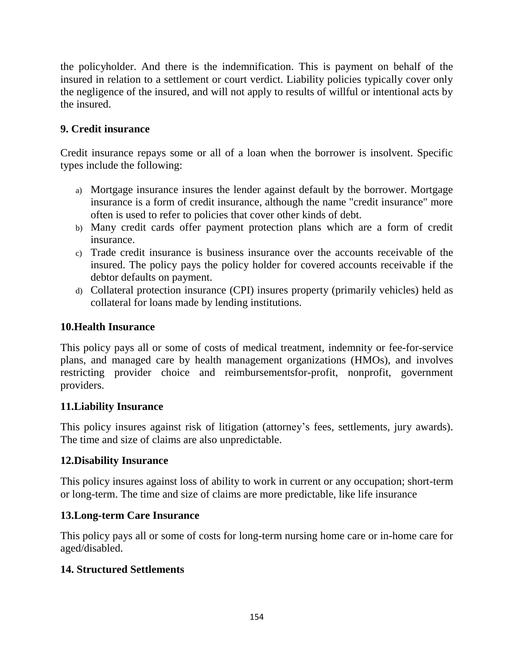the policyholder. And there is the indemnification. This is payment on behalf of the insured in relation to a settlement or court verdict. Liability policies typically cover only the negligence of the insured, and will not apply to results of willful or intentional acts by the insured.

# **9. Credit insurance**

Credit insurance repays some or all of a loan when the borrower is insolvent. Specific types include the following:

- a) [Mortgage insurance](https://en.wikipedia.org/wiki/Mortgage_insurance) insures the lender against default by the borrower. Mortgage insurance is a form of credit insurance, although the name "credit insurance" more often is used to refer to policies that cover other kinds of debt.
- b) Many credit cards offer payment protection plans which are a form of credit insurance.
- c) [Trade credit insurance](https://en.wikipedia.org/wiki/Trade_credit_insurance) is business insurance over the accounts receivable of the insured. The policy pays the policy holder for covered accounts receivable if the debtor defaults on payment.
- d) [Collateral protection insurance](https://en.wikipedia.org/wiki/Collateral_protection_insurance) (CPI) insures property (primarily vehicles) held as collateral for loans made by lending institutions.

### **10.Health Insurance**

This policy pays all or some of costs of medical treatment, indemnity or fee-for-service plans, and managed care by health management organizations (HMOs), and involves restricting provider choice and reimbursementsfor-profit, nonprofit, government providers.

### **11.Liability Insurance**

This policy insures against risk of litigation (attorney's fees, settlements, jury awards). The time and size of claims are also unpredictable.

# **12.Disability Insurance**

This policy insures against loss of ability to work in current or any occupation; short-term or long-term. The time and size of claims are more predictable, like life insurance

### **13.Long-term Care Insurance**

This policy pays all or some of costs for long-term nursing home care or in-home care for aged/disabled.

### **14. Structured Settlements**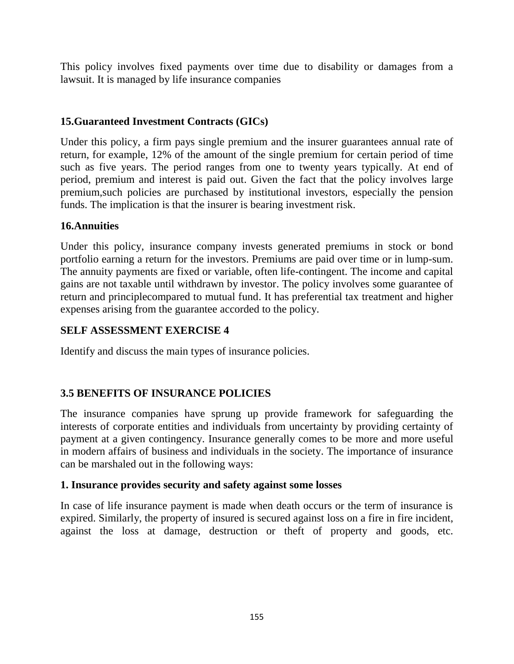This policy involves fixed payments over time due to disability or damages from a lawsuit. It is managed by life insurance companies

# **15.Guaranteed Investment Contracts (GICs)**

Under this policy, a firm pays single premium and the insurer guarantees annual rate of return, for example, 12% of the amount of the single premium for certain period of time such as five years. The period ranges from one to twenty years typically. At end of period, premium and interest is paid out. Given the fact that the policy involves large premium,such policies are purchased by institutional investors, especially the pension funds. The implication is that the insurer is bearing investment risk.

## **16.Annuities**

Under this policy, insurance company invests generated premiums in stock or bond portfolio earning a return for the investors. Premiums are paid over time or in lump-sum. The annuity payments are fixed or variable, often life-contingent. The income and capital gains are not taxable until withdrawn by investor. The policy involves some guarantee of return and principlecompared to mutual fund. It has preferential tax treatment and higher expenses arising from the guarantee accorded to the policy.

### **SELF ASSESSMENT EXERCISE 4**

Identify and discuss the main types of insurance policies.

# **3.5 BENEFITS OF INSURANCE POLICIES**

The insurance companies have sprung up provide framework for safeguarding the interests of corporate entities and individuals from uncertainty by providing certainty of payment at a given contingency. Insurance generally comes to be more and more useful in modern affairs of business and individuals in the society. The importance of insurance can be marshaled out in the following ways:

### **1. Insurance provides security and safety against some losses**

In case of life insurance payment is made when death occurs or the term of insurance is expired. Similarly, the property of insured is secured against loss on a fire in fire incident, against the loss at damage, destruction or theft of property and goods, etc.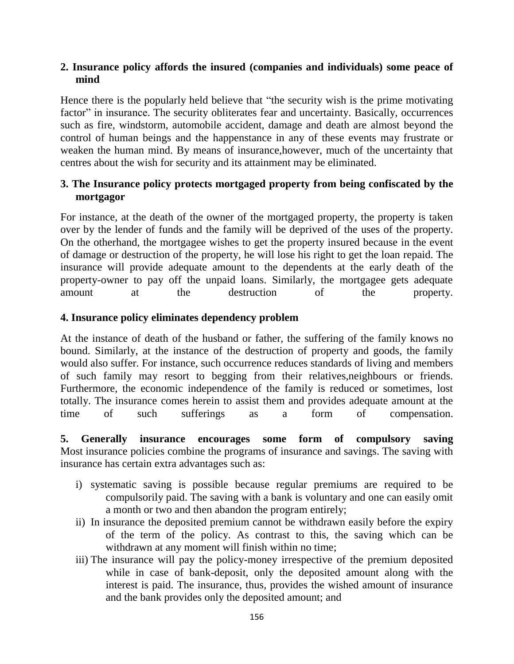#### **2. Insurance policy affords the insured (companies and individuals) some peace of mind**

Hence there is the popularly held believe that "the security wish is the prime motivating factor" in insurance. The security obliterates fear and uncertainty. Basically, occurrences such as fire, windstorm, automobile accident, damage and death are almost beyond the control of human beings and the happenstance in any of these events may frustrate or weaken the human mind. By means of insurance,however, much of the uncertainty that centres about the wish for security and its attainment may be eliminated.

## **3. The Insurance policy protects mortgaged property from being confiscated by the mortgagor**

For instance, at the death of the owner of the mortgaged property, the property is taken over by the lender of funds and the family will be deprived of the uses of the property. On the otherhand, the mortgagee wishes to get the property insured because in the event of damage or destruction of the property, he will lose his right to get the loan repaid. The insurance will provide adequate amount to the dependents at the early death of the property-owner to pay off the unpaid loans. Similarly, the mortgagee gets adequate amount at the destruction of the property.

### **4. Insurance policy eliminates dependency problem**

At the instance of death of the husband or father, the suffering of the family knows no bound. Similarly, at the instance of the destruction of property and goods, the family would also suffer. For instance, such occurrence reduces standards of living and members of such family may resort to begging from their relatives,neighbours or friends. Furthermore, the economic independence of the family is reduced or sometimes, lost totally. The insurance comes herein to assist them and provides adequate amount at the time of such sufferings as a form of compensation.

**5. Generally insurance encourages some form of compulsory saving** Most insurance policies combine the programs of insurance and savings. The saving with insurance has certain extra advantages such as:

- i) systematic saving is possible because regular premiums are required to be compulsorily paid. The saving with a bank is voluntary and one can easily omit a month or two and then abandon the program entirely;
- ii) In insurance the deposited premium cannot be withdrawn easily before the expiry of the term of the policy. As contrast to this, the saving which can be withdrawn at any moment will finish within no time;
- iii) The insurance will pay the policy-money irrespective of the premium deposited while in case of bank-deposit, only the deposited amount along with the interest is paid. The insurance, thus, provides the wished amount of insurance and the bank provides only the deposited amount; and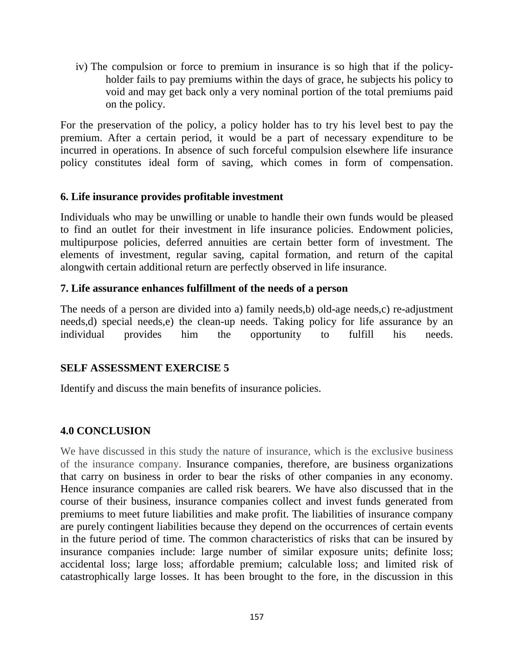iv) The compulsion or force to premium in insurance is so high that if the policyholder fails to pay premiums within the days of grace, he subjects his policy to void and may get back only a very nominal portion of the total premiums paid on the policy.

For the preservation of the policy, a policy holder has to try his level best to pay the premium. After a certain period, it would be a part of necessary expenditure to be incurred in operations. In absence of such forceful compulsion elsewhere life insurance policy constitutes ideal form of saving, which comes in form of compensation.

#### **6. Life insurance provides profitable investment**

Individuals who may be unwilling or unable to handle their own funds would be pleased to find an outlet for their investment in life insurance policies. Endowment policies, multipurpose policies, deferred annuities are certain better form of investment. The elements of investment, regular saving, capital formation, and return of the capital alongwith certain additional return are perfectly observed in life insurance.

#### **7. Life assurance enhances fulfillment of the needs of a person**

The needs of a person are divided into a) family needs,b) old-age needs,c) re-adjustment needs,d) special needs,e) the clean-up needs. Taking policy for life assurance by an individual provides him the opportunity to fulfill his needs.

### **SELF ASSESSMENT EXERCISE 5**

Identify and discuss the main benefits of insurance policies.

### **4.0 CONCLUSION**

We have discussed in this study the nature of insurance, which is the exclusive business of the insurance company. Insurance companies, therefore, are business organizations that carry on business in order to bear the risks of other companies in any economy. Hence insurance companies are called risk bearers. We have also discussed that in the course of their business, insurance companies collect and invest funds generated from premiums to meet future liabilities and make profit. The liabilities of insurance company are purely contingent liabilities because they depend on the occurrences of certain events in the future period of time. The common characteristics of risks that can be insured by insurance companies include: large number of similar exposure units; definite loss; accidental loss; large loss; affordable premium; calculable loss; and limited risk of catastrophically large losses. It has been brought to the fore, in the discussion in this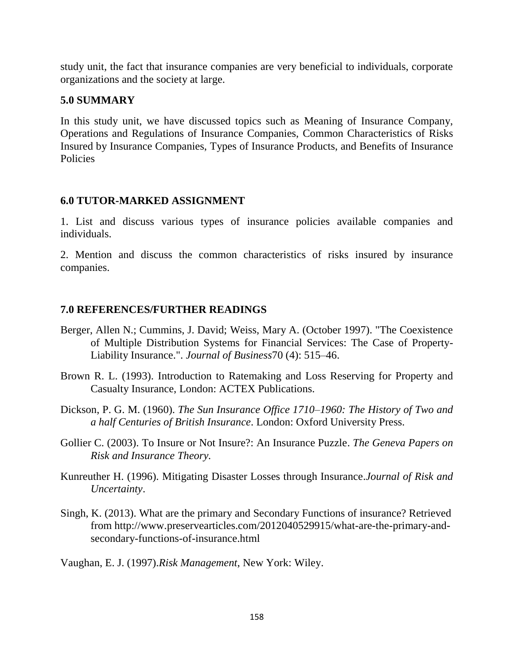study unit, the fact that insurance companies are very beneficial to individuals, corporate organizations and the society at large.

### **5.0 SUMMARY**

In this study unit, we have discussed topics such as Meaning of Insurance Company, Operations and Regulations of Insurance Companies, Common Characteristics of Risks Insured by Insurance Companies, Types of Insurance Products, and Benefits of Insurance Policies

## **6.0 TUTOR-MARKED ASSIGNMENT**

1. List and discuss various types of insurance policies available companies and individuals.

2. Mention and discuss the common characteristics of risks insured by insurance companies.

## **7.0 REFERENCES/FURTHER READINGS**

- Berger, Allen N.; Cummins, J. David; Weiss, Mary A. (October 1997). "The Coexistence of Multiple Distribution Systems for Financial Services: The Case of Property-Liability Insurance.". *Journal of Business*70 (4): 515–46.
- Brown R. L. (1993). Introduction to Ratemaking and Loss Reserving for Property and Casualty Insurance, London: ACTEX Publications.
- Dickson, P. G. M. (1960). *The Sun Insurance Office 1710–1960: The History of Two and a half Centuries of British Insurance*. London: Oxford University Press.
- Gollier C. (2003). To Insure or Not Insure?: An Insurance Puzzle. *The Geneva Papers on Risk and Insurance Theory.*
- Kunreuther H. (1996). Mitigating Disaster Losses through Insurance.*Journal of Risk and Uncertainty*.
- Singh, K. (2013). What are the primary and Secondary Functions of insurance? Retrieved from http://www.preservearticles.com/2012040529915/what-are-the-primary-andsecondary-functions-of-insurance.html

Vaughan, E. J. (1997).*Risk Management*, New York: Wiley.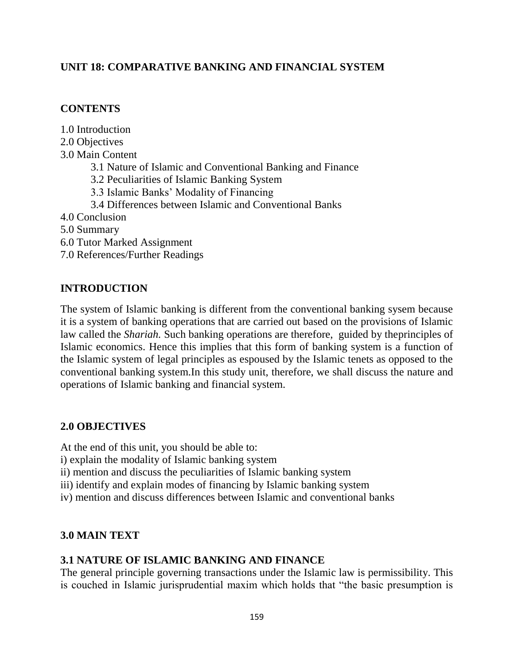## **UNIT 18: COMPARATIVE BANKING AND FINANCIAL SYSTEM**

### **CONTENTS**

| 1.0 Introduction                                           |
|------------------------------------------------------------|
| 2.0 Objectives                                             |
| 3.0 Main Content                                           |
| 3.1 Nature of Islamic and Conventional Banking and Finance |
| 3.2 Peculiarities of Islamic Banking System                |
| 3.3 Islamic Banks' Modality of Financing                   |
| 3.4 Differences between Islamic and Conventional Banks     |
| 4.0 Conclusion                                             |
| 5.0 Summary                                                |
| 6.0 Tutor Marked Assignment                                |
| 7.0 References/Further Readings                            |
|                                                            |

## **INTRODUCTION**

The system of Islamic banking is different from the conventional banking sysem because it is a system of banking operations that are carried out based on the provisions of Islamic law called the *Shariah.* Such banking operations are therefore, guided by theprinciples of Islamic economics. Hence this implies that this form of banking system is a function of the Islamic system of legal principles as espoused by the Islamic tenets as opposed to the conventional banking system.In this study unit, therefore, we shall discuss the nature and operations of Islamic banking and financial system.

### **2.0 OBJECTIVES**

At the end of this unit, you should be able to:

- i) explain the modality of Islamic banking system
- ii) mention and discuss the peculiarities of Islamic banking system
- iii) identify and explain modes of financing by Islamic banking system
- iv) mention and discuss differences between Islamic and conventional banks

### **3.0 MAIN TEXT**

### **3.1 NATURE OF ISLAMIC BANKING AND FINANCE**

The general principle governing transactions under the Islamic law is permissibility. This is couched in Islamic jurisprudential maxim which holds that "the basic presumption is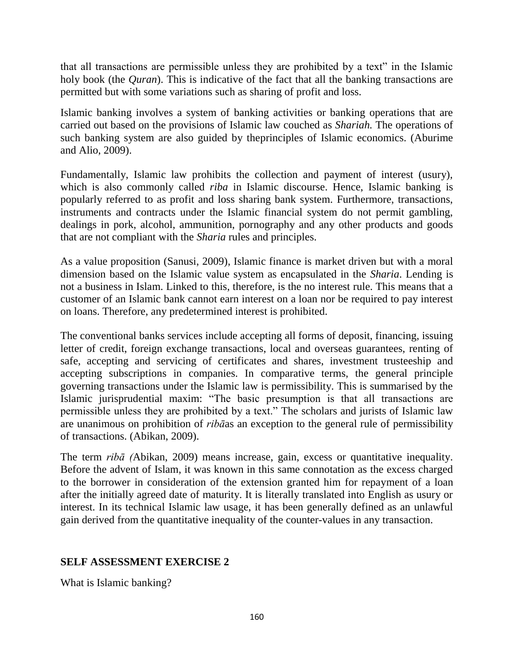that all transactions are permissible unless they are prohibited by a text" in the Islamic holy book (the *Quran*). This is indicative of the fact that all the banking transactions are permitted but with some variations such as sharing of profit and loss.

Islamic banking involves a system of banking activities or banking operations that are carried out based on the provisions of Islamic law couched as *Shariah.* The operations of such banking system are also guided by theprinciples of Islamic economics. (Aburime and Alio, 2009).

Fundamentally, Islamic law prohibits the collection and payment of interest (usury), which is also commonly called *riba* in Islamic discourse. Hence, Islamic banking is popularly referred to as profit and loss sharing bank system. Furthermore, transactions, instruments and contracts under the Islamic financial system do not permit gambling, dealings in pork, alcohol, ammunition, pornography and any other products and goods that are not compliant with the *Sharia* rules and principles.

As a value proposition (Sanusi, 2009), Islamic finance is market driven but with a moral dimension based on the Islamic value system as encapsulated in the *Sharia*. Lending is not a business in Islam. Linked to this, therefore, is the no interest rule. This means that a customer of an Islamic bank cannot earn interest on a loan nor be required to pay interest on loans. Therefore, any predetermined interest is prohibited.

The conventional banks services include accepting all forms of deposit, financing, issuing letter of credit, foreign exchange transactions, local and overseas guarantees, renting of safe, accepting and servicing of certificates and shares, investment trusteeship and accepting subscriptions in companies. In comparative terms, the general principle governing transactions under the Islamic law is permissibility. This is summarised by the Islamic jurisprudential maxim: "The basic presumption is that all transactions are permissible unless they are prohibited by a text." The scholars and jurists of Islamic law are unanimous on prohibition of *ribā*as an exception to the general rule of permissibility of transactions. (Abikan, 2009).

The term *ribā (*Abikan, 2009) means increase, gain, excess or quantitative inequality. Before the advent of Islam, it was known in this same connotation as the excess charged to the borrower in consideration of the extension granted him for repayment of a loan after the initially agreed date of maturity. It is literally translated into English as usury or interest. In its technical Islamic law usage, it has been generally defined as an unlawful gain derived from the quantitative inequality of the counter-values in any transaction.

# **SELF ASSESSMENT EXERCISE 2**

What is Islamic banking?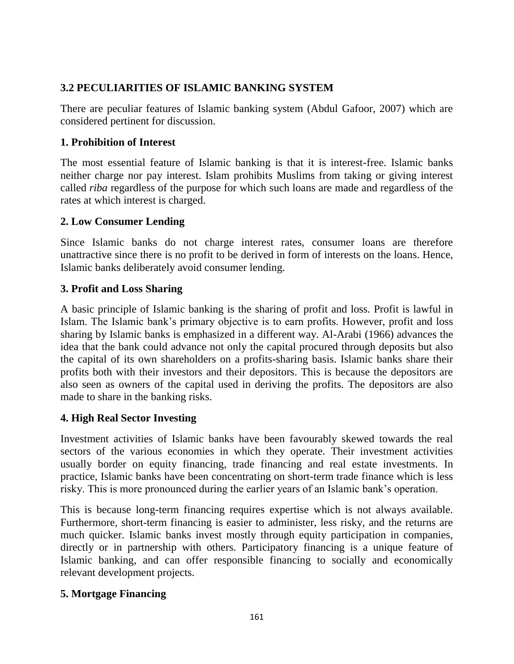# **3.2 PECULIARITIES OF ISLAMIC BANKING SYSTEM**

There are peculiar features of Islamic banking system (Abdul Gafoor, 2007) which are considered pertinent for discussion.

# **1. Prohibition of Interest**

The most essential feature of Islamic banking is that it is interest-free. Islamic banks neither charge nor pay interest. Islam prohibits Muslims from taking or giving interest called *riba* regardless of the purpose for which such loans are made and regardless of the rates at which interest is charged.

## **2. Low Consumer Lending**

Since Islamic banks do not charge interest rates, consumer loans are therefore unattractive since there is no profit to be derived in form of interests on the loans. Hence, Islamic banks deliberately avoid consumer lending.

# **3. Profit and Loss Sharing**

A basic principle of Islamic banking is the sharing of profit and loss. Profit is lawful in Islam. The Islamic bank's primary objective is to earn profits. However, profit and loss sharing by Islamic banks is emphasized in a different way. Al-Arabi (1966) advances the idea that the bank could advance not only the capital procured through deposits but also the capital of its own shareholders on a profits-sharing basis. Islamic banks share their profits both with their investors and their depositors. This is because the depositors are also seen as owners of the capital used in deriving the profits. The depositors are also made to share in the banking risks.

# **4. High Real Sector Investing**

Investment activities of Islamic banks have been favourably skewed towards the real sectors of the various economies in which they operate. Their investment activities usually border on equity financing, trade financing and real estate investments. In practice, Islamic banks have been concentrating on short-term trade finance which is less risky. This is more pronounced during the earlier years of an Islamic bank's operation.

This is because long-term financing requires expertise which is not always available. Furthermore, short-term financing is easier to administer, less risky, and the returns are much quicker. Islamic banks invest mostly through equity participation in companies, directly or in partnership with others. Participatory financing is a unique feature of Islamic banking, and can offer responsible financing to socially and economically relevant development projects.

# **5. Mortgage Financing**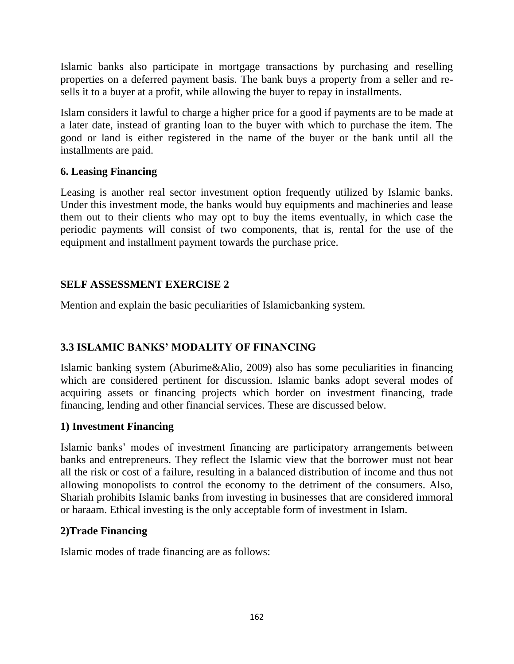Islamic banks also participate in mortgage transactions by purchasing and reselling properties on a deferred payment basis. The bank buys a property from a seller and resells it to a buyer at a profit, while allowing the buyer to repay in installments.

Islam considers it lawful to charge a higher price for a good if payments are to be made at a later date, instead of granting loan to the buyer with which to purchase the item. The good or land is either registered in the name of the buyer or the bank until all the installments are paid.

## **6. Leasing Financing**

Leasing is another real sector investment option frequently utilized by Islamic banks. Under this investment mode, the banks would buy equipments and machineries and lease them out to their clients who may opt to buy the items eventually, in which case the periodic payments will consist of two components, that is, rental for the use of the equipment and installment payment towards the purchase price.

# **SELF ASSESSMENT EXERCISE 2**

Mention and explain the basic peculiarities of Islamicbanking system.

# **3.3 ISLAMIC BANKS' MODALITY OF FINANCING**

Islamic banking system (Aburime&Alio, 2009) also has some peculiarities in financing which are considered pertinent for discussion. Islamic banks adopt several modes of acquiring assets or financing projects which border on investment financing, trade financing, lending and other financial services. These are discussed below.

### **1) Investment Financing**

Islamic banks' modes of investment financing are participatory arrangements between banks and entrepreneurs. They reflect the Islamic view that the borrower must not bear all the risk or cost of a failure, resulting in a balanced distribution of income and thus not allowing monopolists to control the economy to the detriment of the consumers. Also, Shariah prohibits Islamic banks from investing in businesses that are considered immoral or haraam. Ethical investing is the only acceptable form of investment in Islam.

### **2)Trade Financing**

Islamic modes of trade financing are as follows: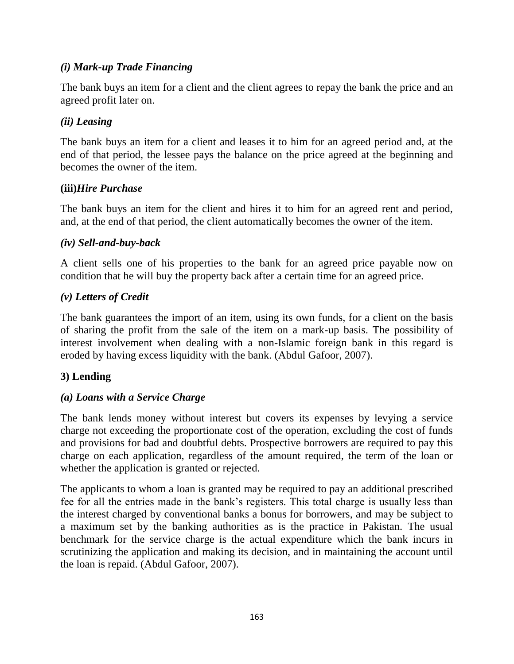## *(i) Mark-up Trade Financing*

The bank buys an item for a client and the client agrees to repay the bank the price and an agreed profit later on.

### *(ii) Leasing*

The bank buys an item for a client and leases it to him for an agreed period and, at the end of that period, the lessee pays the balance on the price agreed at the beginning and becomes the owner of the item.

### **(iii)***Hire Purchase*

The bank buys an item for the client and hires it to him for an agreed rent and period, and, at the end of that period, the client automatically becomes the owner of the item.

### *(iv) Sell-and-buy-back*

A client sells one of his properties to the bank for an agreed price payable now on condition that he will buy the property back after a certain time for an agreed price.

## *(v) Letters of Credit*

The bank guarantees the import of an item, using its own funds, for a client on the basis of sharing the profit from the sale of the item on a mark-up basis. The possibility of interest involvement when dealing with a non-Islamic foreign bank in this regard is eroded by having excess liquidity with the bank. (Abdul Gafoor, 2007).

# **3) Lending**

# *(a) Loans with a Service Charge*

The bank lends money without interest but covers its expenses by levying a service charge not exceeding the proportionate cost of the operation, excluding the cost of funds and provisions for bad and doubtful debts. Prospective borrowers are required to pay this charge on each application, regardless of the amount required, the term of the loan or whether the application is granted or rejected.

The applicants to whom a loan is granted may be required to pay an additional prescribed fee for all the entries made in the bank's registers. This total charge is usually less than the interest charged by conventional banks a bonus for borrowers, and may be subject to a maximum set by the banking authorities as is the practice in Pakistan. The usual benchmark for the service charge is the actual expenditure which the bank incurs in scrutinizing the application and making its decision, and in maintaining the account until the loan is repaid. (Abdul Gafoor, 2007).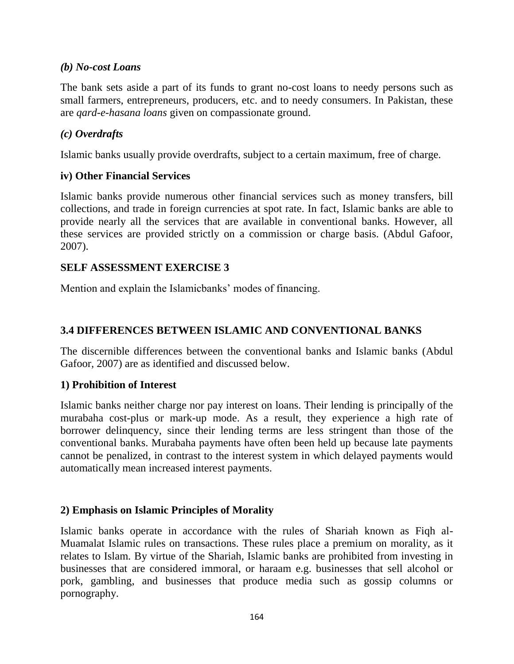### *(b) No-cost Loans*

The bank sets aside a part of its funds to grant no-cost loans to needy persons such as small farmers, entrepreneurs, producers, etc. and to needy consumers. In Pakistan, these are *qard-e-hasana loans* given on compassionate ground.

## *(c) Overdrafts*

Islamic banks usually provide overdrafts, subject to a certain maximum, free of charge.

### **iv) Other Financial Services**

Islamic banks provide numerous other financial services such as money transfers, bill collections, and trade in foreign currencies at spot rate. In fact, Islamic banks are able to provide nearly all the services that are available in conventional banks. However, all these services are provided strictly on a commission or charge basis. (Abdul Gafoor, 2007).

## **SELF ASSESSMENT EXERCISE 3**

Mention and explain the Islamicbanks' modes of financing.

## **3.4 DIFFERENCES BETWEEN ISLAMIC AND CONVENTIONAL BANKS**

The discernible differences between the conventional banks and Islamic banks (Abdul Gafoor, 2007) are as identified and discussed below.

### **1) Prohibition of Interest**

Islamic banks neither charge nor pay interest on loans. Their lending is principally of the murabaha cost-plus or mark-up mode. As a result, they experience a high rate of borrower delinquency, since their lending terms are less stringent than those of the conventional banks. Murabaha payments have often been held up because late payments cannot be penalized, in contrast to the interest system in which delayed payments would automatically mean increased interest payments.

### **2) Emphasis on Islamic Principles of Morality**

Islamic banks operate in accordance with the rules of Shariah known as Fiqh al-Muamalat Islamic rules on transactions. These rules place a premium on morality, as it relates to Islam. By virtue of the Shariah, Islamic banks are prohibited from investing in businesses that are considered immoral, or haraam e.g. businesses that sell alcohol or pork, gambling, and businesses that produce media such as gossip columns or pornography.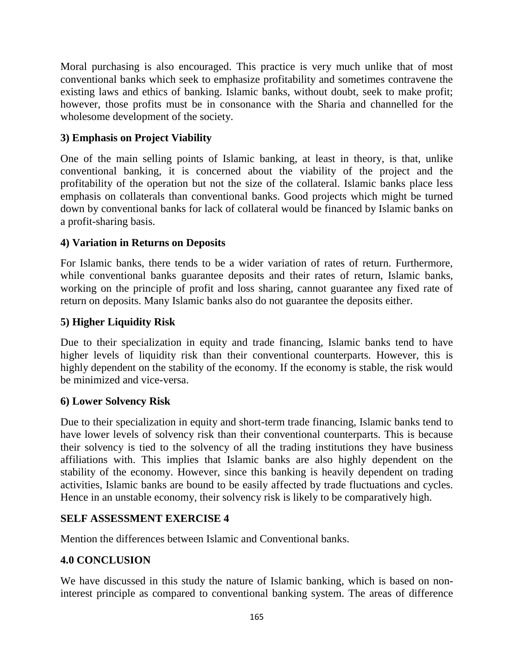Moral purchasing is also encouraged. This practice is very much unlike that of most conventional banks which seek to emphasize profitability and sometimes contravene the existing laws and ethics of banking. Islamic banks, without doubt, seek to make profit; however, those profits must be in consonance with the Sharia and channelled for the wholesome development of the society.

# **3) Emphasis on Project Viability**

One of the main selling points of Islamic banking, at least in theory, is that, unlike conventional banking, it is concerned about the viability of the project and the profitability of the operation but not the size of the collateral. Islamic banks place less emphasis on collaterals than conventional banks. Good projects which might be turned down by conventional banks for lack of collateral would be financed by Islamic banks on a profit-sharing basis.

# **4) Variation in Returns on Deposits**

For Islamic banks, there tends to be a wider variation of rates of return. Furthermore, while conventional banks guarantee deposits and their rates of return, Islamic banks, working on the principle of profit and loss sharing, cannot guarantee any fixed rate of return on deposits. Many Islamic banks also do not guarantee the deposits either.

# **5) Higher Liquidity Risk**

Due to their specialization in equity and trade financing, Islamic banks tend to have higher levels of liquidity risk than their conventional counterparts. However, this is highly dependent on the stability of the economy. If the economy is stable, the risk would be minimized and vice-versa.

# **6) Lower Solvency Risk**

Due to their specialization in equity and short-term trade financing, Islamic banks tend to have lower levels of solvency risk than their conventional counterparts. This is because their solvency is tied to the solvency of all the trading institutions they have business affiliations with. This implies that Islamic banks are also highly dependent on the stability of the economy. However, since this banking is heavily dependent on trading activities, Islamic banks are bound to be easily affected by trade fluctuations and cycles. Hence in an unstable economy, their solvency risk is likely to be comparatively high.

# **SELF ASSESSMENT EXERCISE 4**

Mention the differences between Islamic and Conventional banks.

# **4.0 CONCLUSION**

We have discussed in this study the nature of Islamic banking, which is based on noninterest principle as compared to conventional banking system. The areas of difference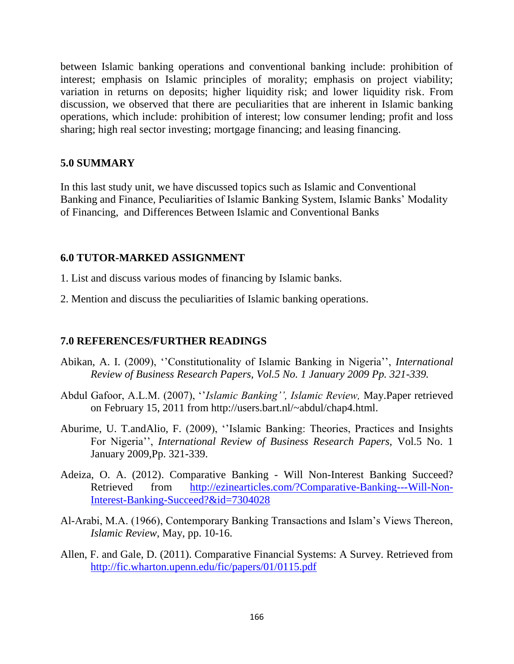between Islamic banking operations and conventional banking include: prohibition of interest; emphasis on Islamic principles of morality; emphasis on project viability; variation in returns on deposits; higher liquidity risk; and lower liquidity risk. From discussion, we observed that there are peculiarities that are inherent in Islamic banking operations, which include: prohibition of interest; low consumer lending; profit and loss sharing; high real sector investing; mortgage financing; and leasing financing.

#### **5.0 SUMMARY**

In this last study unit, we have discussed topics such as Islamic and Conventional Banking and Finance, Peculiarities of Islamic Banking System, Islamic Banks' Modality of Financing, and Differences Between Islamic and Conventional Banks

#### **6.0 TUTOR-MARKED ASSIGNMENT**

1. List and discuss various modes of financing by Islamic banks.

2. Mention and discuss the peculiarities of Islamic banking operations.

### **7.0 REFERENCES/FURTHER READINGS**

- Abikan, A. I. (2009), ''Constitutionality of Islamic Banking in Nigeria'', *International Review of Business Research Papers, Vol.5 No. 1 January 2009 Pp. 321-339.*
- Abdul Gafoor, A.L.M. (2007), ''*Islamic Banking'', Islamic Review,* May.Paper retrieved on February 15, 2011 from http://users.bart.nl/~abdul/chap4.html.
- Aburime, U. T.andAlio, F. (2009), ''Islamic Banking: Theories, Practices and Insights For Nigeria'', *International Review of Business Research Papers,* Vol.5 No. 1 January 2009,Pp. 321-339.
- Adeiza, O. A. (2012). Comparative Banking Will Non-Interest Banking Succeed? Retrieved from [http://ezinearticles.com/?Comparative-Banking---Will-Non-](http://ezinearticles.com/?Comparative-Banking---Will-Non-Interest-Banking-Succeed?&id=7304028)[Interest-Banking-Succeed?&id=7304028](http://ezinearticles.com/?Comparative-Banking---Will-Non-Interest-Banking-Succeed?&id=7304028)
- Al-Arabi, M.A. (1966), Contemporary Banking Transactions and Islam's Views Thereon, *Islamic Review*, May, pp. 10-16.
- Allen, F. and Gale, D. (2011). Comparative Financial Systems: A Survey. Retrieved from <http://fic.wharton.upenn.edu/fic/papers/01/0115.pdf>